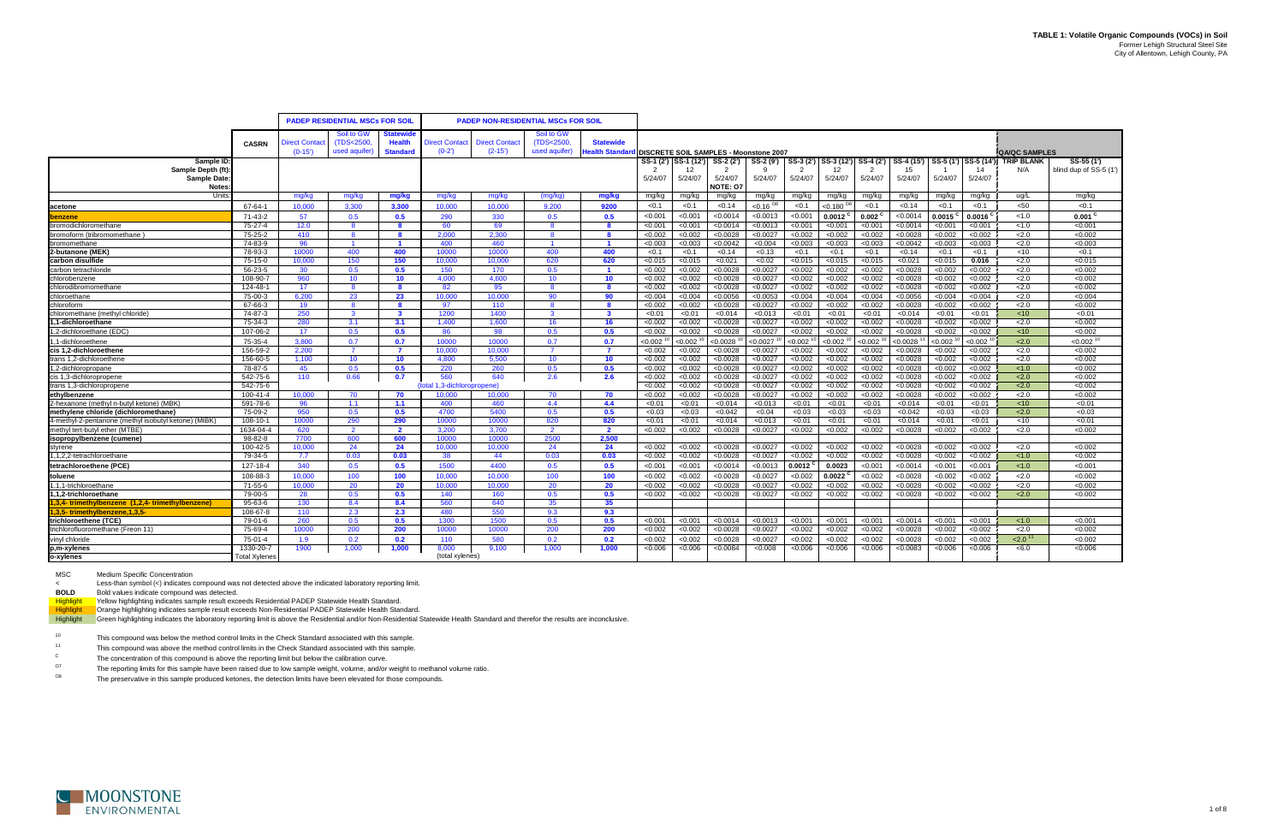| <b>PADEP NON-RESIDENTIAL MSCs FOR SOIL</b><br><b>PADEP RESIDENTIAL MSCs FOR SOIL</b><br>Soil to GW<br>Soil to GW<br>tatewide<br><b>Health</b><br>(TDS<2500)<br><b>Statewide</b><br><b>Direct Contac</b><br>(TDS<2500<br><b>Direct Contact</b><br><b>Direct Contact</b><br><b>CASRN</b><br><b>Jealth Standa</b><br>$(0-15')$<br><b>Standard</b><br>$(0-2)$<br>$(2 - 15)$<br>used aquifer)<br>used aquifer)<br><b>IDISCRETE SOIL SAMPLES - Moonstone 2007</b><br><b>QA/QC SAMPLES</b><br>$SS-4(2')$<br>$SS-4(15')$<br>SS-5 (1') SS-5 (14') TRIP BLANK<br>SS-55 (1')<br>Sample ID:<br>SS-1 (2') ISS-1 (12')<br>SS-3 (2')<br>SS-3 (12')<br>SS-2 (2')<br>SS-2 (9')<br>Sample Depth (ft)<br>$\overline{2}$<br>2<br>15<br>N/A<br>12<br>-9<br>12<br>14<br>5/24/07<br><b>Sample Date:</b><br>5/24/07<br>5/24/07<br>5/24/07<br>5/24/07<br>5/24/07<br>5/24/07<br>5/24/07<br>5/24/07<br>5/24/07<br>NOTE: 07<br><b>Notes</b><br>mg/kg<br>mg/kg<br>Units<br>mg/kg<br>mg/kg<br>mg/kg<br>mg/kg<br>mg/kg<br>(mg/kg)<br>mg/kg<br>mg/kg<br>mg/kg<br>mg/kg<br>mg/kg<br>mg/kg<br>mg/kg<br>mg/kg<br>ug/L<br>mg/kg<br>mg/kg<br>3.300<br>< 0.1<br>${<}0.16$ <sup>O8</sup><br>< 0.1<br>< 0.1<br>< 50<br>< 0.1<br>67-64-1<br>10.000<br>3.300<br>10.000<br>10.000<br>9200<br>< 0.1<br>< 0.14<br>< 0.1<br>< 0.180<br>< 0.14<br>< 0.1<br>9.200<br>lacetone<br>71-43-2<br>57<br>0.5<br>0.5<br>290<br>330<br>0.5<br>0.5<br>< 0.001<br>< 0.001<br>< 0.0014<br>< 0.0013<br>< 0.001<br>$0.0012$ <sup>C</sup><br>$0.002$ <sup>C</sup><br>< 0.0014<br>0.0015<br>0.0016<br>< 1.0<br>0.001<br>benzene<br>75-27-4<br>bromodichloromethane<br>12.0<br>- 8<br>-8<br>60<br>69<br>8<br>< 0.00<br>< 0.001<br>< 0.0014<br>< 0.0013<br>< 0.001<br>< 0.001<br>< 0.001<br>< 0.0014<br>< 0.001<br>< 0.001<br>< 1.0<br>< 0.001<br><b>R</b><br>bromoform (tribromomethane<br>75-25-2<br>2.000<br>2.300<br>< 0.0028<br>< 0.0027<br>< 0.002<br>< 0.002<br>2.0<br>< 0.002<br>410<br>- 8<br>- 8<br>$\mathbf{R}$<br>-8<br>< 0.002<br>< 0.002<br>< 0.002<br>< 0.002<br>< 0.0028<br>< 0.002<br>bromomethane<br>2.0<br>< 0.003<br>74-83-9<br>96<br>400<br>460<br>$\overline{1}$<br>< 0.003<br>< 0.003<br>< 0.0042<br>< 0.004<br>< 0.003<br>< 0.003<br>< 0.003<br>< 0.0042<br>< 0.003<br>< 0.003<br>$\overline{\mathbf{1}}$<br>$\blacksquare$<br>2-butanone (MEK)<br>400<br>< 0.1<br>78-93-3<br>10000<br>400<br>400<br>400<br>< 0.1<br>< 0.14<br>< 0.13<br>< 0.1<br>< 0.1<br>$<$ 10<br>10000<br>10000<br>< 0.1<br>< 0.1<br>< 0.14<br>< 0.1<br>< 0.1<br>150<br>< 0.015<br>< 0.015<br>0.016<br>2.0<br>< 0.015<br>75-15-0<br>150<br>620<br>620<br>< 0.021<br>< 0.02<br>< 0.015<br>< 0.015<br>< 0.021<br>< 0.015<br>carbon disulfide<br>10.000<br>10.000<br>10.000<br>$<$ 0.015 |                      |         |     |     |     |     |     |     |              |         |         |          |          |         |         |         |          |         |         |     |                        |
|-----------------------------------------------------------------------------------------------------------------------------------------------------------------------------------------------------------------------------------------------------------------------------------------------------------------------------------------------------------------------------------------------------------------------------------------------------------------------------------------------------------------------------------------------------------------------------------------------------------------------------------------------------------------------------------------------------------------------------------------------------------------------------------------------------------------------------------------------------------------------------------------------------------------------------------------------------------------------------------------------------------------------------------------------------------------------------------------------------------------------------------------------------------------------------------------------------------------------------------------------------------------------------------------------------------------------------------------------------------------------------------------------------------------------------------------------------------------------------------------------------------------------------------------------------------------------------------------------------------------------------------------------------------------------------------------------------------------------------------------------------------------------------------------------------------------------------------------------------------------------------------------------------------------------------------------------------------------------------------------------------------------------------------------------------------------------------------------------------------------------------------------------------------------------------------------------------------------------------------------------------------------------------------------------------------------------------------------------------------------------------------------------------------------------------------------------------------------------------------------------------------------------------------------------------------------------------------------------------------------------------------------------------------------------------------------------------------------|----------------------|---------|-----|-----|-----|-----|-----|-----|--------------|---------|---------|----------|----------|---------|---------|---------|----------|---------|---------|-----|------------------------|
|                                                                                                                                                                                                                                                                                                                                                                                                                                                                                                                                                                                                                                                                                                                                                                                                                                                                                                                                                                                                                                                                                                                                                                                                                                                                                                                                                                                                                                                                                                                                                                                                                                                                                                                                                                                                                                                                                                                                                                                                                                                                                                                                                                                                                                                                                                                                                                                                                                                                                                                                                                                                                                                                                                                 |                      |         |     |     |     |     |     |     |              |         |         |          |          |         |         |         |          |         |         |     |                        |
|                                                                                                                                                                                                                                                                                                                                                                                                                                                                                                                                                                                                                                                                                                                                                                                                                                                                                                                                                                                                                                                                                                                                                                                                                                                                                                                                                                                                                                                                                                                                                                                                                                                                                                                                                                                                                                                                                                                                                                                                                                                                                                                                                                                                                                                                                                                                                                                                                                                                                                                                                                                                                                                                                                                 |                      |         |     |     |     |     |     |     |              |         |         |          |          |         |         |         |          |         |         |     |                        |
|                                                                                                                                                                                                                                                                                                                                                                                                                                                                                                                                                                                                                                                                                                                                                                                                                                                                                                                                                                                                                                                                                                                                                                                                                                                                                                                                                                                                                                                                                                                                                                                                                                                                                                                                                                                                                                                                                                                                                                                                                                                                                                                                                                                                                                                                                                                                                                                                                                                                                                                                                                                                                                                                                                                 |                      |         |     |     |     |     |     |     |              |         |         |          |          |         |         |         |          |         |         |     |                        |
|                                                                                                                                                                                                                                                                                                                                                                                                                                                                                                                                                                                                                                                                                                                                                                                                                                                                                                                                                                                                                                                                                                                                                                                                                                                                                                                                                                                                                                                                                                                                                                                                                                                                                                                                                                                                                                                                                                                                                                                                                                                                                                                                                                                                                                                                                                                                                                                                                                                                                                                                                                                                                                                                                                                 |                      |         |     |     |     |     |     |     |              |         |         |          |          |         |         |         |          |         |         |     |                        |
|                                                                                                                                                                                                                                                                                                                                                                                                                                                                                                                                                                                                                                                                                                                                                                                                                                                                                                                                                                                                                                                                                                                                                                                                                                                                                                                                                                                                                                                                                                                                                                                                                                                                                                                                                                                                                                                                                                                                                                                                                                                                                                                                                                                                                                                                                                                                                                                                                                                                                                                                                                                                                                                                                                                 |                      |         |     |     |     |     |     |     |              |         |         |          |          |         |         |         |          |         |         |     |                        |
|                                                                                                                                                                                                                                                                                                                                                                                                                                                                                                                                                                                                                                                                                                                                                                                                                                                                                                                                                                                                                                                                                                                                                                                                                                                                                                                                                                                                                                                                                                                                                                                                                                                                                                                                                                                                                                                                                                                                                                                                                                                                                                                                                                                                                                                                                                                                                                                                                                                                                                                                                                                                                                                                                                                 |                      |         |     |     |     |     |     |     |              |         |         |          |          |         |         |         |          |         |         |     | blind dup of SS-5 (1') |
|                                                                                                                                                                                                                                                                                                                                                                                                                                                                                                                                                                                                                                                                                                                                                                                                                                                                                                                                                                                                                                                                                                                                                                                                                                                                                                                                                                                                                                                                                                                                                                                                                                                                                                                                                                                                                                                                                                                                                                                                                                                                                                                                                                                                                                                                                                                                                                                                                                                                                                                                                                                                                                                                                                                 |                      |         |     |     |     |     |     |     |              |         |         |          |          |         |         |         |          |         |         |     |                        |
|                                                                                                                                                                                                                                                                                                                                                                                                                                                                                                                                                                                                                                                                                                                                                                                                                                                                                                                                                                                                                                                                                                                                                                                                                                                                                                                                                                                                                                                                                                                                                                                                                                                                                                                                                                                                                                                                                                                                                                                                                                                                                                                                                                                                                                                                                                                                                                                                                                                                                                                                                                                                                                                                                                                 |                      |         |     |     |     |     |     |     |              |         |         |          |          |         |         |         |          |         |         |     |                        |
|                                                                                                                                                                                                                                                                                                                                                                                                                                                                                                                                                                                                                                                                                                                                                                                                                                                                                                                                                                                                                                                                                                                                                                                                                                                                                                                                                                                                                                                                                                                                                                                                                                                                                                                                                                                                                                                                                                                                                                                                                                                                                                                                                                                                                                                                                                                                                                                                                                                                                                                                                                                                                                                                                                                 |                      |         |     |     |     |     |     |     |              |         |         |          |          |         |         |         |          |         |         |     |                        |
|                                                                                                                                                                                                                                                                                                                                                                                                                                                                                                                                                                                                                                                                                                                                                                                                                                                                                                                                                                                                                                                                                                                                                                                                                                                                                                                                                                                                                                                                                                                                                                                                                                                                                                                                                                                                                                                                                                                                                                                                                                                                                                                                                                                                                                                                                                                                                                                                                                                                                                                                                                                                                                                                                                                 |                      |         |     |     |     |     |     |     |              |         |         |          |          |         |         |         |          |         |         |     |                        |
|                                                                                                                                                                                                                                                                                                                                                                                                                                                                                                                                                                                                                                                                                                                                                                                                                                                                                                                                                                                                                                                                                                                                                                                                                                                                                                                                                                                                                                                                                                                                                                                                                                                                                                                                                                                                                                                                                                                                                                                                                                                                                                                                                                                                                                                                                                                                                                                                                                                                                                                                                                                                                                                                                                                 |                      |         |     |     |     |     |     |     |              |         |         |          |          |         |         |         |          |         |         |     |                        |
|                                                                                                                                                                                                                                                                                                                                                                                                                                                                                                                                                                                                                                                                                                                                                                                                                                                                                                                                                                                                                                                                                                                                                                                                                                                                                                                                                                                                                                                                                                                                                                                                                                                                                                                                                                                                                                                                                                                                                                                                                                                                                                                                                                                                                                                                                                                                                                                                                                                                                                                                                                                                                                                                                                                 |                      |         |     |     |     |     |     |     |              |         |         |          |          |         |         |         |          |         |         |     |                        |
|                                                                                                                                                                                                                                                                                                                                                                                                                                                                                                                                                                                                                                                                                                                                                                                                                                                                                                                                                                                                                                                                                                                                                                                                                                                                                                                                                                                                                                                                                                                                                                                                                                                                                                                                                                                                                                                                                                                                                                                                                                                                                                                                                                                                                                                                                                                                                                                                                                                                                                                                                                                                                                                                                                                 |                      |         |     |     |     |     |     |     |              |         |         |          |          |         |         |         |          |         |         |     |                        |
|                                                                                                                                                                                                                                                                                                                                                                                                                                                                                                                                                                                                                                                                                                                                                                                                                                                                                                                                                                                                                                                                                                                                                                                                                                                                                                                                                                                                                                                                                                                                                                                                                                                                                                                                                                                                                                                                                                                                                                                                                                                                                                                                                                                                                                                                                                                                                                                                                                                                                                                                                                                                                                                                                                                 |                      |         |     |     |     |     |     |     |              |         |         |          |          |         |         |         |          |         |         |     |                        |
|                                                                                                                                                                                                                                                                                                                                                                                                                                                                                                                                                                                                                                                                                                                                                                                                                                                                                                                                                                                                                                                                                                                                                                                                                                                                                                                                                                                                                                                                                                                                                                                                                                                                                                                                                                                                                                                                                                                                                                                                                                                                                                                                                                                                                                                                                                                                                                                                                                                                                                                                                                                                                                                                                                                 |                      |         |     |     |     |     |     |     |              |         |         |          |          |         |         |         |          |         |         |     |                        |
|                                                                                                                                                                                                                                                                                                                                                                                                                                                                                                                                                                                                                                                                                                                                                                                                                                                                                                                                                                                                                                                                                                                                                                                                                                                                                                                                                                                                                                                                                                                                                                                                                                                                                                                                                                                                                                                                                                                                                                                                                                                                                                                                                                                                                                                                                                                                                                                                                                                                                                                                                                                                                                                                                                                 |                      |         |     |     |     |     |     |     |              |         |         |          |          |         |         |         |          |         |         |     |                        |
|                                                                                                                                                                                                                                                                                                                                                                                                                                                                                                                                                                                                                                                                                                                                                                                                                                                                                                                                                                                                                                                                                                                                                                                                                                                                                                                                                                                                                                                                                                                                                                                                                                                                                                                                                                                                                                                                                                                                                                                                                                                                                                                                                                                                                                                                                                                                                                                                                                                                                                                                                                                                                                                                                                                 | carbon tetrachloride | 56-23-5 | -30 | 0.5 | 0.5 | 150 | 170 | 0.5 | $\mathbf{1}$ | < 0.002 | < 0.002 | < 0.0028 | < 0.0027 | < 0.002 | < 0.002 | < 0.002 | < 0.0028 | < 0.002 | < 0.002 | 2.0 | < 0.002                |
| 2.0<br>chlorobenzene<br>108-90-7<br>10 <sup>1</sup><br>10<br>4.000<br>4.600<br>10<br>10 <sup>°</sup><br>< 0.002<br>< 0.002<br>< 0.0028<br>< 0.0027<br>< 0.002<br>< 0.002<br>< 0.002<br>< 0.0028<br>< 0.002<br>< 0.002<br>< 0.002<br>960                                                                                                                                                                                                                                                                                                                                                                                                                                                                                                                                                                                                                                                                                                                                                                                                                                                                                                                                                                                                                                                                                                                                                                                                                                                                                                                                                                                                                                                                                                                                                                                                                                                                                                                                                                                                                                                                                                                                                                                                                                                                                                                                                                                                                                                                                                                                                                                                                                                                         |                      |         |     |     |     |     |     |     |              |         |         |          |          |         |         |         |          |         |         |     |                        |
| chlorodibromomethane<br>124-48-1<br>< 0.0028<br>< 0.0027<br>< 0.002<br>< 0.002<br>< 0.002<br>< 0.002<br>2.0<br>< 0.002<br>17 <sup>2</sup><br>8<br>-8<br>82<br>95<br>-8<br>< 0.002<br>< 0.002<br>< 0.002<br>< 0.0028<br>-8                                                                                                                                                                                                                                                                                                                                                                                                                                                                                                                                                                                                                                                                                                                                                                                                                                                                                                                                                                                                                                                                                                                                                                                                                                                                                                                                                                                                                                                                                                                                                                                                                                                                                                                                                                                                                                                                                                                                                                                                                                                                                                                                                                                                                                                                                                                                                                                                                                                                                       |                      |         |     |     |     |     |     |     |              |         |         |          |          |         |         |         |          |         |         |     |                        |
| chloroethane<br>75-00-3<br>6.200<br>23<br>10.000<br>10.000<br>90<br>90<br>< 0.0056<br>< 0.0053<br>< 0.004<br>< 0.004<br>< 0.0056<br>< 0.004<br>< 0.004<br>2.0<br>< 0.004<br>23<br>< 0.004<br>< 0.004<br>< 0.004                                                                                                                                                                                                                                                                                                                                                                                                                                                                                                                                                                                                                                                                                                                                                                                                                                                                                                                                                                                                                                                                                                                                                                                                                                                                                                                                                                                                                                                                                                                                                                                                                                                                                                                                                                                                                                                                                                                                                                                                                                                                                                                                                                                                                                                                                                                                                                                                                                                                                                 |                      |         |     |     |     |     |     |     |              |         |         |          |          |         |         |         |          |         |         |     |                        |
| chloroform<br>2.0<br>67-66-3<br>< 0.002<br>< 0.0028<br>< 0.002<br>< 0.002<br>< 0.002<br>< 0.002<br>< 0.002<br>19<br>8<br>97<br>110<br>< 0.002<br>< 0.0027<br>< 0.002<br>< 0.0028<br>-8<br>8                                                                                                                                                                                                                                                                                                                                                                                                                                                                                                                                                                                                                                                                                                                                                                                                                                                                                                                                                                                                                                                                                                                                                                                                                                                                                                                                                                                                                                                                                                                                                                                                                                                                                                                                                                                                                                                                                                                                                                                                                                                                                                                                                                                                                                                                                                                                                                                                                                                                                                                     |                      |         |     |     |     |     |     |     |              |         |         |          |          |         |         |         |          |         |         |     |                        |
| 74-87-3<br>250<br>1200<br>1400<br>< 0.01<br>-3<br>$\mathbf{3}$<br>< 0.01<br>< 0.01<br>< 0.014<br>< 0.013<br>< 0.01<br>< 0.01<br>< 0.01<br>< 0.014<br>< 0.01<br>< 10<br>< 0.01<br>chloromethane (methyl chloride)<br>3                                                                                                                                                                                                                                                                                                                                                                                                                                                                                                                                                                                                                                                                                                                                                                                                                                                                                                                                                                                                                                                                                                                                                                                                                                                                                                                                                                                                                                                                                                                                                                                                                                                                                                                                                                                                                                                                                                                                                                                                                                                                                                                                                                                                                                                                                                                                                                                                                                                                                           |                      |         |     |     |     |     |     |     |              |         |         |          |          |         |         |         |          |         |         |     |                        |
| 75-34-3<br>280<br>3.1<br>3.1<br>1.400<br>16<br>16<br>< 0.002<br>< 0.0028<br>< 0.0027<br>< 0.002<br>< 0.002<br>< 0.0028<br>< 0.002<br>< 0.002<br>2.0<br>< 0.002<br>1.600<br>< 0.002<br>< 0.002<br>1-dichloroethane                                                                                                                                                                                                                                                                                                                                                                                                                                                                                                                                                                                                                                                                                                                                                                                                                                                                                                                                                                                                                                                                                                                                                                                                                                                                                                                                                                                                                                                                                                                                                                                                                                                                                                                                                                                                                                                                                                                                                                                                                                                                                                                                                                                                                                                                                                                                                                                                                                                                                               |                      |         |     |     |     |     |     |     |              |         |         |          |          |         |         |         |          |         |         |     |                        |
| 107-06-2<br>17<br>0.5<br>0.5<br>86<br>98<br>0.5<br>0.5<br>< 0.002<br>< 0.002<br>< 0.0028<br>< 0.0027<br>< 0.002<br>< 0.002<br>< 0.002<br>< 0.0028<br>< 0.002<br>< 0.002<br>< 10<br>< 0.002<br>2-dichloroethane (EDC)                                                                                                                                                                                                                                                                                                                                                                                                                                                                                                                                                                                                                                                                                                                                                                                                                                                                                                                                                                                                                                                                                                                                                                                                                                                                                                                                                                                                                                                                                                                                                                                                                                                                                                                                                                                                                                                                                                                                                                                                                                                                                                                                                                                                                                                                                                                                                                                                                                                                                            |                      |         |     |     |     |     |     |     |              |         |         |          |          |         |         |         |          |         |         |     |                        |
| < 0.002<br>< 0.002<br>< 0.0027<br>< 0.002<br><0.002<br>< 0.002<br>< 0.002<br>< 0.0028<br>< 0.002<br>< 0.002<br>< 0.0028<br>75-35-4<br>3.800<br>0.7<br>10000<br>0.7<br>0.7<br>2.0<br>0.7<br>10000<br>1-dichloroethene                                                                                                                                                                                                                                                                                                                                                                                                                                                                                                                                                                                                                                                                                                                                                                                                                                                                                                                                                                                                                                                                                                                                                                                                                                                                                                                                                                                                                                                                                                                                                                                                                                                                                                                                                                                                                                                                                                                                                                                                                                                                                                                                                                                                                                                                                                                                                                                                                                                                                            |                      |         |     |     |     |     |     |     |              |         |         |          |          |         |         |         |          |         |         |     |                        |
| cis 1.2-dichloroethene<br>156-59-2<br>< 0.002<br>< 0.0028<br>< 0.0027<br>< 0.002<br>< 0.002<br>< 0.002<br>< 0.0028<br>< 0.002<br>< 0.002<br>2.0<br>< 0.002<br>2.200<br>10.000<br>10.000<br>< 0.002                                                                                                                                                                                                                                                                                                                                                                                                                                                                                                                                                                                                                                                                                                                                                                                                                                                                                                                                                                                                                                                                                                                                                                                                                                                                                                                                                                                                                                                                                                                                                                                                                                                                                                                                                                                                                                                                                                                                                                                                                                                                                                                                                                                                                                                                                                                                                                                                                                                                                                              |                      |         |     |     |     |     |     |     |              |         |         |          |          |         |         |         |          |         |         |     |                        |
| trans 1,2-dichloroethene<br>156-60-5<br>10<br>< 0.0027<br>< 0.002<br>< 0.0028<br>< 0.002<br>2.0<br>< 0.002<br>1,100<br>10<br>5,500<br>10<br>10 <sub>1</sub><br>< 0.002<br>< 0.002<br>< 0.0028<br>< 0.002<br>< 0.002<br>< 0.002<br>4,800                                                                                                                                                                                                                                                                                                                                                                                                                                                                                                                                                                                                                                                                                                                                                                                                                                                                                                                                                                                                                                                                                                                                                                                                                                                                                                                                                                                                                                                                                                                                                                                                                                                                                                                                                                                                                                                                                                                                                                                                                                                                                                                                                                                                                                                                                                                                                                                                                                                                         |                      |         |     |     |     |     |     |     |              |         |         |          |          |         |         |         |          |         |         |     |                        |
| 1,2-dichloropropane<br>78-87-5<br>0.5<br>0.5<br>220<br>0.5<br>0.5<br>< 0.0027<br>< 0.002<br>< 0.0028<br>< 0.002<br>< 1.0<br>< 0.002<br>260<br>< 0.002<br>< 0.002<br>< 0.0028<br>< 0.002<br>< 0.002<br>< 0.002<br>45                                                                                                                                                                                                                                                                                                                                                                                                                                                                                                                                                                                                                                                                                                                                                                                                                                                                                                                                                                                                                                                                                                                                                                                                                                                                                                                                                                                                                                                                                                                                                                                                                                                                                                                                                                                                                                                                                                                                                                                                                                                                                                                                                                                                                                                                                                                                                                                                                                                                                             |                      |         |     |     |     |     |     |     |              |         |         |          |          |         |         |         |          |         |         |     |                        |
| cis 1,3-dichloropropene<br>542-75-6<br>0.66<br>0.7<br>560<br>2.6<br>2.0<br>110<br>640<br>2.6<br>< 0.002<br>< 0.0028<br>< 0.0027<br>< 0.002<br>< 0.002<br>< 0.002<br>< 0.0028<br>< 0.002<br>< 0.002<br>< 0.002<br>< 0.002                                                                                                                                                                                                                                                                                                                                                                                                                                                                                                                                                                                                                                                                                                                                                                                                                                                                                                                                                                                                                                                                                                                                                                                                                                                                                                                                                                                                                                                                                                                                                                                                                                                                                                                                                                                                                                                                                                                                                                                                                                                                                                                                                                                                                                                                                                                                                                                                                                                                                        |                      |         |     |     |     |     |     |     |              |         |         |          |          |         |         |         |          |         |         |     |                        |
| trans 1,3-dichloropropene<br>542-75-6<br>< 0.0028<br>< 0.0027<br>< 0.002<br>< 0.0028<br>< 0.002<br>2.0<br>< 0.002<br>total 1,3-dichloropro<br>< 0.002<br>< 0.002<br>< 0.002<br>< 0.002<br>< 0.002<br>pene)                                                                                                                                                                                                                                                                                                                                                                                                                                                                                                                                                                                                                                                                                                                                                                                                                                                                                                                                                                                                                                                                                                                                                                                                                                                                                                                                                                                                                                                                                                                                                                                                                                                                                                                                                                                                                                                                                                                                                                                                                                                                                                                                                                                                                                                                                                                                                                                                                                                                                                      |                      |         |     |     |     |     |     |     |              |         |         |          |          |         |         |         |          |         |         |     |                        |
| ethylbenzene<br>$100 - 41 - 4$<br>10.000<br>70<br>10.000<br>70<br>< 0.002<br>< 0.002<br>< 0.0028<br>< 0.0027<br>< 0.002<br>< 0.002<br>< 0.002<br>< 0.0028<br>< 0.002<br>< 0.002<br>2.0<br>< 0.002<br>70<br>10,000<br>70                                                                                                                                                                                                                                                                                                                                                                                                                                                                                                                                                                                                                                                                                                                                                                                                                                                                                                                                                                                                                                                                                                                                                                                                                                                                                                                                                                                                                                                                                                                                                                                                                                                                                                                                                                                                                                                                                                                                                                                                                                                                                                                                                                                                                                                                                                                                                                                                                                                                                         |                      |         |     |     |     |     |     |     |              |         |         |          |          |         |         |         |          |         |         |     |                        |
| 2-hexanone (methyl n-butyl ketone) (MBK<br>4.4<br>591-78-6<br>1.1<br>1.1<br>4.4<br>< 0.01<br>< 0.014<br>< 0.013<br>< 0.01<br>< 0.014<br>< 0.01<br>< 10<br>< 0.01<br>96<br>400<br>460<br>< 0.01<br>< 0.01<br>< 0.01<br>< 0.01                                                                                                                                                                                                                                                                                                                                                                                                                                                                                                                                                                                                                                                                                                                                                                                                                                                                                                                                                                                                                                                                                                                                                                                                                                                                                                                                                                                                                                                                                                                                                                                                                                                                                                                                                                                                                                                                                                                                                                                                                                                                                                                                                                                                                                                                                                                                                                                                                                                                                    |                      |         |     |     |     |     |     |     |              |         |         |          |          |         |         |         |          |         |         |     |                        |
| methylene chloride (dichloromethane)<br>75-09-2<br>950<br>0.5<br>0.5<br>5400<br>0.5<br>0.5<br>< 0.03<br>< 0.042<br>< 0.03<br>< 0.03<br>< 0.042<br>< 0.03<br><0.03<br>2.0<br><0.03<br>4700<br>< 0.03<br>< 0.04<br>< 0.03                                                                                                                                                                                                                                                                                                                                                                                                                                                                                                                                                                                                                                                                                                                                                                                                                                                                                                                                                                                                                                                                                                                                                                                                                                                                                                                                                                                                                                                                                                                                                                                                                                                                                                                                                                                                                                                                                                                                                                                                                                                                                                                                                                                                                                                                                                                                                                                                                                                                                         |                      |         |     |     |     |     |     |     |              |         |         |          |          |         |         |         |          |         |         |     |                        |
| 4-methyl-2-pentanone (methyl isobutyl ketone) (MIBK)<br>290<br>< 0.01<br>108-10-1<br>10000<br>290<br>10000<br>820<br>820<br>< 0.01<br>< 0.014<br>< 0.013<br>< 0.01<br>< 0.01<br>< 0.01<br>< 0.014<br>< 0.01<br>< 0.01<br>$<$ 10<br>10000<br>< 0.01                                                                                                                                                                                                                                                                                                                                                                                                                                                                                                                                                                                                                                                                                                                                                                                                                                                                                                                                                                                                                                                                                                                                                                                                                                                                                                                                                                                                                                                                                                                                                                                                                                                                                                                                                                                                                                                                                                                                                                                                                                                                                                                                                                                                                                                                                                                                                                                                                                                              |                      |         |     |     |     |     |     |     |              |         |         |          |          |         |         |         |          |         |         |     |                        |
| 1634-04-4<br>< 0.002<br>methyl tert-butyl ether (MTBE)<br>< 0.002<br>< 0.0028<br>< 0.0027<br>< 0.002<br>< 0.002<br>< 0.002<br>< 0.002<br>< 0.002<br>2.0<br>620<br>$\overline{2}$<br>$\overline{\mathbf{2}}$<br>3.200<br>3.700<br>$\overline{2}$<br>$\overline{2}$<br>< 0.002<br>< 0.0028                                                                                                                                                                                                                                                                                                                                                                                                                                                                                                                                                                                                                                                                                                                                                                                                                                                                                                                                                                                                                                                                                                                                                                                                                                                                                                                                                                                                                                                                                                                                                                                                                                                                                                                                                                                                                                                                                                                                                                                                                                                                                                                                                                                                                                                                                                                                                                                                                        |                      |         |     |     |     |     |     |     |              |         |         |          |          |         |         |         |          |         |         |     |                        |
| isopropylbenzene (cumene)<br>$98 - 82 - 8$<br>2,500<br>600<br>600<br>2500<br>7700<br>10000<br>10000                                                                                                                                                                                                                                                                                                                                                                                                                                                                                                                                                                                                                                                                                                                                                                                                                                                                                                                                                                                                                                                                                                                                                                                                                                                                                                                                                                                                                                                                                                                                                                                                                                                                                                                                                                                                                                                                                                                                                                                                                                                                                                                                                                                                                                                                                                                                                                                                                                                                                                                                                                                                             |                      |         |     |     |     |     |     |     |              |         |         |          |          |         |         |         |          |         |         |     |                        |
| styrene<br>< 0.002<br>100-42-5<br>24<br>24<br>< 0.002<br>< 0.0028<br>< 0.0027<br>< 0.002<br>< 0.002<br>< 0.0028<br>< 0.002<br>< 0.002<br>2.0<br>< 0.002<br>10,000<br>10,000<br>10,000<br>24<br>24<br>< 0.002                                                                                                                                                                                                                                                                                                                                                                                                                                                                                                                                                                                                                                                                                                                                                                                                                                                                                                                                                                                                                                                                                                                                                                                                                                                                                                                                                                                                                                                                                                                                                                                                                                                                                                                                                                                                                                                                                                                                                                                                                                                                                                                                                                                                                                                                                                                                                                                                                                                                                                    |                      |         |     |     |     |     |     |     |              |         |         |          |          |         |         |         |          |         |         |     |                        |
| 1,1,2,2-tetrachloroethane<br>79-34-5<br>< 0.002<br>< 0.002<br>0.03<br>0.03<br>44<br>0.03<br>0.03<br>< 0.002<br>< 0.002<br>< 0.0028<br>< 0.0027<br>< 0.002<br>< 0.002<br>< 0.0028<br>< 0.002<br>< 0.002<br>< 1.0<br>7.7<br>38                                                                                                                                                                                                                                                                                                                                                                                                                                                                                                                                                                                                                                                                                                                                                                                                                                                                                                                                                                                                                                                                                                                                                                                                                                                                                                                                                                                                                                                                                                                                                                                                                                                                                                                                                                                                                                                                                                                                                                                                                                                                                                                                                                                                                                                                                                                                                                                                                                                                                    |                      |         |     |     |     |     |     |     |              |         |         |          |          |         |         |         |          |         |         |     |                        |
| 0.0012<br>0.5<br>0.5<br>0.5<br>< 0.001<br>< 0.001<br>127-18-4<br>340<br>0.5<br>1500<br>4400<br>< 0.001<br>< 0.0014<br>< 0.0013<br>0.0023<br>< 0.0014<br>< 0.001<br>< 0.001<br>< 1.0<br>tetrachloroethene (PCE)<br>< 0.001                                                                                                                                                                                                                                                                                                                                                                                                                                                                                                                                                                                                                                                                                                                                                                                                                                                                                                                                                                                                                                                                                                                                                                                                                                                                                                                                                                                                                                                                                                                                                                                                                                                                                                                                                                                                                                                                                                                                                                                                                                                                                                                                                                                                                                                                                                                                                                                                                                                                                       |                      |         |     |     |     |     |     |     |              |         |         |          |          |         |         |         |          |         |         |     |                        |
| 108-88-3<br>10.000<br>100<br>100<br>10.000<br>100<br>100<br>< 0.0028<br>< 0.0027<br>0.0022<br>< 0.002<br>< 0.0028<br>< 0.002<br>2.0<br>< 0.002<br>10.000<br>< 0.002<br>< 0.002<br>< 0.002<br>< 0.002<br>toluene                                                                                                                                                                                                                                                                                                                                                                                                                                                                                                                                                                                                                                                                                                                                                                                                                                                                                                                                                                                                                                                                                                                                                                                                                                                                                                                                                                                                                                                                                                                                                                                                                                                                                                                                                                                                                                                                                                                                                                                                                                                                                                                                                                                                                                                                                                                                                                                                                                                                                                 |                      |         |     |     |     |     |     |     |              |         |         |          |          |         |         |         |          |         |         |     |                        |
| 71-55-6<br>20<br>10,000<br>20<br>20<br>10.000<br>10.000<br>20<br>< 0.002<br>< 0.0028<br>< 0.0027<br>< 0.002<br>< 0.002<br>< 0.002<br>< 0.0028<br>< 0.002<br>< 0.002<br>2.0<br>< 0.002<br>< 0.002<br>.1.1-trichloroethane                                                                                                                                                                                                                                                                                                                                                                                                                                                                                                                                                                                                                                                                                                                                                                                                                                                                                                                                                                                                                                                                                                                                                                                                                                                                                                                                                                                                                                                                                                                                                                                                                                                                                                                                                                                                                                                                                                                                                                                                                                                                                                                                                                                                                                                                                                                                                                                                                                                                                        |                      |         |     |     |     |     |     |     |              |         |         |          |          |         |         |         |          |         |         |     |                        |
| 0.5<br>2.0<br>79-00-5<br>28<br>0.5<br>0.5<br>140<br>160<br>0.5<br>< 0.002<br>< 0.002<br>< 0.0028<br>< 0.0027<br>< 0.002<br>< 0.002<br>< 0.002<br>< 0.0028<br>< 0.002<br>< 0.002<br>< 0.002<br>.1.2-trichloroethane                                                                                                                                                                                                                                                                                                                                                                                                                                                                                                                                                                                                                                                                                                                                                                                                                                                                                                                                                                                                                                                                                                                                                                                                                                                                                                                                                                                                                                                                                                                                                                                                                                                                                                                                                                                                                                                                                                                                                                                                                                                                                                                                                                                                                                                                                                                                                                                                                                                                                              |                      |         |     |     |     |     |     |     |              |         |         |          |          |         |         |         |          |         |         |     |                        |
| 95-63-6<br>8.4<br>640<br>35<br>35 <sub>5</sub><br>3,4- trimethylbenzene (1,2,4- trimethylbenzene)<br>130<br>8.4<br>560                                                                                                                                                                                                                                                                                                                                                                                                                                                                                                                                                                                                                                                                                                                                                                                                                                                                                                                                                                                                                                                                                                                                                                                                                                                                                                                                                                                                                                                                                                                                                                                                                                                                                                                                                                                                                                                                                                                                                                                                                                                                                                                                                                                                                                                                                                                                                                                                                                                                                                                                                                                          |                      |         |     |     |     |     |     |     |              |         |         |          |          |         |         |         |          |         |         |     |                        |
| 108-67-8<br>110<br>2.3<br>2.3<br>550<br>9.3<br>9.3<br>.3.5-trimethylbenzene,1,3,5-<br>480                                                                                                                                                                                                                                                                                                                                                                                                                                                                                                                                                                                                                                                                                                                                                                                                                                                                                                                                                                                                                                                                                                                                                                                                                                                                                                                                                                                                                                                                                                                                                                                                                                                                                                                                                                                                                                                                                                                                                                                                                                                                                                                                                                                                                                                                                                                                                                                                                                                                                                                                                                                                                       |                      |         |     |     |     |     |     |     |              |         |         |          |          |         |         |         |          |         |         |     |                        |
| trichloroethene (TCE)<br>< 0.0014<br>< 0.001<br>< 0.001<br>79-01-6<br>260<br>0.5<br>0.5<br>1300<br>1500<br>0.5<br>0.5<br>< 0.001<br>< 0.001<br>< 0.0013<br>< 0.001<br>< 0.001<br>< 0.0014<br>< 0.001<br>< 0.001<br>< 1.0                                                                                                                                                                                                                                                                                                                                                                                                                                                                                                                                                                                                                                                                                                                                                                                                                                                                                                                                                                                                                                                                                                                                                                                                                                                                                                                                                                                                                                                                                                                                                                                                                                                                                                                                                                                                                                                                                                                                                                                                                                                                                                                                                                                                                                                                                                                                                                                                                                                                                        |                      |         |     |     |     |     |     |     |              |         |         |          |          |         |         |         |          |         |         |     |                        |
| trichlorofluoromethane (Freon 11)<br>75-69-4<br>200<br>10000<br>200<br>200<br>< 0.0028<br>< 0.002<br>< 0.002<br>< 0.002<br>2.0<br>< 0.002<br>200<br>10000<br>10000<br>< 0.002<br>< 0.002<br>< 0.0027<br>< 0.002<br>< 0.002<br>< 0.0028                                                                                                                                                                                                                                                                                                                                                                                                                                                                                                                                                                                                                                                                                                                                                                                                                                                                                                                                                                                                                                                                                                                                                                                                                                                                                                                                                                                                                                                                                                                                                                                                                                                                                                                                                                                                                                                                                                                                                                                                                                                                                                                                                                                                                                                                                                                                                                                                                                                                          |                      |         |     |     |     |     |     |     |              |         |         |          |          |         |         |         |          |         |         |     |                        |
| 580<br>< 0.0028<br>< 0.0027<br>< 0.002<br>< 0.002<br>< 0.0028<br>< 0.002<br>2.0 <sup>1</sup><br>< 0.002<br>vinyl chloride<br>75-01-4<br>1.9<br>0.2<br>0.2<br>110<br>0.2<br>0.2<br>< 0.002<br>< 0.002<br>< 0.002<br>< 0.002                                                                                                                                                                                                                                                                                                                                                                                                                                                                                                                                                                                                                                                                                                                                                                                                                                                                                                                                                                                                                                                                                                                                                                                                                                                                                                                                                                                                                                                                                                                                                                                                                                                                                                                                                                                                                                                                                                                                                                                                                                                                                                                                                                                                                                                                                                                                                                                                                                                                                      |                      |         |     |     |     |     |     |     |              |         |         |          |          |         |         |         |          |         |         |     |                        |
| p,m-xylenes<br>1,000<br>< 0.0084<br>< 0.006<br>1330-20-7<br>1900<br>1,000<br>1,000<br>8,000<br>9,100<br>1,000<br>< 0.006<br>< 0.006<br>< 0.008<br>< 0.006<br>< 0.006<br>< 0.006<br>< 0.0083<br>< 0.006<br>< 0.006<br><6.0                                                                                                                                                                                                                                                                                                                                                                                                                                                                                                                                                                                                                                                                                                                                                                                                                                                                                                                                                                                                                                                                                                                                                                                                                                                                                                                                                                                                                                                                                                                                                                                                                                                                                                                                                                                                                                                                                                                                                                                                                                                                                                                                                                                                                                                                                                                                                                                                                                                                                       |                      |         |     |     |     |     |     |     |              |         |         |          |          |         |         |         |          |         |         |     |                        |
| o-xylenes<br><b>Total Xvlenes</b><br>(total xylenes)                                                                                                                                                                                                                                                                                                                                                                                                                                                                                                                                                                                                                                                                                                                                                                                                                                                                                                                                                                                                                                                                                                                                                                                                                                                                                                                                                                                                                                                                                                                                                                                                                                                                                                                                                                                                                                                                                                                                                                                                                                                                                                                                                                                                                                                                                                                                                                                                                                                                                                                                                                                                                                                            |                      |         |     |     |     |     |     |     |              |         |         |          |          |         |         |         |          |         |         |     |                        |

MSC Medium Specific Concentration

<Less-than symbol (<) indicates compound was not detected above the indicated laboratory reporting limit.

**BOLD** Bold values indicate compound was detected.

Highlight Yellow highlighting indicates sample result exceeds Residential PADEP Statewide Health Standard.

Highlight **C**Orange highlighting indicates sample result exceeds Non-Residential PADEP Statewide Health Standard.

Highlight Green highlighting indicates the laboratory reporting limit is above the Residential and/or Non-Residential Statewide Health Standard and therefor the results are inconclusive.

10This compound was below the method control limits in the Check Standard associated with this sample.

11This compound was above the method control limits in the Check Standard associated with this sample.

O7The reporting limits for this sample have been raised due to low sample weight, volume, and/or weight to methanol volume ratio.

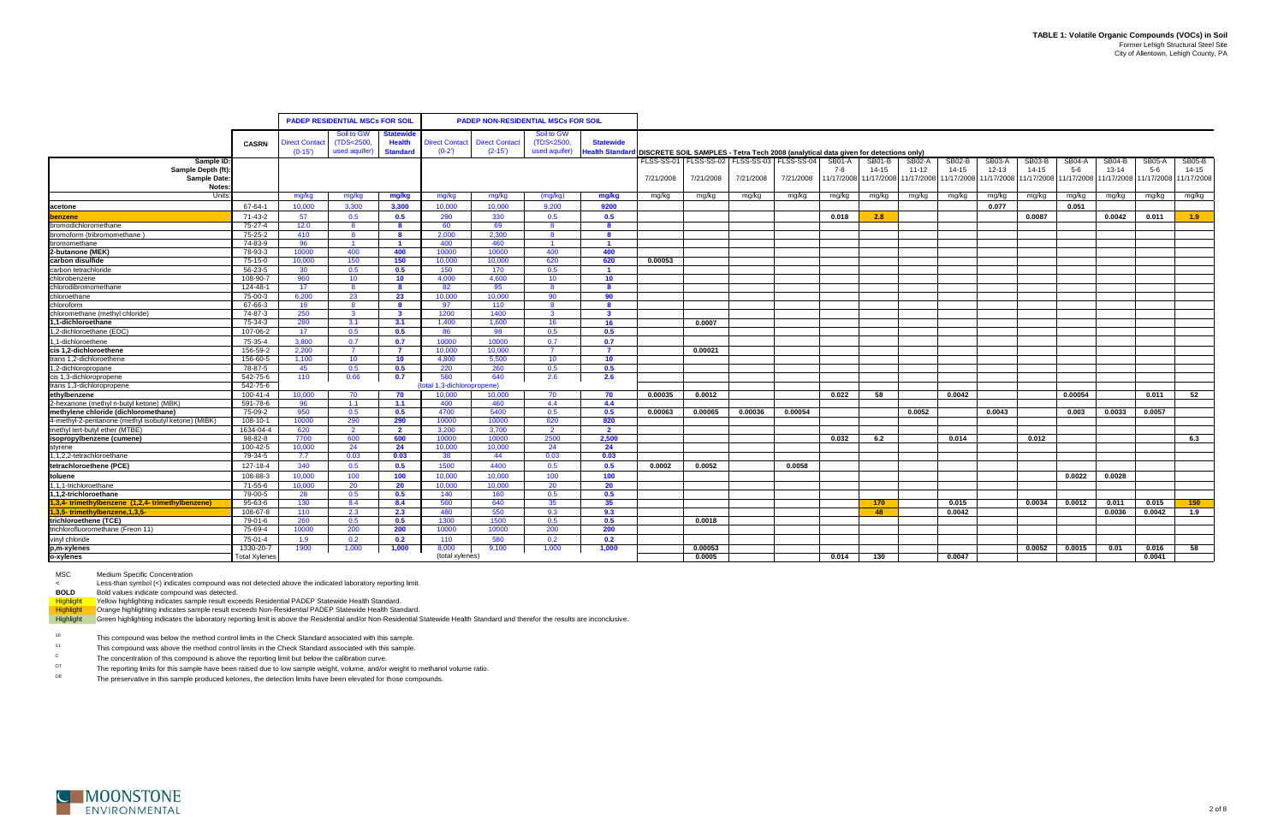|                                                         |                      |                     | <b>PADEP RESIDENTIAL MSCs FOR SOIL</b> |                         |                             | <b>PADEP NON-RESIDENTIAL MSCs FOR SOIL</b> |                |                       |                                                                                     |                                                   |           |           |            |        |                       |               |                       |                       |               |           |                                  |               |
|---------------------------------------------------------|----------------------|---------------------|----------------------------------------|-------------------------|-----------------------------|--------------------------------------------|----------------|-----------------------|-------------------------------------------------------------------------------------|---------------------------------------------------|-----------|-----------|------------|--------|-----------------------|---------------|-----------------------|-----------------------|---------------|-----------|----------------------------------|---------------|
|                                                         |                      |                     | Soil to GW                             | Statewide               |                             |                                            | Soil to GW     |                       |                                                                                     |                                                   |           |           |            |        |                       |               |                       |                       |               |           |                                  |               |
|                                                         | <b>CASRN</b>         | <b>lirect Conta</b> | (TDS<2500,                             | <b>Health</b>           | <b>Direct Contact</b>       | <b>Direct Contact</b>                      | (TDS<2500,     | <b>Statewide</b>      |                                                                                     |                                                   |           |           |            |        |                       |               |                       |                       |               |           |                                  |               |
|                                                         |                      | $(0-15')$           | used aquifer)                          | <b>Standard</b>         | $(0-2)$                     | $(2-15')$                                  | used aquifer)  | <b>Health Standar</b> | DISCRETE SOIL SAMPLES - Tetra Tech 2008 (analytical data given for detections only) |                                                   |           |           |            |        |                       |               |                       |                       |               |           |                                  |               |
| Sample ID:                                              |                      |                     |                                        |                         |                             |                                            |                |                       |                                                                                     | FLSS-SS-01   FLSS-SS-02   FLSS-SS-03   FLSS-SS-04 |           |           | SB01-A     | SB01-B | <b>SB02-A</b>         | <b>SB02-B</b> | SB03-A                | SB03-B                | <b>SB04-A</b> | SB04-B    | SB05-A                           | <b>SB05-B</b> |
| Sample Depth (ft):                                      |                      |                     |                                        |                         |                             |                                            |                |                       |                                                                                     |                                                   |           |           | 7-8        | 14-15  | 11-12                 | 14-15         | $12 - 13$             | $14 - 15$             | $5-6$         | $13 - 14$ | $5-6$                            | $14 - 15$     |
| Sample Date:                                            |                      |                     |                                        |                         |                             |                                            |                |                       | 7/21/2008                                                                           | 7/21/2008                                         | 7/21/2008 | 7/21/2008 | 11/17/2008 |        | 11/17/2008 11/17/2008 |               | 11/17/2008 11/17/2008 | 11/17/2008 11/17/2008 |               |           | 11/17/2008 11/17/2008 11/17/2008 |               |
| <b>Notes</b>                                            |                      |                     |                                        |                         |                             |                                            |                |                       |                                                                                     |                                                   |           |           |            |        |                       |               |                       |                       |               |           |                                  |               |
| Units:                                                  |                      | mg/kg               | mg/kg                                  | mg/kg                   | mg/kg                       | mg/kg                                      | (mq/kg)        | mg/kg                 | mg/kg                                                                               | mg/kg                                             | mg/kg     | mg/kg     | mg/kg      | mg/kg  | mg/kg                 | mg/kg         | mg/kg                 | mg/kg                 | mg/kg         | mg/kg     | mg/kg                            | mg/kg         |
| acetone                                                 | 67-64-1              | 10.000              | 3.300                                  | 3.300                   | 10,000                      | 10.000                                     | 9.200          | 9200                  |                                                                                     |                                                   |           |           |            |        |                       |               | 0.077                 |                       | 0.051         |           |                                  |               |
| benzene                                                 | 71-43-2              | 57                  | 0.5                                    | 0.5                     | 290                         | 330                                        | 0.5            | 0.5                   |                                                                                     |                                                   |           |           | 0.018      | 2.8    |                       |               |                       | 0.0087                |               | 0.0042    | 0.011                            | 1.9           |
| bromodichloromethane                                    | 75-27-4              | 12.0                | <b>8</b>                               | - 8                     | 60                          | 69                                         | -8             | 8                     |                                                                                     |                                                   |           |           |            |        |                       |               |                       |                       |               |           |                                  |               |
| bromoform (tribromomethane                              | 75-25-2              | 410                 | - 8                                    | - 8                     | 2.000                       | 2,300                                      | -8             | -8                    |                                                                                     |                                                   |           |           |            |        |                       |               |                       |                       |               |           |                                  |               |
| bromomethane                                            | 74-83-9              | 96                  | $\overline{1}$                         | $\blacksquare$          | 400                         | 460                                        | $\overline{1}$ | $\blacktriangleleft$  |                                                                                     |                                                   |           |           |            |        |                       |               |                       |                       |               |           |                                  |               |
| 2-butanone (MEK)                                        | 78-93-3              | 10000               | 400                                    | 400                     | 10000                       | 10000                                      | 400            | 400                   |                                                                                     |                                                   |           |           |            |        |                       |               |                       |                       |               |           |                                  |               |
| carbon disulfide                                        | 75-15-0              | 10,000              | 150                                    | 150                     | 10,000                      | 10,000                                     | 620            | 620                   | 0.00053                                                                             |                                                   |           |           |            |        |                       |               |                       |                       |               |           |                                  |               |
| carbon tetrachloride                                    | 56-23-5              | 30                  | 0.5                                    | 0.5                     | 150                         | 170                                        | 0.5            |                       |                                                                                     |                                                   |           |           |            |        |                       |               |                       |                       |               |           |                                  |               |
| chlorobenzene                                           | 108-90-7             | 960                 | 10                                     | 10                      | 4,000                       | 4,600                                      | 10             | 10 <sup>°</sup>       |                                                                                     |                                                   |           |           |            |        |                       |               |                       |                       |               |           |                                  |               |
| chlorodibromomethane                                    | 124-48-1             | 17 <sup>2</sup>     |                                        |                         | 82                          | 95                                         |                |                       |                                                                                     |                                                   |           |           |            |        |                       |               |                       |                       |               |           |                                  |               |
| chloroethane                                            | 75-00-3              | 6.200               | 23                                     | 23                      | 10,000                      | 10,000                                     | 90             | 90                    |                                                                                     |                                                   |           |           |            |        |                       |               |                       |                       |               |           |                                  |               |
| chloroform                                              | 67-66-3              | 19                  |                                        |                         | 97                          | 110                                        |                |                       |                                                                                     |                                                   |           |           |            |        |                       |               |                       |                       |               |           |                                  |               |
| chloromethane (methyl chloride)                         | 74-87-3              | 250                 | - 3                                    | $\overline{\mathbf{3}}$ | 1200                        | 1400                                       | $\mathbf{3}$   | $\mathbf{3}$          |                                                                                     |                                                   |           |           |            |        |                       |               |                       |                       |               |           |                                  |               |
| 1.1-dichloroethane                                      | 75-34-3              | 280                 | 3.1                                    | 3.1                     | 1.400                       | 1.600                                      | 16             | 16 <sup>1</sup>       |                                                                                     | 0.0007                                            |           |           |            |        |                       |               |                       |                       |               |           |                                  |               |
| 1,2-dichloroethane (EDC)                                | 107-06-2             | 17                  | 0.5                                    | 0.5                     | 86                          | 98                                         | 0.5            | 0.5                   |                                                                                     |                                                   |           |           |            |        |                       |               |                       |                       |               |           |                                  |               |
| 1,1-dichloroethene                                      | 75-35-4              | 3.800               | 0.7                                    | 0.7                     | 10000                       | 10000                                      | 0.7            | 0.7                   |                                                                                     |                                                   |           |           |            |        |                       |               |                       |                       |               |           |                                  |               |
| cis 1,2-dichloroethene                                  | 156-59-2             | 2.200               |                                        | - 7                     | 10.000                      | 10.000                                     |                |                       |                                                                                     | 0.00021                                           |           |           |            |        |                       |               |                       |                       |               |           |                                  |               |
| trans 1,2-dichloroethene                                | 156-60-5             | 1.100               | 10                                     | 10                      | 4.800                       | 5.500                                      | 10             | 10 <sup>°</sup>       |                                                                                     |                                                   |           |           |            |        |                       |               |                       |                       |               |           |                                  |               |
| 1.2-dichloropropane                                     | 78-87-5              | 45                  | 0.5                                    | 0.5                     | 220                         | 260                                        | 0.5            | 0.5                   |                                                                                     |                                                   |           |           |            |        |                       |               |                       |                       |               |           |                                  |               |
| cis 1,3-dichloropropene                                 | 542-75-6             | 110                 | 0.66                                   | 0.7                     | 560                         | 640                                        | 2.6            | 2.6                   |                                                                                     |                                                   |           |           |            |        |                       |               |                       |                       |               |           |                                  |               |
| trans 1,3-dichloropropene                               | 542-75-6             |                     |                                        |                         | (total 1,3-dichloropropene) |                                            |                |                       |                                                                                     |                                                   |           |           |            |        |                       |               |                       |                       |               |           |                                  |               |
| ethylbenzene                                            | 100-41-4             | 10.000              | 70                                     | - 70                    | 10.000                      | 10.000                                     | - 70           | 70                    | 0.00035                                                                             | 0.0012                                            |           |           | 0.022      | 58     |                       | 0.0042        |                       |                       | 0.00054       |           | 0.011                            | 52            |
| 2-hexanone (methyl n-butyl ketone) (MBK)                | 591-78-6             | -96                 | 1.1                                    | 1.1                     | 400                         | 460                                        | 4.4            | 4.4                   |                                                                                     |                                                   |           |           |            |        |                       |               |                       |                       |               |           |                                  |               |
| methylene chloride (dichloromethane)                    | 75-09-2              | 950                 | 0.5                                    | 0.5                     | 4700                        | 5400                                       | 0.5            | 0.5                   | 0.00063                                                                             | 0.00065                                           | 0.00036   | 0.00054   |            |        | 0.0052                |               | 0.0043                |                       | 0.003         | 0.0033    | 0.0057                           |               |
| 4-methyl-2-pentanone (methyl isobutyl ketone) (MIBK)    | 108-10-1             | 10000               | 290                                    | 290                     | 10000                       | 10000                                      | 820            | 820                   |                                                                                     |                                                   |           |           |            |        |                       |               |                       |                       |               |           |                                  |               |
| methyl tert-butyl ether (MTBE)                          | 1634-04-4            | 620                 | $\overline{2}$                         | $\overline{2}$          | 3.200                       | 3.700                                      | $\overline{2}$ | $\overline{2}$        |                                                                                     |                                                   |           |           |            |        |                       |               |                       |                       |               |           |                                  |               |
| isopropylbenzene (cumene)                               | 98-82-8              | 7700                | 600                                    | 600                     | 10000                       | 10000                                      | 2500           | 2,500                 |                                                                                     |                                                   |           |           | 0.032      | 6.2    |                       | 0.014         |                       | 0.012                 |               |           |                                  | 6.3           |
| styrene                                                 | 100-42-5             | 10,000              | 24                                     | 24                      | 10,000                      | 10,000                                     | 24             | 24                    |                                                                                     |                                                   |           |           |            |        |                       |               |                       |                       |               |           |                                  |               |
| 1,1,2,2-tetrachloroethane                               | 79-34-5              | 7.7                 | 0.03                                   | 0.03                    | 38                          | 44                                         | 0.03           | 0.03                  |                                                                                     |                                                   |           |           |            |        |                       |               |                       |                       |               |           |                                  |               |
| tetrachloroethene (PCE)                                 | 127-18-4             | 340                 | 0.5                                    | 0.5                     | 1500                        | 4400                                       | 0.5            | 0.5                   | 0.0002                                                                              | 0.0052                                            |           | 0.0058    |            |        |                       |               |                       |                       |               |           |                                  |               |
| toluene                                                 | 108-88-3             | 10.000              | 100                                    | 100                     | 10.000                      | 10.000                                     | 100            | 100                   |                                                                                     |                                                   |           |           |            |        |                       |               |                       |                       | 0.0022        | 0.0028    |                                  |               |
| 1,1,1-trichloroethane                                   | 71-55-6              | 10.000              | 20                                     | 20                      | 10.000                      | 10.000                                     | 20             | 20                    |                                                                                     |                                                   |           |           |            |        |                       |               |                       |                       |               |           |                                  |               |
| 1.1.2-trichloroethane                                   | 79-00-5              | - 28                | 0.5                                    | 0.5                     | 140                         | 160                                        | 0.5            | 0.5                   |                                                                                     |                                                   |           |           |            |        |                       |               |                       |                       |               |           |                                  |               |
| $1,3,4$ - trimethylbenzene $(1,2,4$ - trimethylbenzene) | 95-63-6              | 130                 | 8.4                                    | 8.4                     | 560                         | 640                                        | 35             | 35 <sub>2</sub>       |                                                                                     |                                                   |           |           |            | 170    |                       | 0.015         |                       | 0.0034                | 0.0012        | 0.011     | 0.015                            | 150           |
| 1,3,5-trimethylbenzene, 1,3,5-                          | 108-67-8             | 110                 | 2.3                                    | 2.3                     | 480                         | 550                                        | 9.3            | 9.3                   |                                                                                     |                                                   |           |           |            | 48     |                       | 0.0042        |                       |                       |               | 0.0036    | 0.0042                           | 1.9           |
| trichloroethene (TCE)                                   | 79-01-6              | 260                 | 0.5                                    | 0.5                     | 1300                        | 1500                                       | 0.5            | 0.5                   |                                                                                     | 0.0018                                            |           |           |            |        |                       |               |                       |                       |               |           |                                  |               |
| trichlorofluoromethane (Freon 11)                       | 75-69-4              | 10000               | 200                                    | 200                     | 10000                       | 10000                                      | 200            | 200                   |                                                                                     |                                                   |           |           |            |        |                       |               |                       |                       |               |           |                                  |               |
| vinyl chloride                                          | 75-01-4              | 1.9                 | 0.2                                    | 0.2                     | 110                         | 580                                        | 0.2            | 0.2                   |                                                                                     |                                                   |           |           |            |        |                       |               |                       |                       |               |           |                                  |               |
| p,m-xylenes                                             | 1330-20-7            | 1900                | 1,000                                  | 1,000                   | 8,000                       | 9,100                                      | 1,000          | 1,000                 |                                                                                     | 0.00053                                           |           |           |            |        |                       |               |                       | 0.0052                | 0.0015        | 0.01      | 0.016                            | 58            |
| o-xylenes                                               | <b>Total Xylenes</b> |                     |                                        |                         | (total xylenes)             |                                            |                |                       |                                                                                     | 0.0005                                            |           |           | 0.014      | 130    |                       | 0.0047        |                       |                       |               |           | 0.0041                           |               |

MSC Medium Specific Concentration

<Less-than symbol (<) indicates compound was not detected above the indicated laboratory reporting limit.

**BOLD** Bold values indicate compound was detected.

Highlight Yellow highlighting indicates sample result exceeds Residential PADEP Statewide Health Standard.

Highlight Crange highlighting indicates sample result exceeds Non-Residential PADEP Statewide Health Standard.

Highlight Green highlighting indicates the laboratory reporting limit is above the Residential and/or Non-Residential Statewide Health Standard and therefor the results are inconclusive.

10This compound was below the method control limits in the Check Standard associated with this sample.

11This compound was above the method control limits in the Check Standard associated with this sample.

CThe concentration of this compound is above the reporting limit but below the calibration curve.

O7The reporting limits for this sample have been raised due to low sample weight, volume, and/or weight to methanol volume ratio.

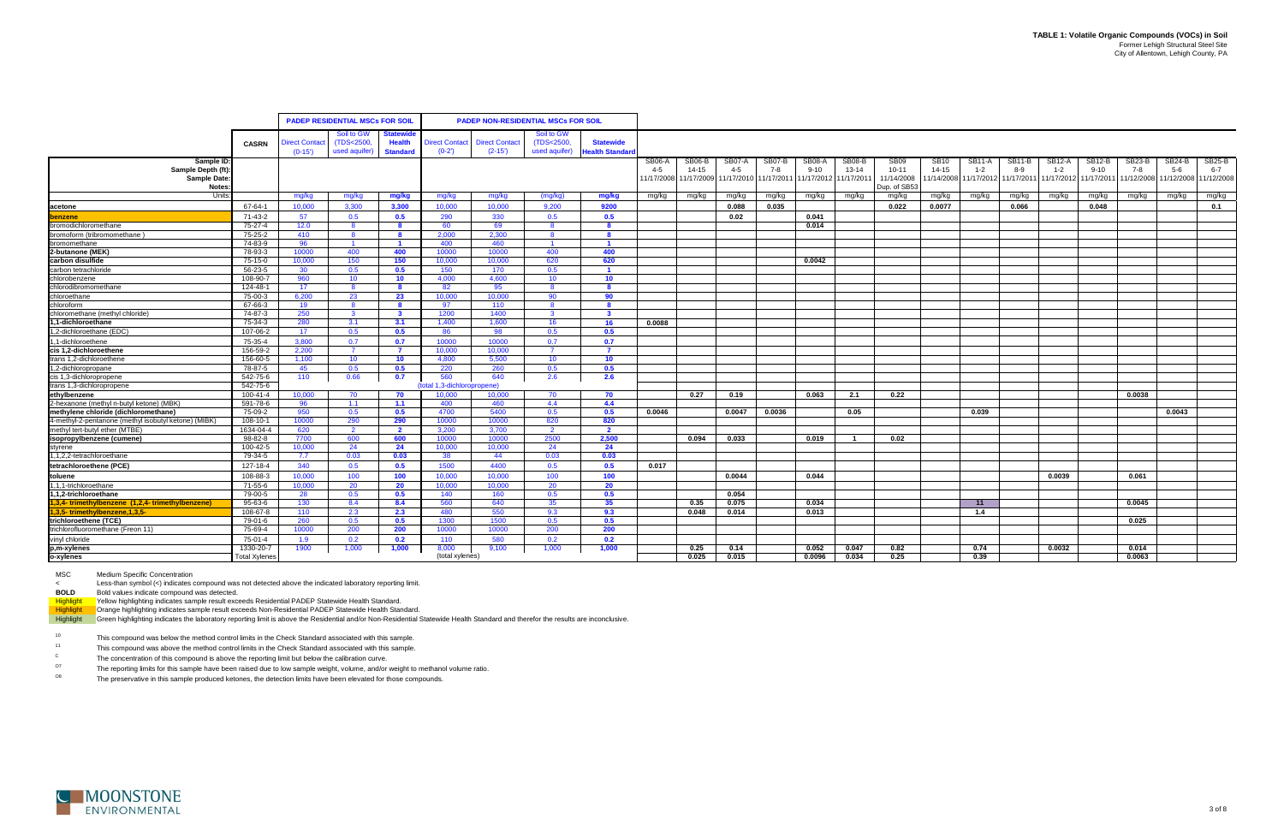|                                                          |                       |                      | <b>PADEP RESIDENTIAL MSCs FOR SOIL</b> |                                  |                       | <b>PADEP NON-RESIDENTIAL MSCs FOR SOIL</b> |                       |                       |                      |                     |                   |                       |                    |                       |                               |                               |                       |                              |                                |                                 |               |                 |                                  |
|----------------------------------------------------------|-----------------------|----------------------|----------------------------------------|----------------------------------|-----------------------|--------------------------------------------|-----------------------|-----------------------|----------------------|---------------------|-------------------|-----------------------|--------------------|-----------------------|-------------------------------|-------------------------------|-----------------------|------------------------------|--------------------------------|---------------------------------|---------------|-----------------|----------------------------------|
|                                                          |                       |                      |                                        |                                  |                       |                                            |                       |                       |                      |                     |                   |                       |                    |                       |                               |                               |                       |                              |                                |                                 |               |                 |                                  |
|                                                          |                       |                      | Soil to GW                             | Statewi                          |                       |                                            | Soil to GW            |                       |                      |                     |                   |                       |                    |                       |                               |                               |                       |                              |                                |                                 |               |                 |                                  |
|                                                          | <b>CASRN</b>          | <b>Direct Contac</b> | (TDS<2500,                             | <b>Health</b><br><b>Standard</b> | <b>Direct Contact</b> | <b>Direct Contact</b>                      | (TDS<2500,            | <b>Statewide</b>      |                      |                     |                   |                       |                    |                       |                               |                               |                       |                              |                                |                                 |               |                 |                                  |
|                                                          |                       | $(0-15)$             | used aquifer)                          |                                  | $(0-2')$              | $(2-15)$                                   | used aquifer)         | Health Standar        |                      |                     |                   |                       |                    |                       |                               |                               |                       |                              |                                |                                 |               |                 |                                  |
| Sample ID:<br>Sample Depth (ft):                         |                       |                      |                                        |                                  |                       |                                            |                       |                       | <b>SB06-A</b><br>4-5 | SB06-B<br>$14 - 15$ | SB07-A<br>$4 - 5$ | SB07-B<br>7-8         | SB08-A<br>$9 - 10$ | SB08-B<br>$13 - 14$   | SB <sub>09</sub><br>$10 - 11$ | SB <sub>10</sub><br>$14 - 15$ | SB11-A<br>$1 - 2$     | SB <sub>11</sub> -B<br>$8-9$ | SB <sub>12</sub> -A<br>$1 - 2$ | SB <sub>12</sub> -B<br>$9 - 10$ | SB23-B<br>7-8 | SB24-B<br>$5-6$ | <b>SB25-B</b><br>$6 - 7$         |
| Sample Date:                                             |                       |                      |                                        |                                  |                       |                                            |                       |                       | 11/17/2008           | 11/17/2009          |                   | 11/17/2010 11/17/2011 |                    | 11/17/2012 11/17/2011 | 11/14/2008                    | 1/14/2008                     | 11/17/2012 11/17/2011 |                              | 11/17/2012 11/17/2011          |                                 |               |                 | 11/12/2008 11/12/2008 11/12/2008 |
| Notes:                                                   |                       |                      |                                        |                                  |                       |                                            |                       |                       |                      |                     |                   |                       |                    |                       | Dup. of SB53                  |                               |                       |                              |                                |                                 |               |                 |                                  |
| Units                                                    |                       | mg/kg                | mg/kg                                  | mg/kg                            | mg/kg                 | mg/kg                                      | (mg/kg)               | mg/kg                 | mg/kg                | mg/kg               | mg/kg             | mg/kg                 | mg/kg              | mg/kg                 | mg/kg                         | mg/kg                         | mg/kg                 | mg/kg                        | mg/kg                          | mg/kg                           | mg/kg         | mg/kg           | mg/kg                            |
| acetone                                                  | 67-64-1               | 10.000               | 3.300                                  | 3,300                            | 10.000                | 10.000                                     | 9.200                 | 9200                  |                      |                     | 0.088             | 0.035                 |                    |                       | 0.022                         | 0.0077                        |                       | 0.066                        |                                | 0.048                           |               |                 | 0.1                              |
| benzene                                                  | 71-43-2               | 57                   | 0.5                                    | 0.5                              | 290                   | 330                                        | 0.5                   | 0.5                   |                      |                     | 0.02              |                       | 0.041              |                       |                               |                               |                       |                              |                                |                                 |               |                 |                                  |
| bromodichloromethane                                     | 75-27-4               | 12.0                 | 8                                      | - 8                              | 60                    | 69                                         | -8                    | 8                     |                      |                     |                   |                       | 0.014              |                       |                               |                               |                       |                              |                                |                                 |               |                 |                                  |
| bromoform (tribromomethane                               | 75-25-2               | 410                  | -8                                     | 8                                | 2.000                 | 2,300                                      | 8                     | 8                     |                      |                     |                   |                       |                    |                       |                               |                               |                       |                              |                                |                                 |               |                 |                                  |
| bromomethane                                             | 74-83-9               | 96                   | $\overline{1}$                         | $\blacksquare$                   | 400                   | 460                                        | $\blacksquare$        | $\overline{1}$        |                      |                     |                   |                       |                    |                       |                               |                               |                       |                              |                                |                                 |               |                 |                                  |
| 2-butanone (MEK)                                         | 78-93-3               | 10000                | 400                                    | 400                              | 10000                 | 10000                                      | 400                   | 400                   |                      |                     |                   |                       |                    |                       |                               |                               |                       |                              |                                |                                 |               |                 |                                  |
| carbon disulfide                                         | 75-15-0               | 10.000               | 150                                    | 150                              | 10.000                | 10.000                                     | 620                   | 620                   |                      |                     |                   |                       | 0.0042             |                       |                               |                               |                       |                              |                                |                                 |               |                 |                                  |
| carbon tetrachloride                                     | 56-23-5               | 30 <sup>°</sup>      | 0.5                                    | 0.5                              | 150                   | 170                                        | 0.5                   | - 1                   |                      |                     |                   |                       |                    |                       |                               |                               |                       |                              |                                |                                 |               |                 |                                  |
| chlorobenzene                                            | 108-90-7              | 960                  | 10                                     | 10 <sup>°</sup>                  | 4.000                 | 4.600                                      | 10 <sup>1</sup>       | 10 <sup>°</sup>       |                      |                     |                   |                       |                    |                       |                               |                               |                       |                              |                                |                                 |               |                 |                                  |
| chlorodibromomethane                                     | 124-48-1              | 17 <sup>2</sup>      | -8                                     | - 8                              | 82                    | 95                                         | -8                    | -8                    |                      |                     |                   |                       |                    |                       |                               |                               |                       |                              |                                |                                 |               |                 |                                  |
| chloroethane                                             | 75-00-3               | 6.200                | 23                                     | 23                               | 10.000                | 10.000                                     | 90                    | 90                    |                      |                     |                   |                       |                    |                       |                               |                               |                       |                              |                                |                                 |               |                 |                                  |
| chloroform                                               | 67-66-3               | 19                   | <b>8</b>                               | - 8                              | 97                    | 110                                        | - 8                   | - 8                   |                      |                     |                   |                       |                    |                       |                               |                               |                       |                              |                                |                                 |               |                 |                                  |
| chloromethane (methyl chloride)                          | 74-87-3               | 250                  | $\mathbf{3}$                           | $\mathbf{3}$                     | 1200                  | 1400                                       | $\mathbf{3}$          | $\mathbf{3}$          |                      |                     |                   |                       |                    |                       |                               |                               |                       |                              |                                |                                 |               |                 |                                  |
| 1,1-dichloroethane                                       | 75-34-3               | 280                  | 3.1                                    | 3.1                              | 1.400                 | 1.600                                      | -16                   | - 16                  | 0.0088               |                     |                   |                       |                    |                       |                               |                               |                       |                              |                                |                                 |               |                 |                                  |
| 1,2-dichloroethane (EDC)                                 | 107-06-2              | 17                   | 0.5                                    | 0.5                              | 86                    | 98                                         | 0.5                   | 0.5                   |                      |                     |                   |                       |                    |                       |                               |                               |                       |                              |                                |                                 |               |                 |                                  |
| 1.1-dichloroethene                                       | 75-35-4               | 3.800                | 0.7                                    | 0.7                              | 10000                 | 10000                                      | 0.7                   | 0.7                   |                      |                     |                   |                       |                    |                       |                               |                               |                       |                              |                                |                                 |               |                 |                                  |
| cis 1.2-dichloroethene                                   | 156-59-2              | 2.200                | $\overline{7}$                         | $\overline{7}$                   | 10.000                | 10.000                                     | $\overline{7}$        | $\overline{7}$        |                      |                     |                   |                       |                    |                       |                               |                               |                       |                              |                                |                                 |               |                 |                                  |
| trans 1,2-dichloroethene                                 | 156-60-5              | 1,100                | 10                                     | 10                               | 4,800                 | 5,500                                      | 10 <sup>°</sup>       | 10 <sup>°</sup>       |                      |                     |                   |                       |                    |                       |                               |                               |                       |                              |                                |                                 |               |                 |                                  |
| 1,2-dichloropropane                                      | 78-87-5               | 45                   | 0.5                                    | 0.5                              | 220                   | 260                                        | 0.5                   | 0.5                   |                      |                     |                   |                       |                    |                       |                               |                               |                       |                              |                                |                                 |               |                 |                                  |
| cis 1,3-dichloropropene                                  | 542-75-6              | 110                  | 0.66                                   | 0.7                              | 560                   | 640                                        | 2.6                   | 2.6                   |                      |                     |                   |                       |                    |                       |                               |                               |                       |                              |                                |                                 |               |                 |                                  |
| trans 1,3-dichloropropene                                | 542-75-6              |                      |                                        |                                  | otal 1.3-dichloropr   | opene)                                     |                       |                       |                      |                     |                   |                       |                    |                       |                               |                               |                       |                              |                                |                                 |               |                 |                                  |
| ethylbenzene<br>2-hexanone (methyl n-butyl ketone) (MBK) | 100-41-4              | 10.000               | 70                                     | 70                               | 10.000                | 10.000                                     | 70                    | 70                    |                      | 0.27                | 0.19              |                       | 0.063              | 2.1                   | 0.22                          |                               |                       |                              |                                |                                 | 0.0038        |                 |                                  |
| methylene chloride (dichloromethane)                     | 591-78-6              | 96                   | 1.1                                    | 1.1                              | 400                   | 460                                        | 4.4                   | 4.4                   |                      |                     |                   |                       |                    |                       |                               |                               |                       |                              |                                |                                 |               |                 |                                  |
| 4-methyl-2-pentanone (methyl isobutyl ketone) (MIBK)     | 75-09-2               | 950<br>10000         | 0.5                                    | 0.5                              | 4700                  | 5400                                       | 0.5                   | 0.5                   | 0.0046               |                     | 0.0047            | 0.0036                |                    | 0.05                  |                               |                               | 0.039                 |                              |                                |                                 |               | 0.0043          |                                  |
| methyl tert-butyl ether (MTBE)                           | 108-10-1<br>1634-04-4 | 620                  | 290<br>$\overline{2}$                  | 290<br>$\overline{2}$            | 10000<br>3.200        | 10000<br>3.700                             | 820<br>$\overline{2}$ | 820<br>$\overline{2}$ |                      |                     |                   |                       |                    |                       |                               |                               |                       |                              |                                |                                 |               |                 |                                  |
|                                                          | $98 - 82 - 8$         | 7700                 | 600                                    | 600                              | 10000                 | 10000                                      | 2500                  | 2,500                 |                      | 0.094               | 0.033             |                       | 0.019              |                       | 0.02                          |                               |                       |                              |                                |                                 |               |                 |                                  |
| isopropylbenzene (cumene                                 | 100-42-5              | 10,000               | 24                                     | 24                               | 10,000                | 10,000                                     | 24                    | 24                    |                      |                     |                   |                       |                    |                       |                               |                               |                       |                              |                                |                                 |               |                 |                                  |
| 1,1,2,2-tetrachloroethane                                | 79-34-5               | 7.7                  | 0.03                                   | 0.03                             | 38                    | 44                                         | 0.03                  | 0.03                  |                      |                     |                   |                       |                    |                       |                               |                               |                       |                              |                                |                                 |               |                 |                                  |
| tetrachloroethene (PCE)                                  | 127-18-4              | 340                  | 0.5                                    | 0.5                              | 1500                  | 4400                                       | 0.5                   | 0.5                   | 0.017                |                     |                   |                       |                    |                       |                               |                               |                       |                              |                                |                                 |               |                 |                                  |
| toluene                                                  | 108-88-3              | 10.000               | 100                                    | 100                              | 10.000                | 10,000                                     | 100                   | 100                   |                      |                     | 0.0044            |                       | 0.044              |                       |                               |                               |                       |                              | 0.0039                         |                                 | 0.061         |                 |                                  |
| 1,1,1-trichloroethane                                    | 71-55-6               | 10.000               | 20                                     | 20                               | 10.000                | 10.000                                     | -20                   | - 20                  |                      |                     |                   |                       |                    |                       |                               |                               |                       |                              |                                |                                 |               |                 |                                  |
| 1,1,2-trichloroethane                                    | 79-00-5               | 28                   | 0.5                                    | 0.5                              | 140                   | 160                                        | 0.5                   | 0.5                   |                      |                     | 0.054             |                       |                    |                       |                               |                               |                       |                              |                                |                                 |               |                 |                                  |
| 1,3,4-trimethylbenzene (1,2,4-trimethylbenzene)          | 95-63-6               | 130                  | 8.4                                    | 8.4                              | 560                   | 640                                        | 35                    | 35                    |                      | 0.35                | 0.075             |                       | 0.034              |                       |                               |                               | 11                    |                              |                                |                                 | 0.0045        |                 |                                  |
|                                                          | 108-67-8              | 110                  | 2.3                                    | 2.3                              | 480                   | 550                                        | 9.3                   | 9.3                   |                      | 0.048               | 0.014             |                       | 0.013              |                       |                               |                               | 1.4                   |                              |                                |                                 |               |                 |                                  |
| 1,3,5-trimethylbenzene, 1,3,5-<br>trichloroethene (TCE)  | 79-01-6               | 260                  | 0.5                                    | 0.5                              | 1300                  | 1500                                       | 0.5                   | 0.5                   |                      |                     |                   |                       |                    |                       |                               |                               |                       |                              |                                |                                 | 0.025         |                 |                                  |
| trichlorofluoromethane (Freon 11)                        | 75-69-4               | 10000                | 200                                    | 200                              | 10000                 | 10000                                      | 200                   | 200                   |                      |                     |                   |                       |                    |                       |                               |                               |                       |                              |                                |                                 |               |                 |                                  |
| vinyl chloride                                           | 75-01-4               | 1.9                  | 0.2                                    | 0.2                              | 110                   | 580                                        | 0.2                   | 0.2                   |                      |                     |                   |                       |                    |                       |                               |                               |                       |                              |                                |                                 |               |                 |                                  |
| p,m-xylenes                                              | 1330-20-7             | 1900                 | 1,000                                  | 1,000                            | 8,000                 | 9,100                                      | 1,000                 | 1,000                 |                      | 0.25                | 0.14              |                       | 0.052              | 0.047                 | 0.82                          |                               | 0.74                  |                              | 0.0032                         |                                 | 0.014         |                 |                                  |
| o-xylenes                                                | <b>Total Xylenes</b>  |                      |                                        |                                  | (total xylenes)       |                                            |                       |                       |                      | 0.025               | 0.015             |                       | 0.0096             | 0.034                 | 0.25                          |                               | 0.39                  |                              |                                |                                 | 0.0063        |                 |                                  |

MSC Medium Specific Concentration

<Less-than symbol (<) indicates compound was not detected above the indicated laboratory reporting limit.

**BOLD** Bold values indicate compound was detected.

Highlight Yellow highlighting indicates sample result exceeds Residential PADEP Statewide Health Standard.

Highlight Crange highlighting indicates sample result exceeds Non-Residential PADEP Statewide Health Standard.

Highlight Green highlighting indicates the laboratory reporting limit is above the Residential and/or Non-Residential Statewide Health Standard and therefor the results are inconclusive.

10This compound was below the method control limits in the Check Standard associated with this sample.

11This compound was above the method control limits in the Check Standard associated with this sample.

O7The reporting limits for this sample have been raised due to low sample weight, volume, and/or weight to methanol volume ratio.

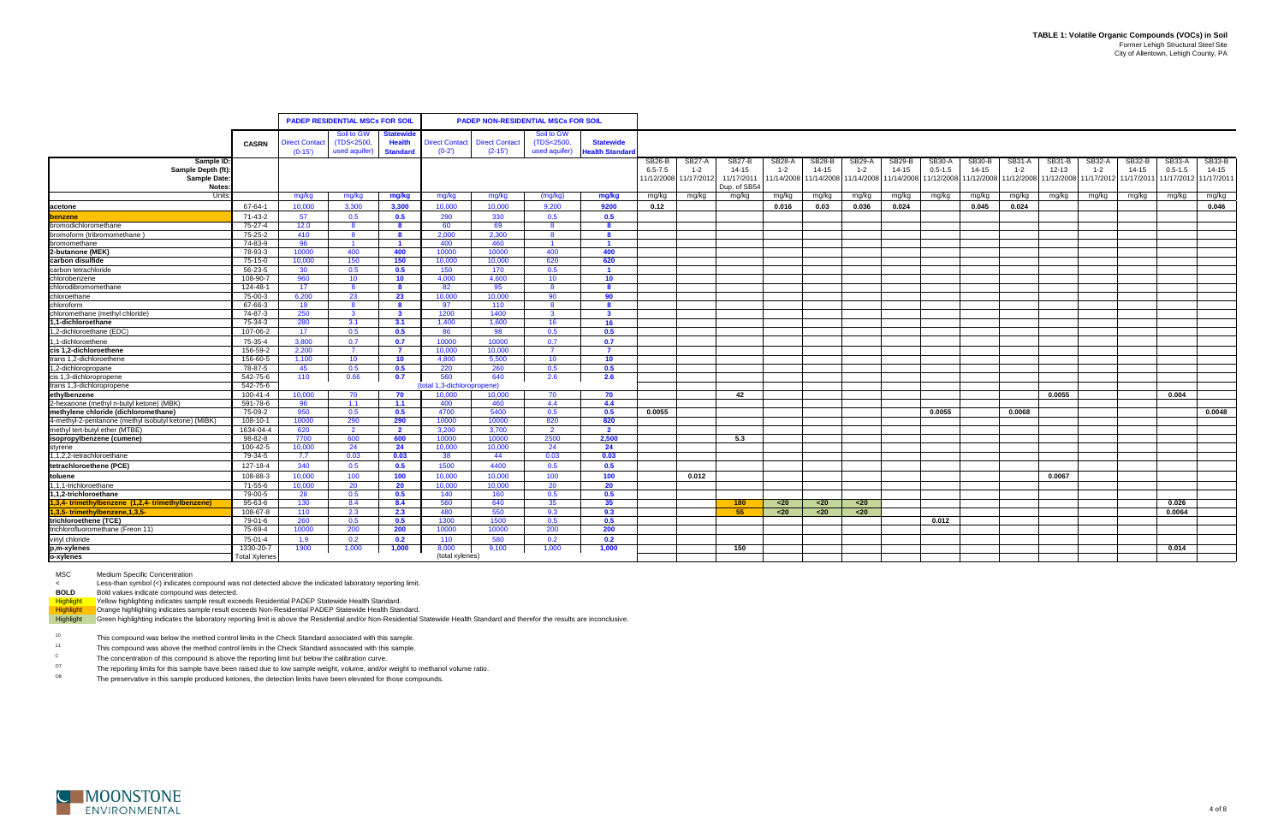|                                                      |                      |                      | <b>PADEP RESIDENTIAL MSCs FOR SOIL</b> |                 |                       | <b>PADEP NON-RESIDENTIAL MSCs FOR SOIL</b> |                         |                       |                              |                       |                     |               |                       |                   |                            |                              |                 |                   |               |                                             |                     |                       |                            |
|------------------------------------------------------|----------------------|----------------------|----------------------------------------|-----------------|-----------------------|--------------------------------------------|-------------------------|-----------------------|------------------------------|-----------------------|---------------------|---------------|-----------------------|-------------------|----------------------------|------------------------------|-----------------|-------------------|---------------|---------------------------------------------|---------------------|-----------------------|----------------------------|
|                                                      |                      |                      |                                        |                 |                       |                                            |                         |                       |                              |                       |                     |               |                       |                   |                            |                              |                 |                   |               |                                             |                     |                       |                            |
|                                                      |                      |                      | Soil to GW                             | tatewid         |                       |                                            | Soil to GW              |                       |                              |                       |                     |               |                       |                   |                            |                              |                 |                   |               |                                             |                     |                       |                            |
|                                                      | <b>CASRN</b>         | <b>Direct Contac</b> | (TDS<2500,                             | <b>Health</b>   | <b>Direct Contact</b> | <b>Direct Contact</b>                      | (TDS<2500,              | <b>Statewide</b>      |                              |                       |                     |               |                       |                   |                            |                              |                 |                   |               |                                             |                     |                       |                            |
|                                                      |                      | $(0-15')$            | used aquifer)                          | <b>Standard</b> | $(0-2)$               | $(2-15)$                                   | used aquifer)           | <b>Health Standar</b> |                              |                       |                     |               |                       |                   |                            |                              |                 |                   |               |                                             |                     |                       |                            |
| Sample ID:                                           |                      |                      |                                        |                 |                       |                                            |                         |                       | <b>SB26-B</b><br>$6.5 - 7.5$ | SB27-A                | SB27-B<br>$14 - 15$ | <b>SB28-A</b> | SB28-B<br>14-15       | SB29-A<br>$1 - 2$ | <b>SB29-B</b><br>$14 - 15$ | <b>SB30-A</b><br>$0.5 - 1.5$ | SB30-B<br>14-15 | <b>SB31-A</b>     | <b>SB31-B</b> | SB32-A                                      | SB32-B<br>$14 - 15$ | SB33-A<br>$0.5 - 1.5$ | <b>SB33-B</b><br>$14 - 15$ |
| Sample Depth (ft):<br>Sample Date:                   |                      |                      |                                        |                 |                       |                                            |                         |                       | 1/12/2008                    | $1 - 2$<br>11/17/2012 | 11/17/201           | $1 - 2$       | 11/14/2008 11/14/2008 | 1/14/2008         | 11/14/2008                 | 11/12/2008                   | 11/12/2008      | 1-2<br>11/12/2008 | $12 - 13$     | $1 - 2$<br>11/12/2008 11/17/2012 11/17/2011 |                     | 11/17/2012            | 11/17/2011                 |
| Notes:                                               |                      |                      |                                        |                 |                       |                                            |                         |                       |                              |                       | Dup. of SB54        |               |                       |                   |                            |                              |                 |                   |               |                                             |                     |                       |                            |
| Units                                                |                      | mg/kg                | mg/kg                                  | mg/kg           | mg/kg                 | mg/kg                                      | (mg/kg)                 | mg/kg                 | mg/kg                        | mg/kg                 | mg/kg               | mg/kg         | mg/kg                 | mg/kg             | mg/kg                      | mg/kg                        | mg/kg           | mg/kg             | mg/kg         | mg/kg                                       | mg/kg               | mg/kg                 | mg/kg                      |
| acetone                                              | 67-64-1              | 10.000               | 3.300                                  | 3.300           | 10.000                | 10.000                                     | 9.200                   | 9200                  | 0.12                         |                       |                     | 0.016         | 0.03                  | 0.036             | 0.024                      |                              | 0.045           | 0.024             |               |                                             |                     |                       | 0.046                      |
| <b>benzene</b>                                       | 71-43-2              | 57                   | 0.5                                    | 0.5             | 290                   | 330                                        | 0.5                     | 0.5                   |                              |                       |                     |               |                       |                   |                            |                              |                 |                   |               |                                             |                     |                       |                            |
| bromodichloromethane                                 | 75-27-4              | 12.0                 | - 8                                    | -8              | 60                    | 69                                         | - 8                     | - 8                   |                              |                       |                     |               |                       |                   |                            |                              |                 |                   |               |                                             |                     |                       |                            |
| bromoform (tribromomethane)                          | 75-25-2              | 410                  | - 8                                    | - 8             | 2.000                 | 2.300                                      | - 8                     | - 8                   |                              |                       |                     |               |                       |                   |                            |                              |                 |                   |               |                                             |                     |                       |                            |
| bromomethane                                         | 74-83-9              | 96                   | $\blacksquare$                         | $\blacksquare$  | 400                   | 460                                        | $\blacksquare$          | $\blacksquare$        |                              |                       |                     |               |                       |                   |                            |                              |                 |                   |               |                                             |                     |                       |                            |
| 2-butanone (MEK)                                     | 78-93-3              | 10000                | 400                                    | 400             | 10000                 | 10000                                      | 400                     | 400                   |                              |                       |                     |               |                       |                   |                            |                              |                 |                   |               |                                             |                     |                       |                            |
| carbon disulfide                                     | 75-15-0              | 10.000               | 150                                    | 150             | 10.000                | 10.000                                     | 620                     | 620                   |                              |                       |                     |               |                       |                   |                            |                              |                 |                   |               |                                             |                     |                       |                            |
| carbon tetrachloride                                 | 56-23-5              | 30                   | 0.5                                    | 0.5             | 150                   | 170                                        | 0.5                     |                       |                              |                       |                     |               |                       |                   |                            |                              |                 |                   |               |                                             |                     |                       |                            |
| chlorobenzene                                        | 108-90-7             | 960                  | 10 <sup>°</sup>                        | 10 <sub>1</sub> | 4.000                 | 4,600                                      | 10 <sup>1</sup>         | 10 <sup>°</sup>       |                              |                       |                     |               |                       |                   |                            |                              |                 |                   |               |                                             |                     |                       |                            |
| chlorodibromomethane                                 | 124-48-1             | 17                   | $\mathbf{R}$                           | 8               | 82                    | 95                                         | -8                      | -8                    |                              |                       |                     |               |                       |                   |                            |                              |                 |                   |               |                                             |                     |                       |                            |
| chloroethane                                         | 75-00-3              | 6.200                | 23                                     | 23              | 10.000                | 10.000                                     | 90                      | 90                    |                              |                       |                     |               |                       |                   |                            |                              |                 |                   |               |                                             |                     |                       |                            |
| chloroform                                           | 67-66-3              | 19                   | 8                                      | 8               | 97                    | 110                                        | $\overline{\mathbf{8}}$ | $\mathbf{R}$          |                              |                       |                     |               |                       |                   |                            |                              |                 |                   |               |                                             |                     |                       |                            |
| chloromethane (methyl chloride)                      | 74-87-3              | 250                  | $\mathbf{3}$                           | $\mathbf{3}$    | 1200                  | 1400                                       | $\overline{\mathbf{3}}$ | $\mathbf{3}$          |                              |                       |                     |               |                       |                   |                            |                              |                 |                   |               |                                             |                     |                       |                            |
| .1-dichloroethane                                    | 75-34-3              | 280                  | 3.1                                    | 3.1             | 1.400                 | 1.600                                      | 16                      | - 16                  |                              |                       |                     |               |                       |                   |                            |                              |                 |                   |               |                                             |                     |                       |                            |
| 1,2-dichloroethane (EDC)                             | 107-06-2             | 17 <sup>2</sup>      | 0.5                                    | 0.5             | 86                    | 98                                         | 0.5                     | 0.5                   |                              |                       |                     |               |                       |                   |                            |                              |                 |                   |               |                                             |                     |                       |                            |
| 1-dichloroethene                                     | 75-35-4              | 3.800                | 0.7                                    | 0.7             | 10000                 | 10000                                      | 0.7                     | 0.7                   |                              |                       |                     |               |                       |                   |                            |                              |                 |                   |               |                                             |                     |                       |                            |
| cis 1.2-dichloroethene                               | 156-59-2             | 2.200                | $\overline{7}$                         | $\overline{7}$  | 10.000                | 10.000                                     | $\overline{7}$          | $\overline{7}$        |                              |                       |                     |               |                       |                   |                            |                              |                 |                   |               |                                             |                     |                       |                            |
| trans 1,2-dichloroethene                             | 156-60-5             | 1,100                | 10 <sup>°</sup>                        | 10 <sub>1</sub> | 4.800                 | 5,500                                      | 10 <sup>°</sup>         | 10 <sup>°</sup>       |                              |                       |                     |               |                       |                   |                            |                              |                 |                   |               |                                             |                     |                       |                            |
| 1,2-dichloropropane                                  | 78-87-5              | 45                   | 0.5                                    | 0.5             | 220                   | 260                                        | 0.5                     | 0.5                   |                              |                       |                     |               |                       |                   |                            |                              |                 |                   |               |                                             |                     |                       |                            |
| cis 1,3-dichloropropene<br>trans 1,3-dichloropropene | 542-75-6             | 110                  | 0.66                                   | 0.7             | 560                   | 640                                        | 2.6                     | 2.6                   |                              |                       |                     |               |                       |                   |                            |                              |                 |                   |               |                                             |                     |                       |                            |
| ethylbenzene                                         | 542-75-6             | 10.000               |                                        |                 | (total 1.3-dichlo     | opropene)<br>10.000                        | 70                      | 70                    |                              |                       | 42                  |               |                       |                   |                            |                              |                 |                   | 0.0055        |                                             |                     | 0.004                 |                            |
| 2-hexanone (methyl n-butyl ketone) (MBK)             | 100-41-4<br>591-78-6 | 96                   | 70<br>1.1                              | 70<br>1.1       | 10.000<br>400         | 460                                        | 4.4                     | 4.4                   |                              |                       |                     |               |                       |                   |                            |                              |                 |                   |               |                                             |                     |                       |                            |
| methylene chloride (dichloromethane)                 | 75-09-2              | 950                  | 0.5                                    | 0.5             | 4700                  | 5400                                       | 0.5                     | 0.5                   | 0.0055                       |                       |                     |               |                       |                   |                            | 0.0055                       |                 | 0.0068            |               |                                             |                     |                       | 0.0048                     |
| 4-methyl-2-pentanone (methyl isobutyl ketone) (MIBK) | 108-10-1             | 10000                | 290                                    | 290             | 10000                 | 10000                                      | 820                     | 820                   |                              |                       |                     |               |                       |                   |                            |                              |                 |                   |               |                                             |                     |                       |                            |
| methyl tert-butyl ether (MTBE)                       | 1634-04-4            | 620                  | $\overline{2}$                         | $\overline{2}$  | 3.200                 | 3.700                                      | $\overline{2}$          | $\overline{2}$        |                              |                       |                     |               |                       |                   |                            |                              |                 |                   |               |                                             |                     |                       |                            |
| isopropylbenzene (cumene)                            | $98 - 82 - 8$        | 7700                 | 600                                    | 600             | 10000                 | 10000                                      | 2500                    | 2.500                 |                              |                       | 5.3                 |               |                       |                   |                            |                              |                 |                   |               |                                             |                     |                       |                            |
| styrene                                              | 100-42-5             | 10,000               | 24                                     | 24              | 10.000                | 10,000                                     | 24                      | 24                    |                              |                       |                     |               |                       |                   |                            |                              |                 |                   |               |                                             |                     |                       |                            |
| 1,1,2,2-tetrachloroethane                            | 79-34-5              | 7.7                  | 0.03                                   | 0.03            | 38                    | -44                                        | 0.03                    | 0.03                  |                              |                       |                     |               |                       |                   |                            |                              |                 |                   |               |                                             |                     |                       |                            |
| tetrachloroethene (PCE)                              | 127-18-4             | 340                  | 0.5                                    | 0.5             | 1500                  | 4400                                       | 0.5                     | 0.5                   |                              |                       |                     |               |                       |                   |                            |                              |                 |                   |               |                                             |                     |                       |                            |
| toluene                                              | 108-88-3             | 10.000               | 100                                    | 100             | 10.000                | 10.000                                     | 100                     | 100                   |                              | 0.012                 |                     |               |                       |                   |                            |                              |                 |                   | 0.0067        |                                             |                     |                       |                            |
| 1.1.1-trichloroethane                                | 71-55-6              | 10.000               | -20                                    | -20             | 10.000                | 10.000                                     | 20                      | -20                   |                              |                       |                     |               |                       |                   |                            |                              |                 |                   |               |                                             |                     |                       |                            |
| 1.1.2-trichloroethane                                | 79-00-5              | 28                   | 0.5                                    | 0.5             | 140                   | 160                                        | 0.5                     | 0.5                   |                              |                       |                     |               |                       |                   |                            |                              |                 |                   |               |                                             |                     |                       |                            |
| 1,3,4-trimethylbenzene (1,2,4-trimethylbenzene)      | 95-63-6              | 130                  | 8.4                                    | 8.4             | 560                   | 640                                        | 35                      | 35 <sub>2</sub>       |                              |                       | 180                 | $20$          | $20$                  | $20$              |                            |                              |                 |                   |               |                                             |                     | 0.026                 |                            |
| 1,3,5-trimethylbenzene,1,3,5-                        | 108-67-8             | 110                  | 2.3                                    | 2.3             | 480                   | 550                                        | 9.3                     | 9.3                   |                              |                       | 55                  | $20$          | $20$                  | $20$              |                            |                              |                 |                   |               |                                             |                     | 0.0064                |                            |
| trichloroethene (TCE)                                | 79-01-6              | 260                  | 0.5                                    | 0.5             | 1300                  | 1500                                       | 0.5                     | 0.5                   |                              |                       |                     |               |                       |                   |                            | 0.012                        |                 |                   |               |                                             |                     |                       |                            |
| trichlorofluoromethane (Freon 11)                    | 75-69-4              | 10000                | 200                                    | 200             | 10000                 | 10000                                      | 200                     | 200                   |                              |                       |                     |               |                       |                   |                            |                              |                 |                   |               |                                             |                     |                       |                            |
| vinyl chloride<br>p,m-xylenes<br>o-xylenes           | 75-01-4              | 1.9                  | 0.2                                    | 0.2             | 110                   | 580                                        | 0.2                     | 0.2                   |                              |                       |                     |               |                       |                   |                            |                              |                 |                   |               |                                             |                     |                       |                            |
|                                                      | 1330-20-7            | 1900                 | 1,000                                  | 1,000           | 8,000                 | 9,100                                      | 1,000                   | 1,000                 |                              |                       | 150                 |               |                       |                   |                            |                              |                 |                   |               |                                             |                     | 0.014                 |                            |
|                                                      | <b>Total Xylenes</b> |                      |                                        |                 | (total xylenes)       |                                            |                         |                       |                              |                       |                     |               |                       |                   |                            |                              |                 |                   |               |                                             |                     |                       |                            |

MSC Medium Specific Concentration

<Less-than symbol (<) indicates compound was not detected above the indicated laboratory reporting limit.

**BOLD** Bold values indicate compound was detected.

Highlight Yellow highlighting indicates sample result exceeds Residential PADEP Statewide Health Standard.

Highlight Crange highlighting indicates sample result exceeds Non-Residential PADEP Statewide Health Standard.

Highlight Green highlighting indicates the laboratory reporting limit is above the Residential and/or Non-Residential Statewide Health Standard and therefor the results are inconclusive.

10This compound was below the method control limits in the Check Standard associated with this sample.

11This compound was above the method control limits in the Check Standard associated with this sample.

O7The reporting limits for this sample have been raised due to low sample weight, volume, and/or weight to methanol volume ratio.

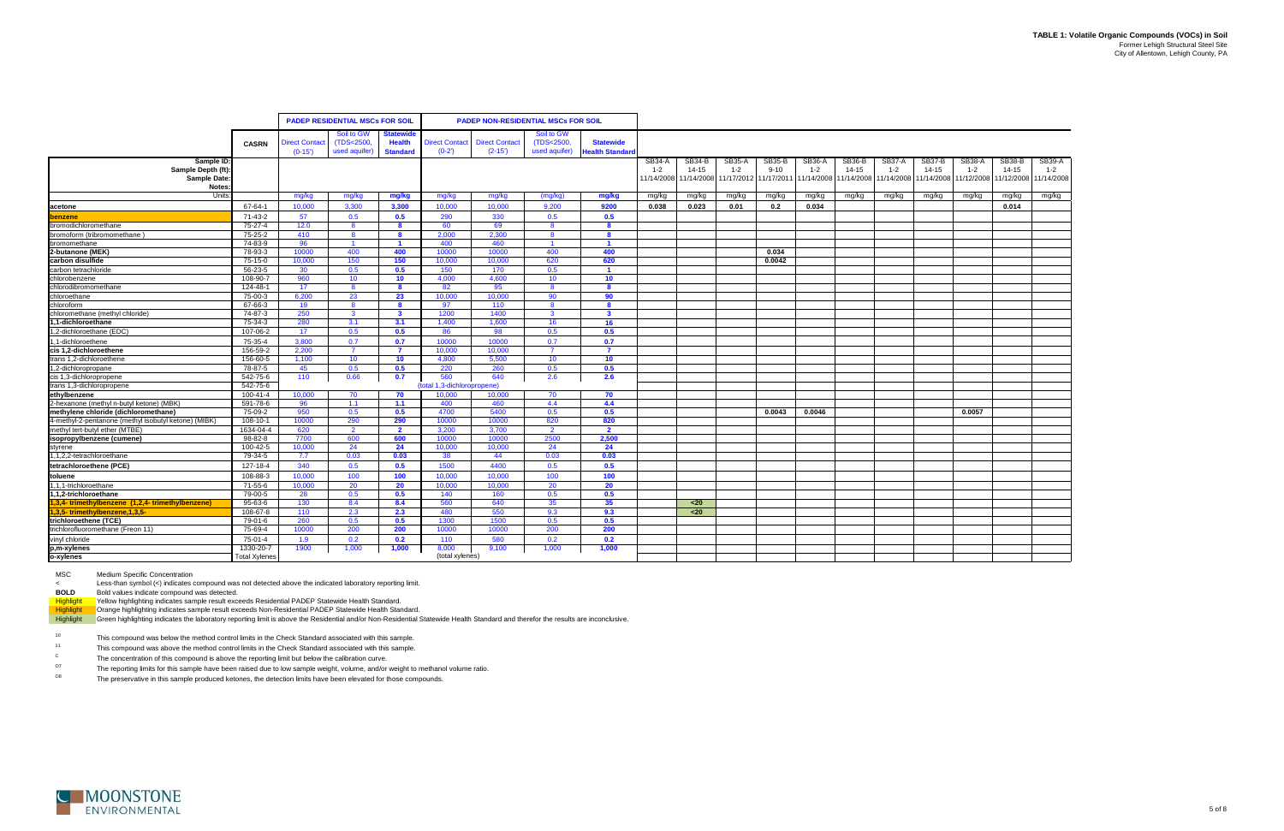|                                                      |                      |                      | <b>PADEP RESIDENTIAL MSCs FOR SOIL</b> |                         |                             | <b>PADEP NON-RESIDENTIAL MSCs FOR SOIL</b> |                 |                         |               |               |                       |               |            |            |               |            |               |               |                       |
|------------------------------------------------------|----------------------|----------------------|----------------------------------------|-------------------------|-----------------------------|--------------------------------------------|-----------------|-------------------------|---------------|---------------|-----------------------|---------------|------------|------------|---------------|------------|---------------|---------------|-----------------------|
|                                                      |                      |                      | Soil to GW                             | <b>Statewide</b>        |                             |                                            | Soil to GW      |                         |               |               |                       |               |            |            |               |            |               |               |                       |
|                                                      | <b>CASRN</b>         | <b>Direct Contac</b> | (TDS<2500)                             | <b>Health</b>           | <b>Direct Contact</b>       | <b>Direct Contact</b>                      | (TDS<2500,      | <b>Statewide</b>        |               |               |                       |               |            |            |               |            |               |               |                       |
|                                                      |                      | $(0-15')$            | used aquifer)                          | <b>Standard</b>         | $(0-2)$                     | $(2-15')$                                  | used aquifer)   | <b>Health Standard</b>  |               |               |                       |               |            |            |               |            |               |               |                       |
| Sample ID                                            |                      |                      |                                        |                         |                             |                                            |                 |                         | <b>SB34-A</b> | <b>SB34-B</b> | <b>SB35-A</b>         | <b>SB35-B</b> | SB36-A     | SB36-B     | <b>SB37-A</b> | SB37-B     | <b>SB38-A</b> | <b>SB38-B</b> | <b>SB39-A</b>         |
| Sample Depth (ft):                                   |                      |                      |                                        |                         |                             |                                            |                 |                         | $1 - 2$       | $14 - 15$     | $1 - 2$               | $9 - 10$      | $1 - 2$    | 14-15      | $1 - 2$       | $14 - 15$  | $1 - 2$       | $14 - 15$     | $1 - 2$               |
| <b>Sample Date</b><br>Notes:                         |                      |                      |                                        |                         |                             |                                            |                 |                         | 11/14/2008    | 11/14/2008    | 11/17/2012 11/17/2011 |               | 11/14/2008 | 11/14/2008 | 11/14/2008    | 11/14/2008 | 11/12/2008    |               | 11/12/2008 11/14/2008 |
| Units                                                |                      | mg/kg                | mg/kg                                  | mg/kg                   | mg/kg                       | mg/kg                                      | (mg/kg)         | mg/kg                   | mg/kg         | mg/kg         | mg/kg                 | mg/kg         | mg/kg      | mg/kg      | mg/kg         | mg/kg      | mg/kg         | mg/kg         | mg/kg                 |
| acetone                                              | 67-64-1              | 10.000               | 3.300                                  | 3.300                   | 10.000                      | 10.000                                     | 9.200           | 9200                    | 0.038         | 0.023         | 0.01                  | 0.2           | 0.034      |            |               |            |               | 0.014         |                       |
| benzene                                              | 71-43-2              | 57                   | 0.5                                    | 0.5                     | 290                         | 330                                        | 0.5             | 0.5                     |               |               |                       |               |            |            |               |            |               |               |                       |
| bromodichloromethane                                 | 75-27-4              | 12.0                 | -8                                     | -8                      | 60                          | 69                                         | <b>R</b>        | -8                      |               |               |                       |               |            |            |               |            |               |               |                       |
| bromoform (tribromomethane)                          | 75-25-2              | 410                  | 8                                      | - 8                     | 2.000                       | 2.300                                      | $\mathbf{R}$    | $\mathbf{R}$            |               |               |                       |               |            |            |               |            |               |               |                       |
| bromomethane                                         | 74-83-9              | 96                   | $\overline{1}$                         | $\blacksquare$          | 400                         | 460                                        | -1              | $\mathbf 1$             |               |               |                       |               |            |            |               |            |               |               |                       |
| 2-butanone (MEK)                                     | 78-93-3              | 10000                | 400                                    | 400                     | 10000                       | 10000                                      | 400             | 400                     |               |               |                       | 0.034         |            |            |               |            |               |               |                       |
| carbon disulfide                                     | $75-15-0$            | 10,000               | 150                                    | 150                     | 10.000                      | 10.000                                     | 620             | 620                     |               |               |                       | 0.0042        |            |            |               |            |               |               |                       |
| carbon tetrachloride                                 | 56-23-5              | 30                   | 0.5                                    | 0.5                     | 150                         | 170                                        | 0.5             |                         |               |               |                       |               |            |            |               |            |               |               |                       |
| chlorobenzene                                        | 108-90-7             | 960                  | 10                                     | 10                      | 4.000                       | 4.600                                      | 10 <sup>1</sup> | 10                      |               |               |                       |               |            |            |               |            |               |               |                       |
| chlorodibromomethane                                 | 124-48-1             | 17                   | $\mathbf{R}$                           | -8                      | 82                          | 95                                         |                 | $\mathbf{a}$            |               |               |                       |               |            |            |               |            |               |               |                       |
| chloroethane                                         | 75-00-3              | 6.200                | 23                                     | 23                      | 10.000                      | 10.000                                     | 90              | 90                      |               |               |                       |               |            |            |               |            |               |               |                       |
| chloroform                                           | 67-66-3              | 19                   | 8                                      | -8                      | 97                          | 110                                        | $\mathbf{R}$    | -8                      |               |               |                       |               |            |            |               |            |               |               |                       |
| chloromethane (methyl chloride)                      | 74-87-3              | 250                  | $\mathbf{3}$                           | $\mathbf{3}$            | 1200                        | 1400                                       | $\mathbf{B}$    | $\mathbf{3}$            |               |               |                       |               |            |            |               |            |               |               |                       |
| 1,1-dichloroethane                                   | 75-34-3              | 280                  | 3.1                                    | 3.1                     | 1.400                       | 1,600                                      | 16              | 16                      |               |               |                       |               |            |            |               |            |               |               |                       |
| 1,2-dichloroethane (EDC)                             | 107-06-2             | 17                   | 0.5                                    | 0.5                     | 86                          | 98                                         | 0.5             | 0.5                     |               |               |                       |               |            |            |               |            |               |               |                       |
| 1,1-dichloroethene                                   | 75-35-4              | 3.800                | 0.7                                    | 0.7                     | 10000                       | 10000                                      | 0.7             | 0.7                     |               |               |                       |               |            |            |               |            |               |               |                       |
| cis 1,2-dichloroethene                               | 156-59-2             | 2.200                | $\overline{7}$                         | $\overline{7}$          | 10.000                      | 10.000                                     | $\overline{7}$  | $\overline{\mathbf{z}}$ |               |               |                       |               |            |            |               |            |               |               |                       |
| trans 1,2-dichloroethene                             | 156-60-5             | 1,100                | 10 <sup>°</sup>                        | 10 <sup>°</sup>         | 4.800                       | 5,500                                      | 10 <sup>°</sup> | 10                      |               |               |                       |               |            |            |               |            |               |               |                       |
| 1,2-dichloropropane                                  | 78-87-5              | 45                   | 0.5                                    | 0.5                     | 220                         | 260                                        | 0.5             | 0.5                     |               |               |                       |               |            |            |               |            |               |               |                       |
| cis 1,3-dichloropropene<br>trans 1,3-dichloropropene | 542-75-6             | 110                  | 0.66                                   | 0.7                     | 560                         | 640                                        | 2.6             | 2.6                     |               |               |                       |               |            |            |               |            |               |               |                       |
|                                                      | 542-75-6             |                      |                                        |                         | (total 1,3-dichloropropene) |                                            |                 |                         |               |               |                       |               |            |            |               |            |               |               |                       |
| ethylbenzene                                         | 100-41-4             | 10,000               | 70                                     | 70                      | 10.000                      | 10,000                                     | 70              | 70                      |               |               |                       |               |            |            |               |            |               |               |                       |
| 2-hexanone (methyl n-butyl ketone) (MBK)             | 591-78-6             | 96                   | 1.1                                    | 1.1                     | 400                         | 460                                        | 4.4             | 4.4                     |               |               |                       |               |            |            |               |            |               |               |                       |
| methylene chloride (dichloromethane)                 | 75-09-2              | 950                  | 0.5                                    | 0.5                     | 4700                        | 5400                                       | 0.5             | 0.5                     |               |               |                       | 0.0043        | 0.0046     |            |               |            | 0.0057        |               |                       |
| 4-methyl-2-pentanone (methyl isobutyl ketone) (MIBK) | 108-10-1             | 10000                | 290                                    | 290                     | 10000                       | 10000                                      | 820             | 820                     |               |               |                       |               |            |            |               |            |               |               |                       |
| methyl tert-butyl ether (MTBE)                       | 1634-04-4            | 620                  | $\overline{2}$                         | $\overline{\mathbf{2}}$ | 3.200                       | 3.700                                      |                 | $\overline{2}$          |               |               |                       |               |            |            |               |            |               |               |                       |
| isopropylbenzene (cumene)                            | $98 - 82 - 8$        | 7700                 | 600                                    | 600                     | 10000                       | 10000                                      | 2500            | 2.500                   |               |               |                       |               |            |            |               |            |               |               |                       |
| styrene                                              | 100-42-5             | 10,000               | 24                                     | 24                      | 10.000                      | 10.000                                     | 24              | 24                      |               |               |                       |               |            |            |               |            |               |               |                       |
| 1,1,2,2-tetrachloroethane                            | 79-34-5              | 7.7                  | 0.03                                   | 0.03                    | 38                          | 44                                         | 0.03            | 0.03                    |               |               |                       |               |            |            |               |            |               |               |                       |
| tetrachloroethene (PCE)                              | 127-18-4             | 340                  | 0.5                                    | 0.5                     | 1500                        | 4400                                       | 0.5             | 0.5                     |               |               |                       |               |            |            |               |            |               |               |                       |
| toluene                                              | 108-88-3             | 10,000               | 100                                    | 100                     | 10,000                      | 10,000                                     | 100             | 100                     |               |               |                       |               |            |            |               |            |               |               |                       |
| 1,1,1-trichloroethane                                | 71-55-6              | 10,000               | 20                                     | 20                      | 10,000                      | 10,000                                     | 20              | 20                      |               |               |                       |               |            |            |               |            |               |               |                       |
| 1,1,2-trichloroethane                                | 79-00-5              | 28                   | 0.5                                    | 0.5                     | 140                         | 160                                        | 0.5             | 0.5                     |               |               |                       |               |            |            |               |            |               |               |                       |
| 1,3,4-trimethylbenzene (1,2,4-trimethylbenzene)      | 95-63-6              | 130                  | 8.4                                    | 8.4                     | 560                         | 640                                        | 35              | 35 <sub>5</sub>         |               | $20$          |                       |               |            |            |               |            |               |               |                       |
| 1,3,5-trimethylbenzene,1,3,5-                        | 108-67-8             | 110                  | 2.3                                    | 2.3                     | 480                         | 550                                        | 9.3             | 9.3                     |               | $20$          |                       |               |            |            |               |            |               |               |                       |
| trichloroethene (TCE)                                | 79-01-6              | 260                  | 0.5                                    | 0.5                     | 1300                        | 1500                                       | 0.5             | 0.5                     |               |               |                       |               |            |            |               |            |               |               |                       |
| trichlorofluoromethane (Freon 11)                    | 75-69-4              | 10000                | 200                                    | 200                     | 10000                       | 10000                                      | 200             | 200                     |               |               |                       |               |            |            |               |            |               |               |                       |
| vinyl chloride                                       | 75-01-4              | 1.9                  | 0.2                                    | 0.2                     | 110                         | 580                                        | 0.2             | 0.2                     |               |               |                       |               |            |            |               |            |               |               |                       |
| p,m-xylenes                                          | 1330-20-7            | 1900                 | 1,000                                  | 1,000                   | 8,000                       | 9,100                                      | 1,000           | 1,000                   |               |               |                       |               |            |            |               |            |               |               |                       |
| o-xylenes                                            | <b>Total Xylenes</b> |                      |                                        |                         | (total xylenes)             |                                            |                 |                         |               |               |                       |               |            |            |               |            |               |               |                       |

MSC Medium Specific Concentration

<Less-than symbol (<) indicates compound was not detected above the indicated laboratory reporting limit.

**BOLD** Bold values indicate compound was detected.

Highlight Yellow highlighting indicates sample result exceeds Residential PADEP Statewide Health Standard.

Highlight Crange highlighting indicates sample result exceeds Non-Residential PADEP Statewide Health Standard.

Highlight Green highlighting indicates the laboratory reporting limit is above the Residential and/or Non-Residential Statewide Health Standard and therefor the results are inconclusive.

10This compound was below the method control limits in the Check Standard associated with this sample.

11This compound was above the method control limits in the Check Standard associated with this sample.

O7The reporting limits for this sample have been raised due to low sample weight, volume, and/or weight to methanol volume ratio.

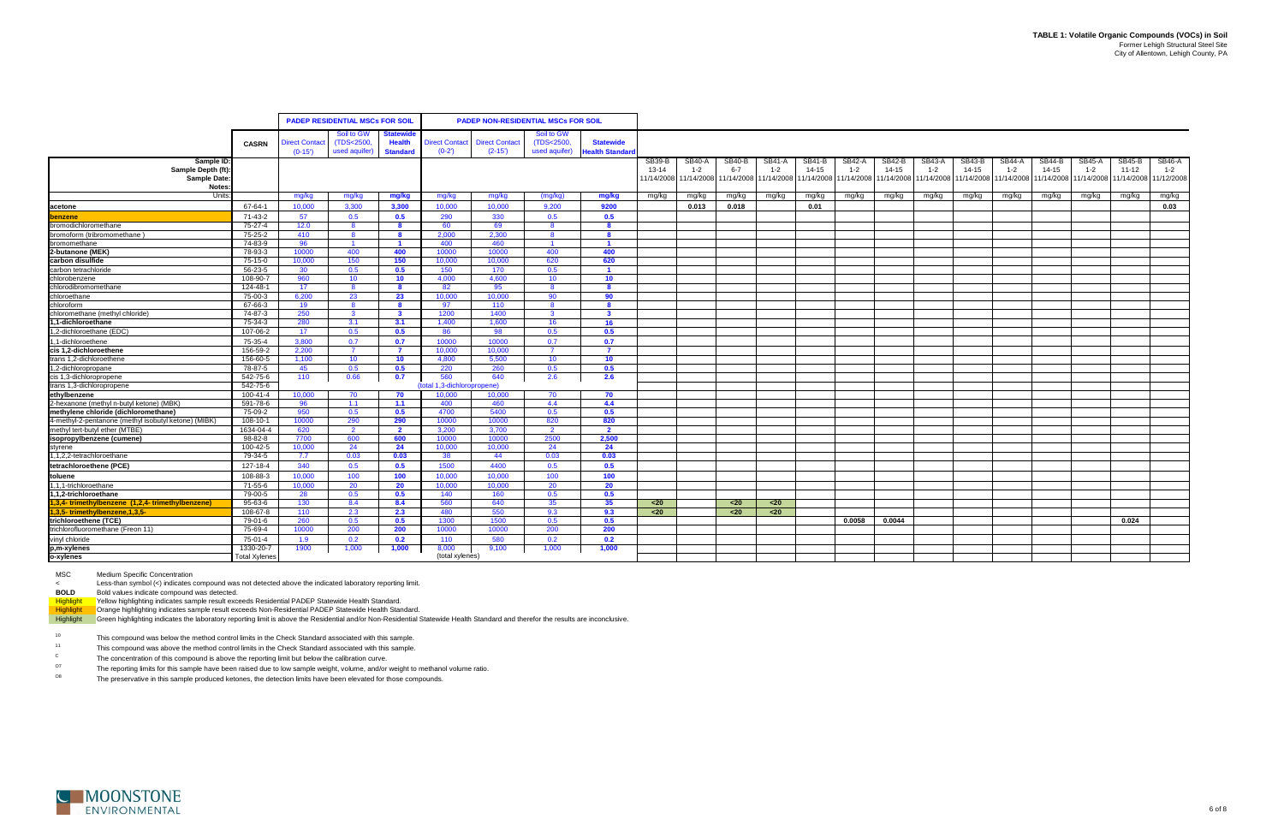|                                                      |                      |                       | <b>PADEP RESIDENTIAL MSCs FOR SOIL</b> |                            |                                    | <b>PADEP NON-RESIDENTIAL MSCs FOR SOIL</b> |                          |                       |            |               |                                  |         |               |                      |           |                       |               |               |                       |               |                       |               |
|------------------------------------------------------|----------------------|-----------------------|----------------------------------------|----------------------------|------------------------------------|--------------------------------------------|--------------------------|-----------------------|------------|---------------|----------------------------------|---------|---------------|----------------------|-----------|-----------------------|---------------|---------------|-----------------------|---------------|-----------------------|---------------|
|                                                      |                      |                       |                                        |                            |                                    |                                            |                          |                       |            |               |                                  |         |               |                      |           |                       |               |               |                       |               |                       |               |
|                                                      |                      | <b>Direct Contact</b> | Soil to GW<br>(TDS<2500)               | Statewide<br><b>Health</b> | <b>Direct Contact</b>              | <b>Direct Contact</b>                      | Soil to GW<br>(TDS<2500, | <b>Statewide</b>      |            |               |                                  |         |               |                      |           |                       |               |               |                       |               |                       |               |
|                                                      | <b>CASRN</b>         | $(0-15)$              | used aquifer)                          | <b>Standard</b>            | $(0-2')$                           | $(2-15')$                                  | used aquifer)            | <b>Jealth Standar</b> |            |               |                                  |         |               |                      |           |                       |               |               |                       |               |                       |               |
| Sample ID                                            |                      |                       |                                        |                            |                                    |                                            |                          |                       | SB39-B     | <b>SB40-A</b> | <b>SB40-B</b>                    | SB41-A  | <b>SB41-B</b> | <b>SB42-A</b>        | SB42-B    | <b>SB43-A</b>         | <b>SB43-B</b> | <b>SB44-A</b> | <b>SB44-B</b>         | <b>SB45-A</b> | <b>SB45-B</b>         | <b>SB46-A</b> |
| Sample Depth (ft):                                   |                      |                       |                                        |                            |                                    |                                            |                          |                       | $13 - 14$  | $1 - 2$       | $6 - 7$                          | $1 - 2$ | $14 - 15$     | $1 - 2$              | $14 - 15$ | $1 - 2$               | $14 - 15$     | $1 - 2$       | $14 - 15$             | $1 - 2$       | $11 - 12$             | $1 - 2$       |
| <b>Sample Date</b>                                   |                      |                       |                                        |                            |                                    |                                            |                          |                       | 11/14/2008 |               | 11/14/2008 11/14/2008 11/14/2008 |         |               | 1/14/2008 11/14/2008 |           | 11/14/2008 11/14/2008 | 11/14/2008    |               | 11/14/2008 11/14/2008 |               | 11/14/2008 11/14/2008 | 11/12/2008    |
| <b>Notes</b>                                         |                      |                       |                                        |                            |                                    |                                            |                          |                       |            |               |                                  |         |               |                      |           |                       |               |               |                       |               |                       |               |
| Units                                                |                      | mg/kg                 | mg/kg                                  | mg/kg                      | mg/kg                              | mg/kg                                      | (mg/kg)                  | mg/kg                 | mg/kg      | mg/kg         | mg/kg                            | mg/kg   | mg/kg         | mg/kg                | mg/kg     | mg/kg                 | mg/kg         | mg/kg         | mg/kg                 | mg/kg         | mg/kg                 | mg/kg         |
| acetone                                              | 67-64-1              | 10.000                | 3.300                                  | 3.300                      | 10.000                             | 10.000                                     | 9.200                    | 9200                  |            | 0.013         | 0.018                            |         | 0.01          |                      |           |                       |               |               |                       |               |                       | 0.03          |
| benzene                                              | 71-43-2              | 57                    | 0.5                                    | 0.5                        | 290                                | 330                                        | 0.5                      | 0.5                   |            |               |                                  |         |               |                      |           |                       |               |               |                       |               |                       |               |
| bromodichloromethane                                 | 75-27-4              | 12.0                  | -8                                     | -8                         | 60                                 | 69                                         | -8                       | - 8                   |            |               |                                  |         |               |                      |           |                       |               |               |                       |               |                       |               |
| bromoform (tribromomethane)                          | 75-25-2              | 410                   | -8                                     | - 8                        | 2.000                              | 2.300                                      | -8                       | - 8                   |            |               |                                  |         |               |                      |           |                       |               |               |                       |               |                       |               |
| bromomethane                                         | 74-83-9              | 96                    | $\blacksquare$                         | $\blacksquare$             | 400                                | 460                                        |                          | $\blacksquare$        |            |               |                                  |         |               |                      |           |                       |               |               |                       |               |                       |               |
| 2-butanone (MEK)                                     | 78-93-3              | 10000                 | 400                                    | 400                        | 10000                              | 10000                                      | 400                      | 400                   |            |               |                                  |         |               |                      |           |                       |               |               |                       |               |                       |               |
| carbon disulfide                                     | 75-15-0              | 10.000                | 150                                    | 150                        | 10.000                             | 10.000                                     | 620                      | 620                   |            |               |                                  |         |               |                      |           |                       |               |               |                       |               |                       |               |
| carbon tetrachloride                                 | 56-23-5              | 30                    | 0.5                                    | 0.5                        | 150                                | 170                                        | 0.5                      |                       |            |               |                                  |         |               |                      |           |                       |               |               |                       |               |                       |               |
| chlorobenzene                                        | 108-90-7             | 960                   | 10 <sup>°</sup>                        | 10 <sup>°</sup>            | 4.000                              | 4,600                                      | 10 <sup>°</sup>          | 10 <sup>°</sup>       |            |               |                                  |         |               |                      |           |                       |               |               |                       |               |                       |               |
| chlorodibromomethane                                 | 124-48-1             | 17                    |                                        | $\mathbf{R}$               | 82                                 | 95                                         | -8                       | -8                    |            |               |                                  |         |               |                      |           |                       |               |               |                       |               |                       |               |
| chloroethane                                         | 75-00-3              | 6,200                 | 23                                     | 23                         | 10.000                             | 10,000                                     | 90                       | 90                    |            |               |                                  |         |               |                      |           |                       |               |               |                       |               |                       |               |
| chloroform                                           | 67-66-3              | 19                    | 8                                      | 8                          | 97                                 | 110                                        | 8                        | - 8                   |            |               |                                  |         |               |                      |           |                       |               |               |                       |               |                       |               |
| chloromethane (methyl chloride)                      | 74-87-3              | 250                   | $\mathbf{3}$                           | $\mathbf{3}$               | 1200                               | 1400                                       | $\mathbf{3}$             | $\mathbf{3}$          |            |               |                                  |         |               |                      |           |                       |               |               |                       |               |                       |               |
| 1-dichloroethane                                     | 75-34-3              | 280                   | 3.1                                    | 3.1                        | 1,400                              | 1,600                                      | 16                       | 16                    |            |               |                                  |         |               |                      |           |                       |               |               |                       |               |                       |               |
| ,2-dichloroethane (EDC)                              | 107-06-2             | 17                    | 0.5                                    | 0.5                        | 86                                 | 98                                         | 0.5                      | 0.5                   |            |               |                                  |         |               |                      |           |                       |               |               |                       |               |                       |               |
| 1-dichloroethene                                     | 75-35-4              | 3,800                 | 0.7                                    | 0.7                        | 10000                              | 10000                                      | 0.7                      | 0.7                   |            |               |                                  |         |               |                      |           |                       |               |               |                       |               |                       |               |
| cis 1,2-dichloroethene                               | 156-59-2             | 2,200                 | $\overline{7}$                         | $\overline{7}$             | 10.000                             | 10.000                                     |                          | $\overline{7}$        |            |               |                                  |         |               |                      |           |                       |               |               |                       |               |                       |               |
| trans 1,2-dichloroethene                             | 156-60-5             | 1,100                 | 10                                     | 10 <sup>°</sup>            | 4,800                              | 5,500                                      | 10 <sup>°</sup>          | 10 <sub>1</sub>       |            |               |                                  |         |               |                      |           |                       |               |               |                       |               |                       |               |
| 2-dichloropropane                                    | 78-87-5              | 45                    | 0.5                                    | 0.5                        | 220                                | 260                                        | 0.5                      | 0.5                   |            |               |                                  |         |               |                      |           |                       |               |               |                       |               |                       |               |
| cis 1,3-dichloropropene<br>trans 1,3-dichloropropene | 542-75-6<br>542-75-6 | 110                   | 0.66                                   | 0.7                        | 560<br>(total 1,3-dichloropropene) | 640                                        | 2.6                      | 2.6                   |            |               |                                  |         |               |                      |           |                       |               |               |                       |               |                       |               |
| ethylbenzene                                         | 100-41-4             | 10.000                | 70                                     | 70                         | 10.000                             | 10,000                                     | 70                       | 70                    |            |               |                                  |         |               |                      |           |                       |               |               |                       |               |                       |               |
| 2-hexanone (methyl n-butyl ketone) (MBK)             | 591-78-6             | 96                    | 1.1                                    | 1.1                        | 400                                | 460                                        | 4.4                      | 4.4                   |            |               |                                  |         |               |                      |           |                       |               |               |                       |               |                       |               |
| methylene chloride (dichloromethane)                 | 75-09-2              | 950                   | 0.5                                    | 0.5                        | 4700                               | 5400                                       | 0.5                      | 0.5                   |            |               |                                  |         |               |                      |           |                       |               |               |                       |               |                       |               |
| 4-methyl-2-pentanone (methyl isobutyl ketone) (MIBK) | 108-10-1             | 10000                 | 290                                    | 290                        | 10000                              | 10000                                      | 820                      | 820                   |            |               |                                  |         |               |                      |           |                       |               |               |                       |               |                       |               |
| methyl tert-butyl ether (MTBE)                       | 1634-04-4            | 620                   | $\overline{2}$                         | $\overline{2}$             | 3,200                              | 3,700                                      | $\overline{2}$           | $\overline{2}$        |            |               |                                  |         |               |                      |           |                       |               |               |                       |               |                       |               |
| isopropylbenzene (cumene)                            | $98 - 82 - 8$        | 7700                  | 600                                    | 600                        | 10000                              | 10000                                      | 2500                     | 2.500                 |            |               |                                  |         |               |                      |           |                       |               |               |                       |               |                       |               |
| styrene                                              | 100-42-5             | 10.000                | 24                                     | 24                         | 10.000                             | 10,000                                     | 24                       | 24                    |            |               |                                  |         |               |                      |           |                       |               |               |                       |               |                       |               |
| 1,1,2,2-tetrachloroethane                            | 79-34-5              | 7.7                   | 0.03                                   | 0.03                       | 38                                 | 44                                         | 0.03                     | 0.03                  |            |               |                                  |         |               |                      |           |                       |               |               |                       |               |                       |               |
| tetrachloroethene (PCE)                              | 127-18-4             | 340                   | 0.5                                    | 0.5                        | 1500                               | 4400                                       | 0.5                      | 0.5                   |            |               |                                  |         |               |                      |           |                       |               |               |                       |               |                       |               |
| toluene                                              | 108-88-3             | 10,000                | 100                                    | 100                        | 10,000                             | 10,000                                     | 100                      | 100                   |            |               |                                  |         |               |                      |           |                       |               |               |                       |               |                       |               |
| 1,1,1-trichloroethane                                | 71-55-6              | 10,000                | 20                                     | 20                         | 10,000                             | 10,000                                     | 20                       | 20                    |            |               |                                  |         |               |                      |           |                       |               |               |                       |               |                       |               |
| 1,1,2-trichloroethane                                | 79-00-5              | 28                    | 0.5                                    | 0.5                        | 140                                | 160                                        | 0.5                      | 0.5                   |            |               |                                  |         |               |                      |           |                       |               |               |                       |               |                       |               |
| 1,3,4-trimethylbenzene (1,2,4-trimethylbenzene)      | 95-63-6              | 130                   | 8.4                                    | 8.4                        | 560                                | 640                                        | 35                       | 35 <sub>5</sub>       | $20$       |               | $20$                             | $20$    |               |                      |           |                       |               |               |                       |               |                       |               |
| 1,3,5-trimethylbenzene,1,3,5-                        | 108-67-8             | 110                   | 2.3                                    | 2.3                        | 480                                | 550                                        | 9.3                      | 9.3                   | $20$       |               | $20$                             | $20$    |               |                      |           |                       |               |               |                       |               |                       |               |
| trichloroethene (TCE)                                | 79-01-6              | 260                   | 0.5                                    | 0.5                        | 1300                               | 1500                                       | 0.5                      | 0.5                   |            |               |                                  |         |               | 0.0058               | 0.0044    |                       |               |               |                       |               | 0.024                 |               |
| trichlorofluoromethane (Freon 11)                    | 75-69-4              | 10000                 | 200                                    | 200                        | 10000                              | 10000                                      | 200                      | 200                   |            |               |                                  |         |               |                      |           |                       |               |               |                       |               |                       |               |
| vinyl chloride                                       | 75-01-4              | 1.9                   | 0.2                                    | 0.2                        | 110                                | 580                                        | 0.2                      | 0.2                   |            |               |                                  |         |               |                      |           |                       |               |               |                       |               |                       |               |
| p,m-xylenes                                          | 1330-20-7            | 1900                  | 1,000                                  | 1,000                      | 8,000                              | 9,100                                      | 1,000                    | 1,000                 |            |               |                                  |         |               |                      |           |                       |               |               |                       |               |                       |               |
| o-xylenes                                            | <b>Total Xylenes</b> |                       |                                        |                            | (total xylenes)                    |                                            |                          |                       |            |               |                                  |         |               |                      |           |                       |               |               |                       |               |                       |               |

MSC Medium Specific Concentration

<Less-than symbol (<) indicates compound was not detected above the indicated laboratory reporting limit.

**BOLD** Bold values indicate compound was detected.<br> **Highlight** Yellow highlighting indicates sample result exce<br> **Highlight** Orange highlighting indicates sample result exc Yellow highlighting indicates sample result exceeds Residential PADEP Statewide Health Standard.

Highlight Crange highlighting indicates sample result exceeds Non-Residential PADEP Statewide Health Standard.

Highlight Green highlighting indicates the laboratory reporting limit is above the Residential and/or Non-Residential Statewide Health Standard and therefor the results are inconclusive.

10This compound was below the method control limits in the Check Standard associated with this sample.

11This compound was above the method control limits in the Check Standard associated with this sample.

O7The reporting limits for this sample have been raised due to low sample weight, volume, and/or weight to methanol volume ratio.

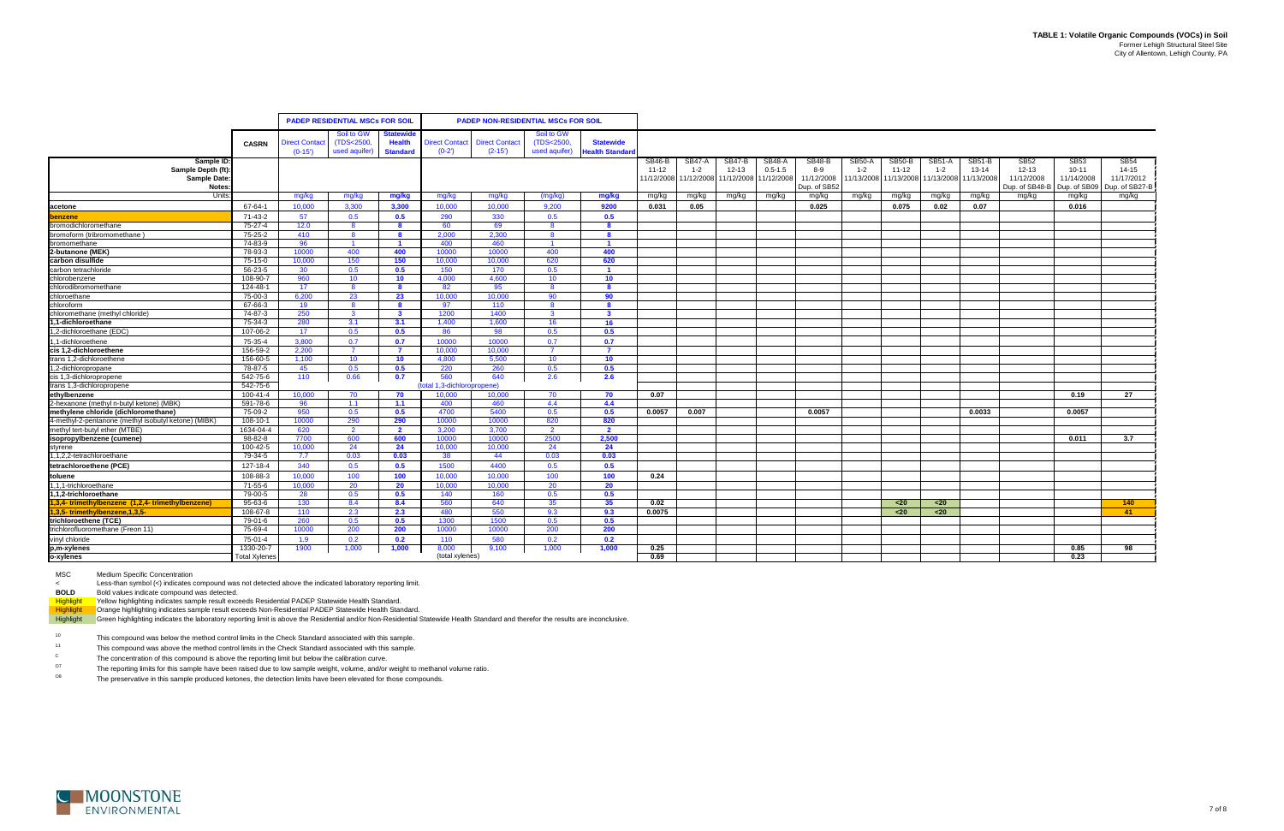|                                                      |                      |                       | <b>PADEP RESIDENTIAL MSCs FOR SOIL</b> |                         |                           | <b>PADEP NON-RESIDENTIAL MSCs FOR SOIL</b> |                |                      |           |                       |                       |               |                            |               |               |            |            |                                           |                         |                         |
|------------------------------------------------------|----------------------|-----------------------|----------------------------------------|-------------------------|---------------------------|--------------------------------------------|----------------|----------------------|-----------|-----------------------|-----------------------|---------------|----------------------------|---------------|---------------|------------|------------|-------------------------------------------|-------------------------|-------------------------|
|                                                      |                      |                       |                                        |                         |                           |                                            |                |                      |           |                       |                       |               |                            |               |               |            |            |                                           |                         |                         |
|                                                      |                      |                       | Soil to GW                             | <b>Statewide</b>        |                           |                                            | Soil to GW     |                      |           |                       |                       |               |                            |               |               |            |            |                                           |                         |                         |
|                                                      | <b>CASRN</b>         | <b>Direct Contact</b> | (TDS<2500,                             | <b>Health</b>           | <b>Direct Contact</b>     | <b>Direct Contact</b>                      | (TDS<2500)     | <b>Statewide</b>     |           |                       |                       |               |                            |               |               |            |            |                                           |                         |                         |
|                                                      |                      | $(0-15')$             | used aquifer)                          | <b>Standard</b>         | $(0-2)$                   | $(2-15)$                                   | used aquifer)  | <b>Health Standa</b> |           |                       |                       |               |                            |               |               |            |            |                                           |                         |                         |
| Sample ID                                            |                      |                       |                                        |                         |                           |                                            |                |                      | SB46-B    | SB47-A                | SB47-B                | <b>SB48-A</b> | <b>SB48-B</b>              | <b>SB50-A</b> | <b>SB50-B</b> | SB51-A     | SB51-B     | <b>SB52</b>                               | <b>SB53</b>             | <b>SB54</b>             |
| Sample Depth (ft):                                   |                      |                       |                                        |                         |                           |                                            |                |                      | $11 - 12$ | $1 - 2$               | $12 - 13$             | $0.5 - 1.5$   | 8-9                        | $1 - 2$       | $11 - 12$     | $1 - 2$    | $13 - 14$  | $12 - 13$                                 | $10 - 11$<br>11/14/2008 | $14 - 15$<br>11/17/2012 |
| Sample Date:<br><b>Notes</b>                         |                      |                       |                                        |                         |                           |                                            |                |                      |           | 11/12/2008 11/12/2008 | 11/12/2008 11/12/2008 |               | 11/12/2008<br>Dup. of SB52 | 11/13/2008    | 11/13/2008    | 11/13/2008 | 11/13/2008 | 11/12/2008<br>Dup. of SB48-B Dup. of SB09 |                         | Dup. of SB27-B          |
| Units                                                |                      | mg/kg                 | mg/kg                                  | mg/kg                   | mg/kg                     | mg/kg                                      | (mg/kg)        | mg/kg                | mg/kg     | mg/kg                 | mg/kg                 | mg/kg         | mg/kg                      | mg/kg         | mg/kg         | mg/kg      | mg/kg      | mg/kg                                     | mg/kg                   | mg/kg                   |
| acetone                                              | 67-64-1              | 10.000                | 3.300                                  | 3.300                   | 10.000                    | 10.000                                     | 9.200          | 9200                 | 0.031     | 0.05                  |                       |               | 0.025                      |               | 0.075         | 0.02       | 0.07       |                                           | 0.016                   |                         |
| lbenzene                                             | 71-43-2              | 57                    | 0.5                                    | 0.5                     | 290                       | 330                                        | 0.5            | 0.5                  |           |                       |                       |               |                            |               |               |            |            |                                           |                         |                         |
| bromodichloromethane                                 | 75-27-4              | 12.0                  | - 8                                    | -8                      | 60                        | 69                                         | -8             | -8                   |           |                       |                       |               |                            |               |               |            |            |                                           |                         |                         |
| bromoform (tribromomethane)                          | 75-25-2              | 410                   | - 8                                    | -8                      | 2.000                     | 2.300                                      | -8             | -8                   |           |                       |                       |               |                            |               |               |            |            |                                           |                         |                         |
| bromomethane                                         | 74-83-9              | 96                    | $\blacksquare$                         | $\blacksquare$          | 400                       | 460                                        | $\overline{1}$ | $\overline{1}$       |           |                       |                       |               |                            |               |               |            |            |                                           |                         |                         |
| 2-butanone (MEK)                                     | 78-93-3              | 10000                 | 400                                    | 400                     | 10000                     | 10000                                      | 400            | 400                  |           |                       |                       |               |                            |               |               |            |            |                                           |                         |                         |
| carbon disulfide                                     | 75-15-0              | 10,000                | 150                                    | 150                     | 10.000                    | 10,000                                     | 620            | 620                  |           |                       |                       |               |                            |               |               |            |            |                                           |                         |                         |
| carbon tetrachloride                                 | 56-23-5              | 30                    | 0.5                                    | 0.5                     | 150                       | 170                                        | 0.5            |                      |           |                       |                       |               |                            |               |               |            |            |                                           |                         |                         |
| chlorobenzene                                        | 108-90-7             | 960                   | 10                                     | 10                      | 4,000                     | 4,600                                      | 10             | 10 <sub>1</sub>      |           |                       |                       |               |                            |               |               |            |            |                                           |                         |                         |
| chlorodibromomethane                                 | 124-48-1             | 17                    | -8                                     |                         | 82                        | 95                                         |                |                      |           |                       |                       |               |                            |               |               |            |            |                                           |                         |                         |
| chloroethane                                         | 75-00-3              | 6,200                 | 23                                     | 23                      | 10.000                    | 10,000                                     | 90             | 90                   |           |                       |                       |               |                            |               |               |            |            |                                           |                         |                         |
| chloroform                                           | 67-66-3              | 19                    | 8                                      | - 8                     | 97                        | 110                                        | 8              | -8                   |           |                       |                       |               |                            |               |               |            |            |                                           |                         |                         |
| chloromethane (methyl chloride)                      | 74-87-3              | 250                   | $\overline{\mathbf{3}}$                | $\overline{\mathbf{3}}$ | 1200                      | 1400                                       | $\mathbf{3}$   | $\mathbf{3}$         |           |                       |                       |               |                            |               |               |            |            |                                           |                         |                         |
| 1.1-dichloroethane                                   | 75-34-3              | 280                   | 3.1                                    | 3.1                     | 1,400                     | 1,600                                      | 16             | 16                   |           |                       |                       |               |                            |               |               |            |            |                                           |                         |                         |
| 1,2-dichloroethane (EDC)                             | 107-06-2             | 17                    | 0.5                                    | 0.5                     | 86                        | 98                                         | 0.5            | 0.5                  |           |                       |                       |               |                            |               |               |            |            |                                           |                         |                         |
| 1-dichloroethene                                     | 75-35-4              | 3.800                 | 0.7                                    | 0.7                     | 10000                     | 10000                                      | 0.7            | 0.7                  |           |                       |                       |               |                            |               |               |            |            |                                           |                         |                         |
| cis 1,2-dichloroethene                               | 156-59-2             | 2,200                 | - 7                                    | $\overline{7}$          | 10.000                    | 10,000                                     | $\overline{7}$ | $\overline{7}$       |           |                       |                       |               |                            |               |               |            |            |                                           |                         |                         |
| trans 1,2-dichloroethene                             | 156-60-5             | 1,100                 | 10                                     | 10                      | 4,800                     | 5,500                                      | 10             | 10 <sub>1</sub>      |           |                       |                       |               |                            |               |               |            |            |                                           |                         |                         |
| 1,2-dichloropropane                                  | 78-87-5              | 45                    | 0.5                                    | 0.5                     | 220                       | 260                                        | 0.5            | 0.5                  |           |                       |                       |               |                            |               |               |            |            |                                           |                         |                         |
|                                                      | 542-75-6             | 110                   | 0.66                                   | 0.7                     | 560                       | 640                                        | 2.6            | 2.6                  |           |                       |                       |               |                            |               |               |            |            |                                           |                         |                         |
| cis 1,3-dichloropropene<br>trans 1,3-dichloropropene | 542-75-6             |                       |                                        |                         | otal 1,3-dichloropropene) |                                            |                |                      |           |                       |                       |               |                            |               |               |            |            |                                           |                         |                         |
| ethylbenzene                                         | 100-41-4             | 10.000                | 70                                     | 70                      | 10.000                    | 10,000                                     | 70             | 70                   | 0.07      |                       |                       |               |                            |               |               |            |            |                                           | 0.19                    | 27                      |
| 2-hexanone (methyl n-butyl ketone) (MBK)             | 591-78-6             | -96                   | 1.1                                    | 1.1                     | 400                       | 460                                        | 4.4            | 4.4                  |           |                       |                       |               |                            |               |               |            |            |                                           |                         |                         |
| methylene chloride (dichloromethane)                 | 75-09-2              | 950                   | 0.5                                    | 0.5                     | 4700                      | 5400                                       | 0.5            | 0.5                  | 0.0057    | 0.007                 |                       |               | 0.0057                     |               |               |            | 0.0033     |                                           | 0.0057                  |                         |
| 4-methyl-2-pentanone (methyl isobutyl ketone) (MIBK) | 108-10-1             | 10000                 | 290                                    | 290                     | 10000                     | 10000                                      | 820            | 820                  |           |                       |                       |               |                            |               |               |            |            |                                           |                         |                         |
| methyl tert-butyl ether (MTBE)                       | 1634-04-4            | 620                   | $\overline{2}$                         | $\overline{2}$          | 3,200                     | 3,700                                      | $\overline{2}$ | $\overline{2}$       |           |                       |                       |               |                            |               |               |            |            |                                           |                         |                         |
| isopropylbenzene (cumene)                            | 98-82-8              | 7700                  | 600                                    | 600                     | 10000                     | 10000                                      | 2500           | 2,500                |           |                       |                       |               |                            |               |               |            |            |                                           | 0.011                   | 3.7                     |
| styrene                                              | 100-42-5             | 10.000                | 24                                     | 24                      | 10.000                    | 10,000                                     | 24             | 24                   |           |                       |                       |               |                            |               |               |            |            |                                           |                         |                         |
| 1,1,2,2-tetrachloroethane                            | 79-34-5              | 7.7                   | 0.03                                   | 0.03                    | 38                        | 44                                         | 0.03           | 0.03                 |           |                       |                       |               |                            |               |               |            |            |                                           |                         |                         |
| tetrachloroethene (PCE)                              | 127-18-4             | 340                   | 0.5                                    | 0.5                     | 1500                      | 4400                                       | 0.5            | 0.5                  |           |                       |                       |               |                            |               |               |            |            |                                           |                         |                         |
| toluene                                              | 108-88-3             | 10,000                | 100                                    | 100                     | 10,000                    | 10,000                                     | 100            | 100                  | 0.24      |                       |                       |               |                            |               |               |            |            |                                           |                         |                         |
| 1,1,1-trichloroethane                                | 71-55-6              | 10,000                | 20                                     | 20                      | 10,000                    | 10,000                                     | 20             | 20                   |           |                       |                       |               |                            |               |               |            |            |                                           |                         |                         |
| 1.1.2-trichloroethane                                | 79-00-5              | 28                    | 0.5                                    | 0.5                     | 140                       | 160                                        | 0.5            | 0.5                  |           |                       |                       |               |                            |               |               |            |            |                                           |                         |                         |
| 1,3,4-trimethylbenzene (1,2,4-trimethylbenzene)      | 95-63-6              | 130                   | 8.4                                    | 8.4                     | 560                       | 640                                        | 35             | 35 <sub>5</sub>      | 0.02      |                       |                       |               |                            |               | $20$          | $20$       |            |                                           |                         | 140                     |
| 1,3,5-trimethylbenzene, 1,3,5-                       | 108-67-8             | 110                   | 2.3                                    | 2.3                     | 480                       | 550                                        | 9.3            | 9.3                  | 0.0075    |                       |                       |               |                            |               | $20$          | $20$       |            |                                           |                         | 41                      |
| trichloroethene (TCE)                                | 79-01-6              | 260                   | 0.5                                    | 0.5                     | 1300                      | 1500                                       | 0.5            | 0.5                  |           |                       |                       |               |                            |               |               |            |            |                                           |                         |                         |
| trichlorofluoromethane (Freon 11)                    | 75-69-4              | 10000                 | 200                                    | 200                     | 10000                     | 10000                                      | 200            | 200                  |           |                       |                       |               |                            |               |               |            |            |                                           |                         |                         |
| vinyl chloride                                       | 75-01-4              | 1.9                   | 0.2                                    | 0.2                     | 110                       | 580                                        | 0.2            | 0.2                  |           |                       |                       |               |                            |               |               |            |            |                                           |                         |                         |
| p,m-xylenes                                          | 1330-20-7            | 1900                  | 1,000                                  | 1,000                   | 8,000                     | 9,100                                      | 1,000          | 1,000                | 0.25      |                       |                       |               |                            |               |               |            |            |                                           | 0.85                    | 98                      |
| o-xylenes                                            | <b>Total Xylenes</b> |                       |                                        |                         | (total xylenes)           |                                            |                |                      | 0.69      |                       |                       |               |                            |               |               |            |            |                                           | 0.23                    |                         |

MSC Medium Specific Concentration

<Less-than symbol (<) indicates compound was not detected above the indicated laboratory reporting limit.

**BOLD** Bold values indicate compound was detected.

Highlight Yellow highlighting indicates sample result exceeds Residential PADEP Statewide Health Standard.

Highlight Crange highlighting indicates sample result exceeds Non-Residential PADEP Statewide Health Standard.

Highlight Green highlighting indicates the laboratory reporting limit is above the Residential and/or Non-Residential Statewide Health Standard and therefor the results are inconclusive.

10This compound was below the method control limits in the Check Standard associated with this sample.

11This compound was above the method control limits in the Check Standard associated with this sample.

O7The reporting limits for this sample have been raised due to low sample weight, volume, and/or weight to methanol volume ratio.

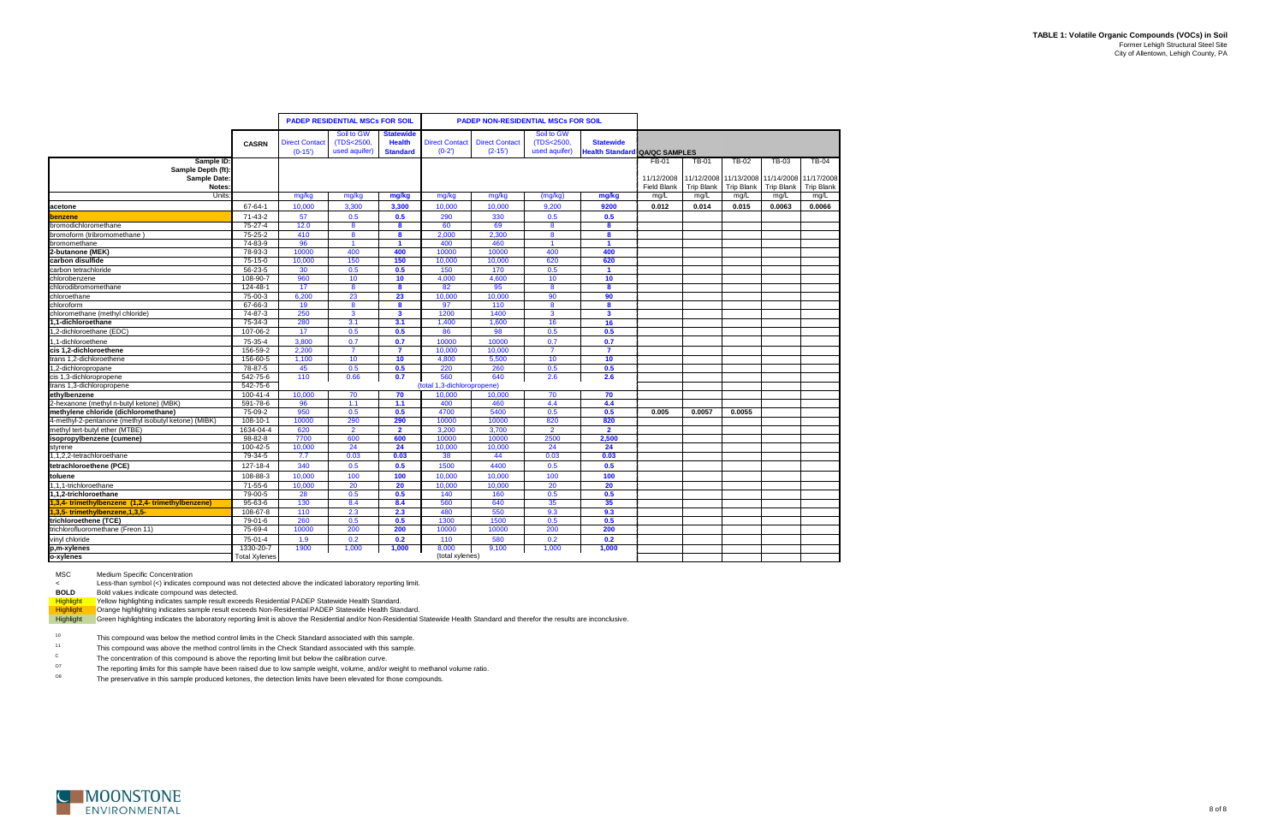|                                                      |                      |                                   | <b>PADEP RESIDENTIAL MSCs FOR SOIL</b>    |                                                      |                                  | <b>PADEP NON-RESIDENTIAL MSCs FOR SOIL</b> |                                           |                                                          |                                  |                   |                                                       |                   |                                 |
|------------------------------------------------------|----------------------|-----------------------------------|-------------------------------------------|------------------------------------------------------|----------------------------------|--------------------------------------------|-------------------------------------------|----------------------------------------------------------|----------------------------------|-------------------|-------------------------------------------------------|-------------------|---------------------------------|
|                                                      | <b>CASRN</b>         | <b>Direct Contact</b><br>$(0-15)$ | Soil to GW<br>(TDS<2500,<br>used aquifer) | <b>Statewide</b><br><b>Health</b><br><b>Standard</b> | <b>Direct Contact</b><br>$(0-2)$ | <b>Direct Contact</b><br>$(2 - 15')$       | Soil to GW<br>(TDS<2500,<br>used aquifer) | <b>Statewide</b><br><b>Health Standard QA/QC SAMPLES</b> |                                  |                   |                                                       |                   |                                 |
| Sample ID:                                           |                      |                                   |                                           |                                                      |                                  |                                            |                                           |                                                          | FB-01                            | <b>TB-01</b>      | TB-02                                                 | TB-03             | TB-04                           |
| Sample Depth (ft):<br>Sample Date:<br><b>Notes</b>   |                      |                                   |                                           |                                                      |                                  |                                            |                                           |                                                          | 11/12/2008<br><b>Field Blank</b> | <b>Trip Blank</b> | 11/12/2008 11/13/2008 11/14/2008<br><b>Trip Blank</b> | <b>Trip Blank</b> | 11/17/2008<br><b>Trip Blank</b> |
| Units                                                |                      | mg/kg                             | mg/kg                                     | mg/kg                                                | mg/kg                            | mg/kg                                      | (mg/kg)                                   | mg/kg                                                    | mg/L                             | mg/L              | mg/L                                                  | mg/L              | mg/L                            |
| acetone                                              | 67-64-1              | 10,000                            | 3,300                                     | 3,300                                                | 10,000                           | 10,000                                     | 9,200                                     | 9200                                                     | 0.012                            | 0.014             | 0.015                                                 | 0.0063            | 0.0066                          |
| benzene                                              | $71 - 43 - 2$        | 57                                | 0.5                                       | 0.5                                                  | 290                              | 330                                        | 0.5                                       | 0.5                                                      |                                  |                   |                                                       |                   |                                 |
| bromodichloromethane                                 | $75 - 27 - 4$        | 12.0                              | 8                                         | 8                                                    | 60                               | 69                                         | 8                                         | 8                                                        |                                  |                   |                                                       |                   |                                 |
| bromoform (tribromomethane)                          | $75 - 25 - 2$        | 410                               | 8                                         | 8                                                    | 2.000                            | 2,300                                      | 8                                         | 8                                                        |                                  |                   |                                                       |                   |                                 |
| bromomethane                                         | 74-83-9              | 96                                |                                           |                                                      | 400                              | 460                                        |                                           |                                                          |                                  |                   |                                                       |                   |                                 |
| 2-butanone (MEK)                                     | 78-93-3              | 10000                             | 400                                       | 400                                                  | 10000                            | 10000                                      | 400                                       | 400                                                      |                                  |                   |                                                       |                   |                                 |
| carbon disulfide                                     | 75-15-0              | 10,000                            | 150                                       | 150                                                  | 10,000                           | 10.000                                     | 620                                       | 620                                                      |                                  |                   |                                                       |                   |                                 |
| carbon tetrachloride                                 | 56-23-5              | 30                                | 0.5                                       | 0.5                                                  | 150                              | 170                                        | 0.5                                       | $\overline{1}$                                           |                                  |                   |                                                       |                   |                                 |
| chlorobenzene                                        | 108-90-7             | 960                               | 10                                        | 10                                                   | 4.000                            | 4,600                                      | 10                                        | 10                                                       |                                  |                   |                                                       |                   |                                 |
| chlorodibromomethane                                 | 124-48-1             | 17                                | 8                                         | 8                                                    | 82                               | 95                                         | 8                                         | 8                                                        |                                  |                   |                                                       |                   |                                 |
| chloroethane                                         | 75-00-3              | 6,200                             | 23                                        | 23                                                   | 10,000                           | 10,000                                     | 90                                        | 90                                                       |                                  |                   |                                                       |                   |                                 |
| chloroform                                           | 67-66-3              | 19                                | 8                                         | 8                                                    | 97                               | 110                                        | 8                                         | 8                                                        |                                  |                   |                                                       |                   |                                 |
| chloromethane (methyl chloride)                      | 74-87-3              | 250                               | $\mathbf{3}$                              | $\mathbf{3}$                                         | 1200                             | 1400                                       | $\mathbf{3}$                              | $\overline{\mathbf{3}}$                                  |                                  |                   |                                                       |                   |                                 |
| 1,1-dichloroethane                                   | 75-34-3              | 280                               | 3.1                                       | 3.1                                                  | 1,400                            | 1,600                                      | 16                                        | 16                                                       |                                  |                   |                                                       |                   |                                 |
| 1,2-dichloroethane (EDC)                             | 107-06-2             | 17                                | 0.5                                       | 0.5                                                  | 86                               | 98                                         | 0.5                                       | 0.5                                                      |                                  |                   |                                                       |                   |                                 |
| 1,1-dichloroethene                                   | 75-35-4              | 3,800                             | 0.7                                       | 0.7                                                  | 10000                            | 10000                                      | 0.7                                       | 0.7                                                      |                                  |                   |                                                       |                   |                                 |
| cis 1.2-dichloroethene                               | 156-59-2             | 2.200                             | $\overline{7}$                            | $\overline{7}$                                       | 10.000                           | 10.000                                     | $\overline{7}$                            | $\overline{7}$                                           |                                  |                   |                                                       |                   |                                 |
| trans 1,2-dichloroethene                             | 156-60-5             | 1,100                             | 10                                        | 10                                                   | 4,800                            | 5,500                                      | 10                                        | 10                                                       |                                  |                   |                                                       |                   |                                 |
| 1,2-dichloropropane                                  | 78-87-5              | 45                                | 0.5                                       | 0.5                                                  | 220                              | 260                                        | 0.5                                       | 0.5                                                      |                                  |                   |                                                       |                   |                                 |
| cis 1,3-dichloropropene                              | 542-75-6             | 110                               | 0.66                                      | 0.7                                                  | 560                              | 640                                        | 2.6                                       | 2.6                                                      |                                  |                   |                                                       |                   |                                 |
| trans 1,3-dichloropropene                            | 542-75-6             |                                   |                                           |                                                      | (total 1,3-dichloropropene)      |                                            |                                           |                                                          |                                  |                   |                                                       |                   |                                 |
| ethylbenzene                                         | 100-41-4             | 10,000                            | 70                                        | 70                                                   | 10,000                           | 10,000                                     | 70                                        | 70                                                       |                                  |                   |                                                       |                   |                                 |
| 2-hexanone (methyl n-butyl ketone) (MBK)             | 591-78-6             | 96                                | 1.1                                       | 1.1                                                  | 400                              | 460                                        | 4.4                                       | 4.4                                                      |                                  |                   |                                                       |                   |                                 |
| methylene chloride (dichloromethane)                 | 75-09-2              | 950                               | 0.5                                       | 0.5                                                  | 4700                             | 5400                                       | 0.5                                       | 0.5                                                      | 0.005                            | 0.0057            | 0.0055                                                |                   |                                 |
| 4-methyl-2-pentanone (methyl isobutyl ketone) (MIBK) | 108-10-1             | 10000                             | 290                                       | 290                                                  | 10000                            | 10000                                      | 820                                       | 820                                                      |                                  |                   |                                                       |                   |                                 |
| methyl tert-butyl ether (MTBE)                       | 1634-04-4            | 620                               | $\overline{2}$                            | $\overline{2}$                                       | 3,200                            | 3,700                                      | $\overline{2}$                            | $\overline{2}$                                           |                                  |                   |                                                       |                   |                                 |
| isopropylbenzene (cumene)                            | $98 - 82 - 8$        | 7700                              | 600                                       | 600                                                  | 10000                            | 10000                                      | 2500                                      | 2,500                                                    |                                  |                   |                                                       |                   |                                 |
| styrene                                              | 100-42-5             | 10,000                            | 24                                        | 24                                                   | 10,000                           | 10,000                                     | 24                                        | 24                                                       |                                  |                   |                                                       |                   |                                 |
| 1,1,2,2-tetrachloroethane                            | 79-34-5              | 7.7                               | 0.03                                      | 0.03                                                 | 38                               | 44                                         | 0.03                                      | 0.03                                                     |                                  |                   |                                                       |                   |                                 |
| tetrachloroethene (PCE)                              | 127-18-4             | 340                               | 0.5                                       | 0.5                                                  | 1500                             | 4400                                       | 0.5                                       | 0.5                                                      |                                  |                   |                                                       |                   |                                 |
| toluene                                              | 108-88-3             | 10.000                            | 100                                       | 100                                                  | 10.000                           | 10.000                                     | 100                                       | 100                                                      |                                  |                   |                                                       |                   |                                 |
| 1,1,1-trichloroethane                                | 71-55-6              | 10,000                            | 20                                        | 20                                                   | 10,000                           | 10,000                                     | 20                                        | 20                                                       |                                  |                   |                                                       |                   |                                 |
| 1.1.2-trichloroethane                                | 79-00-5              | 28                                | 0.5                                       | 0.5                                                  | 140                              | 160                                        | 0.5                                       | 0.5                                                      |                                  |                   |                                                       |                   |                                 |
| 1,3,4-trimethylbenzene (1,2,4-trimethylbenzene)      | 95-63-6              | 130                               | 8.4                                       | 8.4                                                  | 560                              | 640                                        | 35                                        | 35                                                       |                                  |                   |                                                       |                   |                                 |
| 1,3,5-trimethylbenzene,1,3,5-                        | 108-67-8             | 110                               | 2.3                                       | 2.3                                                  | 480                              | 550                                        | 9.3                                       | 9.3                                                      |                                  |                   |                                                       |                   |                                 |
| trichloroethene (TCE)                                | 79-01-6              | 260                               | 0.5                                       | 0.5                                                  | 1300                             | 1500                                       | 0.5                                       | 0.5                                                      |                                  |                   |                                                       |                   |                                 |
| trichlorofluoromethane (Freon 11)                    | 75-69-4              | 10000                             | 200                                       | 200                                                  | 10000                            | 10000                                      | 200                                       | 200                                                      |                                  |                   |                                                       |                   |                                 |
| vinyl chloride                                       | 75-01-4              | 1.9                               | 0.2                                       | 0.2                                                  | 110                              | 580                                        | 0.2                                       | 0.2                                                      |                                  |                   |                                                       |                   |                                 |
| p,m-xylenes                                          | 1330-20-7            | 1900                              | 1,000                                     | 1,000                                                | 8,000                            | 9,100                                      | 1,000                                     | 1,000                                                    |                                  |                   |                                                       |                   |                                 |
| o-xylenes                                            | <b>Total Xylenes</b> |                                   |                                           |                                                      | (total xylenes)                  |                                            |                                           |                                                          |                                  |                   |                                                       |                   |                                 |

MSC Medium Specific Concentration

<Less-than symbol (<) indicates compound was not detected above the indicated laboratory reporting limit.

**BOLD** Bold values indicate compound was detected.

Highlight Yellow highlighting indicates sample result exceeds Residential PADEP Statewide Health Standard.

Highlight Crange highlighting indicates sample result exceeds Non-Residential PADEP Statewide Health Standard.

Highlight Green highlighting indicates the laboratory reporting limit is above the Residential and/or Non-Residential Statewide Health Standard and therefor the results are inconclusive.

10This compound was below the method control limits in the Check Standard associated with this sample.

11This compound was above the method control limits in the Check Standard associated with this sample.

O7The reporting limits for this sample have been raised due to low sample weight, volume, and/or weight to methanol volume ratio.

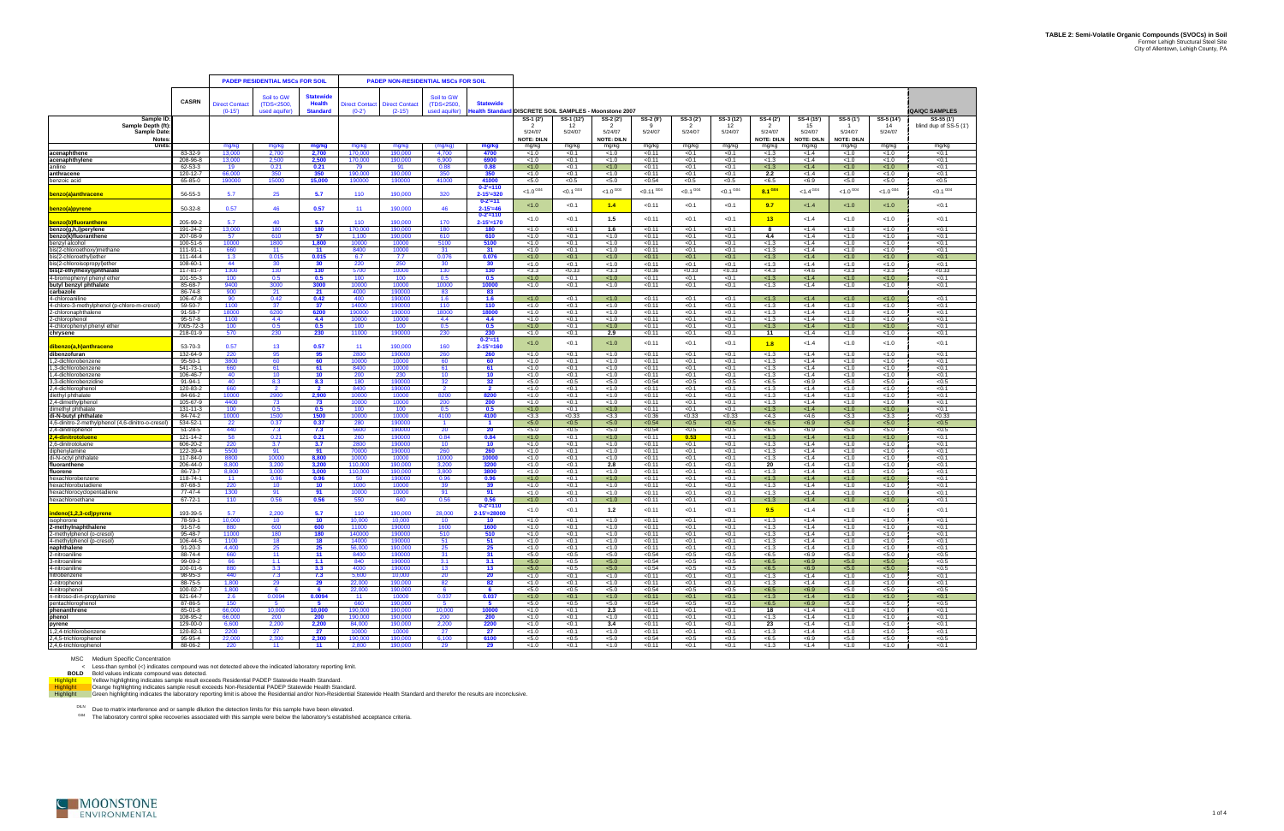

|                                                        |                           |                      | <b>PADEP RESIDENTIAL MSCs FOR SOIL</b> |                                   |                       |                       | <b>PADEP NON-RESIDENTIAL MSCs FOR SOIL</b> |                                      |                   |                    |                                        |                  |                             |                    |                   |                       |                              |                    |                        |
|--------------------------------------------------------|---------------------------|----------------------|----------------------------------------|-----------------------------------|-----------------------|-----------------------|--------------------------------------------|--------------------------------------|-------------------|--------------------|----------------------------------------|------------------|-----------------------------|--------------------|-------------------|-----------------------|------------------------------|--------------------|------------------------|
|                                                        |                           |                      |                                        |                                   |                       |                       |                                            |                                      |                   |                    |                                        |                  |                             |                    |                   |                       |                              |                    |                        |
|                                                        | <b>CASRN</b>              | <b>Direct Contac</b> | Soil to GW<br>(TDS<2500)               | <b>Statewide</b><br><b>Health</b> | <b>Direct Contact</b> | <b>Direct Contact</b> | Soil to GW<br>(TDS<2500)                   | <b>Statewide</b>                     |                   |                    |                                        |                  |                             |                    |                   |                       |                              |                    |                        |
|                                                        |                           | $(0-15')$            | used aquifer)                          | <b>Standard</b>                   | $(0-2)$               | $(2-15)$              | used aquifer)                              | lealth Standar                       |                   |                    | DISCRETE SOIL SAMPLES - Moonstone 2007 |                  |                             |                    |                   |                       |                              |                    | <b>QA/QC SAMPLES</b>   |
| Sample ID                                              |                           |                      |                                        |                                   |                       |                       |                                            |                                      | SS-1 (2')         | SS-1 (12')         | SS-2 (2')                              | SS-2 (9')        | SS-3 (2')                   | SS-3 (12')         | SS-4 (2')         | SS-4 (15')            | SS-5 (1')                    | SS-5 (14')         | SS-55 (1')             |
| Sample Depth (ft)                                      |                           |                      |                                        |                                   |                       |                       |                                            |                                      | - 2               | 12                 | -2                                     | -9               | 2                           | 12                 | $\overline{2}$    | 15                    |                              | 14                 | blind dup of SS-5 (1") |
| Sample Date:                                           |                           |                      |                                        |                                   |                       |                       |                                            |                                      | 5/24/07           | 5/24/07            | 5/24/07                                | 5/24/07          | 5/24/07                     | 5/24/07            | 5/24/07           | 5/24/07               | 5/24/07                      | 5/24/07            |                        |
| <b>Notes</b>                                           |                           |                      |                                        |                                   |                       |                       |                                            |                                      | <b>NOTE: DILN</b> |                    | <b>NOTE: DILN</b>                      |                  |                             |                    | <b>NOTE: DILN</b> | <b>NOTE: DILN</b>     | <b>NOTE: DILN</b>            |                    |                        |
| Units                                                  |                           | mg/kg                | mg/kg                                  | mg/kg                             | mg/kg                 | mg/kg                 | (mg/kg)                                    | mg/kg                                | mg/kg             | mg/kg              | mg/kg                                  | mg/kg            | mg/kg                       | mg/kg              | mg/kg             | mg/kg                 | mg/kg                        | mg/kg              | mg/kg                  |
| acenaphthene                                           | 83-32-9<br>208-96-8       | 13,000               | 2,700<br>2.500                         | 2,700                             | 170,000               | 190,000               | 4,700<br>6.900                             | 4700                                 | < 1.0             | < 0.1              | < 1.0                                  | < 0.11           | < 0.1                       | < 0.1              | < 1.3             | < 1.4                 | < 1.0                        | < 1.0              | < 0.1                  |
| acenaphthylene<br>aniline                              | 62-53-3                   | 13,000<br>19         | 0.21                                   | 2,500<br>0.21                     | 170,000<br>79         | 190,000<br>91         | 0.88                                       | 6900<br>0.88                         | < 1.0<br>< 1.0    | < 0.1<br>< 0.1     | < 1.0<br><1.0                          | < 0.11<br>< 0.11 | < 0.1<br>< 0.1              | < 0.1<br>< 0.1     | < 1.3<br>< 1.3    | < 1.4<br>< 1.4        | < 1.0<br>1.0                 | < 1.0<br>< 1.0     | < 0.1<br>< 0.1         |
| anthracene                                             | 120-12-7                  | 66,000               | 350                                    | 350                               | 190.000               | 190,000               | 350                                        | 350                                  | < 1.0             | < 0.1              | < 1.0                                  | < 0.11           | < 0.1                       | < 0.1              | 2.2               | < 1.4                 | < 1.0                        | < 1.0              | < 0.1                  |
| benzoic acid                                           | 65-85-0                   | 190000               | 15000                                  | 15,000                            | 190000                | 190000                | 41000                                      | 41000                                | < 5.0             | < 0.5              | < 5.0                                  | < 0.54           | < 0.5                       | < 0.5              | < 6.5             | <6.9                  | < 5.0                        | < 5.0              | < 0.5                  |
|                                                        |                           |                      |                                        |                                   |                       |                       |                                            | $0 - 2' = 110$                       | $< 1.0$ G04       | $<\!\!0.1^{\,604}$ | ${<}1.0^{\,604}$                       | $< 0.11$ G04     | $<0.1^{\, \, \mathrm{G04}}$ | $<\!\!0.1^{\,604}$ | 8.1 GO4           | ${<}1.4$ $^{\rm G04}$ | $<\!\!1.0^{\, \mathrm{G04}}$ | $<\!\!1.0^{\,604}$ | $<0.1$ $^{\rm G04}$    |
| benzo(a)anthracene                                     | 56-55-3                   | 5.7                  | 25                                     | 5.7                               | 110                   | 190,000               | 320                                        | $2 - 15' = 320$                      |                   |                    |                                        |                  |                             |                    |                   |                       |                              |                    |                        |
|                                                        |                           |                      |                                        |                                   |                       |                       |                                            | $0 - 2' = 11$                        | < 1.0             | < 0.1              | 1.4                                    | < 0.11           | < 0.1                       | < 0.1              | 9.7               | < 1.4                 | < 1.0                        | < 1.0              | < 0.1                  |
| benzo(a)pyrene                                         | $50-32-8$                 | 0.57                 | 46                                     | 0.57                              | 11                    | 190,000               | 46                                         | $2 - 15' = 46$<br>$0 - 2' = 110$     |                   |                    |                                        |                  |                             |                    |                   |                       |                              |                    |                        |
| benzo(b)fluoranthene                                   | 205-99-2                  | 5.7                  | 40                                     | 5.7                               | 110                   | 190,000               | 170                                        | $2 - 15' = 170$                      | < 1.0             | < 0.1              | 1.5                                    | <0.11            | < 0.1                       | < 0.1              | 13                | < 1.4                 | 1.0                          | < 1.0              | < 0.1                  |
| benzo(g,h,i)perylene                                   | 191-24-2                  | 13,000               | 180                                    | 180                               | 170,000               | 190,000               | 180                                        | 180                                  | < 1.0             | < 0.1              | 1.6                                    | < 0.11           | < 0.1                       | < 0.1              | -8                | < 1.4                 | < 1.0                        | < 1.0              | < 0.1                  |
| benzo(k)fluoranthene                                   | 207-08-9                  | 57                   | 610                                    | 57                                | 1,100                 | 190,000               | 610                                        | 610                                  | < 1.0             | < 0.1              | < 1.0                                  | <0.11            | < 0.1                       | < 0.1              | 4.4               | < 1.4                 | < 1.0                        | < 1.0              | < 0.1                  |
| benzyl alcohol                                         | 100-51-6                  | 10000                | 1800                                   | 1.800                             | 10000                 | 10000                 | 5100                                       | 5100                                 | < 1.0             | < 0.1              | < 1.0                                  | < 0.11           | < 0.1                       | < 0.1              | < 1.3             | < 1.4                 | < 1.0                        | < 1.0              | < 0.1                  |
| bis(2-chloroethoxy)methane                             | 111-91-1                  | 660                  | 11                                     | 11                                | 8400                  | 10000                 | 31                                         | 31                                   | < 1.0             | < 0.1              | < 1.0                                  | < 0.11           | < 0.1                       | < 0.1              | < 1.3             | < 1.4                 | < 1.0                        | < 1.0              | < 0.1                  |
| bis(2-chloroethyl)ether<br>bis(2-chloroisopropyl)ether | 111-44-4<br>108-60-1      | 1.3                  | 0.015                                  | 0.015                             | 6.7                   | 7.7                   | 0.076                                      | 0.076                                | < 1.0             | < 0.1              | < 1.0                                  | < 0.11           | < 0.1                       | < 0.1              | < 1.3             | < 1.4                 | 1.0                          | < 1.0              | < 0.1                  |
| bis(2-ethylhexyl)phthalate                             | 117-81-7                  | 44<br>1300           | 30<br>130                              | 30<br>130                         | 220<br>5700           | 250<br>10000          | -30<br>130                                 | 30<br>130                            | < 1.0<br>< 3.3    | < 0.1<br>< 0.33    | < 1.0<br>< 3.3                         | < 0.11<br>< 0.36 | < 0.1<br>< 0.33             | < 0.1<br>< 0.33    | < 1.3<br><4.3     | < 1.4<br><4.6         | < 1.0<br>< 3.3               | < 1.0<br>< 3.3     | < 0.1<br>< 0.33        |
| 4-bromophenyl phenyl ether                             | 101-55-3                  | 100                  | 0.5                                    | 0.5                               | 100                   | 100                   | 0.5                                        | 0.5                                  | < 1.0             | < 0.1              | < 1.0                                  | < 0.11           | < 0.1                       | < 0.1              | < 1.3             | < 1.4                 | < 1.0                        | < 1.0              | < 0.1                  |
| butyl benzyl phthalate                                 | 85-68-7                   | 9400                 | 3000                                   | 3000                              | 10000                 | 10000                 | 10000                                      | 10000                                | < 1.0             | < 0.1              | < 1.0                                  | < 0.11           | < 0.1                       | < 0.1              | < 1.3             | < 1.4                 | < 1.0                        | < 1.0              | < 0.1                  |
| carbazole                                              | 86-74-8                   | 900                  | 21                                     | 21                                | 4000                  | 190000                | 83                                         | 83                                   |                   |                    |                                        |                  |                             |                    |                   |                       |                              |                    |                        |
| 4-chloroaniline                                        | 106-47-8                  | 90                   | 0.42                                   | 0.42                              | 400                   | 190000                | 1.6                                        | 1.6                                  | < 1.0             | < 0.1              | <1.0                                   | < 0.11           | < 0.1                       | < 0.1              | < 1.3             | < 1.4                 | 1.0                          | < 1.0              | < 0.1                  |
| 4-chloro-3-methylphenol (p-chloro-m-cresol)            | 59-50-7                   | 1100                 | 37                                     | 37                                | 14000                 | 190000                | 110                                        | 110                                  | < 1.0             | < 0.1              | < 1.0                                  | < 0.11           | < 0.1                       | < 0.1              | < 1.3             | < 1.4                 | < 1.0                        | < 1.0              | < 0.1                  |
| 2-chloronaphthalene<br>2-chlorophenol                  | 91-58-7<br>95-57-8        | 18000<br>1100        | 6200<br>4.4                            | 6200<br>4.4                       | 190000<br>10000       | 190000<br>10000       | 18000<br>4.4                               | 18000<br>4.4                         | < 1.0<br>< 1.0    | < 0.1<br>< 0.1     | < 1.0<br>< 1.0                         | < 0.11<br>< 0.11 | < 0.1<br>< 0.1              | < 0.1<br>< 0.1     | < 1.3<br>< 1.3    | < 1.4<br>< 1.4        | < 1.0<br>< 1.0               | < 1.0<br>< 1.0     | < 0.1<br>< 0.1         |
| 4-chlorophenyl phenyl ether                            | 7005-72-3                 | 100                  | 0.5                                    | 0.5                               | 100                   | 100                   | 0.5                                        | 0.5                                  | < 1.0             | < 0.1              | < 1.0                                  | < 0.11           | < 0.1                       | < 0.1              | < 1.3             | < 1.4                 | 1.0                          | < 1.0              | < 0.1                  |
| chrysene                                               | 218-01-9                  | 570                  | 230                                    | 230                               | 11000                 | 190000                | 230                                        | 230                                  | < 1.0             | < 0.1              | 2.9                                    | < 0.11           | < 0.1                       | < 0.1              | 11                | < 1.4                 | < 1.0                        | < 1.0              | < 0.1                  |
|                                                        |                           |                      |                                        |                                   |                       |                       |                                            | $0 - 2' = 11$                        | < 1.0             | < 0.1              | 1.0                                    | < 0.11           | < 0.1                       | < 0.1              | 1.8               | < 1.4                 | < 1.0                        | < 1.0              | < 0.1                  |
| <b>ibenzo(a.h)anthracene</b>                           | 53-70-3                   | 0.57                 | 13                                     | 0.57                              | 11                    | 190,000               | 160                                        | $2 - 15' = 160$                      |                   |                    |                                        |                  |                             |                    |                   |                       |                              |                    |                        |
| dibenzofuran                                           | 132-64-9                  | 220                  | 95                                     | 95                                | 2800                  | 190000                | 260                                        | 260                                  | < 1.0             | < 0.1              | < 1.0                                  | < 0.11           | < 0.1                       | < 0.1              | < 1.3             | < 1.4                 | < 1.0                        | < 1.0              | < 0.1                  |
| 1,2-dichlorobenzene<br>3-dichlorobenzene               | $95 - 50 - 1$<br>541-73-1 | 3800<br>660          | 60<br>61                               | 60<br>61                          | 10000<br>8400         | 10000<br>10000        | 60<br>61                                   | 60<br>61                             | < 1.0<br>< 1.0    | < 0.1<br>< 0.1     | < 1.0<br>< 1.0                         | < 0.11<br>< 0.11 | < 0.1<br>< 0.1              | < 0.1<br>< 0.1     | < 1.3<br>< 1.3    | < 1.4<br>< 1.4        | < 1.0<br>< 1.0               | < 1.0<br>< 1.0     | < 0.1<br>< 0.1         |
| 1,4-dichlorobenzene                                    | 106-46-7                  | 40                   | 10 <sup>°</sup>                        | 10                                | 200                   | 230                   | 10                                         | 10                                   | < 1.0             | < 0.1              | < 1.0                                  | < 0.11           | < 0.1                       | < 0.1              | < 1.3             | < 1.4                 | < 1.0                        | < 1.0              | < 0.1                  |
| 3,3-dichlorobenzidine                                  | 91-94-1                   | 40                   | 8.3                                    | 8.3                               | 180                   | 190000                | 32                                         | 32                                   | < 5.0             | < 0.5              | < 5.0                                  | < 0.54           | < 0.5                       | < 0.5              | < 6.5             | <6.9                  | < 5.0                        | < 5.0              | < 0.5                  |
| 2,4-dichlorophenol                                     | 120-83-2                  | 660                  | $\overline{2}$                         | $\overline{2}$                    | 8400                  | 190000                | $\overline{2}$                             | $\overline{2}$                       | < 1.0             | < 0.1              | < 1.0                                  | < 0.11           | < 0.1                       | < 0.1              | < 1.3             | < 1.4                 | < 1.0                        | < 1.0              | < 0.1                  |
| diethyl phthalate                                      | 84-66-2                   | 10000                | 2900                                   | 2,900                             | 10000                 | 10000                 | 8200                                       | 8200                                 | < 1.0             | < 0.1              | < 1.0                                  | < 0.11           | < 0.1                       | < 0.1              | < 1.3             | < 1.4                 | < 1.0                        | < 1.0              | < 0.1                  |
| 2,4-dimethylphenol                                     | 105-67-9                  | 4400                 | 73                                     | 73                                | 10000                 | 10000                 | 200                                        | 200                                  | < 1.0             | < 0.1              | < 1.0                                  | < 0.11           | < 0.1                       | < 0.1              | < 1.3             | < 1.4                 | < 1.0                        | < 1.0              | < 0.1                  |
| dimethyl phthalate<br>di-N-butyl phthalate             | 131-11-3<br>84-74-2       | 100<br>10000         | 0.5<br>1500                            | 0.5<br>1500                       | 100<br>10000          | 100<br>10000          | 0.5<br>4100                                | 0.5<br>4100                          | < 1.0<br>< 3.3    | < 0.1<br>< 0.33    | <1.0<br>< 3.3                          | < 0.11<br>< 0.36 | < 0.1<br>< 0.33             | < 0.1<br>< 0.33    | < 1.3<br>< 4.3    | < 1.4<br><4.6         | 1.0<br>< 3.3                 | < 1.0<br>< 3.3     | < 0.1<br>< 0.33        |
| 4,6-dinitro-2-methylphenol (4,6-dinitro-o-cresol)      | 534-52-1                  | 22                   | 0.37                                   | 0.37                              | 280                   | 190000                | $\overline{1}$                             | $\blacktriangleleft$                 | < 5.0             | < 0.5              | 5.0                                    | < 0.54           | < 0.5                       | < 0.5              | $5 - 6.5$         | <6.9                  | 5.0                          | 5.0                | < 0.5                  |
| 2,4-dinitrophenol                                      | 51-28-5                   | 440                  | 7.3                                    | 7.3                               | 5600                  | 190000                | 20                                         | 20                                   | < 5.0             | < 0.5              | < 5.0                                  | < 0.54           | < 0.5                       | < 0.5              | < 6.5             | <6.9                  | < 5.0                        | < 5.0              | < 0.5                  |
| 4-dinitrotoluene                                       | 121-14-2                  | 58                   | 0.21                                   | 0.21                              | 260                   | 190000                | 0.84                                       | 0.84                                 | < 1.0             | < 0.1              | < 1.0                                  | < 0.11           | 0.53                        | < 0.1              | < 1.3             | < 1.4                 | 1.0                          | < 1.0              | < 0.1                  |
| 2,6-dinitrotoluene                                     | 606-20-2                  | 220                  | 3.7                                    | 3.7                               | 2800                  | 190000                | 10                                         | 10                                   | < 1.0             | < 0.1              | < 1.0                                  | < 0.11           | < 0.1                       | < 0.1              | < 1.3             | < 1.4                 | < 1.0                        | < 1.0              | < 0.1                  |
| diphenylamine                                          | 122-39-4                  | 5500                 | 91                                     | 91                                | 70000                 | 190000                | 260                                        | 260                                  | < 1.0             | < 0.1              | < 1.0                                  | < 0.11           | < 0.1                       | < 0.1              | < 1.3             | < 1.4                 | < 1.0                        | < 1.0              | < 0.1                  |
| di-N-octyl phthalate                                   | 117-84-0                  | 8800                 | 10000                                  | 8.800                             | 10000                 | 10000                 | 10000                                      | 10000                                | < 1.0             | < 0.1              | < 1.0                                  | < 0.11           | < 0.1                       | < 0.1              | < 1.3             | < 1.4                 | < 1.0                        | < 1.0              | < 0.1                  |
| fluoranthene<br>fluorene                               | 206-44-0<br>86-73-7       | 8,800<br>8,800       | 3,200<br>3,000                         | 3,200<br>3,000                    | 110,000<br>110,000    | 190,000<br>190,000    | 3,200<br>3,800                             | 3200<br>3800                         | < 1.0<br>< 1.0    | < 0.1<br>< 0.1     | 2.8<br>< 1.0                           | < 0.11<br>< 0.11 | < 0.1<br>< 0.1              | < 0.1<br>< 0.1     | 20<br>< 1.3       | < 1.4<br>< 1.4        | < 1.0<br>< 1.0               | < 1.0<br>< 1.0     | < 0.1<br>< 0.1         |
| hexachlorobenzene                                      | $118 - 74 - 1$            | 11                   | 0.96                                   | 0.96                              | 50                    | 190000                | 0.96                                       | 0.96                                 | < 1.0             | < 0.1              | < 1.0                                  | < 0.11           | < 0.1                       | < 0.1              | < 1.3             | < 1.4                 | < 1.0                        | < 1.0              | < 0.1                  |
| hexachlorobutadiene                                    | 87-68-3                   | 220                  | 10                                     | 10 <sup>°</sup>                   | 1000                  | 10000                 | 39                                         | 39                                   | < 1.0             | < 0.1              | < 1.0                                  | < 0.11           | < 0.1                       | < 0.1              | < 1.3             | < 1.4                 | < 1.0                        | < 1.0              | < 0.1                  |
| hexachlorocyclopentadiene                              | 77-47-4                   | 1300                 | 91                                     | 91                                | 10000                 | 10000                 | 91                                         | 91                                   | < 1.0             | < 0.1              | < 1.0                                  | < 0.11           | < 0.1                       | < 0.1              | < 1.3             | < 1.4                 | < 1.0                        | < 1.0              | < 0.1                  |
| hexachloroethane                                       | 67-72-1                   | 110                  | 0.56                                   | 0.56                              | 550                   | 640                   | 0.56                                       | 0.56                                 | < 1.0             | < 0.1              | < 1.0                                  | < 0.11           | < 0.1                       | < 0.1              | < 1.3             | < 1.4                 | 1.0                          | < 1.0              | < 0.1                  |
|                                                        |                           |                      |                                        |                                   |                       |                       |                                            | $0 - 2' = 110$                       | < 1.0             | < 0.1              | 1.2                                    | < 0.11           | < 0.1                       | < 0.1              | 9.5               | < 1.4                 | < 1.0                        | < 1.0              | < 0.1                  |
| indeno(1,2,3-cd)pyrene<br>isophorone                   | 193-39-5<br>78-59-1       | 5.7<br>10.000        | 2,200<br>10                            | 5.7<br>10 <sup>°</sup>            | 110<br>10,000         | 190,000<br>10.000     | 28,000<br>10 <sup>°</sup>                  | $2 - 15' = 28000$<br>10 <sup>°</sup> | < 1.0             | < 0.1              | < 1.0                                  | < 0.11           | < 0.1                       | < 0.1              | < 1.3             | < 1.4                 | < 1.0                        | < 1.0              | < 0.1                  |
| 2-methylnaphthalene                                    | $91 - 57 - 6$             | 880                  | 600                                    | 600                               | 11000                 | 190000                | 1600                                       | 1600                                 | < 1.0             | < 0.1              | < 1.0                                  | < 0.11           | < 0.1                       | < 0.1              | < 1.3             | < 1.4                 | < 1.0                        | < 1.0              | < 0.1                  |
|                                                        | 95-48-7                   | 11000                | 180                                    | 180                               | 140000                | 190000                | 510                                        | 510                                  | < 1.0             | < 0.1              | < 1.0                                  | < 0.11           | < 0.1                       | <0.1               | < 1.3             | < 1.4                 | < 1.0                        | < 1.0              | < 0.1                  |
| 2-methylphenol (o-cresol)<br>4-methylphenol (p-cresol) | 106-44-5                  | 1100                 |                                        | 18                                | 14000                 | 190000                | 51                                         | 51                                   | 1.0               | <0.1               | < 1.0                                  | < 0.11           | < 0.1                       | <0.1               | <1.3              | 1.4                   | 1.0                          | 1.0                | < 0.1                  |
| naphthalene                                            | $91 - 20 - 3$             | 4,400                | 25                                     | 25                                | 56,000                | 190,000               | 25                                         | 25                                   | <1.0              | < 0.1              | < 1.0                                  | < 0.11           | < 0.1                       | < 0.1              | < 1.3             | < 1.4                 | < 1.0                        | < 1.0              | < 0.1                  |
| 2-nitroaniline                                         | 88-74-4                   | 660                  | 11                                     | 11                                | 8400                  | 190000                | 31                                         | 31                                   | < 5.0             | < 0.5              | < 5.0                                  | < 0.54           | < 0.5                       | < 0.5              | < 6.5             | <6.9                  | < 5.0                        | < 5.0              | < 0.5                  |
| 3-nitroaniline                                         | 99-09-2                   | 66                   | 1.1                                    | 1.1                               | 840                   | 190000                | 3.1                                        | 3.1                                  | < 5.0             | < 0.5              | < 5.0                                  | < 0.54           | < 0.5                       | < 0.5              | < 6.5             | <6.9                  | < 5.0                        | < 5.0              | < 0.5                  |
| 4-nitroaniline<br>nitrobenzene                         | 100-01-6<br>98-95-3       | 880<br>440           | 3.3<br>7.3                             | 3.3<br>7.3                        | 4000<br>5,600         | 190000<br>10,000      | 13<br>20                                   | 13<br>20                             | < 5.0<br>< 1.0    | < 0.5<br>< 0.1     | < 5.0<br>< 1.0                         | < 0.54<br>< 0.11 | < 0.5<br>< 0.1              | < 0.5<br>< 0.1     | <6.5<br>< 1.3     | <6.9<br>< 1.4         | < 5.0<br>< 1.0               | < 5.0<br>< 1.0     | < 0.5<br>< 0.1         |
| 2-nitrophenol                                          | 88-75-5                   | 1,800                | 29                                     | 29                                | 22,000                | 190,000               | 82                                         | 82                                   | < 1.0             | < 0.1              | < 1.0                                  | < 0.11           | < 0.1                       | < 0.1              | < 1.3             | < 1.4                 | < 1.0                        | < 1.0              | < 0.1                  |
| 4-nitrophenol                                          | 100-02-7                  | 1.800                | 6                                      | 6                                 | 22,000                | 190,000               | -6                                         | 6                                    | < 5.0             | < 0.5              | < 5.0                                  | < 0.54           | < 0.5                       | < 0.5              | < 6.5             | <6.9                  | < 5.0                        | < 5.0              | < 0.5                  |
| n-nitroso-di-n-propylamine                             | 621-64-7                  | 2.6                  | 0.0094                                 | 0.0094                            | 11                    | 10000                 | 0.037                                      | 0.037                                | < 1.0             | < 0.1              | < 1.0                                  | < 0.11           | < 0.1                       | < 0.1              | < 1.3             | < 1.4                 | < 1.0                        | < 1.0              | < 0.1                  |
| pentachlorophenol                                      | 87-86-5                   | 150                  | -5                                     | -5                                | 660                   | 190,000               | 5                                          | - 5                                  | < 5.0             | < 0.5              | < 5.0                                  | < 0.54           | < 0.5                       | < 0.5              | < 6.5             | <6.9                  | < 5.0                        | < 5.0              | < 0.5                  |
|                                                        | 85-01-8                   | 66,000               | 10,000                                 | 10,000                            | 190,000               | 190,000               | 10,000                                     | 10000                                | < 1.0             | < 0.1              | 2.3                                    | < 0.11           | < 0.1                       | < 0.1              | 18                | < 1.4                 | < 1.0                        | < 1.0              | < 0.1                  |
| phenol                                                 | 108-95-2<br>129-00-0      | 66,000<br>6,600      | 200<br>2,200                           | 200<br>2,200                      | 190,000<br>84,000     | 190,000<br>190,000    | 200<br>2,200                               | 200<br>2200                          | < 1.0             | < 0.1              | < 1.0                                  | < 0.11           | < 0.1                       | < 0.1              | < 1.3             | < 1.4                 | < 1.0                        | < 1.0              | < 0.1                  |
| pyrene<br>1,2,4-trichlorobenzene                       | 120-82-1                  | 2200                 | 27                                     | 27                                | 10000                 | 10000                 | 27                                         | 27                                   | < 1.0<br>< 1.0    | < 0.1<br>< 0.1     | 3.4<br>< 1.0                           | < 0.11<br>< 0.11 | < 0.1<br>< 0.1              | < 0.1<br>< 0.1     | 23<br>< 1.3       | < 1.4<br>< 1.4        | < 1.0<br>< 1.0               | < 1.0<br>< 1.0     | < 0.1<br>< 0.1         |
| 2,4,5-trichlorophenol                                  | 95-95-4                   | 22,000               | 2,300                                  | 2,300                             | 190,000               | 190,000               | 6,100                                      | 6100                                 | < 5.0             | < 0.5              | < 5.0                                  | < 0.54           | < 0.5                       | < 0.5              | < 6.5             | <6.9                  | < 5.0                        | < 5.0              | < 0.5                  |
| 2,4,6-trichlorophenol                                  | 88-06-2                   | 220                  | $-11$                                  | $-11$                             | 2,800                 | 190,000               | - 29                                       | - 29                                 | < 1.0             | < 0.1              | < 1.0                                  | < 0.11           | < 0.1                       | < 0.1              | < 1.3             | < 1.4                 | < 1.0                        | < 1.0              | < 0.1                  |

MSC Medium Specific Concentration<br>
SC Less-than symbol (<) indicates compound was not detected above the indicated laboratory reporting limit.<br>
BOLD Bold values indicate compound was detected.<br>
Yellow highlight Change in e

<sup>DILN</sup> Due to matrix interference and or sample dilution the detection limits for this sample have been elevated.<br><sup>G04</sup> The laboratory control spike recoveries associated with this sample were below the laboratory's establ



**TABLE 2: Semi-Volatile Organic Compounds (SVOCs) in Soil**<br>Former Lehigh Structural Steel Site<br>City of Allentown, Lehigh County, PA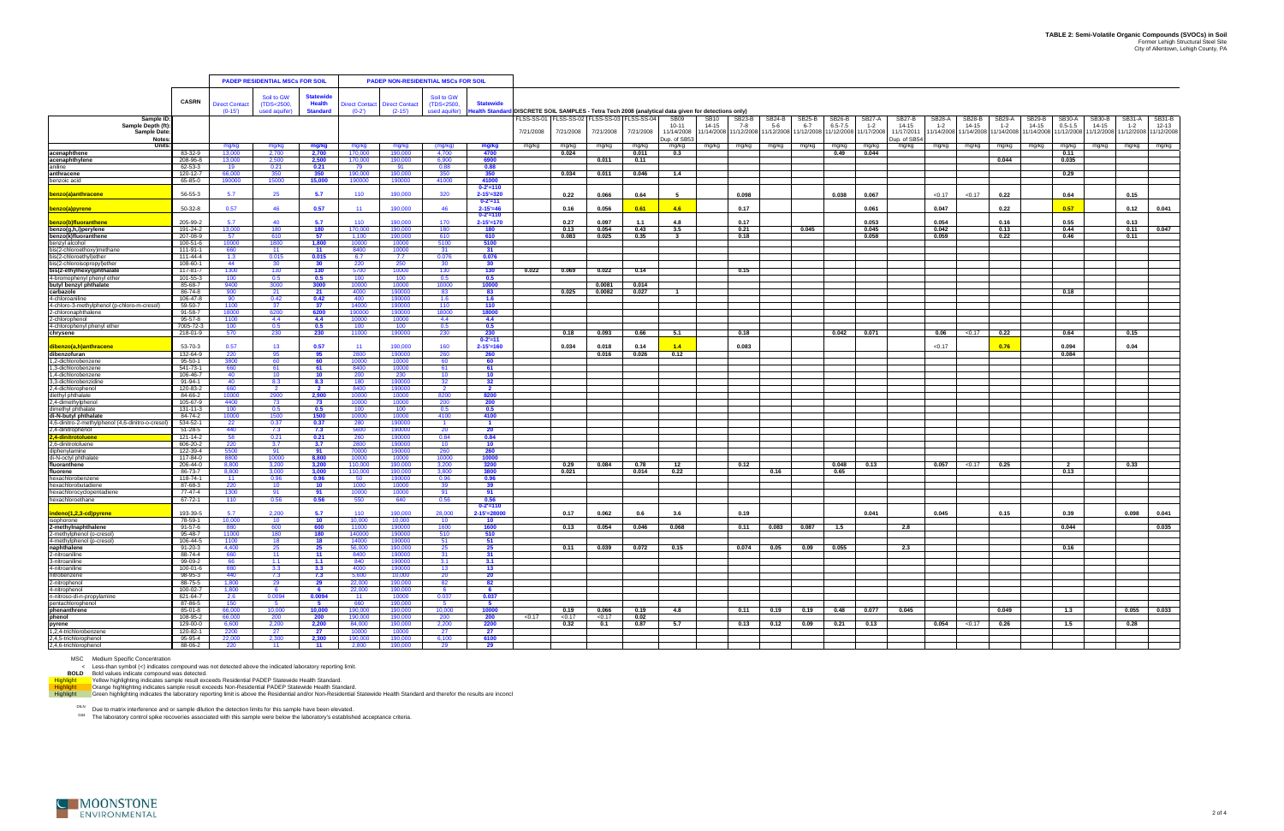|                                                                                                   |                                |                       | <b>PADEP RESIDENTIAL MSCs FOR SOIL</b> |                  |                    | <b>PADEP NON-RESIDENTIAL MSCs FOR SOIL</b> |                |                                    |            |           |            |               |                                                                                                         |                    |                   |                  |                   |                          |                      |                                                 |                      |                     |                      |                    |                           |                                            |                     |
|---------------------------------------------------------------------------------------------------|--------------------------------|-----------------------|----------------------------------------|------------------|--------------------|--------------------------------------------|----------------|------------------------------------|------------|-----------|------------|---------------|---------------------------------------------------------------------------------------------------------|--------------------|-------------------|------------------|-------------------|--------------------------|----------------------|-------------------------------------------------|----------------------|---------------------|----------------------|--------------------|---------------------------|--------------------------------------------|---------------------|
|                                                                                                   |                                |                       | Soil to GW                             | <b>Statewide</b> |                    |                                            | Soil to GW     |                                    |            |           |            |               |                                                                                                         |                    |                   |                  |                   |                          |                      |                                                 |                      |                     |                      |                    |                           |                                            |                     |
|                                                                                                   | <b>CASRN</b>                   | <b>Direct Contact</b> | (TDS<2500,                             | <b>Health</b>    |                    | Direct Contact Direct Contact              | (TDS<2500,     | <b>Statewide</b>                   |            |           |            |               |                                                                                                         |                    |                   |                  |                   |                          |                      |                                                 |                      |                     |                      |                    |                           |                                            |                     |
| Sample II                                                                                         |                                | $(0-15')$             | used aquifer)                          | <b>Standard</b>  | $(0-2)$            | $(2-15)$                                   | used aquifer)  | ealth Standa                       | FLSS-SS-01 | LSS-SS-02 | FLSS-SS-03 | LSS-SS-04     | DISCRETE SOIL SAMPLES - Tetra Tech 2008 (analytical data given for detections only)<br>SB <sub>09</sub> | SB10               | SB23-B            | SB24-B           | SB25-B            | SB26-B                   | <b>SB27-A</b>        | SB27-B                                          | <b>SB28-A</b>        | <b>SB28-B</b>       | SB29-A               | SB29-B             | <b>SB30-A</b>             | <b>SB30-B</b><br>SB31-A                    | SB31-B              |
| Sample Depth (ft<br><b>Sample Date</b><br><b>Notes</b>                                            |                                |                       |                                        |                  |                    |                                            |                |                                    | 7/21/2008  | 7/21/2008 | 7/21/2008  | 7/21/2008     | 10-11<br>11/14/2008<br>Dup. of SB5                                                                      | 14-15<br>1/14/2008 | 7-8<br>11/12/2008 | 5-6<br>1/12/2008 | 6-7<br>11/12/2008 | $6.5 - 7.5$<br>1/12/2008 | $1 - 2$<br>1/17/2008 | 14-15<br>11/17/201 <sup>-</sup><br>Dup. of SB54 | $1 - 2$<br>1/14/2008 | 14-15<br>11/14/2008 | $1 - 2$<br>1/14/2008 | 14-15<br>1/14/2008 | $0.5 - 1.5$<br>11/12/2008 | 14-15<br>$1 - 2$<br>1/12/2008<br>1/12/2008 | 12-13<br>11/12/2008 |
| Units:                                                                                            |                                | mg/kg                 | mg/kg                                  | mg/kg            | mg/kg              | mg/kg                                      | (mg/kg)        | mg/kg                              | mg/kg      | mg/kg     | mg/kg      | mg/kg         | mg/kg                                                                                                   | mg/kg              | mg/kg             | mg/kg            | mg/kg             | mg/kg                    | mg/kg                | mg/kg                                           | mg/kg                | mg/kg               | mg/kg                | mg/kg              | mg/kg                     | mg/kg<br>mg/kg                             | mg/kg               |
| acenaphthene<br>acenaphthylene                                                                    | 83-32-9<br>208-96-8            | 13,000<br>13,000      | 2,700<br>2,500                         | 2,700<br>2,500   | 170,000<br>170,000 | 190,000<br>190,000                         | 4,700<br>6,900 | 4700<br>6900                       |            | 0.024     | 0.011      | 0.011<br>0.11 | 0.3                                                                                                     |                    |                   |                  |                   | 0.49                     | 0.044                |                                                 |                      |                     | 0.044                |                    | 0.11<br>0.035             |                                            |                     |
| aniline                                                                                           | 62-53-3                        | 19                    | 0.21                                   | 0.21             | 79                 | 91                                         | 0.88           | 0.88                               |            |           |            |               |                                                                                                         |                    |                   |                  |                   |                          |                      |                                                 |                      |                     |                      |                    |                           |                                            |                     |
| anthracene<br>benzoic acid                                                                        | 120-12-7<br>65-85-0            | 66,000<br>190000      | 350<br>15000                           | 350<br>15,000    | 190,000<br>190000  | 190,000<br>190000                          | 350<br>41000   | 350<br>41000                       |            | 0.034     | 0.011      | 0.046         | 1.4                                                                                                     |                    |                   |                  |                   |                          |                      |                                                 |                      |                     |                      |                    | 0.29                      |                                            |                     |
|                                                                                                   |                                |                       |                                        |                  |                    |                                            |                | $0 - 2' = 110$                     |            |           |            |               |                                                                                                         |                    |                   |                  |                   |                          |                      |                                                 |                      |                     |                      |                    |                           |                                            |                     |
| benzo(a)anthracene                                                                                | 56-55-3                        | 5.7                   | 25                                     | 5.7              | 110                | 190,000                                    | 320            | $2 - 15' = 320$<br>$0 - 2' = 11$   |            | 0.22      | 0.066      | 0.64          | - 5                                                                                                     |                    | 0.098             |                  |                   | 0.038                    | 0.067                |                                                 | < 0.17               | < 0.17              | 0.22                 |                    | 0.64                      | 0.15                                       |                     |
| <u>benzo(a)pyrene</u>                                                                             | 50-32-8                        | 0.57                  | 46                                     | 0.57             | 11                 | 190,000                                    | 46             | $2 - 15' = 46$                     |            | 0.16      | 0.056      | 0.61          | 4.6                                                                                                     |                    | 0.17              |                  |                   |                          | 0.061                |                                                 | 0.047                |                     | 0.22                 |                    | 0.57                      | 0.12                                       | 0.041               |
| benzo(b)fluoranthene                                                                              | 205-99-2                       | 5.7                   | $40^{\circ}$                           | 5.7              | 110                | 190,000                                    | 170            | $0 - 2' = 110$<br>$2 - 15' = 170$  |            | 0.27      | 0.097      | 1.1           | 4.8                                                                                                     |                    | 0.17              |                  |                   |                          | 0.053                |                                                 | 0.054                |                     | 0.16                 |                    | 0.55                      | 0.13                                       |                     |
| benzo(g,h,i)perylene<br>benzo(k)fluoranthene<br>benzyl alcohol                                    | 191-24-2                       | 13,000                | 180                                    | 180              | 170,000            | 190,000                                    | 180            | 180                                |            | 0.13      | 0.054      | 0.43          | 3.5                                                                                                     |                    | 0.21              |                  | 0.045             |                          | 0.045                |                                                 | 0.042                |                     | 0.13                 |                    | 0.44                      | 0.11                                       | 0.047               |
|                                                                                                   | 207-08-9                       | 57                    | 610                                    | 57               | 1.100              | 190,000                                    | 610            | 610                                |            | 0.083     | 0.025      | 0.35          |                                                                                                         |                    | 0.18              |                  |                   |                          | 0.058                |                                                 | 0.059                |                     | 0.22                 |                    | 0.46                      | 0.11                                       |                     |
| bis(2-chloroethoxy)methane                                                                        | 100-51-6<br>111-91-1           | 10000<br>660          | 1800<br>-11                            | 1,800<br>11      | 10000<br>8400      | 10000<br>10000                             | 5100<br>-31    | 5100<br>31                         |            |           |            |               |                                                                                                         |                    |                   |                  |                   |                          |                      |                                                 |                      |                     |                      |                    |                           |                                            |                     |
| bis(2-chloroethyl)ether<br>bis(2-chloroisopropyl)ether                                            | 111-44-4                       | 1.3                   | 0.015                                  | 0.015            | 6.7                | 7.7                                        | 0.076          | 0.076                              |            |           |            |               |                                                                                                         |                    |                   |                  |                   |                          |                      |                                                 |                      |                     |                      |                    |                           |                                            |                     |
| bis(2-ethylhexyl)phthalate                                                                        | 108-60-1<br>117-81-7           | 44<br>1300            | 30<br>130                              | 30<br>130        | 220<br>5700        | 250<br>10000                               | 30<br>130      | 30<br>130                          | 0.022      | 0.069     | 0.022      | 0.14          |                                                                                                         |                    | 0.15              |                  |                   |                          |                      |                                                 |                      |                     |                      |                    |                           |                                            |                     |
| 4-bromophenyl phenyl ether                                                                        | 101-55-3                       | 100                   | 0.5                                    | 0.5              | 100                | 100                                        | 0.5            | 0.5                                |            |           |            |               |                                                                                                         |                    |                   |                  |                   |                          |                      |                                                 |                      |                     |                      |                    |                           |                                            |                     |
| butyl benzyl phthalate                                                                            | 85-68-7                        | 9400                  | 3000                                   | 3000             | 10000              | 10000                                      | 10000          | 10000                              |            |           | 0.0081     | 0.014         |                                                                                                         |                    |                   |                  |                   |                          |                      |                                                 |                      |                     |                      |                    |                           |                                            |                     |
| carbazole<br>4-chloroaniline                                                                      | 86-74-8<br>106-47-8            | 900<br>90             | 21<br>0.42                             | 21<br>0.42       | 4000<br>400        | 190000<br>190000                           | 83<br>1.6      | 83<br>1.6                          |            | 0.025     | 0.0082     | 0.027         | -1                                                                                                      |                    |                   |                  |                   |                          |                      |                                                 |                      |                     |                      |                    | 0.18                      |                                            |                     |
| 4-chloro-3-methylphenol (p-chloro-m-cresol)                                                       | 59-50-7                        | 1100                  | 37                                     | 37               | 14000              | 190000                                     | 110            | 110                                |            |           |            |               |                                                                                                         |                    |                   |                  |                   |                          |                      |                                                 |                      |                     |                      |                    |                           |                                            |                     |
| 2-chloronaphthalene<br>2-chlorophenol                                                             | 91-58-7<br>$95 - 57 - 8$       | 18000<br>1100         | 6200<br>4.4                            | 6200<br>4.4      | 190000<br>10000    | 190000<br>10000                            | 18000<br>4.4   | 18000<br>4.4                       |            |           |            |               |                                                                                                         |                    |                   |                  |                   |                          |                      |                                                 |                      |                     |                      |                    |                           |                                            |                     |
| 4-chlorophenyl phenyl ether                                                                       | 7005-72-3                      | 100                   | 0.5                                    | 0.5              | 100                | 100                                        | 0.5            | 0.5                                |            |           |            |               |                                                                                                         |                    |                   |                  |                   |                          |                      |                                                 |                      |                     |                      |                    |                           |                                            |                     |
| chrysene                                                                                          | 218-01-9                       | 570                   | 230                                    | 230              | 11000              | 190000                                     | 230            | 230<br>$0 - 2' = 11$               |            | 0.18      | 0.093      | 0.66          | 5.1                                                                                                     |                    | 0.18              |                  |                   | 0.042                    | 0.071                |                                                 | 0.06                 | < 0.17              | 0.22                 |                    | 0.64                      | 0.15                                       |                     |
| dibenzo(a,h)anthracene                                                                            | 53-70-3                        | 0.57                  | 13 <sup>°</sup>                        | 0.57             | 11                 | 190,000                                    | 160            | $2 - 15' = 160$                    |            | 0.034     | 0.018      | 0.14          | 1.4                                                                                                     |                    | 0.083             |                  |                   |                          |                      |                                                 | < 0.17               |                     | 0.76                 |                    | 0.094                     | 0.04                                       |                     |
| dibenzofuran                                                                                      | 132-64-9                       | 220                   | 95                                     | 95               | 2800               | 190000                                     | 260            | 260                                |            |           | 0.016      | 0.026         | 0.12                                                                                                    |                    |                   |                  |                   |                          |                      |                                                 |                      |                     |                      |                    | 0.084                     |                                            |                     |
| 1,2-dichlorobenzene<br>1,3-dichlorobenzene                                                        | 95-50-1<br>541-73-1            | 3800<br>660           | 60<br>61                               | 60<br>61         | 10000<br>8400      | 10000<br>10000                             | 60<br>61       | 60<br>61                           |            |           |            |               |                                                                                                         |                    |                   |                  |                   |                          |                      |                                                 |                      |                     |                      |                    |                           |                                            |                     |
| 1,4-dichlorobenzene                                                                               | 106-46-7                       | 40 <sup>°</sup>       | 10                                     | 10               | 200                | 230                                        | 10             | 10                                 |            |           |            |               |                                                                                                         |                    |                   |                  |                   |                          |                      |                                                 |                      |                     |                      |                    |                           |                                            |                     |
| 3,3-dichlorobenzidine<br>2,4-dichlorophenol                                                       | 91-94-1<br>120-83-2            | 40<br>660             | 8.3                                    | 8.3              | 180<br>8400        | 190000<br>190000                           | 32             | 32                                 |            |           |            |               |                                                                                                         |                    |                   |                  |                   |                          |                      |                                                 |                      |                     |                      |                    |                           |                                            |                     |
| diethyl phthalate                                                                                 | 84-66-2                        | 10000                 | 2900                                   | 2,900            | 10000              | 10000                                      | 8200           | 8200                               |            |           |            |               |                                                                                                         |                    |                   |                  |                   |                          |                      |                                                 |                      |                     |                      |                    |                           |                                            |                     |
| 2,4-dimethylphenol                                                                                | 105-67-9                       | 4400                  | 73                                     | 73               | 10000              | 10000                                      | 200            | 200                                |            |           |            |               |                                                                                                         |                    |                   |                  |                   |                          |                      |                                                 |                      |                     |                      |                    |                           |                                            |                     |
| dimethyl phthalate<br>di-N-butyl phthalate                                                        | $131 - 11 - 3$<br>84-74-2      | 100<br>10000          | 0.5<br>1500                            | 0.5<br>1500      | 100<br>10000       | 100<br>10000                               | 0.5<br>4100    | 0.5<br>4100                        |            |           |            |               |                                                                                                         |                    |                   |                  |                   |                          |                      |                                                 |                      |                     |                      |                    |                           |                                            |                     |
| 4,6-dinitro-2-methylphenol (4,6-dinitro-o-cresol                                                  | 534-52-1                       | 22                    | 0.37                                   | 0.37             | -280               | 190000                                     | $\blacksquare$ | $\blacksquare$                     |            |           |            |               |                                                                                                         |                    |                   |                  |                   |                          |                      |                                                 |                      |                     |                      |                    |                           |                                            |                     |
| 2,4-dinitrophenol<br>2.4-dinitrotoluene                                                           | 51-28-5<br>121-14-2            | 440<br>58             | 7.3<br>0.21                            | 7.3<br>0.21      | 5600<br>260        | 190000<br>190000                           | 20<br>0.84     | 20<br>0.84                         |            |           |            |               |                                                                                                         |                    |                   |                  |                   |                          |                      |                                                 |                      |                     |                      |                    |                           |                                            |                     |
| 2,6-dinitrotoluene                                                                                | 606-20-2                       | 220                   | 3.7                                    | 3.7              | 2800               | 190000                                     | 10             | 10                                 |            |           |            |               |                                                                                                         |                    |                   |                  |                   |                          |                      |                                                 |                      |                     |                      |                    |                           |                                            |                     |
| diphenylamine                                                                                     | 122-39-4                       | 5500                  | 91                                     | 91               | 70000              | 190000                                     | 260            | 260                                |            |           |            |               |                                                                                                         |                    |                   |                  |                   |                          |                      |                                                 |                      |                     |                      |                    |                           |                                            |                     |
| di-N-octyl phthalate<br>fluoranthene                                                              | 117-84-0<br>206-44-0           | 8800<br>8,800         | 10000<br>3,200                         | 8.800<br>3,200   | 10000<br>110,000   | 10000<br>190,000                           | 10000<br>3,200 | 10000<br>3200                      |            | 0.29      | 0.084      | 0.78          | 12                                                                                                      |                    | 0.12              |                  |                   | 0.048                    | 0.13                 |                                                 | 0.057                | < 0.17              | 0.25                 |                    | - 2                       | 0.33                                       |                     |
| fluorene                                                                                          | 86-73-7                        | 8.800                 | 3.000                                  | 3.000            | 110,000            | 190.000                                    | 3.800          | 3800                               |            | 0.021     |            | 0.014         | 0.22                                                                                                    |                    |                   | 0.16             |                   | 0.65                     |                      |                                                 |                      |                     |                      |                    | 0.13                      |                                            |                     |
| hexachlorobenzene<br>hexachlorobutadiene                                                          | 118-74-1<br>87-68-3            | 11<br>220             | 0.96                                   | 0.96<br>10       | 50<br>1000         | 190000<br>10000                            | 0.96<br>39     | 0.96<br>39                         |            |           |            |               |                                                                                                         |                    |                   |                  |                   |                          |                      |                                                 |                      |                     |                      |                    |                           |                                            |                     |
| hexachlorocyclopentadiene                                                                         | 77-47-4                        | 1300                  | 91                                     | -91              | 10000              | 10000                                      | -91            | 91                                 |            |           |            |               |                                                                                                         |                    |                   |                  |                   |                          |                      |                                                 |                      |                     |                      |                    |                           |                                            |                     |
| hexachloroethane                                                                                  | 67-72-1                        | 110                   | 0.56                                   | 0.56             | 550                | 640                                        | 0.56           | 0.56                               |            |           |            |               |                                                                                                         |                    |                   |                  |                   |                          |                      |                                                 |                      |                     |                      |                    |                           |                                            |                     |
| indeno(1,2,3-cd)pyrene                                                                            | 193-39-5                       | 5.7                   | 2,200                                  | 5.7              | 110                | 190.000                                    | 28,000         | $0 - 2' = 110$<br>$2 - 15' = 2800$ |            | 0.17      | 0.062      | 0.6           | 3.6                                                                                                     |                    | 0.19              |                  |                   |                          | 0.041                |                                                 | 0.045                |                     | 0.15                 |                    | 0.39                      | 0.098                                      | 0.041               |
| isophorone                                                                                        | 78-59-1                        | 10,000                | 10 <sup>1</sup>                        | 10 <sup>°</sup>  | 10,000             | 10,000                                     | 10             | 10                                 |            |           |            |               |                                                                                                         |                    |                   |                  |                   |                          |                      |                                                 |                      |                     |                      |                    |                           |                                            |                     |
| 2-methylnaphthalene<br>2-methylphenol (o-cresol)<br>4-methylphenol (p-cresol)                     | $91 - 57 - 6$<br>$95 - 48 - 7$ | 880<br>11000          | 600<br>180                             | 600<br>180       | 11000<br>140000    | 190000<br>190000                           | 1600<br>510    | 1600<br>510                        |            | 0.13      | 0.054      | 0.046         | 0.068                                                                                                   |                    | 0.11              | 0.083            | 0.087             | 1.5                      |                      | 2.8                                             |                      |                     |                      |                    | 0.044                     |                                            | 0.035               |
|                                                                                                   | 106-44-5                       | 1100                  | 18                                     | 18               | 14000              | 90000                                      | 51             | 51                                 |            |           |            |               |                                                                                                         |                    |                   |                  |                   |                          |                      |                                                 |                      |                     |                      |                    |                           |                                            |                     |
| naphthalene<br>2-nitroaniline                                                                     | $91 - 20 - 3$                  | 4,400                 | 25                                     | 25               | 56,000             | 190,000                                    | 25             | 25                                 |            | 0.11      | 0.039      | 0.072         | 0.15                                                                                                    |                    |                   | $0.074$ 0.05     | 0.09              | 0.055                    |                      | 2.3                                             |                      |                     |                      |                    | 0.16                      |                                            |                     |
| 3-nitroaniline                                                                                    | 88-74-4<br>99-09-2             | 660<br>66             | 11<br>1.1                              | 11<br>1.1        | 8400<br>840        | 190000<br>190000                           | 31<br>3.1      | 31<br>3.1                          |            |           |            |               |                                                                                                         |                    |                   |                  |                   |                          |                      |                                                 |                      |                     |                      |                    |                           |                                            |                     |
| 4-nitroaniline                                                                                    | 100-01-6                       | 880                   | 3.3                                    | 3.3              | 4000               | 190000                                     | 13             | 13                                 |            |           |            |               |                                                                                                         |                    |                   |                  |                   |                          |                      |                                                 |                      |                     |                      |                    |                           |                                            |                     |
| nitrobenzene<br>2-nitrophenol                                                                     | 98-95-3<br>88-75-5             | 440<br>1,800          | 7.3                                    | 7.3              | 5.600              | 10.000<br>190,000                          | 20<br>82       | 20<br>82                           |            |           |            |               |                                                                                                         |                    |                   |                  |                   |                          |                      |                                                 |                      |                     |                      |                    |                           |                                            |                     |
|                                                                                                   | 100-02-7                       | 1,800                 | 29<br>6                                | 29<br>6          | 22,000<br>22,000   | 190,000                                    | 6              | 6                                  |            |           |            |               |                                                                                                         |                    |                   |                  |                   |                          |                      |                                                 |                      |                     |                      |                    |                           |                                            |                     |
|                                                                                                   | 621-64-7                       | 2.6                   | 0.0094                                 | 0.0094           | $-11$              | 10000                                      | 0.037          | 0.037                              |            |           |            |               |                                                                                                         |                    |                   |                  |                   |                          |                      |                                                 |                      |                     |                      |                    |                           |                                            |                     |
|                                                                                                   | 87-86-5<br>85-01-8             | 150<br>66.000         | - 5<br>10,000                          | - 5<br>10.000    | 660<br>190,000     | 190,000<br>190,000                         | - 5<br>10.000  | 5<br>10000                         |            | 0.19      | 0.066      | 0.19          | 4.8                                                                                                     |                    | $0.11$            | 0.19             | 0.19              | 0.48                     | 0.077                | 0.045                                           |                      |                     | 0.049                |                    | 1.3                       |                                            | $0.055$ 0.033       |
| z-introphenol<br>4-nitroso-di-n-propylamine<br>pentachlorophenol<br><b>phenanthrene</b><br>phenol | 108-95-2                       | 66,000                | 200                                    | 200              | 190,000            | 190,000                                    | 200            | <b>200</b>                         | < 0.17     | < 0.17    | < 0.17     | 0.02          |                                                                                                         |                    |                   |                  |                   |                          |                      |                                                 |                      |                     |                      |                    |                           |                                            |                     |
| .<br>pyrene                                                                                       | 129-00-0                       | 6,600                 | 2,200                                  | 2,200            | 84,000             | 190,000                                    | 2,200          | 2200                               |            | 0.32      | 0.1        | 0.87          | 5.7                                                                                                     |                    | 0.13              | 0.12             | 0.09              | 0.21                     | 0.13                 |                                                 | 0.054                | < 0.17              | 0.26                 |                    | 1.5                       | 0.28                                       |                     |
| 1,2,4-trichlorobenzene<br>2,4,5-trichlorophenol                                                   | 120-82-1<br>95-95-4            | 2200<br>22,000        | 27<br>2,300                            | 27<br>2,300      | 10000<br>190,000   | 10000<br>190,000                           | 27<br>6,100    | 27<br>6100                         |            |           |            |               |                                                                                                         |                    |                   |                  |                   |                          |                      |                                                 |                      |                     |                      |                    |                           |                                            |                     |
| 2,4,6-trichlorophenol                                                                             | 88-06-2                        | 220                   | $-11$                                  | $-11$            | 2,800              | 190,000                                    | 29             | $-29$                              |            |           |            |               |                                                                                                         |                    |                   |                  |                   |                          |                      |                                                 |                      |                     |                      |                    |                           |                                            |                     |

MSC Medium Specific Concentration<br>
BOLD Bold values indicate compound was not detected above the indicated laboratory reporting limit.<br>
BOLD Bold values indicate compound was detected.<br>
Yellow highlighting indicates sample

<sup>DILN</sup> Due to matrix interference and or sample dilution the detection limits for this sample have been elevated.<br><sup>G04</sup> The laboratory control spike recoveries associated with this sample were below the laboratory's establ

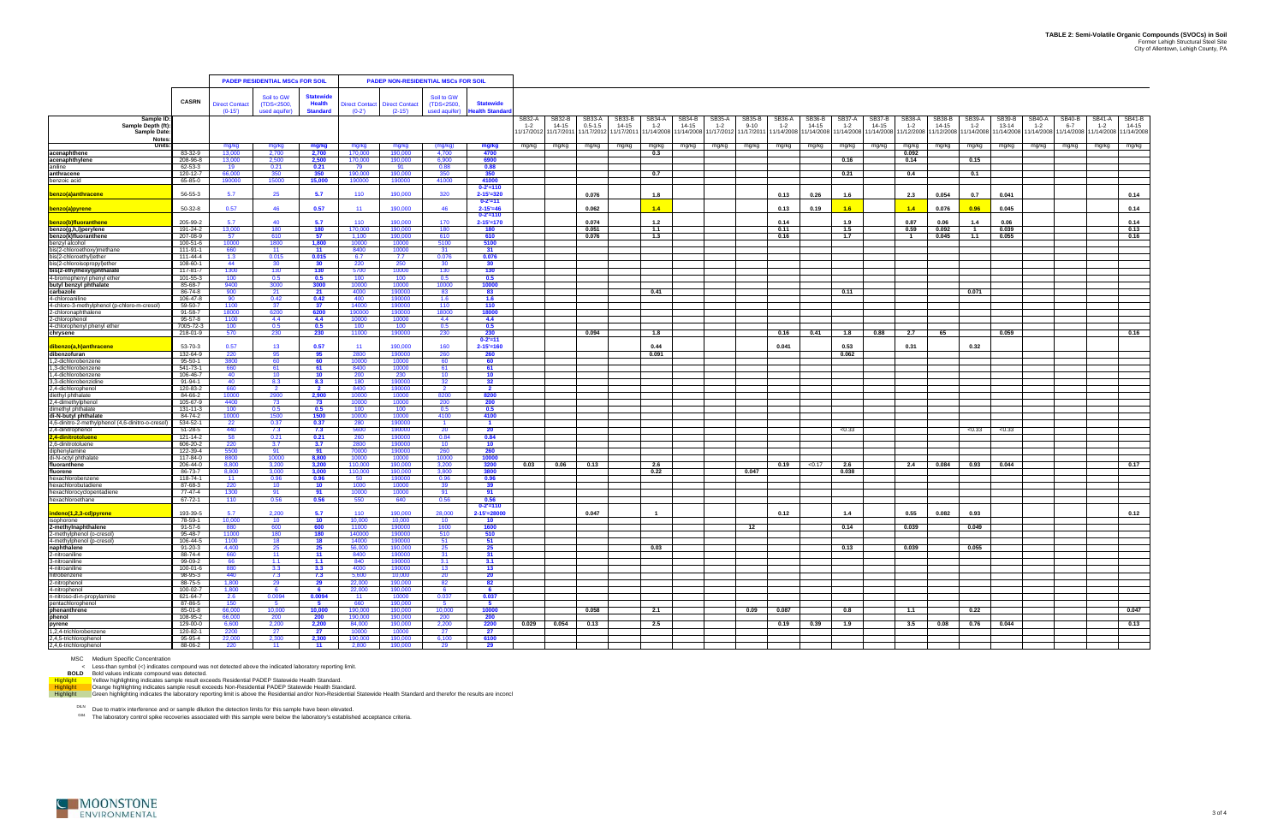|                                                                                                                                                                                                                    |                            |                            | <b>PADEP RESIDENTIAL MSCs FOR SOIL</b> |                                  |                          |                                   | <b>PADEP NON-RESIDENTIAL MSCs FOR SOIL</b> |                                                    |                                |                               |                                     |                               |                                |                                     |                                 |                                  |                                 |                               |                                |                                     |                                |                                   |                                |                              |                                                                  |                                |                               |
|--------------------------------------------------------------------------------------------------------------------------------------------------------------------------------------------------------------------|----------------------------|----------------------------|----------------------------------------|----------------------------------|--------------------------|-----------------------------------|--------------------------------------------|----------------------------------------------------|--------------------------------|-------------------------------|-------------------------------------|-------------------------------|--------------------------------|-------------------------------------|---------------------------------|----------------------------------|---------------------------------|-------------------------------|--------------------------------|-------------------------------------|--------------------------------|-----------------------------------|--------------------------------|------------------------------|------------------------------------------------------------------|--------------------------------|-------------------------------|
|                                                                                                                                                                                                                    |                            |                            | Soil to GW                             | <b>Statewide</b>                 |                          |                                   | Soil to GW                                 |                                                    |                                |                               |                                     |                               |                                |                                     |                                 |                                  |                                 |                               |                                |                                     |                                |                                   |                                |                              |                                                                  |                                |                               |
|                                                                                                                                                                                                                    | <b>CASRN</b>               | Direct Contact<br>$(0-15)$ | (TDS<2500,<br>used aquifer)            | <b>Health</b><br><b>Standard</b> | irect Contact<br>$(0-2)$ | <b>Direct Contact</b><br>$(2-15)$ | (TDS<2500,<br>used aquifer)                | <b>Statewide</b><br>lealth Standa                  |                                |                               |                                     |                               |                                |                                     |                                 |                                  |                                 |                               |                                |                                     |                                |                                   |                                |                              |                                                                  |                                |                               |
| Sample II<br>Sample Depth (ft)<br><b>Sample Date</b>                                                                                                                                                               |                            |                            |                                        |                                  |                          |                                   |                                            |                                                    | SB32-A<br>$1 - 2$<br>1/17/2012 | SB32-B<br>14-15<br>11/17/2011 | SB33-A<br>$0.5 - 1.5$<br>11/17/2012 | SB33-B<br>14-15<br>11/17/2011 | SB34-A<br>$1 - 2$<br>1/14/2008 | <b>SB34-B</b><br>14-15<br>1/14/2008 | SB35-A<br>$1 - 2$<br>11/17/2012 | SB35-B<br>$9 - 10$<br>11/17/2011 | SB36-A<br>$1 - 2$<br>11/14/2008 | SB36-B<br>14-15<br>11/14/2008 | SB37-A<br>$1 - 2$<br>1/14/2008 | <b>SB37-B</b><br>14-15<br>1/14/2008 | SB38-A<br>$1 - 2$<br>1/12/2008 | SB38-B<br>$14 - 15$<br>11/12/2008 | SB39-A<br>$1 - 2$<br>1/14/2008 | SB39-B<br>13-14<br>1/14/2008 | SB40-A<br>SB40-B<br>$1 - 2$<br>$6 - 7$<br>1/14/2008<br>1/14/2008 | SB41-A<br>$1 - 2$<br>1/14/2008 | SB41-B<br>14-15<br>11/14/2008 |
| <b>Notes</b><br><b>Units</b>                                                                                                                                                                                       |                            | mg/kg                      | mg/kg                                  | mg/kg                            | mg/kg                    | mg/kg                             | (mg/kg)                                    | mg/kg                                              | mg/kg                          | mg/kg                         | mg/kg                               | mg/kg                         | mg/kg                          | mg/kg                               | mg/kg                           | mg/kg                            | mg/kg                           | mg/kg                         | mg/kg                          | mg/kg                               | mg/kg                          | mg/kg                             | mg/kg                          | mg/kg                        | mg/kg<br>mg/kg                                                   | mg/kg                          | mg/kg                         |
| acenaphthene                                                                                                                                                                                                       | 83-32-9                    | 13,000                     | 2,700                                  | 2,700                            | 170,000                  | 190,000                           | 4,700                                      | 4700                                               |                                |                               |                                     |                               | 0.3                            |                                     |                                 |                                  |                                 |                               |                                |                                     | 0.092                          |                                   |                                |                              |                                                                  |                                |                               |
| acenaphthylene<br>aniline                                                                                                                                                                                          | 208-96-8<br>62-53-3        | 13,000<br>19               | 2.500<br>0.21                          | 2,500<br>0.21                    | 170,000<br>79            | 190,000<br>91                     | 6.900<br>0.88                              | 6900<br>0.88                                       |                                |                               |                                     |                               |                                |                                     |                                 |                                  |                                 |                               | 0.16                           |                                     | 0.14                           |                                   | 0.15                           |                              |                                                                  |                                |                               |
| anthracene                                                                                                                                                                                                         | 120-12-7                   | 66,000                     | 350                                    | 350                              | 190,000                  | 190,000                           | 350                                        | 350                                                |                                |                               |                                     |                               | 0.7                            |                                     |                                 |                                  |                                 |                               | 0.21                           |                                     | 0.4                            |                                   | 0.1                            |                              |                                                                  |                                |                               |
| benzoic acid                                                                                                                                                                                                       | 65-85-0                    | 190000                     | 15000                                  | 15,000                           | 190000                   | 190000                            | 41000                                      | 41000                                              |                                |                               |                                     |                               |                                |                                     |                                 |                                  |                                 |                               |                                |                                     |                                |                                   |                                |                              |                                                                  |                                |                               |
| benzo(a)anthracene                                                                                                                                                                                                 | 56-55-3                    | 5.7                        | 25                                     | 5.7                              | 110                      | 190,000                           | 320                                        | $0 - 2' = 110$<br>$2 - 15' = 320$<br>$0 - 2' = 11$ |                                |                               | 0.076                               |                               | 1.8                            |                                     |                                 |                                  | 0.13                            | 0.26                          | 1.6                            |                                     | 2.3                            | 0.054                             | 0.7                            | 0.041                        |                                                                  |                                | 0.14                          |
| benzo(a)pyrene                                                                                                                                                                                                     | $50-32-8$                  | 0.57                       | 46                                     | 0.57                             | 11                       | 190,000                           | 46                                         | $2 - 15' = 46$<br>$0 - 2' = 110$                   |                                |                               | 0.062                               |                               | 1.4                            |                                     |                                 |                                  | 0.13                            | 0.19                          | 1.6                            |                                     | 1.4                            | 0.076                             | 0.96                           | 0.045                        |                                                                  |                                | 0.14                          |
| benzo(b)fluoranthene                                                                                                                                                                                               | 205-99-2                   | 5.7                        | 40                                     | 5.7                              | 110                      | 190,000                           | 170                                        | $2 - 15' = 170$                                    |                                |                               | 0.074                               |                               | 1.2                            |                                     |                                 |                                  | 0.14                            |                               | 1.9                            |                                     | 0.87                           | 0.06                              | 1.4                            | 0.06                         |                                                                  |                                | 0.14                          |
| benzo(g,h,i)perylene<br>benzo(k)fluoranthene                                                                                                                                                                       | 191-24-2                   | 13,000<br>57               | 180                                    | <b>180</b>                       | 170,000                  | 190,000                           | 180                                        | 180                                                |                                |                               | 0.051                               |                               | 1.1                            |                                     |                                 |                                  | 0.11                            |                               | 1.5<br>1.7                     |                                     | 0.59<br>$\blacksquare$         | 0.092                             | $\mathbf{1}$                   | 0.039                        |                                                                  |                                | 0.13                          |
|                                                                                                                                                                                                                    | 207-08-9<br>100-51-6       | 10000                      | 610<br>1800                            | $-57$<br>1,800                   | 1,100<br>10000           | 190,000<br>10000                  | 610<br>5100                                | 610<br>5100                                        |                                |                               | 0.076                               |                               | 1.3                            |                                     |                                 |                                  | 0.16                            |                               |                                |                                     |                                | 0.045                             | 1.1                            | 0.055                        |                                                                  |                                | 0.16                          |
|                                                                                                                                                                                                                    | 111-91-1                   | 660                        | - 11                                   | 11                               | 8400                     | 10000                             | -31                                        | - 31                                               |                                |                               |                                     |                               |                                |                                     |                                 |                                  |                                 |                               |                                |                                     |                                |                                   |                                |                              |                                                                  |                                |                               |
|                                                                                                                                                                                                                    | 111-44-4                   | 1.3                        | 0.015                                  | 0.015                            | 6.7                      | 7.7                               | 0.076                                      | 0.076                                              |                                |                               |                                     |                               |                                |                                     |                                 |                                  |                                 |                               |                                |                                     |                                |                                   |                                |                              |                                                                  |                                |                               |
| benzo(Kyluoranmene<br>benzyl alcohol<br>bis(2-chloroethoxy)methane<br>bis(2-chloroethy)lether<br>bis(2-chloroispropyl)ether<br>bis(2-ethylhexyl)phthalate<br>4-bromophenyl phenyl ether<br>bustyl benzyl phthalate | 108-60-1<br>117-81-7       | 44<br>1300                 | 30<br>130                              | 30<br>130                        | 220<br>5700              | 250<br>10000                      | 30<br>130                                  | 30<br>130                                          |                                |                               |                                     |                               |                                |                                     |                                 |                                  |                                 |                               |                                |                                     |                                |                                   |                                |                              |                                                                  |                                |                               |
|                                                                                                                                                                                                                    | 101-55-3                   | 100                        | 0.5                                    | 0.5                              | 100                      | 100                               | 0.5                                        | 0.5                                                |                                |                               |                                     |                               |                                |                                     |                                 |                                  |                                 |                               |                                |                                     |                                |                                   |                                |                              |                                                                  |                                |                               |
|                                                                                                                                                                                                                    | 85-68-7                    | 9400                       | 3000                                   | 3000                             | 10000                    | 10000                             | 10000                                      | 10000                                              |                                |                               |                                     |                               |                                |                                     |                                 |                                  |                                 |                               |                                |                                     |                                |                                   |                                |                              |                                                                  |                                |                               |
| carbazole<br>4-chloroaniline                                                                                                                                                                                       | 86-74-8<br>106-47-8        | 900<br>90                  | 21<br>0.42                             | 21<br>0.42                       | 4000<br>400              | 190000<br>190000                  | 83<br>1.6                                  | 83<br>1.6                                          |                                |                               |                                     |                               | 0.41                           |                                     |                                 |                                  |                                 |                               | 0.11                           |                                     |                                |                                   | 0.071                          |                              |                                                                  |                                |                               |
| 4-chloro-3-methylphenol (p-chloro-m-cresol)                                                                                                                                                                        | 59-50-7                    | 1100                       | - 37                                   | 37                               | 14000                    | 190000                            | 110                                        | 110                                                |                                |                               |                                     |                               |                                |                                     |                                 |                                  |                                 |                               |                                |                                     |                                |                                   |                                |                              |                                                                  |                                |                               |
| 2-chloronaphthalene                                                                                                                                                                                                | 91-58-7                    | 18000                      | 6200                                   | 6200                             | 190000                   | 190000                            | 18000                                      | 18000                                              |                                |                               |                                     |                               |                                |                                     |                                 |                                  |                                 |                               |                                |                                     |                                |                                   |                                |                              |                                                                  |                                |                               |
| 2-chlorophenol<br>4-chlorophenyl phenyl ether                                                                                                                                                                      | $95 - 57 - 8$<br>7005-72-3 | 1100<br>100                | 4.4<br>0.5                             | 4.4<br>0.5                       | 10000<br>100             | 10000<br>100                      | 4.4<br>0.5                                 | 4.4<br>0.5                                         |                                |                               |                                     |                               |                                |                                     |                                 |                                  |                                 |                               |                                |                                     |                                |                                   |                                |                              |                                                                  |                                |                               |
| chrysene                                                                                                                                                                                                           | 218-01-9                   | 570                        | 230                                    | 230                              | 11000                    | 190000                            | 230                                        | 230                                                |                                |                               | 0.094                               |                               | 1.8                            |                                     |                                 |                                  | 0.16                            | 0.41                          | 1.8                            | 0.88                                | 2.7                            | 65                                |                                | 0.059                        |                                                                  |                                | 0.16                          |
|                                                                                                                                                                                                                    |                            |                            |                                        |                                  |                          |                                   |                                            | $0 - 2' = 11$                                      |                                |                               |                                     |                               |                                |                                     |                                 |                                  |                                 |                               |                                |                                     |                                |                                   |                                |                              |                                                                  |                                |                               |
| dibenzo(a,h)anthracene<br>dibenzofuran                                                                                                                                                                             | 53-70-3<br>132-64-9        | 0.57<br>220                | 13<br>95                               | 0.57<br>95                       | 11<br>2800               | 190,000<br>190000                 | 160<br>260                                 | $2 - 15' = 160$<br>260                             |                                |                               |                                     |                               | 0.44<br>0.091                  |                                     |                                 |                                  | 0.041                           |                               | 0.53<br>0.062                  |                                     | 0.31                           |                                   | 0.32                           |                              |                                                                  |                                |                               |
| 1.2-dichlorobenzene                                                                                                                                                                                                | 95-50-1                    | 3800                       | 60                                     | 60                               | 10000                    | 10000                             | 60                                         | 60                                                 |                                |                               |                                     |                               |                                |                                     |                                 |                                  |                                 |                               |                                |                                     |                                |                                   |                                |                              |                                                                  |                                |                               |
| 1,3-dichlorobenzene                                                                                                                                                                                                | $541 - 73 - 1$             | 660                        | 61                                     | 61                               | 8400                     | 10000                             | 61                                         | 61                                                 |                                |                               |                                     |                               |                                |                                     |                                 |                                  |                                 |                               |                                |                                     |                                |                                   |                                |                              |                                                                  |                                |                               |
| 1,4-dichlorobenzene<br>3,3-dichlorobenzidine                                                                                                                                                                       | 106-46-7<br>91-94-1        | 40<br>40                   | 10<br>8.3                              | 10<br>8.3                        | 200<br>180               | 230<br>190000                     | 10<br>32 <sub>2</sub>                      | $10-10$<br>32 <sup>2</sup>                         |                                |                               |                                     |                               |                                |                                     |                                 |                                  |                                 |                               |                                |                                     |                                |                                   |                                |                              |                                                                  |                                |                               |
| 2,4-dichlorophenol                                                                                                                                                                                                 | 120-83-2                   | 660                        |                                        | $\mathbf{2}$                     | 8400                     | 190000                            |                                            |                                                    |                                |                               |                                     |                               |                                |                                     |                                 |                                  |                                 |                               |                                |                                     |                                |                                   |                                |                              |                                                                  |                                |                               |
| diethyl phthalate                                                                                                                                                                                                  | 84-66-2                    | 10000                      | 2900                                   | 2,900                            | 10000                    | 10000                             | 8200                                       | 8200                                               |                                |                               |                                     |                               |                                |                                     |                                 |                                  |                                 |                               |                                |                                     |                                |                                   |                                |                              |                                                                  |                                |                               |
| 2,4-dimethylphenol<br>dimethyl phthalate                                                                                                                                                                           | 105-67-9<br>131-11-3       | 4400<br>100                | 73<br>0.5                              | 73<br>0.5                        | 10000<br>100             | 10000<br>100                      | 200<br>0.5                                 | 200<br>0.5                                         |                                |                               |                                     |                               |                                |                                     |                                 |                                  |                                 |                               |                                |                                     |                                |                                   |                                |                              |                                                                  |                                |                               |
| di-N-butyl phthalate                                                                                                                                                                                               | 84-74-2                    | 10000                      | 1500                                   | 1500                             | 10000                    | 10000                             | 4100                                       | 4100                                               |                                |                               |                                     |                               |                                |                                     |                                 |                                  |                                 |                               |                                |                                     |                                |                                   |                                |                              |                                                                  |                                |                               |
| 4,6-dinitro-2-methylphenol (4,6-dinitro-o-cresol)                                                                                                                                                                  | 534-52-1                   | 22                         | 0.37                                   | 0.37                             | 280                      | 190000                            |                                            | $\blacksquare$                                     |                                |                               |                                     |                               |                                |                                     |                                 |                                  |                                 |                               |                                |                                     |                                |                                   |                                |                              |                                                                  |                                |                               |
| 2,4-dinitrophenol<br><mark>4-dinitrotoluene</mark>                                                                                                                                                                 | 51-28-5<br>121-14-2        | 440<br>58                  | 7.3<br>0.21                            | 7.3<br>0.21                      | 5600<br>260              | 190000<br>190000                  | 20<br>0.84                                 | 20<br>0.84                                         |                                |                               |                                     |                               |                                |                                     |                                 |                                  |                                 |                               | < 0.33                         |                                     |                                |                                   | < 0.33                         | < 0.33                       |                                                                  |                                |                               |
| 2,6-dinitrotoluene                                                                                                                                                                                                 | 606-20-2                   | 220                        | 3.7                                    | 3.7                              | 2800                     | 190000                            | 10 <sup>1</sup>                            | 10                                                 |                                |                               |                                     |                               |                                |                                     |                                 |                                  |                                 |                               |                                |                                     |                                |                                   |                                |                              |                                                                  |                                |                               |
| diphenylamine                                                                                                                                                                                                      | 122-39-4                   | 5500                       | 91                                     | 91                               | 70000                    | 190000                            | 260                                        | 260                                                |                                |                               |                                     |                               |                                |                                     |                                 |                                  |                                 |                               |                                |                                     |                                |                                   |                                |                              |                                                                  |                                |                               |
| di-N-octyl phthalate<br>fluoranthene                                                                                                                                                                               | 117-84-0<br>206-44-0       | 8800<br>8.800              | 10000<br>3,200                         | 8,800<br>3,200                   | 10000<br>110,000         | 10000<br>190,000                  | 10000<br>3,200                             | 10000<br>3200                                      | 0.03                           | 0.06                          | 0.13                                |                               | 2.6                            |                                     |                                 |                                  | 0.19                            | < 0.17                        | 2.6                            |                                     | 2.4                            | 0.084                             | 0.93                           | 0.044                        |                                                                  |                                | 0.17                          |
| fluorene                                                                                                                                                                                                           | 86-73-7                    | 8.800                      | 3.000                                  | 3.000                            | 110,000                  | 190,000                           | 3.800                                      | 3800                                               |                                |                               |                                     |                               | 0.22                           |                                     |                                 | 0.047                            |                                 |                               | 0.038                          |                                     |                                |                                   |                                |                              |                                                                  |                                |                               |
| hexachlorobenzene                                                                                                                                                                                                  | 118-74-1                   | 11                         | 0.96                                   | 0.96                             | 50                       | 190000                            | 0.96                                       | 0.96                                               |                                |                               |                                     |                               |                                |                                     |                                 |                                  |                                 |                               |                                |                                     |                                |                                   |                                |                              |                                                                  |                                |                               |
| hexachlorobutadiene<br>hexachlorocyclopentadiene                                                                                                                                                                   | 87-68-3<br>77-47-4         | 220<br>1300                | <b>10</b><br>91                        | 10 <sub>1</sub><br>91            | 1000<br>10000            | 10000<br>10000                    | -39<br>91                                  | 39<br>91                                           |                                |                               |                                     |                               |                                |                                     |                                 |                                  |                                 |                               |                                |                                     |                                |                                   |                                |                              |                                                                  |                                |                               |
| hexachloroethane                                                                                                                                                                                                   | 67-72-1                    | 110                        | 0.56                                   | 0.56                             | 550                      | 640                               | 0.56                                       | 0.56                                               |                                |                               |                                     |                               |                                |                                     |                                 |                                  |                                 |                               |                                |                                     |                                |                                   |                                |                              |                                                                  |                                |                               |
|                                                                                                                                                                                                                    |                            |                            |                                        |                                  |                          |                                   |                                            | $0 - 2' = 110$                                     |                                |                               |                                     |                               |                                |                                     |                                 |                                  |                                 |                               |                                |                                     |                                |                                   |                                |                              |                                                                  |                                |                               |
| indeno(1,2,3-cd)pyrene<br>isophorone                                                                                                                                                                               | 193-39-5<br>78-59-1        | 5.7<br>10,000              | 2,200<br>-10                           | 5.7<br>10                        | 110<br>10.000            | 190,000<br>10,000                 | 28,000<br>10.                              | $2 - 15' = 28000$<br>10                            |                                |                               | 0.047                               |                               | $\mathbf{1}$                   |                                     |                                 |                                  | 0.12                            |                               | 1.4                            |                                     | 0.55                           | 0.082                             | 0.93                           |                              |                                                                  |                                | 0.12                          |
| 2-methylnaphthalene                                                                                                                                                                                                | 91-57-6                    | 880                        | 600                                    | 600                              | 11000                    | 190000                            | 1600                                       | 1600                                               |                                |                               |                                     |                               |                                |                                     |                                 | 12                               |                                 |                               | 0.14                           |                                     | 0.039                          |                                   | 0.049                          |                              |                                                                  |                                |                               |
| 2-methylphenol (o-cresol)<br>$\overline{A}$                                                                                                                                                                        | 95-48-7                    | 11000                      | 180                                    | 180                              | 140000                   | 190000                            | 510                                        | 510                                                |                                |                               |                                     |                               |                                |                                     |                                 |                                  |                                 |                               |                                |                                     |                                |                                   |                                |                              |                                                                  |                                |                               |
|                                                                                                                                                                                                                    | $106 - 44 - 5$<br>91-20-3  | 4,400                      | 25                                     | 25                               | 56,000                   | 190,000                           | 25                                         | 25                                                 |                                |                               |                                     |                               | 0.03                           |                                     |                                 |                                  |                                 |                               | 0.13                           |                                     | 0.039                          |                                   | 0.055                          |                              |                                                                  |                                |                               |
| naphthalene<br>2-nitroaniline                                                                                                                                                                                      | 88-74-4                    | 660                        | 11                                     | 11                               | 8400                     | 190000                            | 31                                         | 31                                                 |                                |                               |                                     |                               |                                |                                     |                                 |                                  |                                 |                               |                                |                                     |                                |                                   |                                |                              |                                                                  |                                |                               |
| 3-nitroaniline                                                                                                                                                                                                     | 99-09-2                    | 66                         | 1.1                                    | 1.1                              | 840                      | 190000                            | 3.1                                        | 3.1                                                |                                |                               |                                     |                               |                                |                                     |                                 |                                  |                                 |                               |                                |                                     |                                |                                   |                                |                              |                                                                  |                                |                               |
| 4-nitroaniline<br>nitrobenzene                                                                                                                                                                                     | $100 - 01 - 6$<br>98-95-3  | 880<br>440                 | 3.3<br>7.3                             | 3.3<br>7.3                       | 4000<br>5.600            | 190000<br>10,000                  | 13<br>20                                   | 13 <sup>7</sup><br>20                              |                                |                               |                                     |                               |                                |                                     |                                 |                                  |                                 |                               |                                |                                     |                                |                                   |                                |                              |                                                                  |                                |                               |
| 2-nitrophenol                                                                                                                                                                                                      | 88-75-5                    | 1,800                      | 29                                     | 29                               | 22,000                   | 190,000                           | 82                                         | 82                                                 |                                |                               |                                     |                               |                                |                                     |                                 |                                  |                                 |                               |                                |                                     |                                |                                   |                                |                              |                                                                  |                                |                               |
| 4-nitrophenol                                                                                                                                                                                                      | $100 - 02 - 7$             | 1,800                      | 6                                      | - 6                              | 22,000                   | 190.000                           | - 6                                        | 6                                                  |                                |                               |                                     |                               |                                |                                     |                                 |                                  |                                 |                               |                                |                                     |                                |                                   |                                |                              |                                                                  |                                |                               |
| The University<br>nethtachlorophenol<br>phenanthrene<br>phenol<br>phenol                                                                                                                                           | 621-64-7<br>87-86-5        | 2.6<br>150                 | 0.0094<br>- 5                          | 0.0094<br>- 5                    | 11<br>660                | 10000<br>190,000                  | 0.037<br>- 5                               | 0.037<br>5                                         |                                |                               |                                     |                               |                                |                                     |                                 |                                  |                                 |                               |                                |                                     |                                |                                   |                                |                              |                                                                  |                                |                               |
|                                                                                                                                                                                                                    | 85-01-8                    | 66,000                     | 10.000                                 | 10,000                           | 190,000                  | 190,000                           | 10.000                                     | 10000                                              |                                |                               | 0.058                               |                               | 2.1                            |                                     |                                 | 0.09                             | 0.087                           |                               | 0.8                            |                                     | 1.1                            |                                   | 0.22                           |                              |                                                                  |                                | 0.047                         |
|                                                                                                                                                                                                                    | 108-95-2                   | 66,000                     | 200                                    | 200                              | 190,000                  | 190,000                           | 200                                        | 200                                                |                                |                               |                                     |                               |                                |                                     |                                 |                                  |                                 |                               |                                |                                     |                                |                                   |                                |                              |                                                                  |                                |                               |
| pyrene                                                                                                                                                                                                             | 129-00-0                   | 6,600                      | 2,200                                  | 2,200                            | 84,000                   | 190,000                           | 2,200                                      | 2200                                               | 0.029                          | 0.054                         | 0.13                                |                               | 2.5                            |                                     |                                 |                                  | 0.19                            | 0.39                          | 1.9                            |                                     | 3.5                            | 0.08                              | 0.76                           | 0.044                        |                                                                  |                                | 0.13                          |
| 1,2,4-trichlorobenzene<br>2,4,5-trichlorophenol                                                                                                                                                                    | 120-82-1<br>95-95-4        | 2200<br>22,000             | 27<br>2.300                            | 27<br>2,300                      | 10000<br>190,000         | 10000<br>190,000                  | 27<br>6,100                                | 27<br>6100                                         |                                |                               |                                     |                               |                                |                                     |                                 |                                  |                                 |                               |                                |                                     |                                |                                   |                                |                              |                                                                  |                                |                               |
| 2,4,6-trichlorophenol                                                                                                                                                                                              | 88-06-2                    | 220                        | $-11$                                  | $-11$                            | 2,800                    | 190,000                           | - 29                                       | 29                                                 |                                |                               |                                     |                               |                                |                                     |                                 |                                  |                                 |                               |                                |                                     |                                |                                   |                                |                              |                                                                  |                                |                               |

MSC Medium Specific Concentration<br>
BOLD Bold values indicate compound was not detected above the indicated laboratory reporting limit.<br>
BOLD Bold values indicate compound was detected.<br>
Yellow highlighting indicates sample

<sup>DILN</sup> Due to matrix interference and or sample dilution the detection limits for this sample have been elevated.<br><sup>G04</sup> The laboratory control spike recoveries associated with this sample were below the laboratory's establ

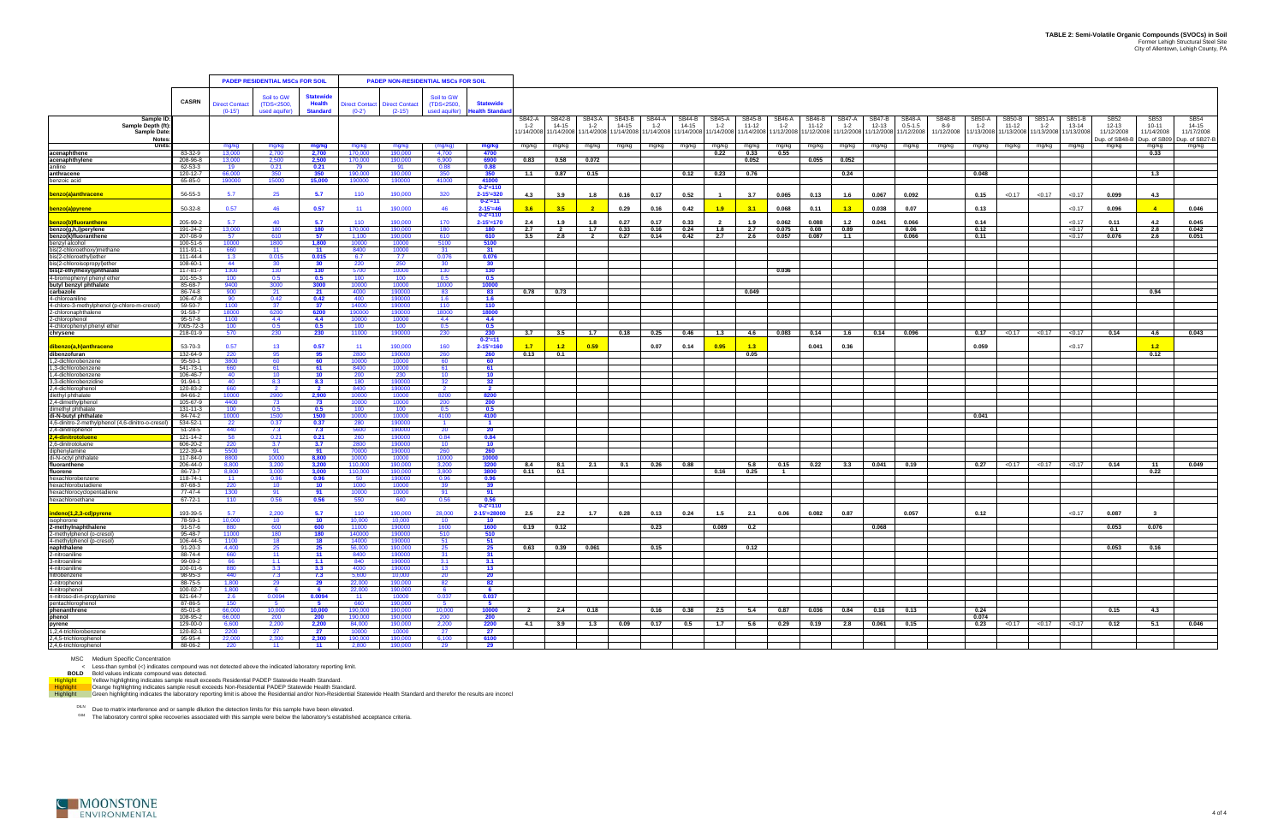|                                                                |                            |                            | <b>PADEP RESIDENTIAL MSCs FOR SOIL</b>    |                                                      |                           |                                    | <b>PADEP NON-RESIDENTIAL MSCs FOR SOIL</b> |                                                    |                         |                                  |                   |                 |                   |                      |                          |                       |                   |                 |                          |                     |                              |                      |                   |                                  |                          |                        |                         |                       |                         |
|----------------------------------------------------------------|----------------------------|----------------------------|-------------------------------------------|------------------------------------------------------|---------------------------|------------------------------------|--------------------------------------------|----------------------------------------------------|-------------------------|----------------------------------|-------------------|-----------------|-------------------|----------------------|--------------------------|-----------------------|-------------------|-----------------|--------------------------|---------------------|------------------------------|----------------------|-------------------|----------------------------------|--------------------------|------------------------|-------------------------|-----------------------|-------------------------|
|                                                                |                            |                            |                                           |                                                      |                           |                                    |                                            |                                                    |                         |                                  |                   |                 |                   |                      |                          |                       |                   |                 |                          |                     |                              |                      |                   |                                  |                          |                        |                         |                       |                         |
|                                                                | <b>CASRN</b>               | Direct Contact<br>$(0-15)$ | Soil to GW<br>(TDS<2500,<br>used aquifer) | <b>Statewide</b><br><b>Health</b><br><b>Standard</b> | Direct Contact<br>$(0-2)$ | <b>Direct Contact</b><br>$(2-15')$ | Soil to GW<br>(TDS<2500,<br>used aquifer)  | <b>Statewide</b><br><b>lealth Standa</b>           |                         |                                  |                   |                 |                   |                      |                          |                       |                   |                 |                          |                     |                              |                      |                   |                                  |                          |                        |                         |                       |                         |
| Sample ID<br>Sample Depth (ft)                                 |                            |                            |                                           |                                                      |                           |                                    |                                            |                                                    | SB42-A<br>$1 - 2$       | SB42-B<br>14-15                  | SB43-A<br>$1 - 2$ | SB43-B<br>14-15 | SB44-A<br>$1 - 2$ | SB44-B<br>14-15      | <b>SB45-A</b><br>$1 - 2$ | SB45-B<br>11-12       | SB46-A<br>$1 - 2$ | SB46-B<br>11-12 | <b>SB47-A</b><br>$1 - 2$ | SB47-B<br>$12 - 13$ | <b>SB48-A</b><br>$0.5 - 1.5$ | <b>SB48-B</b><br>8-9 | SB50-A<br>$1 - 2$ | SB <sub>50</sub> -B<br>$11 - 12$ | <b>SB51-A</b><br>$1 - 2$ | <b>SB51-B</b><br>13-14 | <b>SB52</b><br>12-13    | SB53<br>$10 - 11$     | SB54<br>14-15           |
| <b>Sample Date</b>                                             |                            |                            |                                           |                                                      |                           |                                    |                                            |                                                    | 1/14/2008               | 11/14/2008 11/14/2008 11/14/2008 |                   |                 |                   | 1/14/2008 11/14/2008 |                          | 11/14/2008 11/14/2008 | 1/12/2008         | 1/12/2008       | 11/12/2008               | 1/12/2008           | 11/12/2008                   | 11/12/2008           |                   | 1/13/2008 11/13/2008             | 11/13/2008               | 11/13/2008             | 11/12/2008              | 11/14/2008            | 11/17/2008              |
| <b>Note</b><br>Units:                                          |                            | mg/kg                      | mg/kg                                     | mg/kg                                                | mg/kg                     | mg/kg                              | (mg/kg)                                    | mg/kg                                              | mg/kg                   | mg/kg                            | mg/kg             | mg/kg           | mg/kg             | mg/kg                | mg/kg                    | mg/kg                 | mg/kg             | mg/kg           | mg/kg                    | mg/kg               | mg/kg                        | mg/kg                | mg/kg             | mg/kg                            | mg/kg                    | mg/kg                  | Dup. of SB48-B<br>mg/kg | Dup. of SB09<br>mg/kg | Jup. of SB27-B<br>mg/kg |
| acenaphthene                                                   | 83-32-9                    | 13,000                     | 2,700                                     | 2,700                                                | 170.000                   | 190,000                            | 4,700                                      | 4700                                               |                         |                                  |                   |                 |                   |                      | 0.22                     | 0.33                  | 0.55              |                 |                          |                     |                              |                      |                   |                                  |                          |                        |                         | 0.33                  |                         |
| acenaphthylene                                                 | 208-96-8<br>62-53-3        | 13,000<br>19               | 2,500<br>0.21                             | 2,500<br>0.21                                        | 170.000<br>79             | 190,000<br>91                      | 6,900<br>0.88                              | 6900<br>0.88                                       | 0.83                    | 0.58                             | 0.072             |                 |                   |                      |                          | 0.052                 |                   | 0.055           | 0.052                    |                     |                              |                      |                   |                                  |                          |                        |                         |                       |                         |
| aniline<br>anthracene                                          | 120-12-7                   | 66,000                     | 350                                       | 350                                                  | 190,000                   | 190,000                            | 350                                        | 350                                                | 1.1                     | 0.87                             | 0.15              |                 |                   | 0.12                 | 0.23                     | 0.76                  |                   |                 | 0.24                     |                     |                              |                      | 0.048             |                                  |                          |                        |                         | 1.3                   |                         |
| benzoic acid                                                   | 65-85-0                    | 190000                     | 15000                                     | 15,000                                               | 190000                    | 190000                             | 41000                                      | 41000                                              |                         |                                  |                   |                 |                   |                      |                          |                       |                   |                 |                          |                     |                              |                      |                   |                                  |                          |                        |                         |                       |                         |
| <u>benzo(a)anthracene</u>                                      | 56-55-3                    | 5.7                        | 25                                        | 5.7                                                  | 110                       | 190,000                            | 320                                        | $0 - 2' = 110$<br>$2 - 15' = 320$<br>$0 - 2' = 11$ | 4.3                     | 3.9                              | 1.8               | 0.16            | 0.17              | 0.52                 |                          | 3.7                   | 0.065             | 0.13            | 1.6                      | 0.067               | 0.092                        |                      | 0.15              | < 0.17                           | < 0.17                   | < 0.17                 | 0.099                   | 4.3                   |                         |
| benzo(a)pyrene                                                 | 50-32-8                    | 0.57                       | 46                                        | 0.57                                                 | 11                        | 190,000                            | 46                                         | $2 - 15' = 46$<br>$0 - 2' = 110$                   |                         |                                  |                   | 0.29            | 0.16              | 0.42                 | 1.9 <sub>1</sub>         |                       | 0.068             | 0.11            | 1.3                      | 0.038               | 0.07                         |                      | 0.13              |                                  |                          | < 0.17                 | 0.096                   |                       | 0.046                   |
| benzo(b)fluoranthene                                           | 205-99-2                   | 57                         | 40                                        | 5.7                                                  | 110                       | 190,000                            | 170                                        | $2 - 15' = 170$                                    | 2.4                     | 1.9                              | 1.8               | 0.27            | 0.17              | 0.33                 |                          | 1.9                   | 0.062             | 0.088           | 1.2                      | 0.041               | 0.066                        |                      | 0.14              |                                  |                          | < 0.17                 | 0.11                    | 4.2                   | 0.045                   |
| benzo(g,h,i)perylene                                           | 191-24-2                   | 13,000                     | 180                                       | 180                                                  | 170,000                   | 190,000                            | 180                                        | 180                                                | 2.7                     | $\overline{\mathbf{2}}$          | 1.7               | 0.33            | 0.16              | 0.24                 | 1.8                      | 2.7                   | 0.075             | 0.08            | 0.89                     |                     | 0.06                         |                      | 0.12              |                                  |                          | < 0.17                 | 0.1                     | 2.8                   | 0.042                   |
| benzo(k)fluoranthene<br>benzyl alcohol                         | 207-08-9<br>100-51-6       | -57<br>10000               | 610<br>1800                               | 57<br>1,800                                          | 1.100<br>10000            | 190,000<br>10000                   | 610<br>5100                                | 610<br>5100                                        | 3.5                     | 2.8                              | $\overline{2}$    | 0.27            | 0.14              | 0.42                 | 2.7                      | 2.6                   | 0.057             | 0.087           | 1.1                      |                     | 0.066                        |                      | 0.11              |                                  |                          | < 0.17                 | 0.076                   | 2.6                   | 0.051                   |
| bis(2-chloroethoxy)methane                                     | 111-91-1                   | 660                        | - 11                                      | 11                                                   | -8400                     | 10000                              | -31                                        | 31                                                 |                         |                                  |                   |                 |                   |                      |                          |                       |                   |                 |                          |                     |                              |                      |                   |                                  |                          |                        |                         |                       |                         |
| bis(2-chloroethyl)ether                                        | 111-44-4                   | 1.3                        | 0.015                                     | 0.015                                                | 6.7                       | 7.7                                | 0.076                                      | 0.076                                              |                         |                                  |                   |                 |                   |                      |                          |                       |                   |                 |                          |                     |                              |                      |                   |                                  |                          |                        |                         |                       |                         |
| bis(2-chloroisopropyl)ether                                    | 108-60-1                   | 44                         | 30                                        | 30                                                   | 220                       | 250                                | 30<br>130                                  | 30 <sub>o</sub>                                    |                         |                                  |                   |                 |                   |                      |                          |                       |                   |                 |                          |                     |                              |                      |                   |                                  |                          |                        |                         |                       |                         |
| bis(2-ethylhexyl)phthalate<br>4-bromophenyl phenyl ether       | $117 - 81 - 7$<br>101-55-3 | 1300<br>100                | 130<br>0.5                                | 130<br>0.5                                           | 5700<br>100               | 10000<br>100                       | 0.5                                        | 130<br>0.5                                         |                         |                                  |                   |                 |                   |                      |                          |                       | 0.036             |                 |                          |                     |                              |                      |                   |                                  |                          |                        |                         |                       |                         |
| butyl benzyl phthalate                                         | 85-68-7                    | 9400                       | 3000                                      | 3000                                                 | 10000                     | 10000                              | 10000                                      | 10000                                              |                         |                                  |                   |                 |                   |                      |                          |                       |                   |                 |                          |                     |                              |                      |                   |                                  |                          |                        |                         |                       |                         |
| carbazole                                                      | 86-74-8                    | 900                        | 21                                        | 21                                                   | 4000                      | 190000                             | 83                                         | 83                                                 | 0.78                    | 0.73                             |                   |                 |                   |                      |                          | 0.049                 |                   |                 |                          |                     |                              |                      |                   |                                  |                          |                        |                         | 0.94                  |                         |
| 4-chloroaniline<br>4-chloro-3-methylphenol (p-chloro-m-cresol) | 106-47-8<br>59-50-7        | 90<br>1100                 | 0.42<br>37                                | 0.42<br>37                                           | 400<br>14000              | 190000<br>190000                   | 1.6<br>110                                 | 1.6<br>110                                         |                         |                                  |                   |                 |                   |                      |                          |                       |                   |                 |                          |                     |                              |                      |                   |                                  |                          |                        |                         |                       |                         |
| 2-chloronaphthalene                                            | 91-58-7                    | 18000                      | 6200                                      | 6200                                                 | 190000                    | 190000                             | 18000                                      | 18000                                              |                         |                                  |                   |                 |                   |                      |                          |                       |                   |                 |                          |                     |                              |                      |                   |                                  |                          |                        |                         |                       |                         |
| 2-chlorophenol                                                 | 95-57-8                    | 1100                       | 4.4                                       | 4.4                                                  | 10000                     | 10000                              | 4.4                                        | 4.4                                                |                         |                                  |                   |                 |                   |                      |                          |                       |                   |                 |                          |                     |                              |                      |                   |                                  |                          |                        |                         |                       |                         |
| 4-chlorophenyl phenyl ether<br>chrysene                        | 7005-72-3<br>218-01-9      | 100<br>570                 | 0.5<br>230                                | 0.5<br>230                                           | 100<br>11000              | 100<br>190000                      | 0.5<br>230                                 | 0.5<br>230                                         | 3.7                     | 3.5                              | 1.7               | 0.18            | 0.25              | 0.46                 | 1.3                      | 4.6                   | 0.083             | 0.14            | 1.6                      | 0.14                | 0.096                        |                      | 0.17              | < 0.17                           | < 0.17                   | < 0.17                 | 0.14                    | 4.6                   | 0.043                   |
|                                                                |                            |                            |                                           |                                                      |                           |                                    |                                            | $0 - 2' = 11$                                      |                         |                                  |                   |                 |                   |                      |                          |                       |                   |                 |                          |                     |                              |                      |                   |                                  |                          |                        |                         |                       |                         |
| dibenzo(a,h)anthracene<br>dibenzofuran                         | 53-70-3<br>132-64-9        | 0.57<br>220                | 13<br>95                                  | 0.57<br>95                                           | 11<br>-2800 -             | 190.000<br>190000                  | 160<br>260                                 | $2 - 15' = 160$<br>260                             | 1.7<br>0.13             | $-4.2$<br>0.1                    | 0.59              |                 | 0.07              | 0.14                 | 0.95                     | 1.3<br>0.05           |                   | 0.041           | 0.36                     |                     |                              |                      | 0.059             |                                  |                          | < 0.17                 |                         | $-1.2$<br>0.12        |                         |
| .2-dichlorobenzene                                             | $95 - 50 - 1$              | 3800                       | 60                                        | 60                                                   | 10000                     | 10000                              | 60                                         | 60                                                 |                         |                                  |                   |                 |                   |                      |                          |                       |                   |                 |                          |                     |                              |                      |                   |                                  |                          |                        |                         |                       |                         |
| ,3-dichlorobenzene                                             | 541-73-1                   | 660                        | 61                                        | 61                                                   | 8400                      | 10000                              | 61                                         | 61                                                 |                         |                                  |                   |                 |                   |                      |                          |                       |                   |                 |                          |                     |                              |                      |                   |                                  |                          |                        |                         |                       |                         |
| 1,4-dichlorobenzene                                            | 106-46-7                   | 40                         | 10                                        | 10                                                   | 200                       | 230                                | 10                                         | 10                                                 |                         |                                  |                   |                 |                   |                      |                          |                       |                   |                 |                          |                     |                              |                      |                   |                                  |                          |                        |                         |                       |                         |
| 3,3-dichlorobenzidine<br>2,4-dichlorophenol                    | 91-94-1<br>120-83-2        | 40<br>660                  | 8.3<br>-2                                 | 8.3<br>- 2                                           | 180<br>-8400              | 190000<br>190000                   | 32 <sup>2</sup>                            | 32<br>2                                            |                         |                                  |                   |                 |                   |                      |                          |                       |                   |                 |                          |                     |                              |                      |                   |                                  |                          |                        |                         |                       |                         |
| diethyl phthalate                                              | 84-66-2                    | 10000                      | 2900                                      | 2,900                                                | 10000                     | 10000                              | 8200                                       | 8200                                               |                         |                                  |                   |                 |                   |                      |                          |                       |                   |                 |                          |                     |                              |                      |                   |                                  |                          |                        |                         |                       |                         |
| 2.4-dimethylphenol<br>dimethyl phthalate                       | 105-67-9<br>131-11-3       | 4400<br>100                | 73<br>0.5                                 | 73<br>0.5                                            | 10000<br>100              | 10000<br>100                       | 200<br>0.5                                 | 200<br>0.5                                         |                         |                                  |                   |                 |                   |                      |                          |                       |                   |                 |                          |                     |                              |                      |                   |                                  |                          |                        |                         |                       |                         |
| di-N-butyl phthalate                                           | 84-74-2                    | 10000                      | 1500                                      | 1500                                                 | 10000                     | 10000                              | 4100                                       | 4100                                               |                         |                                  |                   |                 |                   |                      |                          |                       |                   |                 |                          |                     |                              |                      | 0.041             |                                  |                          |                        |                         |                       |                         |
| 4,6-dinitro-2-methylphenol (4,6-dinitro-o-cresol               | 534-52-1                   | -22                        | 0.37                                      | 0.37                                                 | -280-                     | 190000                             |                                            |                                                    |                         |                                  |                   |                 |                   |                      |                          |                       |                   |                 |                          |                     |                              |                      |                   |                                  |                          |                        |                         |                       |                         |
| 2,4-dinitrophenol<br>4-dinitrotoluene,                         | 51-28-5<br>121-14-2        | 440<br>58                  | 7.3<br>0.21                               | 7.3<br>0.21                                          | 5600<br>260               | 190000<br>190000                   | 20<br>0.84                                 | 20<br>0.84                                         |                         |                                  |                   |                 |                   |                      |                          |                       |                   |                 |                          |                     |                              |                      |                   |                                  |                          |                        |                         |                       |                         |
| 2,6-dinitrotoluene                                             | 606-20-2                   | 220                        | 3.7                                       | 3.7                                                  | 2800                      | 190000                             | $10^{-}$                                   | 10                                                 |                         |                                  |                   |                 |                   |                      |                          |                       |                   |                 |                          |                     |                              |                      |                   |                                  |                          |                        |                         |                       |                         |
| diphenylamine                                                  | 122-39-4                   | 5500                       | 91                                        | 91                                                   | 70000                     | 190000                             | 260                                        | 260                                                |                         |                                  |                   |                 |                   |                      |                          |                       |                   |                 |                          |                     |                              |                      |                   |                                  |                          |                        |                         |                       |                         |
| di-N-octyl phthalate<br>fluoranthene                           | 117-84-0<br>206-44-0       | 8800<br>8,800              | 10000<br>3,200                            | 8.800<br>3,200                                       | 10000<br>110,000          | 10000<br>190,000                   | 10000<br>3,200                             | 10000<br>3200                                      | 8.4                     | -8.1                             | 2.1               | 0.1             | 0.26              | 0.88                 |                          | - 5.8                 | 0.15              | 0.22            | 3.3                      | 0.041               | 0.19                         |                      | 0.27              | < 0.17                           | < 0.17                   | < 0.17                 | 0.14                    | -11                   | 0.049                   |
| fluorene                                                       | 86-73-7                    | 8.800                      | 3.000                                     | 3.000                                                | 110,000                   | 190,000                            | 3.800                                      | 3800                                               | 0.11                    | 0.1                              |                   |                 |                   |                      | 0.16                     | 0.25                  | $\blacksquare$    |                 |                          |                     |                              |                      |                   |                                  |                          |                        |                         | 0.22                  |                         |
| hexachlorobenzene                                              | 118-74-1                   | 11                         | 0.96                                      | 0.96                                                 | 50                        | 190000                             | 0.96                                       | 0.96                                               |                         |                                  |                   |                 |                   |                      |                          |                       |                   |                 |                          |                     |                              |                      |                   |                                  |                          |                        |                         |                       |                         |
| hexachlorobutadiene<br>hexachlorocyclopentadiene               | 87-68-3<br>77-47-4         | 220<br>1300                | 10 <sup>1</sup><br>91                     | 10 <sub>1</sub><br>91                                | 1000<br>10000             | 10000<br>10000                     | 91                                         | 39<br>91                                           |                         |                                  |                   |                 |                   |                      |                          |                       |                   |                 |                          |                     |                              |                      |                   |                                  |                          |                        |                         |                       |                         |
| hexachloroethane                                               | 67-72-1                    | 110                        | 0.56                                      | 0.56                                                 | 550                       | 640                                | 0.56                                       | 0.56                                               |                         |                                  |                   |                 |                   |                      |                          |                       |                   |                 |                          |                     |                              |                      |                   |                                  |                          |                        |                         |                       |                         |
|                                                                |                            |                            |                                           |                                                      |                           |                                    |                                            | $0 - 2' = 110$                                     |                         |                                  |                   |                 |                   |                      |                          |                       |                   |                 |                          |                     |                              |                      |                   |                                  |                          |                        |                         |                       |                         |
| indeno(1,2,3-cd)pyrene<br>isophorone                           | 193-39-5<br>78-59-1        | -57<br>10,000              | 2.200<br>10                               | 5.7<br>10 <sub>1</sub>                               | 110<br>10,000             | 190.000<br>0.000                   | 28,000                                     | $2 - 15' = 28000$<br>10                            | 2.5                     | 2.2                              | 1.7               | 0.28            | 0.13              | 0.24                 | 1.5                      | 2.1                   | 0.06              | 0.082           | 0.87                     |                     | 0.057                        |                      | 0.12              |                                  |                          | < 0.17                 | 0.087                   | $\mathbf{3}$          |                         |
| 2-methylnaphthalene                                            | 91-57-6                    | 880                        | 600                                       | 600                                                  | 11000                     | 190000                             | 1600                                       | 1600                                               | 0.19                    | 0.12                             |                   |                 | 0.23              |                      | 0.089                    | 0.2                   |                   |                 |                          | 0.068               |                              |                      |                   |                                  |                          |                        | 0.053                   | 0.076                 |                         |
| 2-methylphenol (o-cresol)                                      | 95-48-7                    | 11000                      | 180                                       | 180                                                  | 140000                    | 190000                             | 510                                        | 510                                                |                         |                                  |                   |                 |                   |                      |                          |                       |                   |                 |                          |                     |                              |                      |                   |                                  |                          |                        |                         |                       |                         |
| 4-methylphenol (p-cresol)<br>naphthalene                       | $106 - 44 - 5$<br>91-20-3  | 4,400                      | 18<br>25                                  | 18<br>25                                             | 56,000                    | 190000<br>190,000                  | 25                                         | 51<br>25                                           | 0.63                    | $0.39$ 0.061                     |                   |                 | 0.15              |                      |                          | 0.12                  |                   |                 |                          |                     |                              |                      |                   |                                  |                          |                        | 0.053                   | 0.16                  |                         |
| 2-nitroaniline                                                 | 88-74-4                    | 660                        | 11                                        | 11                                                   | 8400                      | 190000                             | -31                                        | 31                                                 |                         |                                  |                   |                 |                   |                      |                          |                       |                   |                 |                          |                     |                              |                      |                   |                                  |                          |                        |                         |                       |                         |
| 3-nitroaniline                                                 | 99-09-2                    | 66                         | 1.1                                       | 1.1                                                  | 840                       | 190000                             | 3.1                                        | 3.1                                                |                         |                                  |                   |                 |                   |                      |                          |                       |                   |                 |                          |                     |                              |                      |                   |                                  |                          |                        |                         |                       |                         |
| 4-nitroaniline<br>nitrobenzene                                 | 100-01-6<br>98-95-3        | 880<br>440                 | 3.3<br>7.3                                | 3.3<br>7.3                                           | 4000<br>5.600             | 190000<br>10.000                   | 13<br>- 20                                 | 13<br>20                                           |                         |                                  |                   |                 |                   |                      |                          |                       |                   |                 |                          |                     |                              |                      |                   |                                  |                          |                        |                         |                       |                         |
| 2-nitrophenol                                                  | 88-75-5                    | 1,800                      | 29                                        | 29                                                   | 22,000                    | 190,000                            | 82                                         | 82                                                 |                         |                                  |                   |                 |                   |                      |                          |                       |                   |                 |                          |                     |                              |                      |                   |                                  |                          |                        |                         |                       |                         |
| 4-nitrophenol                                                  | 100-02-7                   | 1,800                      | 6                                         | 6                                                    | 22,000                    | 190,000                            | 6                                          | $\bullet$                                          |                         |                                  |                   |                 |                   |                      |                          |                       |                   |                 |                          |                     |                              |                      |                   |                                  |                          |                        |                         |                       |                         |
| n-nitroso-di-n-propylamine<br>pentachlorophenol                | 621-64-7<br>87-86-5        | 2.6<br>150                 | 0.0094<br>$-5$                            | 0.0094<br>$-5$                                       | - 11 -<br>660             | 10000<br>190,000                   | 0.037<br>- 5                               | 0.037<br>5                                         |                         |                                  |                   |                 |                   |                      |                          |                       |                   |                 |                          |                     |                              |                      |                   |                                  |                          |                        |                         |                       |                         |
| phenanthrene<br>phenol                                         | 85-01-8                    | 66,000                     | 10,000                                    | 10.000                                               | 190,000                   | 190,000                            | 10,000                                     | 10000                                              | $\overline{\mathbf{2}}$ | 2.4                              | 0.18              |                 | 0.16              |                      | $0.38$ 2.5 5.4           |                       |                   | $0.87$ 0.036    | 0.84                     | 0.16                | 0.13                         |                      | 0.24              |                                  |                          |                        | 0.15                    | 4.3                   |                         |
|                                                                | 108-95-2                   | 66,000                     | 200                                       | 200                                                  | 190,000                   | 190,000                            | 200                                        | 200                                                |                         |                                  |                   |                 |                   |                      |                          |                       |                   |                 |                          |                     |                              |                      | 0.074             |                                  |                          |                        |                         |                       |                         |
| pyrene<br>1,2,4-trichlorobenzene                               | 129-00-0<br>120-82-1       | 6,600<br>2200              | 2,200<br>27                               | 2,200<br>27                                          | 84,000<br>10000           | 190,000<br>10000                   | 2,200<br>27                                | 2200<br>27                                         | 4.1                     | 3.9                              | 1.3               | 0.09            | 0.17              | 0.5                  | 1.7                      | 5.6                   | $0.29$            | 0.19            | 2.8                      | 0.061               | 0.15                         |                      | 0.23              | < 0.17                           | < 0.17                   | < 0.17                 | 0.12                    | $-5.1$                | 0.046                   |
| 2.4.5-trichlorophenol                                          | 95-95-4                    | 22,000                     | 2,300                                     | 2,300                                                | 190,000                   | 190,000                            | 6,100                                      | 6100                                               |                         |                                  |                   |                 |                   |                      |                          |                       |                   |                 |                          |                     |                              |                      |                   |                                  |                          |                        |                         |                       |                         |
| 2,4,6-trichlorophenol                                          | 88-06-2                    | 220                        | $-11$                                     | $\blacksquare$ 11                                    |                           | 2,800 190,000 29                   |                                            | 29                                                 |                         |                                  |                   |                 |                   |                      |                          |                       |                   |                 |                          |                     |                              |                      |                   |                                  |                          |                        |                         |                       |                         |

MSC Medium Specific Concentration<br>
BOLD Bold values indicate compound was not detected above the indicated laboratory reporting limit.<br>
BOLD Bold values indicate compound was detected.<br>
Yellow highlighting indicates sample

<sup>DILN</sup> Due to matrix interference and or sample dilution the detection limits for this sample have been elevated.<br><sup>G04</sup> The laboratory control spike recoveries associated with this sample were below the laboratory's establ

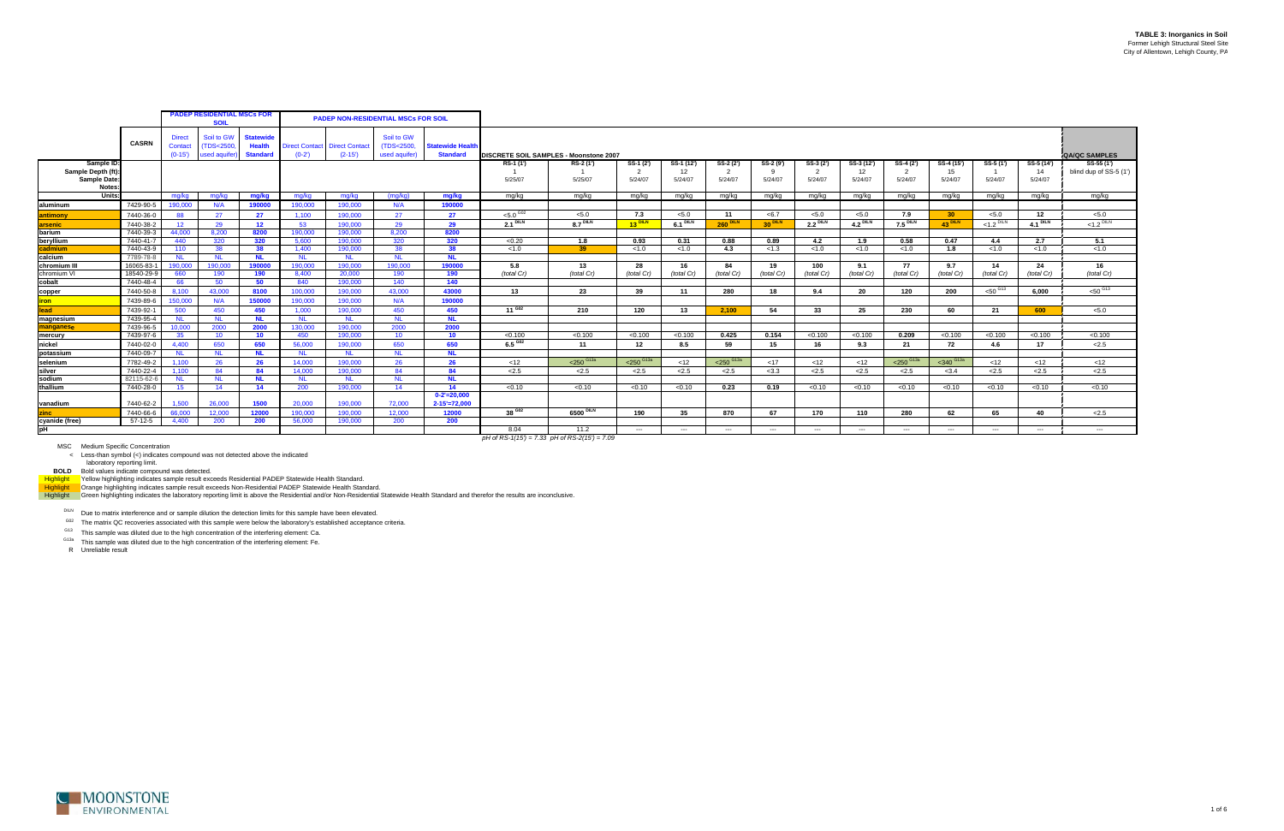|                                                                       |              |                                      | <b>PADEP RESIDENTIAL MSCs FOR</b><br><b>SOIL</b> |                                                      |                                  |                                   | <b>PADEP NON-RESIDENTIAL MSCs FOR SOIL</b> |                                            |                                                   |                      |                           |                             |                            |                      |                           |                             |                           |                             |                      |                             |                                       |
|-----------------------------------------------------------------------|--------------|--------------------------------------|--------------------------------------------------|------------------------------------------------------|----------------------------------|-----------------------------------|--------------------------------------------|--------------------------------------------|---------------------------------------------------|----------------------|---------------------------|-----------------------------|----------------------------|----------------------|---------------------------|-----------------------------|---------------------------|-----------------------------|----------------------|-----------------------------|---------------------------------------|
|                                                                       | <b>CASRN</b> | <b>Direct</b><br>Contact<br>$(0-15)$ | Soil to GW<br>(TDS<2500<br>used aquife           | <b>Statewide</b><br><b>Health</b><br><b>Standard</b> | <b>Direct Contact</b><br>$(0-2)$ | <b>Direct Contact</b><br>$(2-15)$ | Soil to GW<br>(TDS<2500,<br>used aquifer)  | <b>Statewide Health</b><br><b>Standard</b> | DISCRETE SOIL SAMPLES - Moonstone 2007            |                      |                           |                             |                            |                      |                           |                             |                           |                             |                      |                             | <b>QA/QC SAMPLES</b>                  |
| Sample ID:<br>Sample Depth (ft)<br><b>Sample Date</b><br><b>Notes</b> |              |                                      |                                                  |                                                      |                                  |                                   |                                            |                                            | RS-1 (1')<br>5/25/07                              | RS-2 (1')<br>5/25/07 | SS-1 (2')<br>2<br>5/24/07 | SS-1 (12')<br>12<br>5/24/07 | SS-2 (2')<br>-2<br>5/24/07 | SS-2 (9')<br>5/24/07 | SS-3 (2')<br>2<br>5/24/07 | SS-3 (12')<br>12<br>5/24/07 | SS-4 (2')<br>2<br>5/24/07 | SS-4 (15')<br>15<br>5/24/07 | SS-5 (1')<br>5/24/07 | SS-5 (14')<br>14<br>5/24/07 | $SS-55(1')$<br>blind dup of SS-5 (1') |
| Units:                                                                |              | mg/kg                                | mg/kg                                            | mg/kg                                                | mg/kg                            | mg/kg                             | (mq/kg)                                    | mg/kg                                      | mg/kg                                             | mg/kg                | mg/kg                     | mg/kg                       | mg/kg                      | mg/kg                | mg/kg                     | mg/kg                       | mg/kg                     | mg/kg                       | mg/kg                | mg/kg                       | mg/kg                                 |
| aluminum                                                              | 7429-90-5    | 190,000                              | N/A                                              | 190000                                               | 190,000                          | 190,000                           | N/A                                        | 190000                                     |                                                   |                      |                           |                             |                            |                      |                           |                             |                           |                             |                      |                             |                                       |
| antimony                                                              | 7440-36-0    | 88                                   | 27                                               | 27                                                   | 1.100                            | 190,000                           | 27                                         | 27                                         | $< 5.0$ G02                                       | 5.0                  | 7.3                       | < 5.0                       | 11                         | <6.7                 | 5.0                       | 5.0                         | 7.9                       | 30 <sup>°</sup>             | 5.0                  | 12                          | < 5.0                                 |
| arsenic                                                               | 7440-38-2    | 12 <sup>2</sup>                      | 29                                               | 12 <sup>12</sup>                                     | 53                               | 190,000                           | 29                                         | 29                                         | 2.1 <sup>DILN</sup>                               | $8.7$ DILN           | <b>13 DILN</b>            | $6.1$ DILN                  | <b>260 DILN</b>            | 30 <sup>DILN</sup>   | $2.2$ DILN                | 4.2 <sup>DILN</sup>         | 7.5 <sup>DILN</sup>       | <b>43 DILN</b>              | $<$ 1.2 DILN         | $4.1$ DILN                  | $< 1.2$ DILN                          |
| barium                                                                | 7440-39-3    | 44.000                               | 8,200                                            | 8200                                                 | 190.000                          | 190,000                           | 8,200                                      | 8200                                       |                                                   |                      |                           |                             |                            |                      |                           |                             |                           |                             |                      |                             |                                       |
| beryllium                                                             | 7440-41-7    | 440                                  | 320                                              | 320                                                  | 5.600                            | 190,000                           | 320                                        | 320                                        | < 0.20                                            | 1.8                  | 0.93                      | 0.31                        | 0.88                       | 0.89                 | 4.2                       | 1.9                         | 0.58                      | 0.47                        | 4.4                  | 2.7                         | 5.1                                   |
| :admium                                                               | 7440-43-9    | 110                                  | 38                                               | 38                                                   | 1.400                            | 190,000                           | 38                                         | 38                                         | < 1.0                                             | 39 <sup>°</sup>      | < 1.0                     | < 1.0                       | 4.3                        | < 1.3                | < 1.0                     | < 1.0                       | < 1.0                     | 1.8                         | < 1.0                | < 1.0                       | < 1.0                                 |
| calcium                                                               | 7789-78-8    | NL.                                  | <b>NL</b>                                        | NL.                                                  | NL.                              | - NL                              | <b>NL</b>                                  | <b>NL</b>                                  |                                                   |                      |                           |                             |                            |                      |                           |                             |                           |                             |                      |                             |                                       |
| <b>chromium III</b>                                                   | 16065-83-    | 190,000                              | 190,000                                          | 190000                                               | 190,000                          | 190,000                           | 190,000                                    | 190000                                     | 5.8                                               | 13                   | 28                        | 16                          | 84                         | 19                   | 100                       | 9.1                         | 77                        | 9.7                         | 14                   | 24                          | 16                                    |
| chromium VI                                                           | 18540-29-    | 660                                  | 190                                              | 190                                                  | 8.400                            | 20,000                            | 190                                        | 190                                        | (total Cr)                                        | (total Cr)           | (total Cr)                | (total Cr)                  | (total Cr)                 | (total Cr)           | (total Cr)                | (total Cr)                  | (total Cr)                | (total Cr)                  | (total Cr)           | (total Cr)                  | (total Cr)                            |
| cobalt                                                                | 7440-48-4    | 66                                   | 50                                               | 50                                                   | 840                              | 190,000                           | 140                                        | 140                                        |                                                   |                      |                           |                             |                            |                      |                           |                             |                           |                             |                      |                             |                                       |
| copper                                                                | 7440-50-8    | 8.100                                | 43.000                                           | 8100                                                 | 100,000                          | 190.000                           | 43.000                                     | 43000                                      | 13                                                | 23                   | 39                        | 11                          | 280                        | 18                   | 9.4                       | 20                          | 120                       | 200                         | $< 50^{613}$         | 6.000                       | $50^{613}$                            |
| <b>iron</b>                                                           | 7439-89-6    | 150.000                              | N/A                                              | 150000                                               | 190,000                          | 190,000                           | N/A                                        | 190000                                     |                                                   |                      |                           |                             |                            |                      |                           |                             |                           |                             |                      |                             |                                       |
| lead                                                                  | 7439-92-     | 500                                  | 450                                              | 450                                                  | 1.000                            | 190,000                           | 450                                        | 450                                        | $11^{902}$                                        | 210                  | 120                       | 13                          | 2.100                      | 54                   | 33                        | 25                          | 230                       | 60                          | -21                  | 600                         | < 5.0                                 |
| magnesium                                                             | 7439-95-4    | <b>NL</b>                            | NL.                                              | <b>NL</b>                                            | <b>NL</b>                        | - NL                              | <b>NL</b>                                  | <b>NL</b>                                  |                                                   |                      |                           |                             |                            |                      |                           |                             |                           |                             |                      |                             |                                       |
| manganese                                                             | 7439-96-5    | 10,000                               | 2000                                             | 2000                                                 | 130,000                          | 190,000                           | 2000                                       | 2000                                       |                                                   |                      |                           |                             |                            |                      |                           |                             |                           |                             |                      |                             |                                       |
| mercury                                                               | 7439-97-6    | 35                                   | 10                                               | 10 <sup>1</sup>                                      | 450                              | 190,000                           | 10                                         | 10                                         | < 0.100                                           | < 0.100              | < 0.100                   | < 0.100                     | 0.425                      | 0.154                | < 0.100                   | < 0.100                     | 0.209                     | < 0.100                     | < 0.100              | < 0.100                     | < 0.100                               |
| nickel                                                                | 7440-02-0    | 4.400                                | 650                                              | 650                                                  | 56,000                           | 190,000                           | 650                                        | 650                                        | $6.5^{602}$                                       | 11                   | 12                        | 8.5                         | 59                         | 15                   | 16                        | 9.3                         | 21                        | 72                          | 4.6                  | 17                          | < 2.5                                 |
| botassium                                                             | 7440-09-7    | <b>NL</b>                            | <b>NL</b>                                        | <b>NL</b>                                            | <b>NL</b>                        | <b>NL</b>                         | <b>NL</b>                                  | <b>NL</b>                                  |                                                   |                      |                           |                             |                            |                      |                           |                             |                           |                             |                      |                             |                                       |
| selenium                                                              | 7782-49-2    | 1.100                                | 26                                               | 26                                                   | 14.000                           | 190,000                           | 26                                         | 26                                         | < 12                                              | $<$ 250 $G13a$       | $<$ 250 $^{613a}$         | < 12                        | $<$ 250 $^{G13a}$          | $<$ 17               | < 12                      | < 12                        | $<$ 250 $^{613a}$         | $<$ 340 $G13a$              | < 12                 | < 12                        | < 12                                  |
| silver                                                                | 7440-22-4    | 1.100                                | 84                                               | 84                                                   | 14.000                           | 190,000                           | 84                                         | 84                                         | $\overline{2.5}$                                  | 2.5                  | 2.5                       | 2.5                         | < 2.5                      | < 3.3                | 2.5                       | 2.5                         | < 2.5                     | < 3.4                       | < 2.5                | 2.5                         | < 2.5                                 |
| sodium                                                                | 82115-62-6   | <b>NL</b>                            | <b>NL</b>                                        | <b>NL</b>                                            | <b>NL</b>                        | <b>NL</b>                         | <b>NL</b>                                  | <b>NL</b>                                  |                                                   |                      |                           |                             |                            |                      |                           |                             |                           |                             |                      |                             |                                       |
| thallium                                                              | 7440-28-0    | 15                                   | 14                                               | 14                                                   | 200                              | 190,000                           | 14                                         | 14                                         | < 0.10                                            | < 0.10               | < 0.10                    | < 0.10                      | 0.23                       | 0.19                 | < 0.10                    | < 0.10                      | < 0.10                    | < 0.10                      | < 0.10               | < 0.10                      | < 0.10                                |
| vanadium                                                              | 7440-62-2    | 1.500                                | 26,000                                           | 1500                                                 | 20,000                           | 190,000                           | 72.000                                     | $0 - 2' = 20.000$<br>$2 - 15' = 72,000$    |                                                   |                      |                           |                             |                            |                      |                           |                             |                           |                             |                      |                             |                                       |
| zinc :                                                                | 7440-66-6    | 66,000                               | 12.000                                           | 12000                                                | 190,000                          | 190,000                           | 12.000                                     | 12000                                      | $38^{602}$                                        | 6500 DILN            | 190                       | 35                          | 870                        | 67                   | 170                       | 110                         | 280                       | 62                          | 65                   | 40                          | < 2.5                                 |
| cyanide (free)                                                        | 57-12-5      | 4.400                                | <b>200</b>                                       | 200                                                  | 56,000                           | 190,000                           | 200                                        | 200                                        |                                                   |                      |                           |                             |                            |                      |                           |                             |                           |                             |                      |                             |                                       |
| рH                                                                    |              |                                      |                                                  |                                                      |                                  |                                   |                                            |                                            | 8.04                                              | 11.2                 | $---$                     | $---$                       | $---$                      | $---$                | $---$                     | $\overline{\phantom{a}}$    | $---$                     | $---$                       | $---$                | $---$                       | $--$                                  |
|                                                                       |              |                                      |                                                  |                                                      |                                  |                                   |                                            |                                            | $pH$ of RS-1(15') = 7.33 $pH$ of RS-2(15') = 7.09 |                      |                           |                             |                            |                      |                           |                             |                           |                             |                      |                             |                                       |

laboratory reporting limit.<br>**BOLD** Bold values indicate compound was detected.<br>Highlight Yellow highlighting indicates sample result exceeds Residential PADEP Statewide Health Standard.

<mark>Highlight </mark> Orange highlighting indicates sample result exceeds Non-Residential PADEP Statewide Health Standard.<br>Highlight Green highlighting indicates the laboratory reporting limit is above the Residential and/or Non-R

DILN Due to matrix interference and or sample dilution the detection limits for this sample have been elevated.

 $G02$  The matrix QC recoveries associated with this sample were below the laboratory's established acceptance criteria.

G13 This sample was diluted due to the high concentration of the interfering element: Ca.

<sup>G13a</sup> This sample was diluted due to the high concentration of the interfering element: Fe.

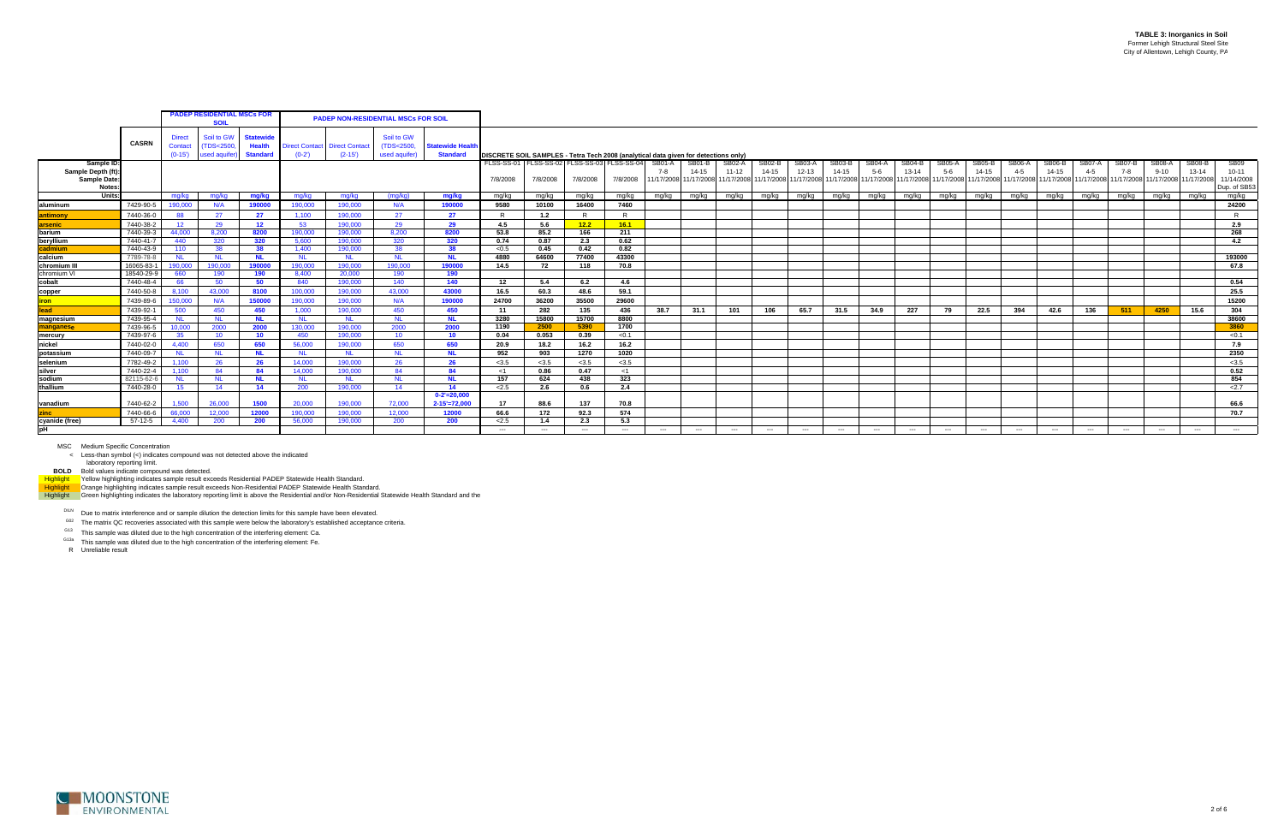laboratory reporting limit.<br>BOLD Bold values indicate compound was detected.<br>H<mark>ighlight V</mark>ellow highlighting indicates sample result exceeds Residential PADEP Statewide Health Standard.<br>Highlight Crange highlighting indica

DILN Due to matrix interference and or sample dilution the detection limits for this sample have been elevated.

 $G02$  The matrix QC recoveries associated with this sample were below the laboratory's established acceptance criteria.

G13 This sample was diluted due to the high concentration of the interfering element: Ca.

<sup>G13a</sup> This sample was diluted due to the high concentration of the interfering element: Fe.

|                                                                 |              | <b>PADEP RESIDENTIAL MSCs FOR</b><br><b>PADEP NON-RESIDENTIAL MSCs FOR SOIL</b><br><b>SOII</b> |                                                         |                                              |           |                                                  |                                           |                                            |                                                                                     |          |                                                     |          |                          |                                                                                                 |                     |                        |                     |                     |                        |                                                |                          |                                          |                                        |                            |                   |                 |                                                                                     |                            |                                                        |
|-----------------------------------------------------------------|--------------|------------------------------------------------------------------------------------------------|---------------------------------------------------------|----------------------------------------------|-----------|--------------------------------------------------|-------------------------------------------|--------------------------------------------|-------------------------------------------------------------------------------------|----------|-----------------------------------------------------|----------|--------------------------|-------------------------------------------------------------------------------------------------|---------------------|------------------------|---------------------|---------------------|------------------------|------------------------------------------------|--------------------------|------------------------------------------|----------------------------------------|----------------------------|-------------------|-----------------|-------------------------------------------------------------------------------------|----------------------------|--------------------------------------------------------|
|                                                                 | <b>CASRN</b> | <b>Direct</b><br>Contact<br>$(0-15)$                                                           | Soil to GW<br><b>TDS&lt;2500</b><br><b>used aquifer</b> | <b>Statewid</b><br>Health<br><b>Standard</b> | $(0-2)$   | <b>Direct Contact Direct Contact</b><br>$(2-15)$ | Soil to GW<br>(TDS<2500,<br>used aquifer) | <b>Statewide Health</b><br><b>Standard</b> | DISCRETE SOIL SAMPLES - Tetra Tech 2008 (analytical data given for detections only) |          |                                                     |          |                          |                                                                                                 |                     |                        |                     |                     |                        |                                                |                          |                                          |                                        |                            |                   |                 |                                                                                     |                            |                                                        |
| Sample ID:<br>Sample Depth (ft)<br>Sample Date:<br><b>Notes</b> |              |                                                                                                |                                                         |                                              |           |                                                  |                                           |                                            | FLSS-SS-01<br>7/8/2008                                                              | 7/8/2008 | FLSS-SS-02 FLSS-SS-03 FLSS-SS-04 SB01-A<br>7/8/2008 | 7/8/2008 | 7-8                      | SB01-B<br>14-15<br>11/17/2008 11/17/2008 11/17/2008 11/17/2008 11/17/2008 11/17/2008 11/17/2008 | SB02-A<br>$11 - 12$ | <b>SB02-B</b><br>14-15 | SB03-A<br>$12 - 13$ | SB03-E<br>$14 - 15$ | <b>SB04-A</b><br>$5-6$ | SB04-B<br>$13 - 14$<br>11/17/2008 11/17/2008 1 | $\sigma B05$ -A<br>$5-6$ | <b>SB05-B</b><br>$14 - 15$<br>11/17/2008 | <b>SB06-A</b><br>$4 - 5$<br>11/17/2008 | <b>SB06-B</b><br>$14 - 15$ | SB07-A<br>$4 - 5$ | SB07-B<br>$7-8$ | <b>SB08-A</b><br>$9 - 10$<br>11/17/2008 11/17/2008 11/17/2008 11/17/2008 11/17/2008 | <b>SB08-B</b><br>$13 - 14$ | <b>SB09</b><br>$10 - 11$<br>11/14/2008<br>Dup. of SB53 |
| Units:                                                          |              | ma/ka                                                                                          | mg/kg                                                   | mg/kg                                        | mg/kg     | mg/kg                                            | (mq/kg)                                   | mg/kg                                      | mg/kg                                                                               | mg/kg    | mg/kg                                               | mg/kg    | mg/kg                    | mg/kg                                                                                           | mg/kg   mg/kg       |                        | mg/kg               | mg/kg               | mg/kg                  | mg/kg                                          | mg/kg                    | mg/kg                                    | mg/kg                                  | mg/kg                      | mg/kg             | mg/kg           | mg/kg                                                                               | mg/kg                      | mg/kg                                                  |
| laluminum                                                       | 7429-90-5    | 190,000                                                                                        | N/A                                                     | 190000                                       | 190,000   | 190,000                                          | N/A                                       | 190000                                     | 9580                                                                                | 10100    | 16400                                               | 7460     |                          |                                                                                                 |                     |                        |                     |                     |                        |                                                |                          |                                          |                                        |                            |                   |                 |                                                                                     |                            | 24200                                                  |
| ıntimonv                                                        | 7440-36-0    | 88                                                                                             | 27                                                      | 27                                           | 1.100     | 190,000                                          | 27                                        | 27                                         | $\mathsf{R}$                                                                        | 1.2      |                                                     | R        |                          |                                                                                                 |                     |                        |                     |                     |                        |                                                |                          |                                          |                                        |                            |                   |                 |                                                                                     |                            | $\mathsf{R}$                                           |
| <b>arsenic</b>                                                  | 7440-38-2    | 12 <sup>12</sup>                                                                               | 29                                                      | 12                                           | -53       | 190.000                                          | 29                                        | 29                                         | 4.5                                                                                 | 5.6      | 12.2                                                | 16.1     |                          |                                                                                                 |                     |                        |                     |                     |                        |                                                |                          |                                          |                                        |                            |                   |                 |                                                                                     |                            | 2.9                                                    |
| barium                                                          | 7440-39-3    | 44.000                                                                                         | 8.200                                                   | 8200                                         | 190.000   | 190,000                                          | 8.200                                     | 8200                                       | 53.8                                                                                | 85.2     | 166                                                 | 211      |                          |                                                                                                 |                     |                        |                     |                     |                        |                                                |                          |                                          |                                        |                            |                   |                 |                                                                                     |                            | 268                                                    |
| beryllium                                                       | 7440-41-     | 440                                                                                            | 320                                                     | 320                                          | 5.600     | 190.000                                          | 320                                       | 320                                        | 0.74                                                                                | 0.87     | 2.3                                                 | 0.62     |                          |                                                                                                 |                     |                        |                     |                     |                        |                                                |                          |                                          |                                        |                            |                   |                 |                                                                                     |                            | 4.2                                                    |
| admium:                                                         | 7440-43-9    | 110                                                                                            | 38                                                      | 38                                           | 1.400     | 190,000                                          | 38                                        | 38                                         | < 0.5                                                                               | 0.45     | 0.42                                                | 0.82     |                          |                                                                                                 |                     |                        |                     |                     |                        |                                                |                          |                                          |                                        |                            |                   |                 |                                                                                     |                            |                                                        |
| calcium                                                         | 7789-78-8    | NL.                                                                                            | <b>NL</b>                                               | <b>NL</b>                                    | - NL      | NL.                                              | <b>NL</b>                                 | <b>NL</b>                                  | 4880                                                                                | 64600    | 77400                                               | 43300    |                          |                                                                                                 |                     |                        |                     |                     |                        |                                                |                          |                                          |                                        |                            |                   |                 |                                                                                     |                            | 193000                                                 |
| chromium II                                                     | 16065-83-    | 190.000                                                                                        | 190,000                                                 | 190000                                       | 190,000   | 190.000                                          | 190.000                                   | 190000                                     | 14.5                                                                                | 72       | 118                                                 | 70.8     |                          |                                                                                                 |                     |                        |                     |                     |                        |                                                |                          |                                          |                                        |                            |                   |                 |                                                                                     |                            | 67.8                                                   |
| chromium VI                                                     | 18540-29-9   | 660                                                                                            | 190                                                     | 190                                          | 8.400     | 20.000                                           | 190                                       | 190                                        |                                                                                     |          |                                                     |          |                          |                                                                                                 |                     |                        |                     |                     |                        |                                                |                          |                                          |                                        |                            |                   |                 |                                                                                     |                            |                                                        |
| cobalt                                                          | 7440-48-4    | 66                                                                                             | 50                                                      | 50                                           | 840       | 190,000                                          | 140                                       | 140                                        | - 12                                                                                | 5.4      | 6.2                                                 | 4.6      |                          |                                                                                                 |                     |                        |                     |                     |                        |                                                |                          |                                          |                                        |                            |                   |                 |                                                                                     |                            | 0.54                                                   |
| copper                                                          | 7440-50-8    | 8.100                                                                                          | 43.000                                                  | 8100                                         | 100,000   | 190,000                                          | 43.000                                    | 43000                                      | 16.5                                                                                | 60.3     | 48.6                                                | 59.1     |                          |                                                                                                 |                     |                        |                     |                     |                        |                                                |                          |                                          |                                        |                            |                   |                 |                                                                                     |                            | 25.5                                                   |
| <b>ron</b>                                                      | 7439-89-6    | 150,000                                                                                        | N/A                                                     | 150000                                       | 190,000   | 190,000                                          | N/A                                       | 190000                                     | 24700                                                                               | 36200    | 35500                                               | 29600    |                          |                                                                                                 |                     |                        |                     |                     |                        |                                                |                          |                                          |                                        |                            |                   |                 |                                                                                     |                            | 15200                                                  |
| lead                                                            | 7439-92-1    | 500                                                                                            | 450                                                     | 450                                          | 1.000     | 190,000                                          | 450                                       | 450                                        | - 11                                                                                | 282      | 135                                                 | 436      | 38.7                     | 31.1                                                                                            | 101                 | 106                    | 65.7                | 31.5                | 34.9                   | 227                                            | 79                       | 22.5                                     | 394                                    | 42.6                       | 136               | 511             | 4250                                                                                | 15.6                       | 304                                                    |
| magnesium                                                       | 7439-95-4    | <b>NL</b>                                                                                      | <b>NL</b>                                               | <b>NL</b>                                    | <b>NL</b> | <b>NL</b>                                        | <b>NL</b>                                 | NI                                         | 3280                                                                                | 15800    | 15700                                               | 8800     |                          |                                                                                                 |                     |                        |                     |                     |                        |                                                |                          |                                          |                                        |                            |                   |                 |                                                                                     |                            | 38600                                                  |
| manganese                                                       | 7439-96-5    | 10,000                                                                                         | 2000                                                    | 2000                                         | 130,000   | 190,000                                          | 2000                                      | 2000                                       | 1190                                                                                | 2500     | 5390                                                | 1700     |                          |                                                                                                 |                     |                        |                     |                     |                        |                                                |                          |                                          |                                        |                            |                   |                 |                                                                                     |                            | 3860                                                   |
| mercury                                                         | 7439-97-6    | 35                                                                                             | 10 <sup>°</sup>                                         | 10                                           | 450       | 190,000                                          | 10 <sup>°</sup>                           | 10                                         | 0.04                                                                                | 0.053    | 0.39                                                | < 0.1    |                          |                                                                                                 |                     |                        |                     |                     |                        |                                                |                          |                                          |                                        |                            |                   |                 |                                                                                     |                            | < 0.1                                                  |
| nickel                                                          | 7440-02-0    | 4.400                                                                                          | 650                                                     | 650                                          | 56,000    | 190,000                                          | 650                                       | 650                                        | 20.9                                                                                | 18.2     | 16.2                                                | 16.2     |                          |                                                                                                 |                     |                        |                     |                     |                        |                                                |                          |                                          |                                        |                            |                   |                 |                                                                                     |                            | 7.9                                                    |
| Ipotassium                                                      | 7440-09-7    | NL.                                                                                            | <b>NL</b>                                               | <b>NL</b>                                    | <b>NL</b> | <b>NL</b>                                        | <b>NL</b>                                 | <b>NL</b>                                  | 952                                                                                 | 903      | 1270                                                | 1020     |                          |                                                                                                 |                     |                        |                     |                     |                        |                                                |                          |                                          |                                        |                            |                   |                 |                                                                                     |                            | 2350                                                   |
| selenium                                                        | 7782-49-2    | 1.100                                                                                          | 26                                                      | 26                                           | 14.000    | 190,000                                          | 26                                        | 26                                         | < 3.5                                                                               | < 3.5    | < 3.5                                               | < 3.5    |                          |                                                                                                 |                     |                        |                     |                     |                        |                                                |                          |                                          |                                        |                            |                   |                 |                                                                                     |                            | < 3.5                                                  |
| silver                                                          | 7440-22-4    | 1.100                                                                                          | 84                                                      | -84                                          | 14.000    | 190,000                                          | 84                                        | 84                                         | - <1                                                                                | 0.86     | 0.47                                                | <1       |                          |                                                                                                 |                     |                        |                     |                     |                        |                                                |                          |                                          |                                        |                            |                   |                 |                                                                                     |                            | 0.52                                                   |
| sodium                                                          | 82115-62-    | NL.                                                                                            | <b>NL</b>                                               | - NL                                         | <b>NL</b> | <b>NL</b>                                        | <b>NL</b>                                 | NI                                         | 157                                                                                 | 624      | 438                                                 | 323      |                          |                                                                                                 |                     |                        |                     |                     |                        |                                                |                          |                                          |                                        |                            |                   |                 |                                                                                     |                            | 854                                                    |
| thallium                                                        | 7440-28-0    | 15                                                                                             | 14                                                      | 14                                           | 200       | 190,000                                          | 14                                        | 14                                         | 2.5                                                                                 | 2.6      | 0.6                                                 | 2.4      |                          |                                                                                                 |                     |                        |                     |                     |                        |                                                |                          |                                          |                                        |                            |                   |                 |                                                                                     |                            | 2.7                                                    |
|                                                                 |              |                                                                                                |                                                         |                                              |           |                                                  |                                           | $0 - 2' = 20,000$                          |                                                                                     |          |                                                     |          |                          |                                                                                                 |                     |                        |                     |                     |                        |                                                |                          |                                          |                                        |                            |                   |                 |                                                                                     |                            |                                                        |
| Ivanadium                                                       | 7440-62-2    | 1.500                                                                                          | 26,000                                                  | 1500                                         | 20,000    | 190,000                                          | 72.000                                    | $2 - 15' = 72,000$                         | 17                                                                                  | 88.6     | 137                                                 | 70.8     |                          |                                                                                                 |                     |                        |                     |                     |                        |                                                |                          |                                          |                                        |                            |                   |                 |                                                                                     |                            | 66.6                                                   |
| zinc                                                            | 7440-66-6    | 66,000                                                                                         | 12,000                                                  | 1200                                         | 190,000   | 190,000                                          | 12,000                                    | 12000                                      | 66.6                                                                                | 172      | 92.3                                                | 574      |                          |                                                                                                 |                     |                        |                     |                     |                        |                                                |                          |                                          |                                        |                            |                   |                 |                                                                                     |                            | 70.7                                                   |
| cyanide (free)                                                  | $57-12-5$    | 4.400                                                                                          | 200                                                     | - 200                                        | 56,000    | 190,000                                          | 200                                       | 200                                        | 2.5                                                                                 | 1.4      | 2.3                                                 | 5.3      |                          |                                                                                                 |                     |                        |                     |                     |                        |                                                |                          |                                          |                                        |                            |                   |                 |                                                                                     |                            |                                                        |
| pH                                                              |              |                                                                                                |                                                         |                                              |           |                                                  |                                           |                                            | $---$                                                                               | $---$    | $---$                                               | $---$    | $\hspace{0.05cm} \ldots$ | $---$                                                                                           | $---$               | $---$                  | $---$               | $---$               | $---$                  | $---$                                          | $---$                    | $---$                                    | $---$                                  | $---$                      | $---$             | $---$           | $---$                                                                               | $---$                      | $---$                                                  |

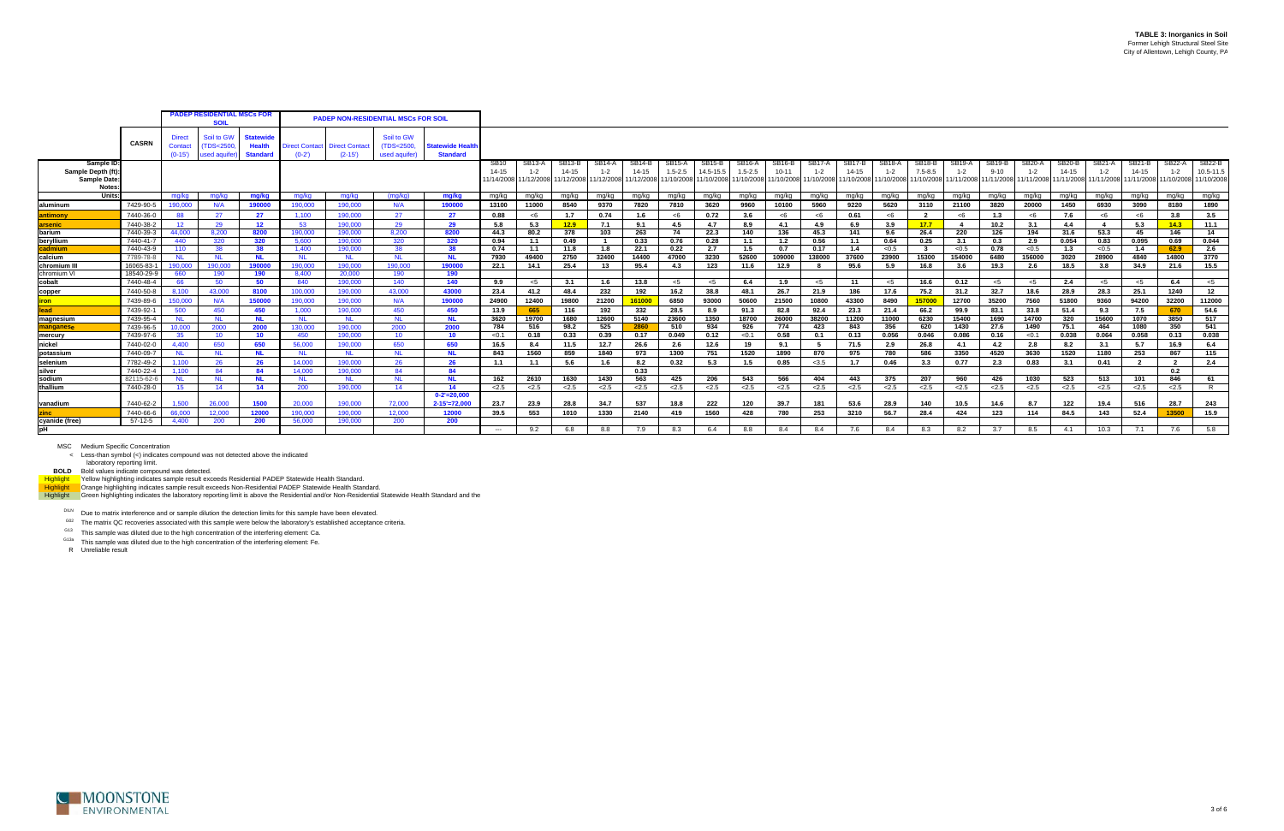laboratory reporting limit.<br>BOLD Bold values indicate compound was detected.<br>H<mark>ighlight V</mark>ellow highlighting indicates sample result exceeds Residential PADEP Statewide Health Standard.<br>Highlight Crange highlighting indica

DILN Due to matrix interference and or sample dilution the detection limits for this sample have been elevated.

 $G02$  The matrix QC recoveries associated with this sample were below the laboratory's established acceptance criteria.

G13 This sample was diluted due to the high concentration of the interfering element: Ca.

<sup>G13a</sup> This sample was diluted due to the high concentration of the interfering element: Fe.



|                                                                |              |                               | <b>PADEP RESIDENTIAL MSCs FOR</b><br><b>PADEP NON-RESIDENTIAL MSCs FOR SOIL</b><br><b>SOIL</b> |                                                      |                             |                                   |                                           |                                            |                                    |                                        |                                          |        |                                  |                              |                     |                                    |                                 |                                                                                                                |                             |        |                                    |                   |                                |                                                                                                                     |                            |                   |                                   |                                 |                                          |
|----------------------------------------------------------------|--------------|-------------------------------|------------------------------------------------------------------------------------------------|------------------------------------------------------|-----------------------------|-----------------------------------|-------------------------------------------|--------------------------------------------|------------------------------------|----------------------------------------|------------------------------------------|--------|----------------------------------|------------------------------|---------------------|------------------------------------|---------------------------------|----------------------------------------------------------------------------------------------------------------|-----------------------------|--------|------------------------------------|-------------------|--------------------------------|---------------------------------------------------------------------------------------------------------------------|----------------------------|-------------------|-----------------------------------|---------------------------------|------------------------------------------|
|                                                                | <b>CASRN</b> | Direct<br>Contact<br>$(0-15)$ | Soil to GW<br>(TDS<2500<br>used aquifer                                                        | <b>Statewide</b><br><b>Health</b><br><b>Standard</b> | Direct Contact  <br>$(0-2)$ | <b>Direct Contact</b><br>$(2-15)$ | Soil to GW<br>(TDS<2500,<br>used aquifer) | <b>Statewide Health</b><br><b>Standard</b> |                                    |                                        |                                          |        |                                  |                              |                     |                                    |                                 |                                                                                                                |                             |        |                                    |                   |                                |                                                                                                                     |                            |                   |                                   |                                 |                                          |
| Sample ID<br>Sample Depth (ft)<br><b>Sample Date</b><br>Notes: |              |                               |                                                                                                |                                                      |                             |                                   |                                           |                                            | <b>SB10</b><br>14-15<br>11/14/2008 | <b>SB13-A</b><br>$1 - 2$<br>11/12/2008 | <b>SB13-B</b><br>$14 - 15$<br>11/12/2008 | SB14-A | SB <sub>14</sub> -B<br>$14 - 15$ | <b>SB15-A</b><br>$1.5 - 2.5$ | SB15-B<br>14.5-15.5 | SB <sub>16</sub> -A<br>$1.5 - 2.5$ | SB <sub>16-B</sub><br>$10 - 11$ | SB17-A<br>$1 - 2$<br>11/12/2008 11/12/2008 11/10/2008 11/10/2008 11/10/2008 11/10/2008 11/10/2008 11/10/2008 1 | SB <sub>17-B</sub><br>14-15 | SB18-A | SB <sub>18</sub> -B<br>$7.5 - 8.5$ | SB19-A<br>$1 - 2$ | SB <sub>19-B</sub><br>$9 - 10$ | <b>SB20-A</b><br>$1 - 2$<br>11/10/2008 11/10/2008 11/11/2008 11/11/2008 11/11/2008 11/11/2008 11/11/2008 11/11/2008 | <b>SB20-B</b><br>$14 - 15$ | SB21-A<br>$1 - 2$ | SB21-B<br>$14 - 15$<br>11/11/2008 | SB22-A<br>$1 - 2$<br>11/10/2008 | <b>SB22-B</b><br>10.5-11.5<br>11/10/2008 |
| Units:                                                         |              | ma/ka                         | mg/kg                                                                                          | mg/kg                                                | mg/kg                       | mg/kg                             | (mg/kg)                                   | mg/kg                                      | mg/kg                              | mg/kg                                  | mg/kg                                    | mg/kg  | mg/kg                            | mg/kg                        | mg/kg               | mg/kg                              | mg/kg                           | mg/kg                                                                                                          | mg/kg                       | mg/kg  | mg/kg                              | mg/kg             | mg/kg                          | mg/kg                                                                                                               | mg/kg                      | mg/kg             | mg/kg                             | mg/kg                           | mg/kg                                    |
| aluminum                                                       | 7429-90-     | 190.000                       | N/A                                                                                            | 190000                                               | 190,000                     | 190.000                           | N/A                                       | 190000                                     | 13100                              | 11000                                  | 8540                                     | 9370   | 7820                             | 7810                         | 3620                | 9960                               | 10100                           | 5960                                                                                                           | 9220                        | 5620   | 3110                               | 21100             | 3820                           | 20000                                                                                                               | 1450                       | 6930              | 3090                              | 8180                            | 1890                                     |
| antimony                                                       | 7440-36-0    | 88                            | 27                                                                                             | 27                                                   | 1,100                       | 190,000                           | 27                                        | 27                                         | 0.88                               | < 6                                    | 1.7                                      | 0.74   | 1.6                              | <6                           | 0.72                | 3.6                                | $<$ 6                           | $<$ 6                                                                                                          | 0.61                        | <6     |                                    | < 6               | 1.3                            | <6                                                                                                                  | 7.6                        | $<$ 6             | $<$ 6                             | 3.8                             | 3.5                                      |
| <b>arsenic</b>                                                 | 7440-38-2    | 12 <sup>7</sup>               | 29                                                                                             | 12 <sup>7</sup>                                      | 53                          | 190.000                           | 29                                        | 29                                         | 5.8                                | 5.3                                    | 12.9                                     | 7.1    | 9.1                              | 4.5                          | 4.7                 | 8.9                                | 4.1                             | 4.9                                                                                                            | 6.9                         | 3.9    | 17.7                               | $\overline{4}$    | 10.2                           | 3.1                                                                                                                 | 4.4                        | -4                | 5.3                               | 14.3                            | 11.1                                     |
| barium                                                         | 7440-39-3    | 44,000                        | 8,200                                                                                          | 8200                                                 | 190,000                     | 190,000                           | 8,200                                     | 8200                                       | 44.3                               | 80.2                                   | 378                                      | 103    | 263                              | 74                           | 22.3                | 140                                | 136                             | 45.3                                                                                                           | 141                         | 9.6    | 26.4                               | 220               | 126                            | 194                                                                                                                 | 31.6                       | 53.3              | 45                                | 146                             | 14                                       |
| beryllium                                                      | 7440-41-7    | 440                           | 320                                                                                            | 320                                                  | 5.600                       | 190,000                           | 320                                       | 320                                        | 0.94                               | 1.1                                    | 0.49                                     |        | 0.33                             | 0.76                         | 0.28                | 1.1                                | 1.2                             | 0.56                                                                                                           | 1.1                         | 0.64   | 0.25                               | 3.1               | 0.3                            | 2.9                                                                                                                 | 0.054                      | 0.83              | 0.095                             | 0.69                            | 0.044                                    |
| cadmium                                                        | 7440-43-9    | 110                           | 38                                                                                             | 38                                                   | 1.400                       | 190,000                           | 38                                        | 38                                         | 0.74                               | 1.1                                    | 11.8                                     | 1.8    | 22.1                             | 0.22                         | 2.7                 | 1.5                                | 0.7                             | 0.17                                                                                                           | 1.4                         | < 0.5  | $\mathbf{3}$                       | < 0.5             | 0.78                           | < 0.5                                                                                                               | 1.3                        | < 0.5             | 1.4                               | 62.9                            | 2.6                                      |
| calcium                                                        | 7789-78-8    | <b>NL</b>                     | <b>NL</b>                                                                                      | <b>NL</b>                                            | <b>NL</b>                   | <b>NL</b>                         | <b>NL</b>                                 | <b>NL</b>                                  | 7930                               | 49400                                  | 2750                                     | 32400  | 14400                            | 47000                        | 3230                | 52600                              | 109000                          | 138000                                                                                                         | 37600                       | 23900  | 15300                              | 154000            | 6480                           | 156000                                                                                                              | 3020                       | 28900             | 4840                              | 14800                           | 3770                                     |
| chromium III                                                   | 16065-83-    | 190.000                       | 190,000                                                                                        | 190000                                               | 190,000                     | 190,000                           | 190.000                                   | 190000                                     | 22.1                               | 14.1                                   | 25.4                                     | 13     | 95.4                             | 4.3                          | 123                 | 11.6                               | 12.9                            |                                                                                                                | 95.6                        | 5.9    | 16.8                               | 3.6               | 19.3                           | 2.6                                                                                                                 | 18.5                       | 3.8               | 34.9                              | 21.6                            | 15.5                                     |
| chromium VI                                                    | 18540-29-9   | 660                           | 190                                                                                            | 190                                                  | 8,400                       | 20,000                            | 190                                       | 190                                        |                                    |                                        |                                          |        |                                  |                              |                     |                                    |                                 |                                                                                                                |                             |        |                                    |                   |                                |                                                                                                                     |                            |                   |                                   |                                 |                                          |
| cobalt                                                         | 7440-48-4    | 66                            | 50                                                                                             | 50                                                   | 840                         | 190,000                           | 140                                       | 140                                        | 9.9                                | $<$ 5                                  | 3.1                                      | 1.6    | 13.8                             | $<$ 5                        | $<$ 5               | 6.4                                | 1.9                             | $<$ 5                                                                                                          | 11                          | <5     | 16.6                               | 0.12              | $<$ 5                          | $<$ 5                                                                                                               | 2.4                        | $<$ 5             | $<$ 5                             | 6.4                             | $<$ 5                                    |
| copper                                                         | 7440-50-8    | 8.100                         | 43.000                                                                                         | 8100                                                 | 100,000                     | 190,000                           | 43.000                                    | 43000                                      | 23.4                               | 41.2                                   | 48.4                                     | 232    | 192                              | 16.2                         | 38.8                | 48.1                               | 26.7                            | 21.9                                                                                                           | 186                         | 17.6   | 75.2                               | 31.2              | 32.7                           | 18.6                                                                                                                | 28.9                       | 28.3              | 25.1                              | 1240                            | 12                                       |
| iron                                                           | 7439-89-6    | 150,000                       | N/A                                                                                            | 150000                                               | 190.000                     | 190.000                           | N/A                                       | 190000                                     | 24900                              | 12400                                  | 19800                                    | 21200  | 161000                           | 6850                         | 93000               | 50600                              | 21500                           | 10800                                                                                                          | 43300                       | 8490   | 157000                             | 12700             | 35200                          | 7560                                                                                                                | 51800                      | 9360              | 94200                             | 32200                           | 112000                                   |
| lead                                                           | 7439-92-     | 500                           | 450                                                                                            | 450                                                  | 1.000                       | 190,000                           | 450                                       | 450                                        | 13.9                               | 665                                    | 116                                      | 192    | 332                              | 28.5                         | 8.9                 | 91.3                               | 82.8                            | 92.4                                                                                                           | 23.3                        | 21.4   | 66.2                               | 99.9              | 83.1                           | 33.8                                                                                                                | 51.4                       | 9.3               | 7.5                               | 670                             | 54.6                                     |
| magnesium                                                      | 7439-95-4    | <b>NL</b>                     | <b>NL</b>                                                                                      | NL.                                                  | <b>NL</b>                   | <b>NL</b>                         | <b>NL</b>                                 | <b>NL</b>                                  | 3620                               | 19700                                  | 1680                                     | 12600  | 5140                             | 23600                        | 1350                | 18700                              | 26000                           | 38200                                                                                                          | 11200                       | 11000  | 6230                               | 15400             | 1690                           | 14700                                                                                                               | 320                        | 15600             | 1070                              | 3850                            | 517                                      |
| manganese                                                      | 7439-96-5    | 10,000                        | 2000                                                                                           | 2000                                                 | 130,000                     | 190,000                           | 2000                                      | 2000                                       | 784                                | 516                                    | 98.2                                     | 525    | 2860                             | 510                          | 934                 | 926                                | 774                             | 423                                                                                                            | 843                         | 356    | 620                                | 1430              | 27.6                           | 1490                                                                                                                | 75.1                       | 464               | 1080                              | 350                             | 541                                      |
| mercury                                                        | 7439-97-6    | 35                            | 10 <sup>°</sup>                                                                                | 10 <sup>°</sup>                                      | 450                         | 190,000                           | 10                                        | 10 <sup>°</sup>                            | < 0.1                              | 0.18                                   | 0.33                                     | 0.39   | 0.17                             | 0.049                        | 0.12                | < 0.1                              | 0.58                            | 0.1                                                                                                            | 0.13                        | 0.056  | 0.046                              | 0.086             | 0.16                           | < 0.1                                                                                                               | 0.038                      | 0.064             | 0.058                             | 0.13                            | 0.038                                    |
| nickel                                                         | 7440-02-0    | 4.400                         | 650                                                                                            | 650                                                  | 56,000                      | 190,000                           | 650                                       | 650                                        | 16.5                               | 8.4                                    | 11.5                                     | 12.7   | 26.6                             | 2.6                          | 12.6                | 19                                 | 9.1                             |                                                                                                                | 71.5                        | 2.9    | 26.8                               | 4.1               | 4.2                            | 2.8                                                                                                                 | 8.2                        | 3.1               | 5.7                               | 16.9                            | 6.4                                      |
| potassium                                                      | 7440-09-7    | <b>NL</b>                     | <b>NL</b>                                                                                      | NL.                                                  | <b>NL</b>                   | <b>NL</b>                         | - NL                                      | NL.                                        | 843                                | 1560                                   | 859                                      | 1840   | 973                              | 1300                         | 751                 | 1520                               | 1890                            | 870                                                                                                            | 975                         | 780    | 586                                | 3350              | 4520                           | 3630                                                                                                                | 1520                       | 1180              | 253                               | 867                             | 115                                      |
| selenium                                                       | 7782-49-2    | 1.100                         | 26                                                                                             | 26                                                   | 14.000                      | 190,000                           | 26                                        | 26                                         | 1.1                                | 1.1                                    | 5.6                                      | 1.6    | 8.2                              | 0.32                         | 5.3                 | 1.5                                | 0.85                            | < 3.5                                                                                                          | 1.7                         | 0.46   | 3.3                                | 0.77              | 2.3                            | 0.83                                                                                                                | 3.1                        | 0.41              | $\overline{2}$                    | $\overline{2}$                  | 2.4                                      |
| silver                                                         | 7440-22-4    | 1,100                         | 84                                                                                             | 84                                                   | 14.000                      | 190.000                           | 84                                        | 84                                         |                                    |                                        |                                          |        | 0.33                             |                              |                     |                                    |                                 |                                                                                                                |                             |        |                                    |                   |                                |                                                                                                                     |                            |                   |                                   | 0.2                             |                                          |
| sodium                                                         | 82115-62-    | NL.                           | <b>NL</b>                                                                                      | NL.                                                  | - Ni                        | <b>NL</b>                         | - NL                                      | <b>NL</b>                                  | 162                                | 2610                                   | 1630                                     | 1430   | 563                              | 425                          | 206                 | 543                                | 566                             | 404                                                                                                            | 443                         | 375    | 207                                | 960               | 426                            | 1030                                                                                                                | 523                        | 513               | 101                               | 846                             | 61                                       |
| thallium                                                       | 7440-28-0    | 15                            | 14                                                                                             | 14                                                   | 200                         | 190,000                           | 14                                        | 14                                         | 2.5                                | 2.5                                    | 2.5                                      | 2.5    | 2.5                              | 2.5                          | 2.5                 | 2.5                                | 2.5                             | 2.5                                                                                                            | 2.5                         | 2.5    | 2.5                                | 2.5               | 2.5                            | 2.5                                                                                                                 | 2.5                        | 2.5               | 2.5                               | 2.5                             | R.                                       |
|                                                                |              |                               |                                                                                                |                                                      |                             |                                   |                                           | $0 - 2' = 20.000$                          |                                    |                                        |                                          |        |                                  |                              |                     |                                    |                                 |                                                                                                                |                             |        |                                    |                   |                                |                                                                                                                     |                            |                   |                                   |                                 |                                          |
| vanadium                                                       | 7440-62-2    | 1.500                         | 26,000                                                                                         | 1500                                                 | 20,000                      | 190,000                           | 72.000                                    | $2 - 15' = 72.000$                         | 23.7                               | 23.9                                   | 28.8                                     | 34.7   | 537                              | 18.8                         | 222                 | 120                                | 39.7                            | 181                                                                                                            | 53.6                        | 28.9   | 140                                | 10.5              | 14.6                           | 8.7                                                                                                                 | 122                        | 19.4              | 516                               | 28.7                            | 243                                      |
|                                                                | 7440-66-6    | 66,000                        | 12,000                                                                                         | 12000                                                | 190,000                     | 190,000                           | 12.000                                    | 12000                                      | 39.5                               | 553                                    | 1010                                     | 1330   | 2140                             | 419                          | 1560                | 428                                | 780                             | 253                                                                                                            | 3210                        | 56.7   | 28.4                               | 424               | 123                            | 114                                                                                                                 | 84.5                       | 143               | 52.4                              | 13500                           | 15.9                                     |
| cyanide (free)                                                 | 57-12-5      | 4.400                         | 200                                                                                            | 200                                                  | 56,000                      | 190.000                           | 200                                       | 200                                        |                                    |                                        |                                          |        |                                  |                              |                     |                                    |                                 |                                                                                                                |                             |        |                                    |                   |                                |                                                                                                                     |                            |                   |                                   |                                 |                                          |
| pH                                                             |              |                               |                                                                                                |                                                      |                             |                                   |                                           |                                            | $---$                              | 9.2                                    | 6.8                                      | 8.8    | 7.9                              | 8.3                          | 6.4                 | 8.8                                | 8.4                             | 8.4                                                                                                            | 7.6                         | 8.4    | 8.3                                | 8.2               | 3.7                            | 8.5                                                                                                                 | 4.1                        | 10.3              | 7.1                               | 7.6                             | 5.8                                      |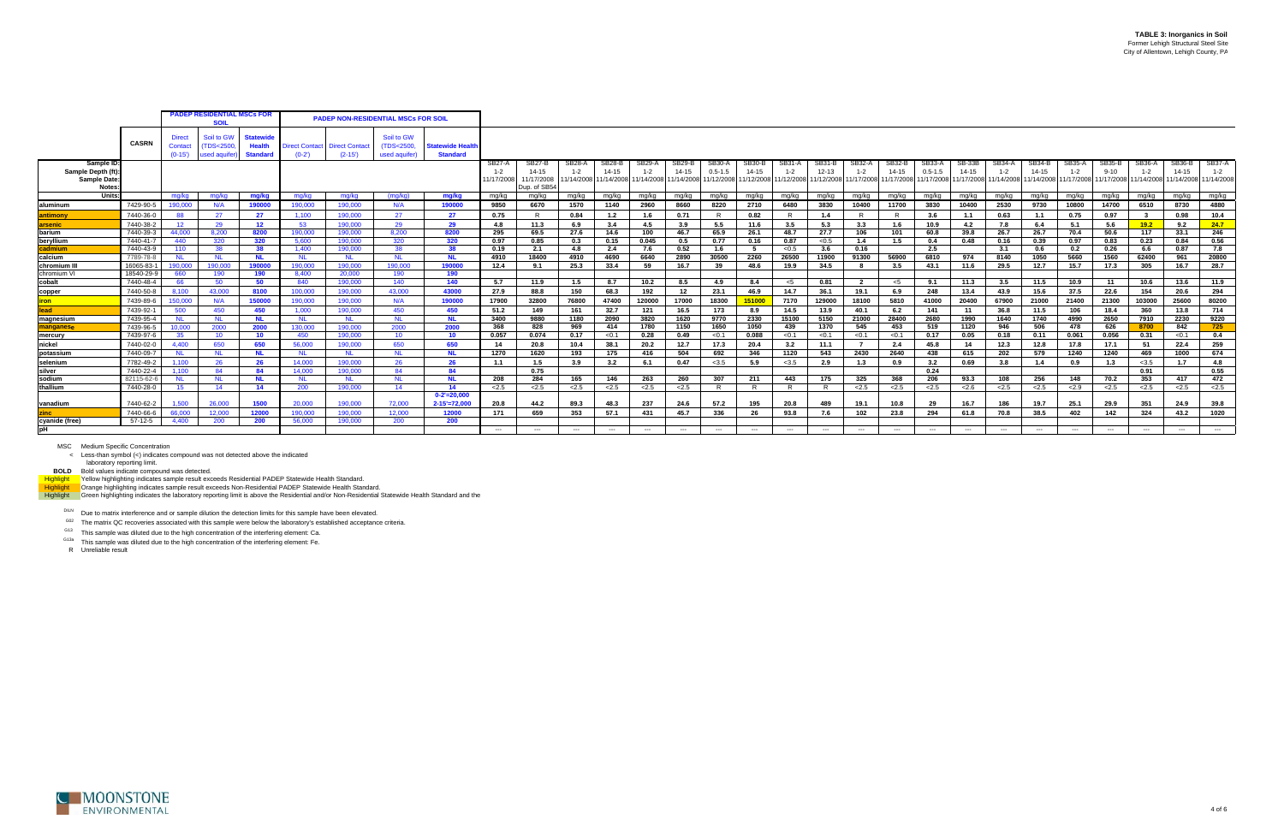laboratory reporting limit.<br>BOLD Bold values indicate compound was detected.<br>H<mark>ighlight V</mark>ellow highlighting indicates sample result exceeds Residential PADEP Statewide Health Standard.<br>Highlight Crange highlighting indica

DILN Due to matrix interference and or sample dilution the detection limits for this sample have been elevated.

 $G02$  The matrix QC recoveries associated with this sample were below the laboratory's established acceptance criteria.

G13 This sample was diluted due to the high concentration of the interfering element: Ca.

<sup>G13a</sup> This sample was diluted due to the high concentration of the interfering element: Fe.



|                                                         |                         |                               | <b>PADEP RESIDENTIAL MSCs FOR</b><br><b>PADEP NON-RESIDENTIAL MSCs FOR SOIL</b><br>SOII |                                                      |                             |                                   |                                           |                                            |                                 |                                                  |             |              |                   |                                                                                                   |                       |             |                                 |                            |                                                       |                     |                                     |                     |                          |                     |                                                         |                    |                                                                  |                     |                   |
|---------------------------------------------------------|-------------------------|-------------------------------|-----------------------------------------------------------------------------------------|------------------------------------------------------|-----------------------------|-----------------------------------|-------------------------------------------|--------------------------------------------|---------------------------------|--------------------------------------------------|-------------|--------------|-------------------|---------------------------------------------------------------------------------------------------|-----------------------|-------------|---------------------------------|----------------------------|-------------------------------------------------------|---------------------|-------------------------------------|---------------------|--------------------------|---------------------|---------------------------------------------------------|--------------------|------------------------------------------------------------------|---------------------|-------------------|
|                                                         | <b>CASRN</b>            | Direct<br>Contact<br>$(0-15)$ | Soil to GW<br><b>TDS&lt;2500</b><br>used aquifer                                        | <b>Statewide</b><br><b>Health</b><br><b>Standard</b> | Direct Contact  <br>$(0-2)$ | <b>Direct Contact</b><br>$(2-15)$ | Soil to GW<br>(TDS<2500,<br>used aquifer) | <b>Statewide Health</b><br><b>Standard</b> |                                 |                                                  |             |              |                   |                                                                                                   |                       |             |                                 |                            |                                                       |                     |                                     |                     |                          |                     |                                                         |                    |                                                                  |                     |                   |
| Sample ID:<br>Sample Depth (ft<br>Sample Date<br>Notes: |                         |                               |                                                                                         |                                                      |                             |                                   |                                           |                                            | SB27-A<br>$1 - 2$<br>11/17/2008 | SB27-B<br>$14 - 15$<br>11/17/2008<br>Dup. of SB5 | SB28-A      | $14 - 15$    | SB29-A<br>$1 - 2$ | <b>SB29-B</b><br>$14 - 15$<br>11/14/2008 11/14/2008 11/14/2008 11/14/2008 11/12/2008 11/12/2008 1 | SB30-A<br>$0.5 - 1.5$ | $14 - 15$   | SB31-A<br>$1 - 2$<br>11/12/2008 | <b>SB31-B</b><br>$12 - 13$ | SB32-/<br>$1 - 2$<br>11/12/2008 11/17/2008 11/17/2008 | SB32-E<br>$14 - 15$ | SB33-A<br>$0.5 - 1.5$<br>11/17/2008 | SB-33B<br>$14 - 15$ | <b>SB34-A</b><br>$1 - 2$ | SB34-B<br>$14 - 15$ | SB35-A<br>11/17/2008 11/14/2008 11/14/2008 11/17/2008 1 | SB35-B<br>$9 - 10$ | SB36-A<br>$1 - 2$<br>11/17/2008 11/14/2008 11/14/2008 11/14/2008 | SB36-I<br>$14 - 15$ | SB37-A<br>$1 - 2$ |
| Units:                                                  |                         | ma/ka                         | ma/ka                                                                                   | mg/kg                                                | ma/ka                       | mg/kg                             | (mg/kg)                                   | mg/kg                                      | mg/kg                           | mg/kg                                            | mg/kg       | mg/kg        | mg/kg             | mg/kg                                                                                             | mg/kg                 | mg/kg       | mg/kg                           | mg/kg                      | mg/kg                                                 | mg/kg               | mg/kg                               | mg/kg               | mg/kg                    | mg/kg               | mg/kg                                                   | mg/kg              | mg/kg                                                            | mg/kg               | mg/kg             |
| aluminum                                                | 7429-90-5               | 190.000                       | N/A                                                                                     | 190000                                               | 190,000                     | 190.000                           | N/A                                       | 190000                                     | 9850                            | 6670                                             | 1570        | 1140         | 2960              | 8660                                                                                              | 8220                  | 2710        | 6480                            | 3830                       | 10400                                                 | 11700               | 3830                                | 10400               | 2530                     | 9730                | 10800                                                   | 14700              | 6510                                                             | 8730                | 4880              |
| ntimonv                                                 | 7440-36-0               | 88                            | 27                                                                                      | 27                                                   | 1.100                       | 190,000                           | 27                                        | 27                                         | 0.75                            | R.                                               | 0.84        | 1.2          | 1.6               | 0.71                                                                                              |                       | 0.82        | R                               | 1.4                        | - R                                                   |                     | 3.6                                 | 1.1                 | 0.63                     | 1.1                 | 0.75                                                    | 0.97               | -3                                                               | 0.98                | 10.4              |
| arsenic                                                 | 7440-38-2               | 12 <sup>7</sup>               | 29                                                                                      | 12                                                   | 53                          | 190.000                           | 29                                        | 29                                         | 4.8                             | 11.3                                             | 6.9         | 3.4          | 4.5               | 3.9                                                                                               | 5.5                   | 11.6        | 3.5                             | 5.3                        | 3.3                                                   | 1.6                 | 10.9                                | 4.2                 | 7.8                      | 6.4                 | 5.1                                                     | 5.6                | 19.2                                                             | 9.2                 | 24.7              |
| barium                                                  | 7440-39-3               | 44.000                        | 8.200                                                                                   | 8200                                                 | 190,000                     | 190.000                           | 8.200                                     | 8200                                       | 295                             | 69.5                                             | 27.6        | 14.6         | 100               | 46.7                                                                                              | 65.9                  | 26.1        | 48.7                            | 27.7                       | 106                                                   | 101                 | 60.8                                | 39.8                | 26.7                     | 26.7                | 70.4                                                    | 50.6               | 117                                                              | 33.1                | 246               |
| beryllium                                               | 7440-41-7               | 440                           | 320                                                                                     | 320                                                  | 5.600                       | 190,000                           | 320                                       | 320                                        | 0.97                            | 0.85                                             | 0.3         | 0.15         | 0.045             | 0.5                                                                                               | 0.77                  | 0.16        | 0.87                            | < 0.5                      | 1.4                                                   | 1.5                 | 0.4                                 | 0.48                | 0.16                     | 0.39                | 0.97                                                    | 0.83               | 0.23                                                             | 0.84                | 0.56              |
| cadmium                                                 | 7440-43-9               | 110                           | 38                                                                                      | 38                                                   | 1,400                       | 190,000                           | 38                                        | 38                                         | 0.19                            | 2.1                                              | 4.8         | 2.4          | 7.6               | 0.52                                                                                              | $-1.6$                |             | < 0.5                           | 3.6                        | 0.16                                                  |                     | 2.5                                 |                     | 3.1                      | 0.6                 | 0.2                                                     | 0.26               | 6.6                                                              | 0.87                | 7.8               |
| calcium                                                 | 7789-78-8               | <b>NL</b>                     | <b>NL</b>                                                                               |                                                      | <b>NL</b><br>190,000        | <b>NL</b><br>190,000              | <b>NL</b><br>190.000                      | <b>NL</b><br>190000                        | 4910                            | 18400                                            | 4910        | 4690         | 6640              | 2890                                                                                              | 30500                 | 2260        | 26500                           | 11900                      | 91300                                                 | 56900               | 6810                                | 974                 | 8140                     | 1050                | 5660                                                    | 1560               | 62400                                                            | 961                 | 20800             |
| chromium I<br>chromium VI                               | 16065-83-<br>18540-29-9 | 190.000<br>660                | 190,000<br>190                                                                          | 190000<br>190                                        | 8.400                       | 20.000                            | 190                                       | 190                                        | 12.4                            | 9.1                                              | 25.3        | 33.4         | 59                | 16.7                                                                                              | 39                    | 48.6        | 19.9                            | 34.5                       | - 8                                                   | 3.5                 | 43.1                                | 11.6                | 29.5                     | 12.7                | 15.7                                                    | 17.3               | 305                                                              | 16.7                | 28.7              |
| cobalt                                                  | 7440-48-4               | 66                            | -50                                                                                     | 50                                                   | 840                         | 190,000                           | 140                                       | 140                                        | 5.7                             | 11.9                                             | 1.5         | 8.7          | 10.2              | 8.5                                                                                               | 4.9                   | 8.4         | <5                              | 0.81                       | $\overline{2}$                                        | - <5                | 9.1                                 | 11.3                | 3.5                      | 11.5                | 10.9                                                    | 11                 | 10.6                                                             | 13.6                | 11.9              |
|                                                         | 7440-50-8               | 8.100                         | 43.000                                                                                  | 8100                                                 | 100.000                     | 190,000                           | 43.000                                    | 43000                                      | 27.9                            | 88.8                                             | 150         | 68.3         | 192               | 12                                                                                                | 23.1                  | 46.9        | 14.7                            | 36.1                       | 19.1                                                  | 6.9                 | 248                                 | 13.4                | 43.9                     | 15.6                | 37.5                                                    | 22.6               | 154                                                              | 20.6                | 294               |
| copper                                                  |                         |                               |                                                                                         |                                                      | 190,000                     |                                   |                                           |                                            |                                 |                                                  |             |              |                   |                                                                                                   |                       |             |                                 |                            |                                                       |                     |                                     |                     |                          |                     |                                                         |                    |                                                                  |                     |                   |
| ron                                                     | 7439-89-6               | 150,000                       | N/A                                                                                     | 150000                                               |                             | 190,000                           | N/A                                       | 190000                                     | 17900                           | 32800                                            | 76800       | 47400        | 120000            | 17000                                                                                             | 18300                 | 51000       | 7170                            | 129000                     | 18100                                                 | 5810                | 41000                               | 20400               | 67900                    | 21000               | 21400                                                   | 21300              | 103000                                                           | 25600               | 80200             |
| <b>lead</b><br>magnesium                                | 7439-92-<br>7439-95-4   | 500<br><b>NL</b>              | 450<br><b>NL</b>                                                                        | 450<br><b>NL</b>                                     | 1.000<br><b>NL</b>          | 190,000<br><b>NL</b>              | 450<br><b>NL</b>                          | 450<br><b>NL</b>                           | 51.2<br>3400                    | 149<br>9880                                      | 161<br>1180 | 32.7<br>2090 | 121<br>3820       | 16.5<br>1620                                                                                      | 173<br>9770           | 8.9<br>2330 | 14.5<br>15100                   | 13.9<br>5150               | 40.1<br>21000                                         | 6.2<br>28400        | 141<br>2680                         | 11<br>1990          | 36.8<br>1640             | 11.5<br>1740        | 106<br>4990                                             | 18.4<br>2650       | 360<br>7910                                                      | 13.8<br>2230        | 714<br>9220       |
| manganese                                               | 7439-96-5               | 10,000                        | 2000                                                                                    | 2000                                                 | 130,000                     | 190,000                           | 2000                                      | 2000                                       | 368                             | 828                                              | 969         | 414          | 1780              | 1150                                                                                              | 1650                  | 1050        | 439                             | 1370                       | 545                                                   | 453                 | 519                                 | 1120                | 946                      | 506                 | 478                                                     | 626                | 8700                                                             | 842                 | 725               |
| mercury                                                 | 7439-97-6               | 35                            | 10                                                                                      | 10 <sup>1</sup>                                      | 450                         | 190,000                           | 10                                        | 10 <sup>1</sup>                            | 0.057                           | 0.074                                            | 0.17        | < 0.1        | 0.28              | 0.49                                                                                              | < 0.1                 | 0.088       | < 0.1                           | < 0.1                      | < 0.1                                                 | < 0.1               | 0.17                                | 0.05                | 0.18                     | 0.11                | 0.061                                                   | 0.056              | 0.31                                                             | < 0.1               | 0.4               |
| nickel                                                  | 7440-02-0               | 4.400                         | 650                                                                                     | 650                                                  | 56,000                      | 190.000                           | 650                                       | 650                                        | 14                              | 20.8                                             | 10.4        | 38.1         | 20.2              | 12.7                                                                                              | 17.3                  | 20.4        | 3.2                             | 11.1                       | $\overline{7}$                                        | 2.4                 | 45.8                                | 14                  | 12.3                     | 12.8                | 17.8                                                    | 17.1               | 51                                                               | 22.4                | 259               |
| potassium                                               | 7440-09-7               | NL.                           | <b>NL</b>                                                                               | NL.                                                  | <b>NL</b>                   | <b>NL</b>                         | <b>NL</b>                                 | <b>NL</b>                                  | 1270                            | 1620                                             | 193         | 175          | 416               | 504                                                                                               | 692                   | 346         | 1120                            | 543                        | 2430                                                  | 2640                | 438                                 | 615                 | 202                      | 579                 | 1240                                                    | 1240               | 469                                                              | 1000                | 674               |
| selenium                                                | 7782-49-2               | 1,100                         | 26                                                                                      | 26                                                   | 14.000                      | 190.000                           | 26                                        | 26                                         | 1.1                             | 1.5                                              | 3.9         | 3.2          | 6.1               | 0.47                                                                                              | < 3.5                 | 5.9         | < 3.5                           | 2.9                        | 1.3                                                   | 0.9                 | 3.2                                 | 0.69                | 3.8                      | 1.4                 | 0.9                                                     | 1.3                | < 3.5                                                            | 1.7                 | 4.8               |
| silver                                                  | 7440-22-4               | 1.100                         | 84                                                                                      | 84                                                   | 14.000                      | 190,000                           | 84                                        | 84                                         |                                 | 0.75                                             |             |              |                   |                                                                                                   |                       |             |                                 |                            |                                                       |                     | 0.24                                |                     |                          |                     |                                                         |                    | 0.91                                                             |                     | 0.55              |
| sodium                                                  | 82115-62-               | NL.                           | <b>NL</b>                                                                               | NL.                                                  | <b>NL</b>                   | NL.                               | <b>NL</b>                                 | <b>NL</b>                                  | 208                             | 284                                              | 165         | 146          | 263               | 260                                                                                               | 307                   | 211         | 443                             | 175                        | 325                                                   | 368                 | 206                                 | 93.3                | 108                      | 256                 | 148                                                     | 70.2               | 353                                                              | 417                 | 472               |
| thallium                                                | 7440-28-0               | 15                            | 14                                                                                      | 14                                                   | 200                         | 190,000                           | 14                                        | 14                                         | 2.5                             | 2.5                                              | 2.5         | 2.5          | 2.5               | 2.5                                                                                               |                       | R.          | R.                              | R.                         | 2.5                                                   | 2.5                 | 2.5                                 | < 2.6               | 2.5                      | 2.5                 | 2.9                                                     | 2.5                | 2.5                                                              | 2.5                 | $\overline{2.5}$  |
|                                                         |                         |                               |                                                                                         |                                                      |                             |                                   |                                           | $0 - 2' = 20,000$                          |                                 |                                                  |             |              |                   |                                                                                                   |                       |             |                                 |                            |                                                       |                     |                                     |                     |                          |                     |                                                         |                    |                                                                  |                     |                   |
| vanadium                                                | 7440-62-2               | 1,500                         | 26,000                                                                                  | 1500                                                 | 20,000                      | 190,000                           | 72,000                                    | $2 - 15' = 72,000$                         | 20.8                            | 44.2                                             | 89.3        | 48.3         | 237               | 24.6                                                                                              | 57.2                  | 195         | 20.8                            | 489                        | 19.1                                                  | 10.8                | 29                                  | 16.7                | 186                      | 19.7                | 25.1                                                    | 29.9               | 351                                                              | 24.9                | 39.8              |
|                                                         | 7440-66-6               | 66,000                        | 12,000                                                                                  | 12000                                                | 190.000                     | 190.000                           | 12,000                                    | 12000                                      | 171                             | 659                                              | 353         | 57.1         | 431               | 45.7                                                                                              | 336                   | 26          | 93.8                            | 7.6                        | 102                                                   | 23.8                | 294                                 | 61.8                | 70.8                     | 38.5                | 402                                                     | 142                | 324                                                              | 43.2                | 1020              |
| cyanide (free)                                          | 57-12-5                 | 4.400                         | 200                                                                                     | 200                                                  | 56,000                      | 190,000                           | 200                                       | 200                                        |                                 |                                                  |             |              |                   |                                                                                                   |                       |             |                                 |                            |                                                       |                     |                                     |                     |                          |                     |                                                         |                    |                                                                  |                     |                   |
| pН                                                      |                         |                               |                                                                                         |                                                      |                             |                                   |                                           |                                            | $---$                           | $---$                                            | $---$       | $---$        | $---$             | $---$                                                                                             | $---$                 | $---$       | $---$                           | $---$                      | $---$                                                 | $---$               | $---$                               | $---$               | $---$                    | $---$               | $---$                                                   | $---$              | $---$                                                            | $---$               | $---$             |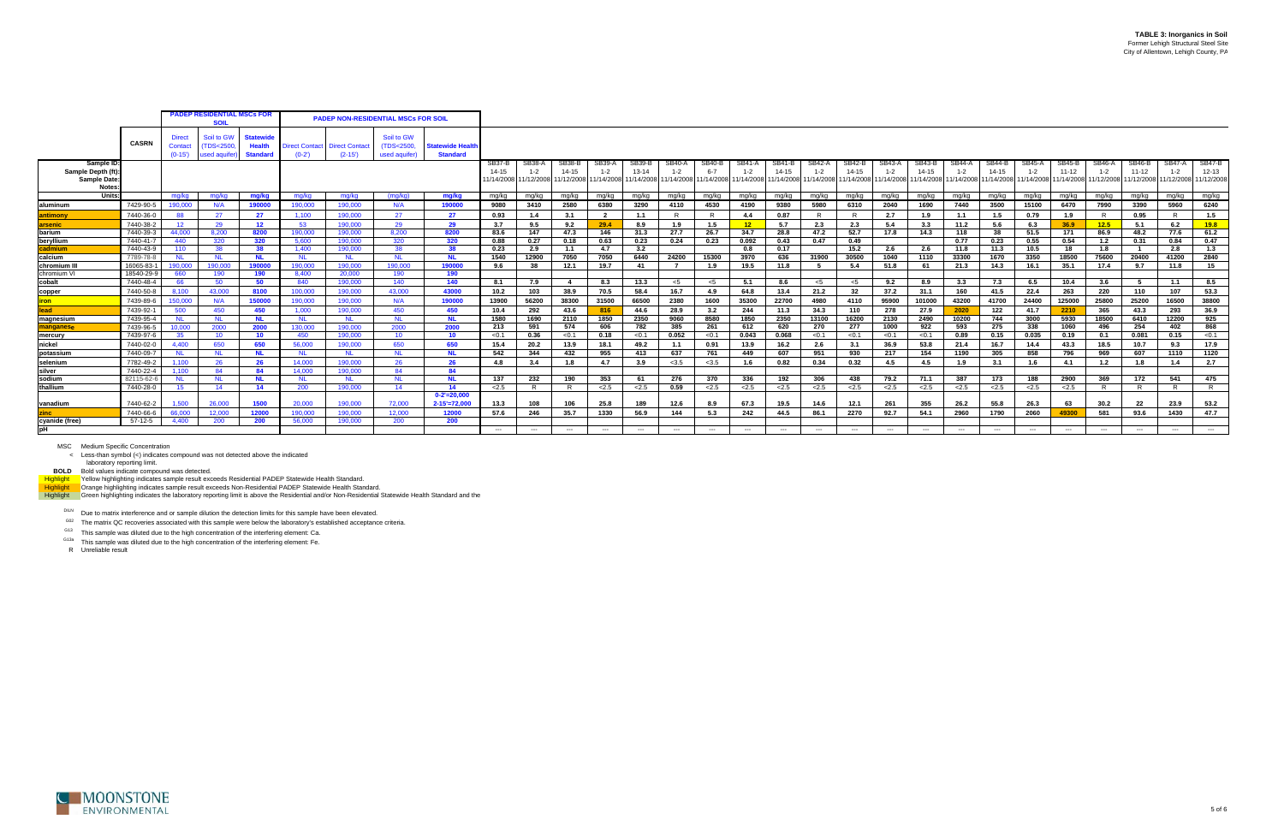laboratory reporting limit.<br>BOLD Bold values indicate compound was detected.<br>H<mark>ighlight V</mark>ellow highlighting indicates sample result exceeds Residential PADEP Statewide Health Standard.<br>Highlight Crange highlighting indica

DILN Due to matrix interference and or sample dilution the detection limits for this sample have been elevated.

 $G02$  The matrix QC recoveries associated with this sample were below the laboratory's established acceptance criteria.

G13 This sample was diluted due to the high concentration of the interfering element: Ca.

<sup>G13a</sup> This sample was diluted due to the high concentration of the interfering element: Fe.



|                                                         |                         | <b>PADEP RESIDENTIAL MSCs FOR</b><br><b>PADEP NON-RESIDENTIAL MSCs FOR SOIL</b><br><b>SOIL</b> |                                         |                                                      |                          |                                   |                                           |                                            |                               |                                 |                                          |                      |                               |               |                        |                          |                     |                                                                                          |                            |                                          |                                                |                   |                     |                                                                                               |                        |                   |                     |                                        |                                          |
|---------------------------------------------------------|-------------------------|------------------------------------------------------------------------------------------------|-----------------------------------------|------------------------------------------------------|--------------------------|-----------------------------------|-------------------------------------------|--------------------------------------------|-------------------------------|---------------------------------|------------------------------------------|----------------------|-------------------------------|---------------|------------------------|--------------------------|---------------------|------------------------------------------------------------------------------------------|----------------------------|------------------------------------------|------------------------------------------------|-------------------|---------------------|-----------------------------------------------------------------------------------------------|------------------------|-------------------|---------------------|----------------------------------------|------------------------------------------|
|                                                         | <b>CASRN</b>            | <b>Direct</b><br>Contact<br>$(0-15)$                                                           | Soil to GW<br>(TDS<2500<br>used aquifer | <b>Statewide</b><br><b>Health</b><br><b>Standard</b> | irect Contact<br>$(0-2)$ | <b>Direct Contact</b><br>$(2-15)$ | Soil to GW<br>(TDS<2500,<br>used aquifer) | <b>Statewide Health</b><br><b>Standard</b> |                               |                                 |                                          |                      |                               |               |                        |                          |                     |                                                                                          |                            |                                          |                                                |                   |                     |                                                                                               |                        |                   |                     |                                        |                                          |
| Sample ID<br>Sample Depth (ft<br>Sample Date:<br>Notes: |                         |                                                                                                |                                         |                                                      |                          |                                   |                                           |                                            | SB37-B<br>14-15<br>11/14/2008 | SB38-A<br>$1 - 2$<br>11/12/2008 | <b>SB38-B</b><br>$14 - 15$<br>11/12/2008 | SB39-A<br>11/14/2008 | SB39-B<br>13-14<br>11/14/2008 | <b>SB40-A</b> | <b>SB40-B</b><br>$6-7$ | SB41-A                   | SB41-B<br>$14 - 15$ | SB42-A<br>$1 - 2$<br>11/14/2008 11/14/2008 11/14/2008 11/14/2008 11/14/2008 11/14/2008 1 | <b>SB42-B</b><br>$14 - 15$ | SB43-A                                   | SB43-B<br>$14 - 15$<br>11/14/2008 11/14/2008 1 | SB44-A<br>$1 - 2$ | SB44-B<br>$14 - 15$ | <b>SB45-A</b><br>$1 - 2$<br>11/14/2008 11/14/2008 11/14/2008 11/14/2008 11/12/2008 11/12/2008 | <b>SB45-B</b><br>11-12 | SB46-A<br>$1 - 2$ | SB46-B<br>$11 - 12$ | <b>SB47-A</b><br>$1 - 2$<br>11/12/2008 | <b>SB47-B</b><br>$12 - 13$<br>11/12/2008 |
| Units:                                                  |                         | ma/ka                                                                                          | mg/kg                                   | mg/kg                                                | ma/ka                    | mg/kg                             | (mg/kg)                                   | mg/kg                                      | mg/kg                         | mg/kg                           | mg/kg                                    | mg/kg                | mg/kg                         | mg/kg         | mg/kg                  | mg/kg                    | mg/kg               | mg/kg                                                                                    | mg/kg                      | mg/kg                                    | mg/kg                                          | mg/kg             | mg/kg               | mg/kg                                                                                         | mg/kg                  | mg/kg             | mg/kg               | mg/kg                                  | mg/kg                                    |
| laluminum                                               | 7429-90-5               | 190.000                                                                                        | N/A                                     | 190000                                               | 190,000                  | 190,000                           | N/A                                       | 190000                                     | 9080                          | 3410                            | 2580                                     | 6380                 | 3290                          | 4110          | 4530                   | 4190                     | 9380                | 5980                                                                                     | 6310                       | 2040                                     | 1690                                           | 7440              | 3500                | 15100                                                                                         | 6470                   | 7990              | 3390                | 5960                                   | 6240                                     |
| <u>ntimony</u>                                          | 7440-36-0               | 88                                                                                             | 27                                      | 27                                                   | 1,100                    | 190,000                           | 27                                        | 27                                         | 0.93                          | 1.4                             | 3.1                                      |                      | 1.1                           | R             | $\mathsf{R}$           | 4.4                      | 0.87                |                                                                                          | R                          | 2.7                                      | 1.9                                            | 1.1               | 1.5                 | 0.79                                                                                          | 1.9                    | $\mathsf{R}$      | 0.95                | $\overline{R}$                         | 1.5                                      |
| arsenic                                                 | 7440-38-2               | 12 <sup>7</sup>                                                                                | 29                                      | 12 <sup>12</sup>                                     | 53                       | 190,000                           | 29                                        | 29                                         | 3.7                           | 9.5                             | 9.2                                      | 29.4                 | 8.9                           | 1.9           | 1.5                    | 12                       | 5.7                 | 2.3                                                                                      | 2.3                        | 5.4                                      | 3.3                                            | 11.2              | 5.6                 | 6.3                                                                                           | 36.9                   | 12.5              | 5.1                 | 6.2                                    | 19.8                                     |
| barium                                                  | 7440-39-3               | 44.000                                                                                         | 8,200                                   | 8200                                                 | 190,000                  | 190,000                           | 8,200                                     | 8200                                       | 83.6                          | 147                             | 47.3                                     | 146                  | 31.3                          | 27.7          | 26.7                   | 34.7                     | 28.8                | 47.2                                                                                     | 52.7                       | 17.8                                     | 14.3                                           | 118               | 38                  | 51.5                                                                                          | 171                    | 86.9              | 48.2                | 77.6                                   | 61.2                                     |
| beryllium                                               | 7440-41-                | 440                                                                                            | 320                                     | 320                                                  | 5.600                    | 190.000                           | 320                                       | 320                                        | 0.88                          | 0.27                            | 0.18                                     | 0.63                 | 0.23                          | 0.24          | 0.23                   | 0.092                    | 0.43                | 0.47                                                                                     | 0.49                       |                                          |                                                | 0.77              | 0.23                | 0.55                                                                                          | 0.54                   | 1.2               | 0.31                | 0.84                                   | 0.47                                     |
| cadmium                                                 | 7440-43-9               | 110                                                                                            | 38                                      | 38                                                   | 1.400                    | 190.000                           | -38                                       | 38                                         | 0.23                          | 2.9                             | 1.1                                      | 4.7                  | 3.2                           |               |                        | 0.8                      | 0.17                |                                                                                          | 15.2                       | 2.6                                      | 2.6                                            | 11.8              | 11.3                | 10.5                                                                                          | 18                     | 1.8               | $\overline{1}$      | 2.8                                    | 1.3                                      |
| calcium                                                 | 7789-78-8               | <b>NL</b>                                                                                      | <b>NL</b>                               | <b>NL</b>                                            | <b>NL</b>                | <b>NL</b>                         | <b>NL</b>                                 | <b>NL</b>                                  | 1540                          | 12900                           | 7050                                     | 7050                 | 6440                          | 24200         | 15300                  | 3970                     | 636                 | 31900                                                                                    | 30500                      | 1040                                     | 1110                                           | 33300             | 1670                | 3350                                                                                          | 18500                  | 75600             | 20400               | 41200                                  | 2840                                     |
| chromium III                                            | 16065-83-<br>18540-29-9 | 190,000                                                                                        | 190,000                                 | 190000                                               | 190.000<br>8,400         | 190,000<br>20,000                 | 190.000                                   | 190000<br>190                              | 9.6                           | 38                              | 12.1                                     | 19.7                 | -41                           | 7             | 1.9                    | 19.5                     | 11.8                |                                                                                          | 5.4                        | 51.8                                     | 61                                             | 21.3              | 14.3                | 16.1                                                                                          | 35.1                   | 17.4              | 9.7                 | 11.8                                   | 15                                       |
| chromium V<br>cobalt                                    | 7440-48-4               | 660<br>66                                                                                      | 190<br>50                               | 190<br>50                                            | 840                      | 190,000                           | 190<br>140                                | 140                                        | 8.1                           | 7.9                             | -4                                       | 8.3                  | 13.3                          | $<$ 5         | $<$ 5                  | 5.1                      | 8.6                 | $<$ 5                                                                                    | $<$ 5                      | 9.2                                      | 8.9                                            | 3.3               | 7.3                 | 6.5                                                                                           | 10.4                   | 3.6               | 5                   | 1.1                                    | 8.5                                      |
|                                                         |                         |                                                                                                |                                         | 8100                                                 |                          |                                   | 43.000                                    |                                            |                               |                                 |                                          |                      |                               |               |                        |                          |                     |                                                                                          |                            |                                          |                                                |                   |                     |                                                                                               |                        |                   |                     |                                        |                                          |
| copper                                                  | 7440-50-8<br>7439-89-6  | 8.100<br>150,000                                                                               | 43,000                                  | 150000                                               | 100.000<br>190.000       | 190,000<br>190,000                |                                           | 43000                                      | 10.2                          | 103                             | 38.9<br>38300                            | 70.5<br>31500        | 58.4<br>66500                 | 16.7          | 4.9                    | 64.8                     | 13.4<br>22700       | 21.2                                                                                     | 32                         | 37.2<br>95900                            | 31.1                                           | 160               | 41.5                | 22.4                                                                                          | 263<br>125000          | 220               | 110<br>25200        | 107                                    | 53.3                                     |
| iron l                                                  |                         |                                                                                                | N/A                                     |                                                      |                          |                                   | N/A                                       | 190000                                     | 13900                         | 56200                           |                                          |                      |                               | 2380          | 1600                   | 35300                    |                     | 4980                                                                                     | 4110                       |                                          | 101000                                         | 43200             | 41700               | 24400                                                                                         |                        | 25800             |                     | 16500                                  | 38800                                    |
| llead                                                   | 7439-92-<br>7439-95-4   | 500                                                                                            | 450                                     | 450                                                  | 1.000                    | 190.000                           | 450<br><b>NL</b>                          | 450                                        | 10.4<br>1580                  | 292<br>1690                     | 43.6<br>2110                             | 816                  | 44.6<br>2350                  | 28.9<br>9060  | 3.2<br>8580            | 244                      | 11.3<br>2350        | 34.3<br>13100                                                                            | 110<br>16200               | 278<br>2130                              | 27.9<br>2490                                   | 2020<br>10200     | 122                 | 41.7<br>3000                                                                                  | 2210<br>5930           | 365<br>18500      | 43.3                | 293<br>12200                           | 36.9<br>925                              |
| magnesium                                               | 7439-96-5               | <b>NL</b><br>10.000                                                                            | <b>NL</b><br>2000                       | <b>NL</b><br>2000                                    | - NL<br>130,000          | <b>NL</b><br>190,000              | 2000                                      | <b>NL</b><br>2000                          | 213                           | 591                             | 574                                      | 1850<br>606          | 782                           | 385           | 261                    | 1850<br>612              | 620                 | 270                                                                                      | 277                        | 1000                                     | 922                                            | 593               | 744<br>275          | 338                                                                                           | 1060                   | 496               | 6410<br>254         | 402                                    | 868                                      |
| manganese<br>mercury                                    | 7439-97-6               | 35                                                                                             | 10 <sup>°</sup>                         | 10 <sup>°</sup>                                      | 450                      | 190,000                           | 10 <sup>1</sup>                           | 10 <sub>1</sub>                            | < 0.1                         | 0.36                            | < 0.1                                    | 0.18                 | < 0.1                         | 0.052         | < 0.1                  | 0.043                    | 0.068               | < 0.1                                                                                    | < 0.1                      | < 0.1                                    | < 0.1                                          | 0.89              | 0.15                | 0.035                                                                                         | 0.19                   | 0.1               | 0.081               | 0.15                                   | < 0.1                                    |
| nickel                                                  | 7440-02-0               | 4.400                                                                                          | 650                                     | 650                                                  | 56,000                   | 190,000                           | 650                                       | 650                                        | 15.4                          | 20.2                            | 13.9                                     | 18.1                 | 49.2                          | 1.1           | 0.91                   | 13.9                     | 16.2                | 2.6                                                                                      | 3.1                        | 36.9                                     | 53.8                                           | 21.4              | 16.7                | 14.4                                                                                          | 43.3                   | 18.5              | 10.7                | 9.3                                    | 17.9                                     |
| potassium                                               | 7440-09-7               | NL.                                                                                            | <b>NL</b>                               | <b>NL</b>                                            | <b>NL</b>                | <b>NL</b>                         | - NL                                      | <b>NL</b>                                  | 542                           | 344                             | 432                                      | 955                  | 413                           | 637           | 761                    | 449                      | 607                 | 951                                                                                      | 930                        | 217                                      | 154                                            | 1190              | 305                 | 858                                                                                           | 796                    | 969               | 607                 | 1110                                   | 1120                                     |
| selenium                                                | 7782-49-2               | 1.100                                                                                          | 26                                      | 26                                                   | 14.000                   | 190.000                           | 26                                        | 26                                         | 4.8                           | 3.4                             | 1.8                                      | 4.7                  | 3.9                           | < 3.5         | < 3.5                  | 1.6                      | 0.82                | 0.34                                                                                     | 0.32                       | 4.5                                      | 4.5                                            | 1.9               | 3.1                 | 1.6                                                                                           | 4.1                    | 1.2               | 1.8                 | 1.4                                    | 2.7                                      |
| silver                                                  | 7440-22-4               | 1,100                                                                                          | 84                                      | 84                                                   | 14.000                   | 190.000                           | 84                                        | 84                                         |                               |                                 |                                          |                      |                               |               |                        |                          |                     |                                                                                          |                            |                                          |                                                |                   |                     |                                                                                               |                        |                   |                     |                                        |                                          |
| sodium                                                  | 82115-62-6              | NL.                                                                                            | NL.                                     | <b>NL</b>                                            | - NL                     | <b>NL</b>                         | - NL                                      | <b>NL</b>                                  | 137                           | 232                             | 190                                      | 353                  | -61                           | 276           | 370                    | 336                      | 192                 | 306                                                                                      | 438                        | 79.2                                     | 71.1                                           | 387               | 173                 | 188                                                                                           | 2900                   | 369               | 172                 | 541                                    | 475                                      |
| thallium                                                | 7440-28-0               | 15                                                                                             | 14                                      | 14                                                   | 200                      | 190,000                           | 14                                        | 14                                         | 2.5                           | R                               |                                          | 2.5                  | 2.5                           | 0.59          | 2.5                    | 2.5                      | 2.5                 | 2.5                                                                                      | 2.5                        | 2.5                                      | 2.5                                            | 2.5               | 2.5                 | 2.5                                                                                           | 2.5                    | R                 | R                   | -R                                     | R                                        |
|                                                         |                         |                                                                                                |                                         |                                                      |                          |                                   |                                           | $0 - 2' = 20.000$                          |                               |                                 |                                          |                      |                               |               |                        |                          |                     |                                                                                          |                            |                                          |                                                |                   |                     |                                                                                               |                        |                   |                     |                                        |                                          |
| vanadium                                                | 7440-62-2               | 1.500                                                                                          | 26,000                                  | 1500                                                 | 20,000                   | 190,000                           | 72,000                                    | $2 - 15' = 72.000$                         | 13.3                          | 108                             | 106                                      | 25.8                 | 189                           | 12.6          | 8.9                    | 67.3                     | 19.5                | 14.6                                                                                     | 12.1                       | 261                                      | 355                                            | 26.2              | 55.8                | 26.3                                                                                          | 63                     | 30.2              | 22                  | 23.9                                   | 53.2                                     |
|                                                         | 7440-66-6               | 66,000                                                                                         | 12.000                                  | 12000                                                | 190,000                  | 190,000                           | 12,000                                    | 12000                                      | 57.6                          | 246                             | 35.7                                     | 1330                 | 56.9                          | 144           | 5.3                    | 242                      | 44.5                | 86.1                                                                                     | 2270                       | 92.7                                     | 54.1                                           | 2960              | 1790                | 2060                                                                                          | 49300                  | 581               | 93.6                | 1430                                   | 47.7                                     |
| cyanide (free)                                          | 57-12-5                 | 4.400                                                                                          | 200                                     | 200                                                  | 56,000                   | 190,000                           | 200                                       | 200                                        |                               |                                 |                                          |                      |                               |               |                        |                          |                     |                                                                                          |                            |                                          |                                                |                   |                     |                                                                                               |                        |                   |                     |                                        |                                          |
| pН                                                      |                         |                                                                                                |                                         |                                                      |                          |                                   |                                           |                                            | $---$                         | $---$                           | $--$                                     | $--$                 | $---$                         | $---$         | $---$                  | $\hspace{0.05cm} \ldots$ | $---$               | $---$                                                                                    | $\overline{\phantom{a}}$   | $\hspace{0.05cm} \ldots \hspace{0.05cm}$ | $---$                                          | $---$             | $---$               | $---$                                                                                         | $---$                  | $---$             | $---$               | $---$                                  | $---$                                    |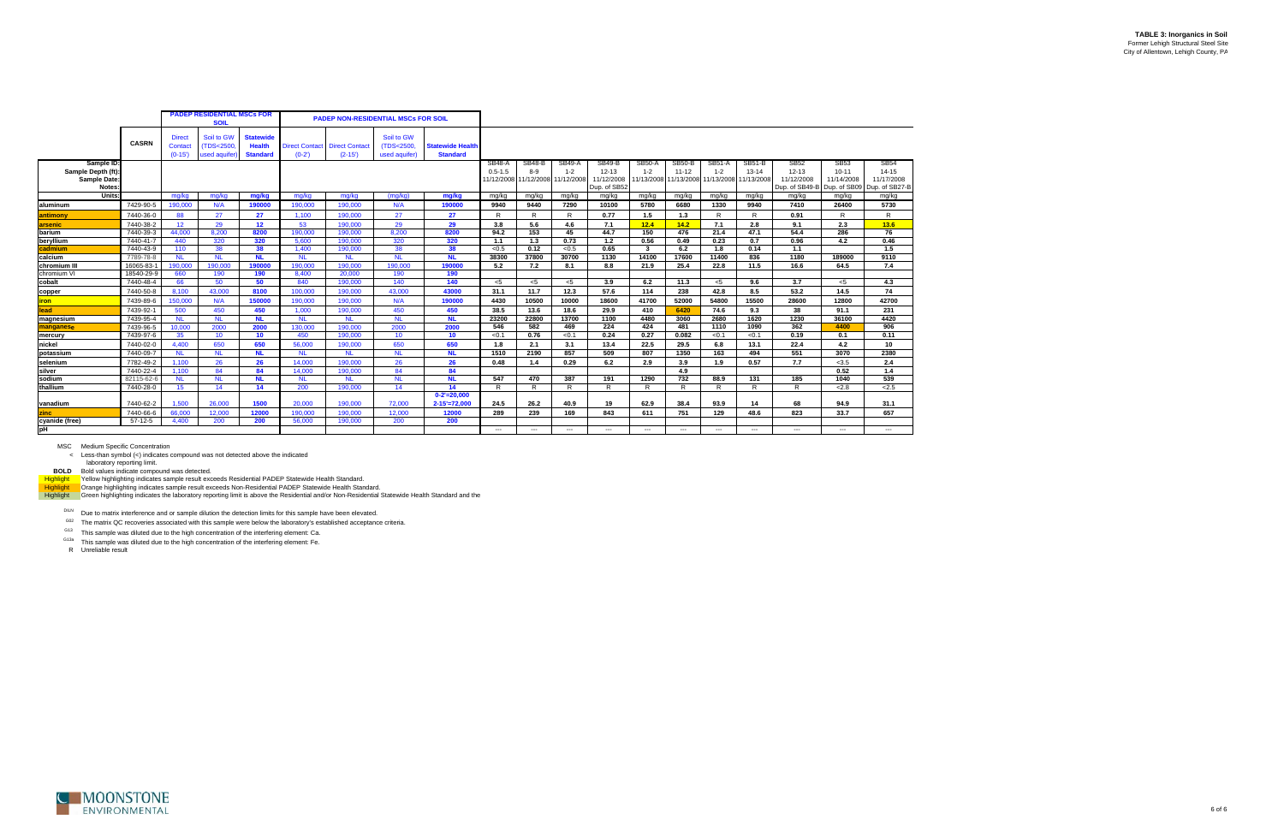**TABLE 3: Inorganics in Soil** Former Lehigh Structural Steel Site City of Allentown, Lehigh County, PA

MSC Medium Specific Concentration < Less-than symbol (<) indicates compound was not detected above the indicated

laboratory reporting limit.<br>BOLD Bold values indicate compound was detected.<br>H<mark>ighlight V</mark>ellow highlighting indicates sample result exceeds Residential PADEP Statewide Health Standard.<br>Highlight Crange highlighting indica

DILN Due to matrix interference and or sample dilution the detection limits for this sample have been elevated.

 $G02$  The matrix QC recoveries associated with this sample were below the laboratory's established acceptance criteria.

G13 This sample was diluted due to the high concentration of the interfering element: Ca.

<sup>G13a</sup> This sample was diluted due to the high concentration of the interfering element: Fe.



|                                                                       |                        |                                      | <b>PADEP RESIDENTIAL MSCs FOR</b><br><b>SOIL</b> |                                                      |                                   | <b>PADEP NON-RESIDENTIAL MSCs FOR SOIL</b> |                                          |                                            |                              |                                               |                                        |                                                          |                          |                                                                           |                          |                            |                                                                       |                                        |                                                          |
|-----------------------------------------------------------------------|------------------------|--------------------------------------|--------------------------------------------------|------------------------------------------------------|-----------------------------------|--------------------------------------------|------------------------------------------|--------------------------------------------|------------------------------|-----------------------------------------------|----------------------------------------|----------------------------------------------------------|--------------------------|---------------------------------------------------------------------------|--------------------------|----------------------------|-----------------------------------------------------------------------|----------------------------------------|----------------------------------------------------------|
|                                                                       | <b>CASRN</b>           | <b>Direct</b><br>Contact<br>$(0-15)$ | Soil to GW<br>(TDS<2500)<br>used aquifer         | <b>Statewide</b><br><b>Health</b><br><b>Standard</b> | <b>Direct Contact</b><br>$(0-2')$ | <b>Direct Contact</b><br>$(2-15)$          | Soil to GW<br>(TDS<2500<br>used aquifer) | <b>Statewide Health</b><br><b>Standard</b> |                              |                                               |                                        |                                                          |                          |                                                                           |                          |                            |                                                                       |                                        |                                                          |
| Sample ID:<br>Sample Depth (ft)<br><b>Sample Date</b><br><b>Notes</b> |                        |                                      |                                                  |                                                      |                                   |                                            |                                          |                                            | <b>SB48-A</b><br>$0.5 - 1.5$ | <b>SB48-B</b><br>8-9<br>11/12/2008 11/12/2008 | <b>SB49-A</b><br>$1 - 2$<br>11/12/2008 | <b>SB49-B</b><br>$12 - 13$<br>11/12/2008<br>Dup. of SB52 | <b>SB50-A</b><br>$1 - 2$ | <b>SB50-B</b><br>$11 - 12$<br>11/13/2008 11/13/2008 11/13/2008 11/13/2008 | <b>SB51-A</b><br>$1 - 2$ | <b>SB51-B</b><br>$13 - 14$ | <b>SB52</b><br>$12 - 13$<br>11/12/2008<br>Dup. of SB49-B Dup. of SB09 | <b>SB53</b><br>$10 - 11$<br>11/14/2008 | <b>SB54</b><br>$14 - 15$<br>11/17/2008<br>Dup. of SB27-B |
| <b>Units</b>                                                          |                        | mg/kg                                | mg/kg                                            | mg/kg                                                | mg/kg                             | mg/kg                                      | (ma/ka)                                  | mg/kg                                      | mg/kg                        | mg/kg                                         | mg/kg                                  | mg/kg                                                    | mg/kg                    | mg/kg                                                                     | mg/kg                    | mg/kg                      | mg/kg                                                                 | mg/kg                                  | mg/kg                                                    |
| laluminum                                                             | 7429-90-5              | 190,000                              | N/A                                              | 190000                                               | 190,000                           | 190,000                                    | N/A                                      | 190000                                     | 9940                         | 9440                                          | 7290                                   | 10100                                                    | 5780                     | 6680                                                                      | 1330                     | 9940                       | 7410                                                                  | 26400                                  | 5730                                                     |
| antimony                                                              | 7440-36-0              | 88                                   | 27                                               | 27                                                   | 1,100                             | 190,000                                    | 27                                       | 27                                         | R                            | R.                                            | R                                      | 0.77                                                     | 1.5                      | 1.3                                                                       | R                        | R                          | 0.91                                                                  | R                                      | $\mathsf{R}$                                             |
| arsenic                                                               | 7440-38-2              | 12                                   | 29                                               | 12                                                   | 53                                | 190,000                                    | 29                                       | 29                                         | 3.8                          | 5.6                                           | 4.6                                    | 7.1                                                      | 12.4                     | 14.2                                                                      | 7.1                      | 2.8                        | 9.1                                                                   | 2.3                                    | 13.6                                                     |
| barium                                                                | 7440-39-3              | 44.000                               | 8.200                                            | 8200                                                 | 190,000                           | 190,000                                    | 8,200                                    | 8200                                       | 94.2                         | 153                                           | 45                                     | 44.7                                                     | 150                      | 476                                                                       | 21.4                     | 47.1                       | 54.4                                                                  | 286                                    | 76                                                       |
| beryllium                                                             | 7440-41-7              | 440                                  | 320                                              | 320                                                  | 5,600                             | 190,000                                    | 320                                      | 320                                        | 1.1                          | 1.3                                           | 0.73                                   | 1.2                                                      | 0.56                     | 0.49                                                                      | 0.23                     | 0.7                        | 0.96                                                                  | 4.2                                    | 0.46                                                     |
| cadmium                                                               | 7440-43-9              | 110                                  | 38                                               | 38                                                   | 1.400                             | 190,000                                    | 38                                       | 38                                         | < 0.5                        | 0.12<br>37800                                 | < 0.5                                  | 0.65<br>1130                                             | $\mathbf{3}$<br>14100    | 6.2<br>17600                                                              | 1.8                      | 0.14<br>836                | 1.1<br>1180                                                           |                                        | 1.5<br>9110                                              |
| calcium<br>Ichromium III                                              | 7789-78-8<br>16065-83- | <b>NL</b><br>190,000                 | <b>NL</b><br>190,000                             | <b>NL</b><br>190000                                  | <b>NL</b><br>190,000              | <b>NL</b><br>190,000                       | <b>NL</b><br>190,000                     | <b>NL</b><br>190000                        | 38300<br>5.2                 | 7.2                                           | 30700<br>8.1                           | 8.8                                                      | 21.9                     | 25.4                                                                      | 11400<br>22.8            | 11.5                       | 16.6                                                                  | 189000<br>64.5                         | 7.4                                                      |
| chromium VI                                                           | 18540-29-9             | 660                                  | 190                                              | 190                                                  | 8,400                             | 20,000                                     | 190                                      | 190                                        |                              |                                               |                                        |                                                          |                          |                                                                           |                          |                            |                                                                       |                                        |                                                          |
| cobalt                                                                | 7440-48-4              | 66                                   | 50                                               | 50                                                   | 840                               | 190,000                                    | 140                                      | 140                                        | < 5                          | $<$ 5                                         | $<$ 5                                  | 3.9                                                      | 6.2                      | 11.3                                                                      | $<$ 5                    | 9.6                        | 3.7                                                                   | $5$                                    | 4.3                                                      |
| copper                                                                | 7440-50-8              | 8.100                                | 43,000                                           | 8100                                                 | 100.000                           | 190,000                                    | 43.000                                   | 43000                                      | 31.1                         | 11.7                                          | 12.3                                   | 57.6                                                     | 114                      | 238                                                                       | 42.8                     | 8.5                        | 53.2                                                                  | 14.5                                   | 74                                                       |
| <u>ron</u>                                                            | 7439-89-6              | 150,000                              | N/A                                              | 150000                                               | 190,000                           | 190,000                                    | N/A                                      | 190000                                     | 4430                         | 10500                                         | 10000                                  | 18600                                                    | 41700                    | 52000                                                                     | 54800                    | 15500                      | 28600                                                                 | 12800                                  | 42700                                                    |
| ead                                                                   | 7439-92-1              | 500                                  | 450                                              | 450                                                  | 1,000                             | 190,000                                    | 450                                      | 450                                        | 38.5                         | 13.6                                          | 18.6                                   | 29.9                                                     | 410                      | 6420                                                                      | 74.6                     | 9.3                        | 38                                                                    | 91.1                                   | 231                                                      |
| magnesium                                                             | 7439-95-4              | <b>NL</b>                            | <b>NL</b>                                        | <b>NL</b>                                            | <b>NL</b>                         | <b>NL</b>                                  | <b>NL</b>                                | <b>NL</b>                                  | 23200                        | 22800                                         | 13700                                  | 1100                                                     | 4480                     | 3060                                                                      | 2680                     | 1620                       | 1230                                                                  | 36100                                  | 4420                                                     |
| manganese                                                             | 7439-96-5              | 10,000                               | 2000                                             | 2000                                                 | 130,000                           | 190,000                                    | 2000                                     | 2000                                       | 546                          | 582                                           | 469                                    | 224                                                      | 424                      | 481                                                                       | 1110                     | 1090                       | 362                                                                   | 4400                                   | 906                                                      |
| mercury                                                               | 7439-97-6              | 35                                   | 10                                               | 10                                                   | 450                               | 190,000                                    | 10                                       | 10 <sup>°</sup>                            | < 0.1                        | 0.76                                          | < 0.1                                  | 0.24                                                     | 0.27                     | 0.082                                                                     | < 0.1                    | < 0.1                      | 0.19                                                                  | 0.1                                    | 0.11                                                     |
| nickel                                                                | 7440-02-0              | 4,400                                | 650                                              | 650                                                  | 56,000                            | 190,000                                    | 650                                      | 650                                        | 1.8                          | 2.1                                           | 3.1                                    | 13.4                                                     | 22.5                     | 29.5                                                                      | 6.8                      | 13.1                       | 22.4                                                                  | 4.2                                    | 10                                                       |
| potassium                                                             | 7440-09-7              | <b>NL</b>                            | <b>NL</b>                                        | <b>NL</b>                                            | <b>NL</b>                         | <b>NL</b>                                  | <b>NL</b>                                | <b>NL</b>                                  | 1510                         | 2190                                          | 857                                    | 509                                                      | 807                      | 1350                                                                      | 163                      | 494                        | 551                                                                   | 3070                                   | 2380                                                     |
| selenium                                                              | 7782-49-2              | 1,100                                | 26                                               | 26                                                   | 14,000                            | 190,000                                    | 26                                       | 26                                         | 0.48                         | 1.4                                           | 0.29                                   | 6.2                                                      | 2.9                      | 3.9                                                                       | 1.9                      | 0.57                       | 7.7                                                                   | < 3.5                                  | 2.4                                                      |
| silver                                                                | 7440-22-4              | 1.100                                | 84                                               | 84                                                   | 14.000                            | 190,000                                    | 84                                       | 84                                         |                              |                                               |                                        |                                                          |                          | 4.9                                                                       |                          |                            |                                                                       | 0.52                                   | 1.4                                                      |
| sodium                                                                | 82115-62-6             | <b>NL</b>                            | <b>NL</b>                                        | <b>NL</b>                                            | <b>NL</b>                         | <b>NL</b>                                  | <b>NL</b>                                | <b>NL</b>                                  | 547                          | 470                                           | 387                                    | 191                                                      | 1290                     | 732                                                                       | 88.9                     | 131                        | 185                                                                   | 1040                                   | 539                                                      |
| thallium                                                              | 7440-28-0              | 15                                   | 14                                               | 14                                                   | 200                               | 190,000                                    | 14                                       | 14                                         | R                            | R                                             | R                                      | $\overline{R}$                                           | R                        | R                                                                         | R                        | R                          | $\overline{R}$                                                        | 2.8                                    | 2.5                                                      |
| vanadium                                                              | 7440-62-2              | 1.500                                | 26,000                                           | 1500                                                 | 20,000                            | 190,000                                    | 72,000                                   | $0 - 2' = 20.000$<br>$2 - 15' = 72,000$    | 24.5                         | 26.2                                          | 40.9                                   | 19                                                       | 62.9                     | 38.4                                                                      | 93.9                     | 14                         | 68                                                                    | 94.9                                   | 31.1                                                     |
| zinc                                                                  | 7440-66-6              | 66,000                               | 12,000                                           | 12000                                                | 190,000                           | 190,000                                    | 12,000                                   | 12000                                      | 289                          | 239                                           | 169                                    | 843                                                      | 611                      | 751                                                                       | 129                      | 48.6                       | 823                                                                   | 33.7                                   | 657                                                      |
| cyanide (free)                                                        | $57-12-5$              | 4,400                                | 200                                              | 200                                                  | 56,000                            | 190,000                                    | 200                                      | 200                                        |                              |                                               |                                        |                                                          |                          |                                                                           |                          |                            |                                                                       |                                        |                                                          |
| pH                                                                    |                        |                                      |                                                  |                                                      |                                   |                                            |                                          |                                            | $---$                        | $---$                                         | $\hspace{0.05cm} \ldots$               | $---$                                                    | $---$                    | $---$                                                                     | ---                      | ---                        | $---$                                                                 | $\hspace{0.05cm} \ldots$               | $---$                                                    |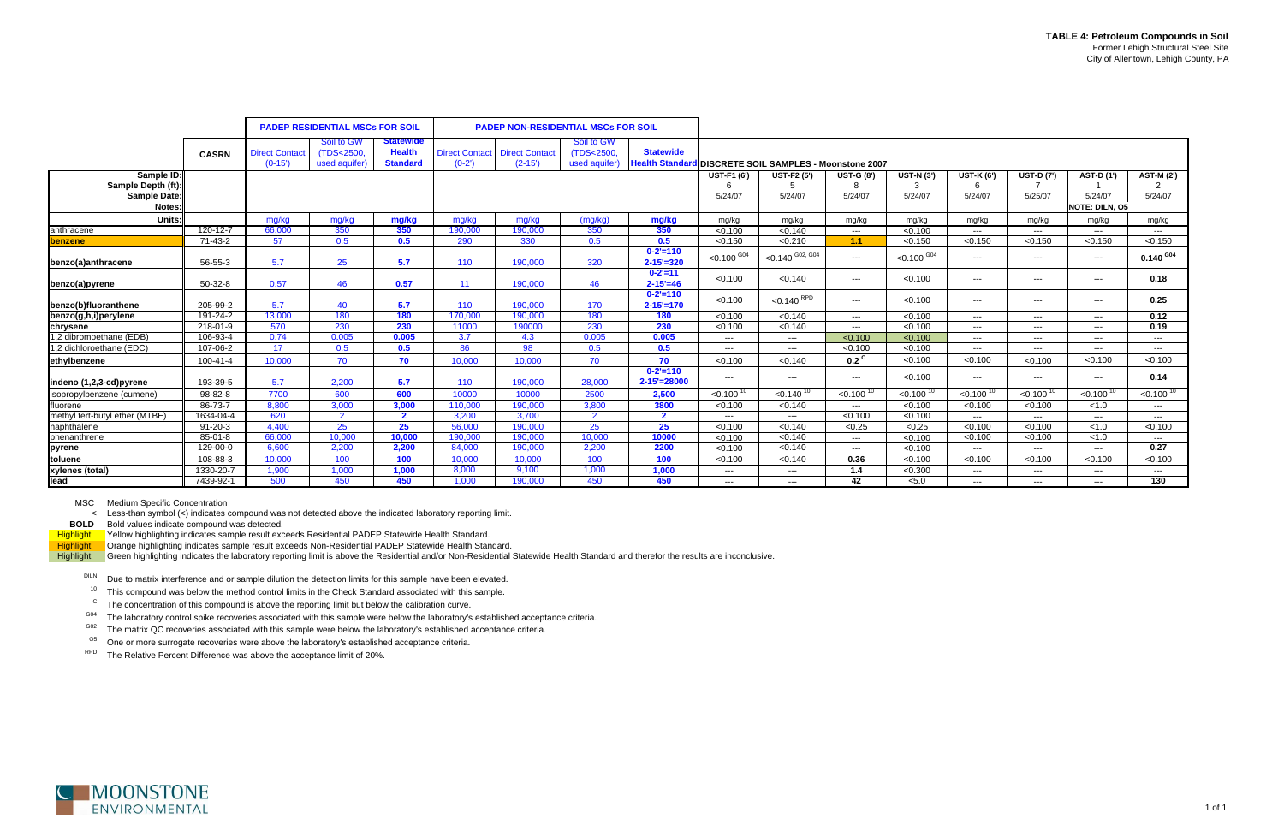|                                                                   |                |                                   | <b>PADEP RESIDENTIAL MSCs FOR SOIL</b>   |                                                      |                                  | <b>PADEP NON-RESIDENTIAL MSCs FOR SOIL</b> |                                           |                                                                            |                                    |                               |                                   |                                   |                                   |                              |                                         |                              |
|-------------------------------------------------------------------|----------------|-----------------------------------|------------------------------------------|------------------------------------------------------|----------------------------------|--------------------------------------------|-------------------------------------------|----------------------------------------------------------------------------|------------------------------------|-------------------------------|-----------------------------------|-----------------------------------|-----------------------------------|------------------------------|-----------------------------------------|------------------------------|
|                                                                   | <b>CASRN</b>   | <b>Direct Contact</b><br>$(0-15)$ | Soil to GW<br>(TDS<2500)<br>used aquifer | <b>Statewide</b><br><b>Health</b><br><b>Standard</b> | <b>Direct Contact</b><br>$(0-2)$ | <b>Direct Contact</b><br>$(2-15)$          | Soil to GW<br>(TDS<2500.<br>used aquifer) | <b>Statewide</b><br>Health Standard DISCRETE SOIL SAMPLES - Moonstone 2007 |                                    |                               |                                   |                                   |                                   |                              |                                         |                              |
| Sample ID:<br>Sample Depth (ft):<br><b>Sample Date:</b><br>Notes: |                |                                   |                                          |                                                      |                                  |                                            |                                           |                                                                            | <b>UST-F1 (6')</b><br>6<br>5/24/07 | <b>UST-F2 (5')</b><br>5/24/07 | <b>UST-G (8')</b><br>8<br>5/24/07 | <b>UST-N (3')</b><br>3<br>5/24/07 | <b>UST-K (6')</b><br>6<br>5/24/07 | <b>UST-D (7')</b><br>5/25/07 | AST-D (1')<br>5/24/07<br>NOTE: DILN, 05 | <b>AST-M (2')</b><br>5/24/07 |
| Units:                                                            |                | mg/kg                             | mg/kg                                    | mg/kg                                                | mg/kg                            | mg/kg                                      | (mg/kg)                                   | mg/kg                                                                      | mg/kg                              | mg/kg                         | mg/kg                             | mg/kg                             | mg/kg                             | mg/kg                        | mg/kg                                   | mg/kg                        |
| anthracene                                                        | $120 - 12 - 7$ | 66,000                            | 350                                      | 350                                                  | 190,000                          | 190,000                                    | 350                                       | 350                                                                        | < 0.100                            | < 0.140                       | $\qquad \qquad - -$               | < 0.100                           | $---$                             | $---$                        | $---$                                   | $---$                        |
| <b>benzene</b>                                                    | 71-43-2        | 57                                | 0.5                                      | 0.5                                                  | 290                              | 330                                        | 0.5                                       | 0.5                                                                        | < 0.150                            | < 0.210                       | 1.1                               | < 0.150                           | < 0.150                           | < 0.150                      | < 0.150                                 | < 0.150                      |
| benzo(a)anthracene                                                | 56-55-3        | 5.7                               | 25                                       | 5.7                                                  | 110                              | 190.000                                    | 320                                       | $0 - 2' = 110$<br>$2 - 15' = 320$                                          | $<$ 0.100 $^{G04}$                 | $<$ 0.140 $^{602, 604}$       | $---$                             | $< 0.100$ G <sub>04</sub>         | $---$                             | $---$                        | $  -$                                   | $0.140$ $^{G04}$             |
| benzo(a)pyrene                                                    | $50-32-8$      | 0.57                              | 46                                       | 0.57                                                 | 11                               | 190,000                                    | 46                                        | $0 - 2' = 11$<br>$2 - 15' = 46$                                            | < 0.100                            | < 0.140                       | $\qquad \qquad - -$               | < 0.100                           | $\qquad \qquad - -$               | $\qquad \qquad - -$          | $  -$                                   | 0.18                         |
| benzo(b)fluoranthene                                              | 205-99-2       | 5.7                               | 40                                       | 5.7                                                  | 110                              | 190,000                                    | 170                                       | $0 - 2' = 110$<br>$2 - 15' = 170$                                          | < 0.100                            | $<$ 0.140 $RPD$               | $\qquad \qquad - -$               | < 0.100                           | $---$                             | $\qquad \qquad - -$          | $  -$                                   | 0.25                         |
| benzo(g,h,i)perylene                                              | 191-24-2       | 13,000                            | 180                                      | 180                                                  | 170,000                          | 190,000                                    | 180                                       | 180                                                                        | < 0.100                            | < 0.140                       | $---$                             | < 0.100                           | $---$                             | $-$ - $ \cdot$               | $---$                                   | 0.12                         |
| chrysene                                                          | 218-01-9       | 570                               | 230                                      | 230                                                  | 11000                            | 190000                                     | 230                                       | 230                                                                        | < 0.100                            | < 0.140                       | $---$                             | < 0.100                           | $-$ – $-$ – $\,$                  | $\qquad \qquad - -$          | $---$                                   | 0.19                         |
| 1,2 dibromoethane (EDB)                                           | 106-93-4       | 0.74                              | 0.005                                    | 0.005                                                | 3.7                              | 4.3                                        | 0.005                                     | 0.005                                                                      | $---$                              | $---$                         | < 0.100                           | < 0.100                           | $---$                             | $---$                        | $---$                                   | $---$                        |
| 1,2 dichloroethane (EDC)                                          | 107-06-2       | 17                                | 0.5                                      | 0.5                                                  | 86                               | 98                                         | 0.5                                       | 0.5                                                                        | $\qquad \qquad - -$                | $---$                         | < 0.100                           | < 0.100                           | $---$                             | $---$                        | $---$                                   | $---$                        |
| ethylbenzene                                                      | $100 - 41 - 4$ | 10,000                            | 70                                       | 70                                                   | 10,000                           | 10,000                                     | 70                                        | 70                                                                         | < 0.100                            | < 0.140                       | $0.2^{\circ}$                     | < 0.100                           | < 0.100                           | < 0.100                      | < 0.100                                 | < 0.100                      |
| indeno (1,2,3-cd) pyrene                                          | 193-39-5       | 5.7                               | 2.200                                    | 5.7                                                  | 110                              | 190.000                                    | 28,000                                    | $0 - 2' = 110$<br>$2 - 15' = 28000$                                        | $---$                              | $---$                         | $\qquad \qquad - -$               | < 0.100                           | $---$                             | $\qquad \qquad \cdots$       | $---$                                   | 0.14                         |
| isopropylbenzene (cumene)                                         | 98-82-8        | 7700                              | 600                                      | 600                                                  | 10000                            | 10000                                      | 2500                                      | 2,500                                                                      | $< 0.100$ <sup>10</sup>            | $< 0.140^{10}$                | $< 0.100 \frac{1}{10}$            | $< 0.100$ <sup>10</sup>           | $< 0.100^{10}$                    | $< 0.100^{10}$               | $< 0.100$ <sup>10</sup>                 | $< 0.100$ <sup>10</sup>      |
| fluorene                                                          | 86-73-7        | 8.800                             | 3,000                                    | 3,000                                                | 110.000                          | 190,000                                    | 3,800                                     | 3800                                                                       | < 0.100                            | < 0.140                       | $\overline{\phantom{a}}$          | < 0.100                           | < 0.100                           | < 0.100                      | < 1.0                                   | $---$                        |
| methyl tert-butyl ether (MTBE)                                    | 1634-04-4      | 620                               | $\overline{2}$                           | $\mathbf{2}$                                         | 3.200                            | 3,700                                      | $\overline{2}$                            | $\overline{2}$                                                             | $---$                              | $---$                         | < 0.100                           | < 0.100                           | $---$                             | $---$                        | $---$                                   | $\cdots$                     |
| naphthalene                                                       | $91 - 20 - 3$  | 4.400                             | 25                                       | 25                                                   | 56,000                           | 190.000                                    | 25                                        | 25                                                                         | < 0.100                            | < 0.140                       | < 0.25                            | < 0.25                            | < 0.100                           | < 0.100                      | < 1.0                                   | < 0.100                      |
| phenanthrene                                                      | 85-01-8        | 66,000                            | 10.000                                   | 10,000                                               | 190,000                          | 190,000                                    | 10,000                                    | 10000                                                                      | < 0.100                            | < 0.140                       | $\frac{1}{2}$                     | < 0.100                           | < 0.100                           | < 0.100                      | < 1.0                                   | $---$                        |
| pyrene                                                            | 129-00-0       | 6.600                             | 2,200                                    | 2,200                                                | 84,000                           | 190,000                                    | 2,200                                     | 2200                                                                       | < 0.100                            | < 0.140                       | $---$                             | < 0.100                           | $---$                             | $---$                        | $---$                                   | 0.27                         |
| toluene                                                           | 108-88-3       | 10.000                            | 100                                      | 100                                                  | 10,000                           | 10.000                                     | 100                                       | 100                                                                        | < 0.100                            | < 0.140                       | 0.36                              | < 0.100                           | < 0.100                           | < 0.100                      | < 0.100                                 | < 0.100                      |
| xylenes (total)                                                   | 1330-20-7      | 1,900                             | 1,000                                    | 1,000                                                | 8,000                            | 9,100                                      | 1,000                                     | 1,000                                                                      | $---$                              | $---$                         | 1.4                               | < 0.300                           | $---$                             | $---$                        | $---$                                   | $---$                        |
| lead                                                              | 7439-92-1      | 500                               | 450                                      | 450                                                  | 1.000                            | 190,000                                    | 450                                       | 450                                                                        | $- - -$                            | $- - -$                       | 42                                | < 5.0                             | $---$                             | $\qquad \qquad \cdots$       | $---$                                   | 130                          |

MSC Medium Specific Concentration

< Less-than symbol (<) indicates compound was not detected above the indicated laboratory reporting limit.

**BOLD** Bold values indicate compound was detected.

Highlight Yellow highlighting indicates sample result exceeds Residential PADEP Statewide Health Standard. Highlight Orange highlighting indicates sample result exceeds Non-Residential PADEP Statewide Health Standard.

Highlight Green highlighting indicates the laboratory reporting limit is above the Residential and/or Non-Residential Statewide Health Standard and therefor the results are inconclusive.

DILN Due to matrix interference and or sample dilution the detection limits for this sample have been elevated.

 $10$  This compound was below the method control limits in the Check Standard associated with this sample.

 $\rm ^c$  The concentration of this compound is above the reporting limit but below the calibration curve.

G04The laboratory control spike recoveries associated with this sample were below the laboratory's established acceptance criteria.

G02The matrix QC recoveries associated with this sample were below the laboratory's established acceptance criteria.

 $^{05}$  One or more surrogate recoveries were above the laboratory's established acceptance criteria.

RPD The Relative Percent Difference was above the acceptance limit of 20%.

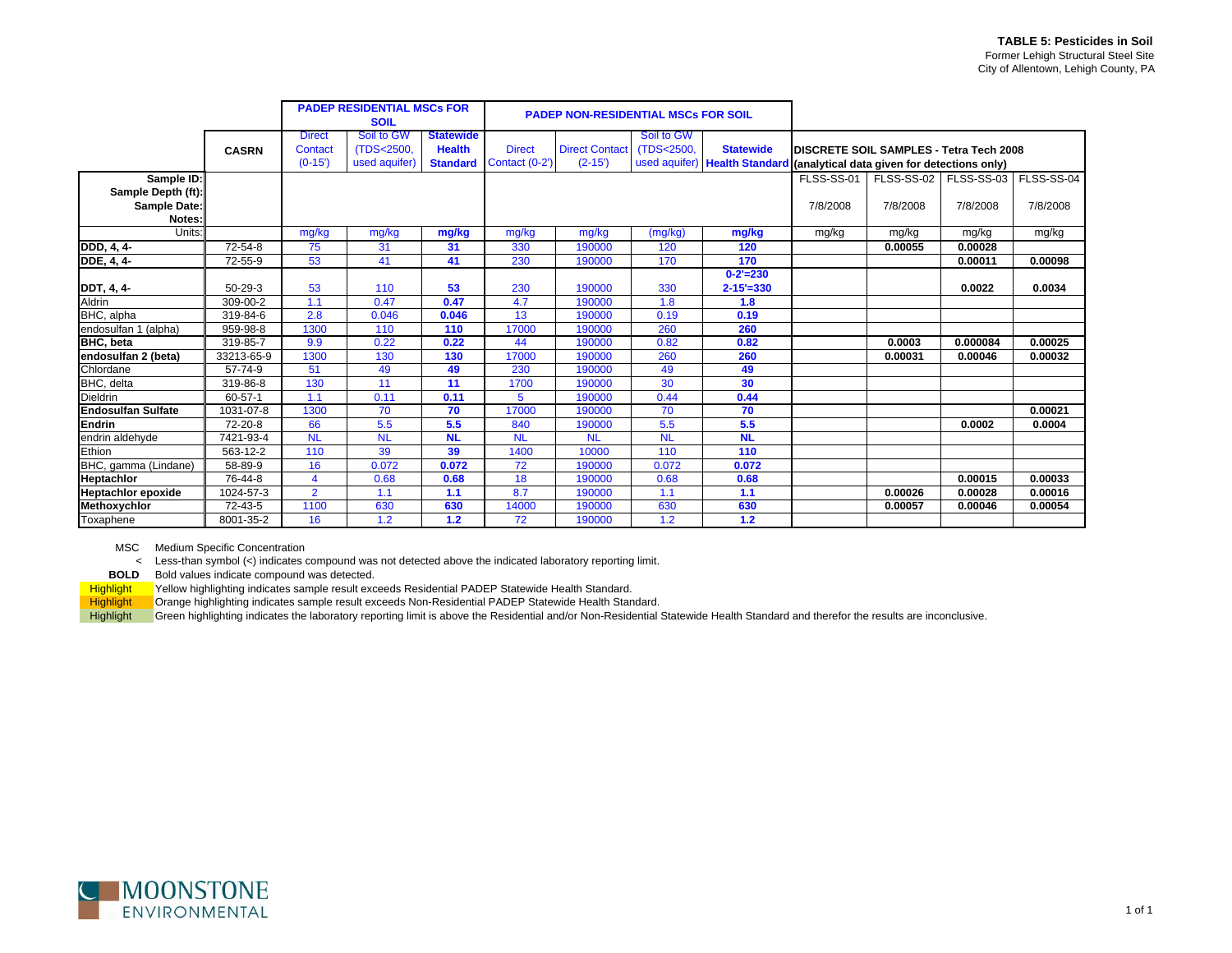|                           |               |                | <b>PADEP RESIDENTIAL MSCs FOR</b> |                  |                | <b>PADEP NON-RESIDENTIAL MSCs FOR SOIL</b> |            |                                                                           |                                         |            |            |            |
|---------------------------|---------------|----------------|-----------------------------------|------------------|----------------|--------------------------------------------|------------|---------------------------------------------------------------------------|-----------------------------------------|------------|------------|------------|
|                           |               |                | <b>SOIL</b>                       |                  |                |                                            |            |                                                                           |                                         |            |            |            |
|                           |               | <b>Direct</b>  | Soil to GW                        | <b>Statewide</b> |                |                                            | Soil to GW |                                                                           |                                         |            |            |            |
|                           | <b>CASRN</b>  | Contact        | (TDS<2500,                        | <b>Health</b>    | <b>Direct</b>  | <b>Direct Contact</b>                      | (TDS<2500. | <b>Statewide</b>                                                          | DISCRETE SOIL SAMPLES - Tetra Tech 2008 |            |            |            |
|                           |               | $(0-15)$       | used aquifer)                     | <b>Standard</b>  | Contact (0-2') | $(2-15)$                                   |            | used aquifer) Health Standard (analytical data given for detections only) |                                         |            |            |            |
| Sample ID:                |               |                |                                   |                  |                |                                            |            |                                                                           | FLSS-SS-01                              | FLSS-SS-02 | FLSS-SS-03 | FLSS-SS-04 |
| Sample Depth (ft):        |               |                |                                   |                  |                |                                            |            |                                                                           |                                         |            |            |            |
| <b>Sample Date:</b>       |               |                |                                   |                  |                |                                            |            |                                                                           | 7/8/2008                                | 7/8/2008   | 7/8/2008   | 7/8/2008   |
| Notes:                    |               |                |                                   |                  |                |                                            |            |                                                                           |                                         |            |            |            |
| Units:                    |               | mg/kg          | mg/kg                             | mg/kg            | mg/kg          | mg/kg                                      | (mg/kg)    | mg/kg                                                                     | mg/kg                                   | mg/kg      | mg/kg      | mg/kg      |
| DDD, 4, 4-                | $72 - 54 - 8$ | 75             | 31                                | 31               | 330            | 190000                                     | 120        | 120                                                                       |                                         | 0.00055    | 0.00028    |            |
| <b>DDE</b> , 4, 4-        | 72-55-9       | 53             | 41                                | 41               | 230            | 190000                                     | 170        | 170                                                                       |                                         |            | 0.00011    | 0.00098    |
|                           |               |                |                                   |                  |                |                                            |            | $0 - 2' = 230$                                                            |                                         |            |            |            |
| DDT, 4, 4-                | $50 - 29 - 3$ | 53             | 110                               | 53               | 230            | 190000                                     | 330        | $2 - 15' = 330$                                                           |                                         |            | 0.0022     | 0.0034     |
| Aldrin                    | 309-00-2      | 1.1            | 0.47                              | 0.47             | 4.7            | 190000                                     | 1.8        | 1.8                                                                       |                                         |            |            |            |
| BHC, alpha                | 319-84-6      | 2.8            | 0.046                             | 0.046            | 13             | 190000                                     | 0.19       | 0.19                                                                      |                                         |            |            |            |
| endosulfan 1 (alpha)      | 959-98-8      | 1300           | 110                               | 110              | 17000          | 190000                                     | 260        | 260                                                                       |                                         |            |            |            |
| <b>BHC</b> , beta         | 319-85-7      | 9.9            | 0.22                              | 0.22             | 44             | 190000                                     | 0.82       | 0.82                                                                      |                                         | 0.0003     | 0.000084   | 0.00025    |
| endosulfan 2 (beta)       | 33213-65-9    | 1300           | 130                               | 130              | 17000          | 190000                                     | 260        | 260                                                                       |                                         | 0.00031    | 0.00046    | 0.00032    |
| Chlordane                 | 57-74-9       | 51             | 49                                | 49               | 230            | 190000                                     | 49         | 49                                                                        |                                         |            |            |            |
| BHC, delta                | 319-86-8      | 130            | 11                                | 11               | 1700           | 190000                                     | 30         | 30                                                                        |                                         |            |            |            |
| <b>Dieldrin</b>           | 60-57-1       | 1.1            | 0.11                              | 0.11             | 5              | 190000                                     | 0.44       | 0.44                                                                      |                                         |            |            |            |
| <b>Endosulfan Sulfate</b> | 1031-07-8     | 1300           | 70                                | 70               | 17000          | 190000                                     | 70         | 70                                                                        |                                         |            |            | 0.00021    |
| <b>Endrin</b>             | 72-20-8       | 66             | 5.5                               | 5.5              | 840            | 190000                                     | 5.5        | 5.5                                                                       |                                         |            | 0.0002     | 0.0004     |
| endrin aldehyde           | 7421-93-4     | <b>NL</b>      | <b>NL</b>                         | <b>NL</b>        | <b>NL</b>      | <b>NL</b>                                  | <b>NL</b>  | <b>NL</b>                                                                 |                                         |            |            |            |
| Ethion                    | 563-12-2      | 110            | 39                                | 39               | 1400           | 10000                                      | 110        | 110                                                                       |                                         |            |            |            |
| BHC, gamma (Lindane)      | 58-89-9       | 16             | 0.072                             | 0.072            | 72             | 190000                                     | 0.072      | 0.072                                                                     |                                         |            |            |            |
| Heptachlor                | 76-44-8       | 4              | 0.68                              | 0.68             | 18             | 190000                                     | 0.68       | 0.68                                                                      |                                         |            | 0.00015    | 0.00033    |
| <b>Heptachlor epoxide</b> | 1024-57-3     | $\overline{2}$ | 1.1                               | 1.1              | 8.7            | 190000                                     | 1.1        | 1.1                                                                       |                                         | 0.00026    | 0.00028    | 0.00016    |
| Methoxychlor              | 72-43-5       | 1100           | 630                               | 630              | 14000          | 190000                                     | 630        | 630                                                                       |                                         | 0.00057    | 0.00046    | 0.00054    |
| Toxaphene                 | 8001-35-2     | 16             | 1.2                               | 1.2              | 72             | 190000                                     | 1.2        | 1.2                                                                       |                                         |            |            |            |

MSC Medium Specific Concentration

< Less-than symbol (<) indicates compound was not detected above the indicated laboratory reporting limit.

**BOLD** Bold values indicate compound was detected.

Highlight Yellow highlighting indicates sample result exceeds Residential PADEP Statewide Health Standard.<br>Highlight Crange highlighting indicates sample result exceeds Non-Residential PADEP Statewide Health Stan

Highlight Crange highlighting indicates sample result exceeds Non-Residential PADEP Statewide Health Standard.<br>Highlight Green highlighting indicates the laboratory reporting limit is above the Residential and/or Non-Resid Green highlighting indicates the laboratory reporting limit is above the Residential and/or Non-Residential Statewide Health Standard and therefor the results are inconclusive.

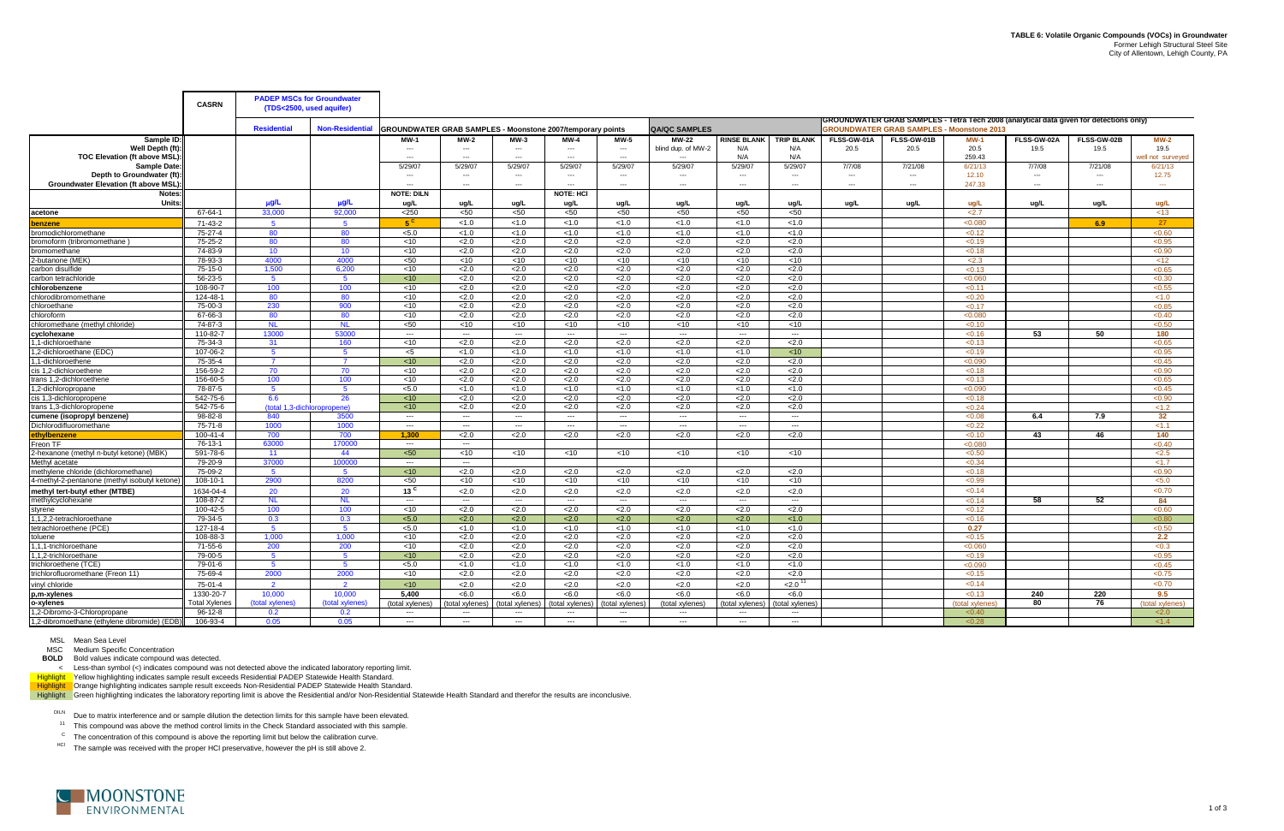|                                               | <b>CASRN</b>         | <b>PADEP MSCs for Groundwater</b><br>(TDS<2500, used aquifer) |                                                                            |                          |                          |                          |                          |                          |                          |                          |                          |             |                                                                                                                                            |                 |             |                          |                   |
|-----------------------------------------------|----------------------|---------------------------------------------------------------|----------------------------------------------------------------------------|--------------------------|--------------------------|--------------------------|--------------------------|--------------------------|--------------------------|--------------------------|--------------------------|-------------|--------------------------------------------------------------------------------------------------------------------------------------------|-----------------|-------------|--------------------------|-------------------|
|                                               |                      | <b>Residential</b>                                            | Non-Residential GROUNDWATER GRAB SAMPLES - Moonstone 2007/temporary points |                          |                          |                          |                          |                          | <b>QA/QC SAMPLES</b>     |                          |                          |             | GROUNDWATER GRAB SAMPLES - Tetra Tech 2008 (analytical data given for detections only)<br><b>GROUNDWATER GRAB SAMPLES - Moonstone 2013</b> |                 |             |                          |                   |
| Sample ID:                                    |                      |                                                               |                                                                            | <b>MW-1</b>              | <b>MW-2</b>              | MW-3                     | MW-4                     | MW-5                     | MW-22                    | <b>RINSE BLANK</b>       | <b>TRIP BLANK</b>        | FLSS-GW-01A | FLSS-GW-01B                                                                                                                                | <b>MW-1</b>     | FLSS-GW-02A | FLSS-GW-02B              | <b>MW-2</b>       |
| Well Depth (ft)                               |                      |                                                               |                                                                            |                          |                          | $\overline{\phantom{a}}$ | $\overline{\phantom{a}}$ | $\overline{\phantom{a}}$ | blind dup. of MW-2       | N/A                      | N/A                      | 20.5        | 20.5                                                                                                                                       | 20.5            | 19.5        | 19.5                     | 19.5              |
| <b>TOC Elevation (ft above MSL):</b>          |                      |                                                               |                                                                            | $---$                    | $\overline{a}$           | $\overline{a}$           | $\overline{a}$           | $---$                    | $\overline{\phantom{a}}$ | N/A                      | N/A                      |             |                                                                                                                                            | 259.43          |             |                          | vell not surveyed |
| Sample Date                                   |                      |                                                               |                                                                            | 5/29/07                  | 5/29/07                  | 5/29/07                  | 5/29/07                  | 5/29/07                  | 5/29/07                  | 5/29/07                  | 5/29/07                  | 7/7/08      | 7/21/08                                                                                                                                    | 6/21/13         | 7/7/08      | 7/21/08                  | 6/21/13           |
| Depth to Groundwater (ft)                     |                      |                                                               |                                                                            | $---$                    | ---                      | $\overline{\phantom{a}}$ | $---$                    | $\overline{\phantom{a}}$ | $---$                    | ---                      | $\hspace{0.05cm} \cdots$ | ---         | $---$                                                                                                                                      | 12.10           | $---$       | $\overline{\phantom{a}}$ | 12.75             |
| <b>Groundwater Elevation (ft above MSL)</b>   |                      |                                                               |                                                                            |                          | $---$                    |                          |                          | $\overline{\phantom{a}}$ | $\overline{a}$           | $---$                    | $---$                    | $---$       | $\overline{a}$                                                                                                                             | 247.33          | $---$       | $\overline{\phantom{a}}$ | $\sim$            |
| Notes:                                        |                      |                                                               |                                                                            | <b>NOTE: DILN</b>        |                          |                          | NOTE: HCI                |                          |                          |                          |                          |             |                                                                                                                                            |                 |             |                          |                   |
| Units:                                        |                      | $\mu$ g/L                                                     | µg/L                                                                       | ug/L                     | ug/L                     | ug/L                     | ug/L                     | ug/L                     | ug/L                     | ug/L                     | ug/L                     | ug/L        | ug/L                                                                                                                                       | ua/L            | ug/L        | ua/L                     | ua/L              |
| acetone                                       | 67-64-1              | 33,000                                                        | 92,000                                                                     | < 250                    | $50$                     | $50$                     | $50$                     | $50$                     | < 50                     | $50$                     | <50                      |             |                                                                                                                                            | 2.7             |             |                          | ~13               |
| enzene                                        | 71-43-2              | $5^{\circ}$                                                   | 5 <sup>5</sup>                                                             | $5^{\circ}$              | < 1.0                    | < 1.0                    | < 1.0                    | < 1.0                    | < 1.0                    | < 1.0                    | < 1.0                    |             |                                                                                                                                            | < 0.080         |             | 6.9                      | 27                |
| bromodichloromethane                          | 75-27-4              | 80                                                            | 80                                                                         | < 5.0                    | < 1.0                    | < 1.0                    | < 1.0                    | < 1.0                    | < 1.0                    | < 1.0                    | < 1.0                    |             |                                                                                                                                            | < 0.12          |             |                          | < 0.60            |
| bromoform (tribromomethane                    | 75-25-2              | 80                                                            | 80                                                                         | <10                      | 2.0                      | 2.0                      | 2.0                      | 2.0                      | < 2.0                    | 2.0                      | 2.0                      |             |                                                                                                                                            | < 0.19          |             |                          | < 0.95            |
| bromomethane                                  | 74-83-9              | 10                                                            | 10                                                                         | $<$ 10                   | 2.0                      | 2.0                      | 2.0                      | 2.0                      | 2.0                      | 2.0                      | 2.0                      |             |                                                                                                                                            | < 0.18          |             |                          | < 0.90            |
| 2-butanone (MEK)                              | 78-93-3              | 4000                                                          | 4000                                                                       | < 50                     | $<$ 10                   | $<$ 10                   | $<$ 10                   | $<$ 10                   | $<$ 10                   | $<$ 10                   | $<$ 10                   |             |                                                                                                                                            | < 2.3           |             |                          | < 12              |
| carbon disulfide                              | 75-15-0              | 1.500                                                         | 6.200                                                                      | $<$ 10                   | 2.0                      | 2.0                      | 2.0                      | 2.0                      | 2.0                      | 2.0                      | 2.0                      |             |                                                                                                                                            | < 0.13          |             |                          | < 0.65            |
| carbon tetrachloride                          | $56 - 23 - 5$        | - 5                                                           | -5                                                                         | < 10                     | 2.0                      | 2.0                      | 2.0                      | 2.0                      | 2.0                      | 2.0                      | 2.0                      |             |                                                                                                                                            | < 0.060         |             |                          | < 0.30            |
| chlorobenzene                                 | 108-90-7             | 100                                                           | 100                                                                        | $<$ 10                   | 2.0                      | 2.0                      | 2.0                      | 2.0                      | 2.0                      | 2.0                      | 2.0                      |             |                                                                                                                                            | < 0.11          |             |                          | < 0.55            |
| chlorodibromomethane                          | 124-48-1             | 80                                                            | 80                                                                         | < 10                     | 2.0                      | 2.0                      | 2.0                      | 2.0                      | 2.0                      | 2.0                      | 2.0                      |             |                                                                                                                                            | < 0.20          |             |                          | < 1.0             |
| chloroethane                                  | 75-00-3              | 230                                                           | 900                                                                        | < 10                     | 2.0                      | 2.0                      | 2.0                      | 2.0                      | 2.0                      | 2.0                      | 2.0                      |             |                                                                                                                                            | < 0.17          |             |                          | < 0.85            |
| chloroform                                    | 67-66-3              | 80                                                            | 80                                                                         | < 10                     | 2.0                      | < 2.0                    | 2.0                      | 2.0                      | 2.0                      | 2.0                      | 2.0                      |             |                                                                                                                                            | < 0.080         |             |                          | < 0.40            |
| chloromethane (methyl chloride)               | 74-87-3              | <b>NL</b>                                                     | <b>NL</b>                                                                  | < 50                     | $<$ 10                   | $<$ 10                   | $<$ 10                   | $<$ 10                   | $<$ 10                   | $<$ 10                   | $<$ 10                   |             |                                                                                                                                            | < 0.10          |             |                          | < 0.50            |
| cyclohexane                                   | 110-82-7             | 13000                                                         | 53000                                                                      | $\sim$                   | $\sim$ $\sim$            | $\sim$                   | $\sim$                   | $\sim$                   | $\sim$ $\sim$            | $\sim$                   | $\sim$                   |             |                                                                                                                                            | < 0.16          | 53          | 50                       | 180               |
| .1-dichloroethane                             | 75-34-3              | 31                                                            | 160                                                                        | < 10                     | 2.0                      | < 2.0                    | 2.0                      | 2.0                      | < 2.0                    | 2.0                      | 2.0                      |             |                                                                                                                                            | < 0.13          |             |                          | < 0.65            |
| 2-dichloroethane (EDC).                       | 107-06-2             | - 5                                                           | 5                                                                          | $<$ 5                    | < 1.0                    | < 1.0                    | < 1.0                    | < 1.0                    | < 1.0                    | < 1.0                    | $<$ 10                   |             |                                                                                                                                            | < 0.19          |             |                          | < 0.95            |
| 1-dichloroethene                              | 75-35-4              | -7                                                            | $\overline{7}$                                                             | < 10                     | 2.0                      | 2.0                      | 2.0                      | 2.0                      | 2.0                      | 2.0                      | 2.0                      |             |                                                                                                                                            | < 0.090         |             |                          | < 0.45            |
| cis 1,2-dichloroethene                        | 156-59-2             | 70                                                            | 70                                                                         | $<$ 10                   | 2.0                      | 2.0                      | 2.0                      | 2.0                      | 2.0                      | 2.0                      | 2.0                      |             |                                                                                                                                            | < 0.18          |             |                          | < 0.90            |
| trans 1.2-dichloroethene                      | 156-60-5             | 100                                                           | 100                                                                        | < 10                     | 2.0                      | 2.0                      | 2.0                      | 2.0                      | 2.0                      | 2.0                      | 2.0                      |             |                                                                                                                                            | < 0.13          |             |                          | < 0.65            |
| 2-dichloropropane                             | 78-87-5              | -5                                                            | $5^{\circ}$                                                                | < 5.0                    | < 1.0                    | < 1.0                    | < 1.0                    | < 1.0                    | < 1.0                    | < 1.0                    | < 1.0                    |             |                                                                                                                                            | < 0.090         |             |                          | < 0.45            |
| cis 1,3-dichloropropene                       | 542-75-6             | 6.6                                                           | 26                                                                         | < 10                     | 2.0                      | 2.0                      | 2.0                      | 2.0                      | 2.0                      | 2.0                      | 2.0                      |             |                                                                                                                                            | < 0.18          |             |                          | < 0.90            |
| trans 1,3-dichloropropene                     | 542-75-6             | (total 1.3-dichlorop                                          | ropene)                                                                    | < 10                     | 2.0                      | 2.0                      | 2.0                      | 2.0                      | 2.0                      | 2.0                      | 2.0                      |             |                                                                                                                                            | < 0.24          |             |                          | < 1.2             |
| cumene (isopropyl benzene)                    | 98-82-8              | 840                                                           | 3500                                                                       | $\sim$ $\sim$            | $\overline{\phantom{a}}$ | $\sim$ $\sim$            | $\sim$                   | $\sim$                   | $\sim$                   | $\sim$                   | $\sim$                   |             |                                                                                                                                            | < 0.08          | 6.4         | 7.9                      | 32 <sub>2</sub>   |
| Dichlorodifluoromethane                       | 75-71-8              | 1000                                                          | 1000                                                                       | $\overline{\phantom{a}}$ | $\overline{a}$           | $\sim$                   | ---                      | $\overline{a}$           | $\sim$ $\sim$            | $\overline{a}$           | $\overline{a}$           |             |                                                                                                                                            | < 0.22          |             |                          | < 1.1             |
| ethylbenzene                                  | 100-41-4             | 700                                                           | 700                                                                        | 1.300                    | 2.0                      | 2.0                      | 2.0                      | 2.0                      | 2.0                      | 2.0                      | 2.0                      |             |                                                                                                                                            | < 0.10          | 43          | 46                       | 140               |
| Freon TF                                      | 76-13-1              | 63000                                                         | 170000                                                                     | $\overline{a}$           | $\sim$                   |                          |                          |                          |                          |                          |                          |             |                                                                                                                                            | < 0.080         |             |                          | < 0.40            |
| -hexanone (methyl n-butyl ketone) (MBK)       | 591-78-6             | 11                                                            | 44                                                                         | < 50                     | $<$ 10                   | $<$ 10                   | $<$ 10                   | $<$ 10                   | $<$ 10                   | $<$ 10                   | $<$ 10                   |             |                                                                                                                                            | < 0.50          |             |                          | < 2.5             |
| Methyl acetate                                | 79-20-9              | 37000                                                         | 100000                                                                     | $\sim$ $\sim$            | $---$                    |                          |                          |                          |                          |                          |                          |             |                                                                                                                                            | < 0.34          |             |                          | <1.7              |
| methylene chloride (dichloromethane)          | 75-09-2              | -5                                                            | $\overline{5}$                                                             | < 10                     | 2.0                      | < 2.0                    | 2.0                      | 2.0                      | 2.0                      | 2.0                      | < 2.0                    |             |                                                                                                                                            | < 0.18          |             |                          | < 0.90            |
| 4-methyl-2-pentanone (methyl isobutyl ketone) | 108-10-1             | 2900                                                          | 8200                                                                       | < 50                     | $<$ 10                   | $<$ 10                   | $<$ 10                   | $<$ 10                   | $<$ 10                   | $<$ 10                   | $<$ 10                   |             |                                                                                                                                            | < 0.99          |             |                          | < 5.0             |
| methyl tert-butyl ether (MTBE)                | 1634-04-4            | 20                                                            | 20                                                                         | $13$ <sup>c</sup>        | 2.0                      | 2.0                      | 2.0                      | 2.0                      | 2.0                      | 2.0                      | 2.0                      |             |                                                                                                                                            | < 0.14          |             |                          | < 0.70            |
| methylcyclohexane                             | 108-87-2             | <b>NL</b>                                                     | <b>NL</b>                                                                  | $\sim$ $\sim$            | $\overline{a}$           | $\sim$ $\sim$            | $\sim$                   | ---                      | $\sim$                   | $\sim$                   | $\sim$                   |             |                                                                                                                                            | < 0.14          | 58          | 52                       | 84                |
| stvrene                                       | 100-42-5             | 100                                                           | 100                                                                        | < 10                     | 2.0                      | < 2.0                    | 2.0                      | 2.0                      | < 2.0                    | 2.0                      | < 2.0                    |             |                                                                                                                                            | < 0.12          |             |                          | < 0.60            |
| 1.2.2-tetrachloroethane                       | 79-34-5              | 0.3                                                           | 0.3                                                                        | < 5.0                    | 2.0                      | < 2.0                    | 2.0                      | < 2.0                    | < 2.0                    | 2.0                      | < 1.0                    |             |                                                                                                                                            | < 0.16          |             |                          | <0.80             |
| tetrachloroethene (PCE)                       | 127-18-4             | $-5$                                                          | -5                                                                         | < 5.0                    | < 1.0                    | < 1.0                    | < 1.0                    | < 1.0                    | < 1.0                    | < 1.0                    | < 1.0                    |             |                                                                                                                                            | 0.27            |             |                          | < 0.50            |
| toluene                                       | 108-88-3             | 1.000                                                         | 1.000                                                                      | < 10                     | 2.0                      | 2.0                      | 2.0                      | 2.0                      | < 2.0                    | 2.0                      | 2.0                      |             |                                                                                                                                            | < 0.15          |             |                          | 2.2               |
| 1.1.1-trichloroethane                         | 71-55-6              | 200                                                           | 200                                                                        | $<$ 10                   | 2.0                      | 2.0                      | 2.0                      | 2.0                      | 2.0                      | 2.0                      | 2.0                      |             |                                                                                                                                            | < 0.060         |             |                          | < 0.3             |
| 1.2-trichloroethane                           | 79-00-5              | $5\overline{5}$                                               | 5                                                                          | <10                      | 2.0                      | 2.0                      | 2.0                      | 2.0                      | 2.0                      | 2.0                      | 2.0                      |             |                                                                                                                                            | < 0.19          |             |                          | < 0.95            |
| trichloroethene (TCE)                         | 79-01-6              | $-5$                                                          | 5 <sup>5</sup>                                                             | < 5.0                    | < 1.0                    | < 1.0                    | < 1.0                    | < 1.0                    | < 1.0                    | < 1.0                    | < 1.0                    |             |                                                                                                                                            | < 0.090         |             |                          | < 0.45            |
| trichlorofluoromethane (Freon 11)             | 75-69-4              | 2000                                                          | 2000                                                                       | $<$ 10                   | 2.0                      | 2.0                      | 2.0                      | 2.0                      | 2.0                      | 2.0                      | 2.0                      |             |                                                                                                                                            | < 0.15          |             |                          | < 0.75            |
| vinyl chloride                                | 75-01-4              | $\overline{2}$                                                | $\overline{2}$                                                             | <10                      | 2.0                      | 2.0                      | 2.0                      | 2.0                      | 2.0                      | 2.0                      | $2.0^1$                  |             |                                                                                                                                            | < 0.14          |             |                          | < 0.70            |
| p,m-xylenes                                   | 1330-20-7            | 10,000                                                        | 10,000                                                                     | 5.400                    | <6.0                     | < 6.0                    | <6.0                     | <6.0                     | <6.0                     | < 6.0                    | < 6.0                    |             |                                                                                                                                            | < 0.13          | 240         | 220                      | 9.5               |
| o-xylenes                                     | <b>Total Xylenes</b> | (total xylenes)                                               | (total xylenes)                                                            | (total xylenes)          | (total xylenes           | (total xylenes)          | (total xylenes)          | (total xylenes)          | (total xvlenes)          | (total xylenes)          | (total xvlenes           |             |                                                                                                                                            | (total xylenes) | 80          | 76                       | (total xylenes)   |
| 1.2-Dibromo-3-Chloropropane                   | $96-12-8$            | 0.2                                                           | 0.2                                                                        | $\sim$ $\sim$            | $\sim$                   | $\sim$ $\sim$            | $\sim$                   | $\sim$                   | $\sim$ $\sim$            | $\sim$                   | $\sim$                   |             |                                                                                                                                            | < 0.40          |             |                          | 2.0               |
| 1,2-dibromoethane (ethylene dibromide) (EDB)  | 106-93-4             | 0.05                                                          | 0.05                                                                       | $\sim$                   | $---$                    | $\sim$ $\sim$            | $- - -$                  | $\overline{a}$           | $\sim$                   | $\overline{\phantom{a}}$ | $\overline{a}$           |             |                                                                                                                                            | < 0.28          |             |                          | < 1.4             |

MSC Medium Specific Concentration

**BOLD** Bold values indicate compound was detected.

< Less-than symbol (<) indicates compound was not detected above the indicated laboratory reporting limit.

Highlight Yellow highlighting indicates sample result exceeds Residential PADEP Statewide Health Standard.

Highlight Norange highlighting indicates sample result exceeds Non-Residential PADEP Statewide Health Standard.

Highlight Green highlighting indicates the laboratory reporting limit is above the Residential and/or Non-Residential Statewide Health Standard and therefor the results are inconclusive.

DILN Due to matrix interference and or sample dilution the detection limits for this sample have been elevated.

<sup>11</sup> This compound was above the method control limits in the Check Standard associated with this sample.

 $\rm{^{C}}$  The concentration of this compound is above the reporting limit but below the calibration curve.

<sup>HCl</sup> The sample was received with the proper HCl preservative, however the pH is still above 2.

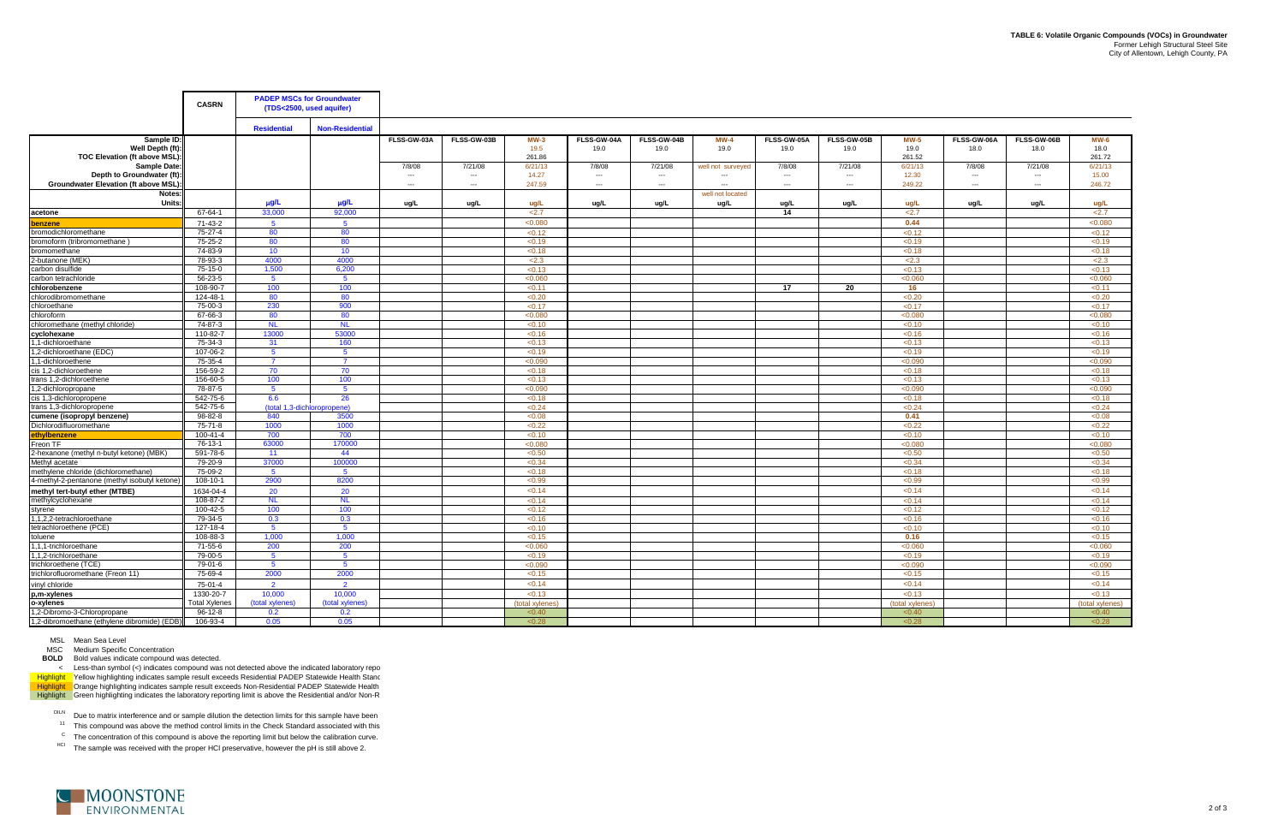MSC Medium Specific Concentration

**BOLD** Bold values indicate compound was detected.

|                                                       | <b>CASRN</b>             |                    | <b>PADEP MSCs for Groundwater</b><br>(TDS<2500, used aquifer) |                          |                          |                   |                          |                          |                            |                          |                          |                   |                          |                          |                   |
|-------------------------------------------------------|--------------------------|--------------------|---------------------------------------------------------------|--------------------------|--------------------------|-------------------|--------------------------|--------------------------|----------------------------|--------------------------|--------------------------|-------------------|--------------------------|--------------------------|-------------------|
|                                                       |                          | <b>Residential</b> | <b>Non-Residential</b>                                        |                          |                          |                   |                          |                          |                            |                          |                          |                   |                          |                          |                   |
| Sample ID:                                            |                          |                    |                                                               | FLSS-GW-03A              | FLSS-GW-03B              | $MW-3$            | FLSS-GW-04A              | FLSS-GW-04B              | $MW-4$                     | FLSS-GW-05A              | FLSS-GW-05B              | <b>MW-5</b>       | FLSS-GW-06A              | FLSS-GW-06B              | <b>MW-6</b>       |
| Well Depth (ft)                                       |                          |                    |                                                               |                          |                          | 19.5              | 19.0                     | 19.0                     | 19.0                       | 19.0                     | 19.0                     | 19.0              | 18.0                     | 18.0                     | 18.0              |
| TOC Elevation (ft above MSL):<br><b>Sample Date:</b>  |                          |                    |                                                               | 7/8/08                   | 7/21/08                  | 261.86<br>6/21/13 | 7/8/08                   | 7/21/08                  |                            | 7/8/08                   | 7/21/08                  | 261.52<br>6/21/13 | 7/8/08                   | 7/21/08                  | 261.72<br>6/21/13 |
| Depth to Groundwater (ft):                            |                          |                    |                                                               | $\overline{\phantom{a}}$ | $\overline{\phantom{a}}$ | 14.27             | $\overline{\phantom{a}}$ | $\overline{\phantom{a}}$ | well not surveyed<br>$---$ | $\overline{\phantom{a}}$ | $\overline{\phantom{a}}$ | 12.30             | $\overline{\phantom{a}}$ | $\overline{\phantom{a}}$ | 15.00             |
| Groundwater Elevation (ft above MSL)                  |                          |                    |                                                               | ---                      | $\overline{\phantom{a}}$ | 247.59            | $\overline{a}$           | $---$                    | $\overline{\phantom{a}}$   | $\overline{a}$           | $\overline{a}$           | 249.22            | $\overline{\phantom{a}}$ | $\overline{a}$           | 246.72            |
| Notes:                                                |                          |                    |                                                               |                          |                          |                   |                          |                          | well not located           |                          |                          |                   |                          |                          |                   |
| Units:                                                |                          | $\mu$ g/L          | $\mu$ g/L                                                     | ug/L                     | ug/L                     | ug/L              | ug/L                     | ug/L                     | ug/L                       | ug/L                     | ug/L                     | ug/L              | ug/L                     | ug/L                     | ug/L              |
| acetone                                               | 67-64-1                  | 33,000             | 92,000                                                        |                          |                          | 2.7               |                          |                          |                            | 14                       |                          | 2.7               |                          |                          | 2.7               |
| penzene                                               | 71-43-2                  | 5 <sup>5</sup>     | 5 <sup>5</sup>                                                |                          |                          | < 0.080           |                          |                          |                            |                          |                          | 0.44              |                          |                          | < 0.080           |
| bromodichloromethane                                  | 75-27-4                  | 80                 | 80                                                            |                          |                          | < 0.12            |                          |                          |                            |                          |                          | < 0.12            |                          |                          | < 0.12            |
| bromoform (tribromomethane)                           | 75-25-2                  | 80                 | 80                                                            |                          |                          | < 0.19            |                          |                          |                            |                          |                          | < 0.19            |                          |                          | < 0.19            |
| bromomethane                                          | 74-83-9                  | 10                 | 10                                                            |                          |                          | < 0.18            |                          |                          |                            |                          |                          | < 0.18            |                          |                          | < 0.18            |
| -butanone (MEK)                                       | 78-93-3                  | 4000               | 4000                                                          |                          |                          | < 2.3             |                          |                          |                            |                          |                          | < 2.3             |                          |                          | < 2.3             |
| carbon disulfide<br>carbon tetrachloride              | 75-15-0<br>$56 - 23 - 5$ | 1,500<br>-5        | 6,200<br>-5                                                   |                          |                          | < 0.13<br>< 0.060 |                          |                          |                            |                          |                          | < 0.13<br>< 0.060 |                          |                          | < 0.13<br>< 0.060 |
| chlorobenzene                                         | 108-90-7                 | 100                | 100                                                           |                          |                          | < 0.11            |                          |                          |                            | 17                       | 20                       | 16                |                          |                          | < 0.11            |
| chlorodibromomethane                                  | 124-48-1                 | 80                 | 80                                                            |                          |                          | < 0.20            |                          |                          |                            |                          |                          | < 0.20            |                          |                          | <0.20             |
| chloroethane                                          | 75-00-3                  | 230                | 900                                                           |                          |                          | < 0.17            |                          |                          |                            |                          |                          | < 0.17            |                          |                          | < 0.17            |
| chloroform                                            | 67-66-3                  | 80                 | 80                                                            |                          |                          | < 0.080           |                          |                          |                            |                          |                          | < 0.080           |                          |                          | < 0.080           |
| chloromethane (methyl chloride)                       | 74-87-3                  | <b>NL</b>          | <b>NL</b>                                                     |                          |                          | < 0.10            |                          |                          |                            |                          |                          | < 0.10            |                          |                          | < 0.10            |
| cyclohexane                                           | 110-82-7                 | 13000              | 53000                                                         |                          |                          | < 0.16            |                          |                          |                            |                          |                          | < 0.16            |                          |                          | < 0.16            |
| 1-dichloroethane                                      | 75-34-3                  | 31                 | 160                                                           |                          |                          | < 0.13            |                          |                          |                            |                          |                          | < 0.13            |                          |                          | < 0.13            |
| ,2-dichloroethane (EDC)                               | 107-06-2                 | 5                  | - 5                                                           |                          |                          | < 0.19            |                          |                          |                            |                          |                          | < 0.19            |                          |                          | < 0.19            |
| 1-dichloroethene                                      | 75-35-4                  | $\overline{7}$     | 7                                                             |                          |                          | < 0.090           |                          |                          |                            |                          |                          | < 0.090           |                          |                          | < 0.090           |
| cis 1,2-dichloroethene                                | 156-59-2                 | 70                 | 70                                                            |                          |                          | < 0.18            |                          |                          |                            |                          |                          | < 0.18            |                          |                          | < 0.18            |
| trans 1.2-dichloroethene                              | 156-60-5                 | 100                | 100                                                           |                          |                          | < 0.13            |                          |                          |                            |                          |                          | < 0.13            |                          |                          | < 0.13            |
| 1,2-dichloropropane                                   | 78-87-5                  | $-5$               | $\overline{5}$                                                |                          |                          | < 0.090           |                          |                          |                            |                          |                          | < 0.090           |                          |                          | < 0.090           |
| cis 1,3-dichloropropene                               | 542-75-6                 | 6.6                | 26                                                            |                          |                          | < 0.18            |                          |                          |                            |                          |                          | < 0.18            |                          |                          | < 0.18            |
| trans 1,3-dichloropropene                             | 542-75-6<br>98-82-8      | 840                | (total 1,3-dichloropropene)<br>3500                           |                          |                          | < 0.24<br>< 0.08  |                          |                          |                            |                          |                          | < 0.24<br>0.41    |                          |                          | < 0.24<br><0.08   |
| cumene (isopropyl benzene)<br>Dichlorodifluoromethane | 75-71-8                  | 1000               | 1000                                                          |                          |                          | < 0.22            |                          |                          |                            |                          |                          | < 0.22            |                          |                          | < 0.22            |
| ethylbenzene                                          | $100 - 41 - 4$           | 700                | 700                                                           |                          |                          | < 0.10            |                          |                          |                            |                          |                          | < 0.10            |                          |                          | < 0.10            |
| Freon TF                                              | 76-13-1                  | 63000              | 170000                                                        |                          |                          | < 0.080           |                          |                          |                            |                          |                          | < 0.080           |                          |                          | < 0.080           |
| 2-hexanone (methyl n-butyl ketone) (MBK)              | 591-78-6                 | 11                 | 44                                                            |                          |                          | < 0.50            |                          |                          |                            |                          |                          | < 0.50            |                          |                          | < 0.50            |
| Methyl acetate                                        | 79-20-9                  | 37000              | 100000                                                        |                          |                          | < 0.34            |                          |                          |                            |                          |                          | < 0.34            |                          |                          | <0.34             |
| methylene chloride (dichloromethane)                  | 75-09-2                  | $5^{\circ}$        | $5^{\circ}$                                                   |                          |                          | < 0.18            |                          |                          |                            |                          |                          | < 0.18            |                          |                          | < 0.18            |
| 4-methyl-2-pentanone (methyl isobutyl ketone)         | 108-10-1                 | 2900               | 8200                                                          |                          |                          | < 0.99            |                          |                          |                            |                          |                          | < 0.99            |                          |                          | < 0.99            |
| methyl tert-butyl ether (MTBE)                        | 1634-04-4                | 20                 | 20                                                            |                          |                          | < 0.14            |                          |                          |                            |                          |                          | < 0.14            |                          |                          | < 0.14            |
| methylcyclohexane                                     | 108-87-2                 | <b>NL</b>          | <b>NL</b>                                                     |                          |                          | < 0.14            |                          |                          |                            |                          |                          | < 0.14            |                          |                          | < 0.14            |
| styrene                                               | 100-42-5                 | 100                | 100                                                           |                          |                          | < 0.12            |                          |                          |                            |                          |                          | < 0.12            |                          |                          | < 0.12            |
| .1.2.2-tetrachloroethane                              | 79-34-5                  | 0.3                | 0.3                                                           |                          |                          | < 0.16            |                          |                          |                            |                          |                          | < 0.16            |                          |                          | < 0.16            |
| tetrachloroethene (PCE)                               | 127-18-4                 | $5^{\circ}$        | -5                                                            |                          |                          | < 0.10            |                          |                          |                            |                          |                          | < 0.10            |                          |                          | < 0.10            |
| toluene                                               | 108-88-3                 | 1,000              | 1.000                                                         |                          |                          | < 0.15            |                          |                          |                            |                          |                          | 0.16              |                          |                          | < 0.15            |
| 1,1,1-trichloroethane<br>.1,2-trichloroethane         | 71-55-6<br>79-00-5       | 200<br>$5^{\circ}$ | 200<br>$5^{\circ}$                                            |                          |                          | < 0.060<br>< 0.19 |                          |                          |                            |                          |                          | < 0.060<br>< 0.19 |                          |                          | < 0.060<br>< 0.19 |
| trichloroethene (TCE)                                 | 79-01-6                  | 5 <sup>5</sup>     | $5^{\circ}$                                                   |                          |                          | < 0.090           |                          |                          |                            |                          |                          | < 0.090           |                          |                          | < 0.090           |
| trichlorofluoromethane (Freon 11)                     | 75-69-4                  | 2000               | 2000                                                          |                          |                          | < 0.15            |                          |                          |                            |                          |                          | < 0.15            |                          |                          | < 0.15            |
|                                                       | 75-01-4                  | $\overline{2}$     | $\overline{2}$                                                |                          |                          | < 0.14            |                          |                          |                            |                          |                          | < 0.14            |                          |                          | < 0.14            |
| vinyl chloride                                        | 1330-20-7                | 10,000             | 10,000                                                        |                          |                          | < 0.13            |                          |                          |                            |                          |                          | < 0.13            |                          |                          | < 0.13            |
| p,m-xylenes<br>o-xylenes                              | <b>Total Xylenes</b>     | (total xylenes)    | (total xylenes)                                               |                          |                          | (total xylenes)   |                          |                          |                            |                          |                          | (total xylenes)   |                          |                          | (total xylenes)   |
| 1,2-Dibromo-3-Chloropropane                           | $96 - 12 - 8$            | 0.2                | 0.2                                                           |                          |                          | < 0.40            |                          |                          |                            |                          |                          | < 0.40            |                          |                          | < 0.40            |
| 1,2-dibromoethane (ethylene dibromide) (EDB)          | 106-93-4                 | 0.05               | 0.05                                                          |                          |                          | < 0.28            |                          |                          |                            |                          |                          | < 0.28            |                          |                          | < 0.28            |

< Less-than symbol (<) indicates compound was not detected above the indicated laboratory repo Highlight \_ Yellow highlighting indicates sample result exceeds Residential PADEP Statewide Health Stanc Highlight Drange highlighting indicates sample result exceeds Non-Residential PADEP Statewide Health Highlight Green highlighting indicates the laboratory reporting limit is above the Residential and/or Non-R

DILN Due to matrix interference and or sample dilution the detection limits for this sample have been

 $11$  This compound was above the method control limits in the Check Standard associated with this

 $\rm{^{C}}$  The concentration of this compound is above the reporting limit but below the calibration curve.

<sup>HCl</sup> The sample was received with the proper HCl preservative, however the pH is still above 2.

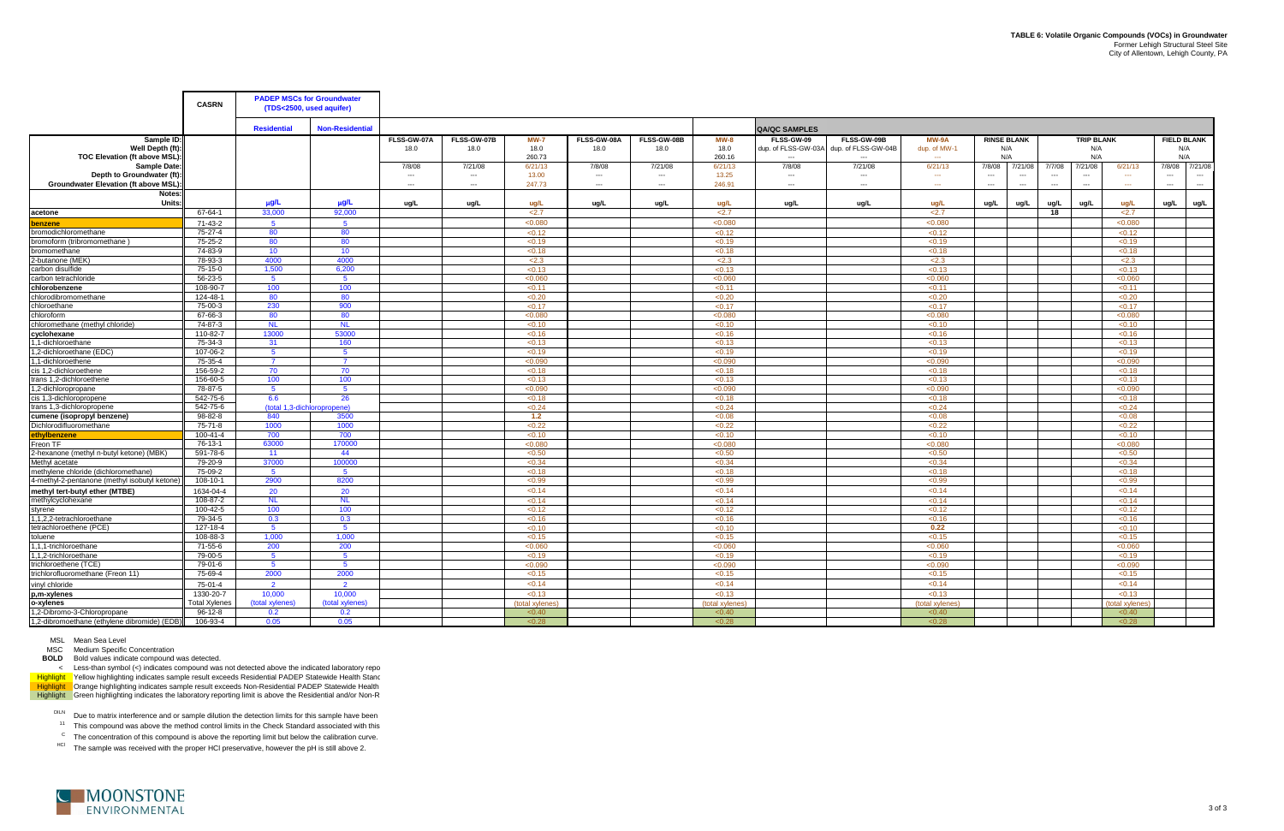MSC Medium Specific Concentration

**BOLD** Bold values indicate compound was detected.

< Less-than symbol (<) indicates compound was not detected above the indicated laboratory repo Highlight \_ Yellow highlighting indicates sample result exceeds Residential PADEP Statewide Health Stanc Highlight Drange highlighting indicates sample result exceeds Non-Residential PADEP Statewide Health Highlight Green highlighting indicates the laboratory reporting limit is above the Residential and/or Non-R

DILN Due to matrix interference and or sample dilution the detection limits for this sample have been

 $11$  This compound was above the method control limits in the Check Standard associated with this

 $\rm{^{C}}$  The concentration of this compound is above the reporting limit but below the calibration curve.

<sup>HCl</sup> The sample was received with the proper HCl preservative, however the pH is still above 2.



|                                                                                 | <b>CASRN</b>         | <b>PADEP MSCs for Groundwater</b><br>(TDS<2500, used aquifer) |                             |                          |                                     |                               |                     |                          |                          |                                   |                                                                |                              |                                  |                                                           |                                 |                   |                          |                                            |
|---------------------------------------------------------------------------------|----------------------|---------------------------------------------------------------|-----------------------------|--------------------------|-------------------------------------|-------------------------------|---------------------|--------------------------|--------------------------|-----------------------------------|----------------------------------------------------------------|------------------------------|----------------------------------|-----------------------------------------------------------|---------------------------------|-------------------|--------------------------|--------------------------------------------|
|                                                                                 |                      | <b>Residential</b>                                            | <b>Non-Residential</b>      |                          |                                     |                               |                     |                          |                          | <b>QA/QC SAMPLES</b>              |                                                                |                              |                                  |                                                           |                                 |                   |                          |                                            |
| Sample ID:<br>Well Depth (ft):<br>TOC Elevation (ft above MSL):                 |                      |                                                               |                             | FLSS-GW-07A<br>18.0      | FLSS-GW-07B<br>18.0                 | <b>MW-7</b><br>18.0<br>260.73 | FLSS-GW-08A<br>18.0 | FLSS-GW-08B<br>18.0      | $MW-8$<br>18.0<br>260.16 | FLSS-GW-09<br>dup. of FLSS-GW-03A | FLSS-GW-09B<br>dup. of FLSS-GW-04B<br>$\overline{\phantom{a}}$ | MW-9A<br>dup. of MW-1<br>$-$ | <b>RINSE BLANK</b><br>N/A<br>N/A |                                                           | <b>TRIP BLANK</b><br>N/A<br>N/A |                   |                          | <b>FIELD BLANK</b><br>N/A<br>N/A           |
| Sample Date:<br>Depth to Groundwater (ft):                                      |                      |                                                               |                             | 7/8/08<br>$---$          | 7/21/08<br>$\hspace{0.05cm} \ldots$ | 6/21/13<br>13.00              | 7/8/08<br>$\cdots$  | 7/21/08<br>$\cdots$      | 6/21/13<br>13.25         | 7/8/08<br>$---$                   | 7/21/08<br>$\hspace{0.05cm} \ldots$                            | 6/21/13<br>$\sim$            | 7/8/08<br>$\cdots$               | 7/21/08<br>7/7/08<br>$\overline{\phantom{a}}$<br>$\cdots$ | 7/21/08<br>$\cdots$             | 6/21/13<br>$\sim$ | $\qquad \qquad \cdots$   | 7/8/08 7/21/08<br>$\hspace{0.05cm} \ldots$ |
| Groundwater Elevation (ft above MSL)                                            |                      |                                                               |                             | $\overline{\phantom{a}}$ | $---$                               | 247.73                        | ---                 | $\overline{\phantom{a}}$ | 246.91                   | $\overline{a}$                    | $\overline{a}$                                                 |                              | $\overline{\phantom{a}}$         | $\overline{\phantom{a}}$<br>$\overline{\phantom{a}}$      | $\overline{\phantom{a}}$        | $\sim$            | $\overline{\phantom{a}}$ | $\sim$                                     |
| Notes:<br>Units:                                                                |                      | $\mu$ g/L                                                     | $\mu$ g/L                   | ug/L                     | ug/L                                | ug/L                          | ug/L                | ug/L                     | ug/L                     | ug/L                              | ug/L                                                           | ug/L                         | ug/L                             | ug/L<br>ug/L                                              | ug/L                            | ug/L              | ug/L                     | ug/L                                       |
| acetone                                                                         | 67-64-1              | 33.000                                                        | 92.000                      |                          |                                     | 2.7                           |                     |                          | 2.7                      |                                   |                                                                | 2.7                          |                                  | 18                                                        |                                 | 2.7               |                          |                                            |
| lbenzene                                                                        | 71-43-2              | 5 <sup>5</sup>                                                | 5 <sup>5</sup>              |                          |                                     | < 0.080                       |                     |                          | < 0.080                  |                                   |                                                                | < 0.080                      |                                  |                                                           |                                 | < 0.080           |                          |                                            |
| bromodichloromethane                                                            | 75-27-4              | 80                                                            | 80                          |                          |                                     | < 0.12                        |                     |                          | < 0.12                   |                                   |                                                                | < 0.12                       |                                  |                                                           |                                 | < 0.12            |                          |                                            |
| bromoform (tribromomethane)                                                     | 75-25-2              | 80                                                            | 80                          |                          |                                     | < 0.19                        |                     |                          | < 0.19                   |                                   |                                                                | < 0.19                       |                                  |                                                           |                                 | < 0.19            |                          |                                            |
| bromomethane                                                                    | 74-83-9              | 10                                                            | 10 <sup>°</sup>             |                          |                                     | < 0.18                        |                     |                          | < 0.18                   |                                   |                                                                | < 0.18                       |                                  |                                                           |                                 | < 0.18            |                          |                                            |
| 2-butanone (MEK)                                                                | 78-93-3              | 4000                                                          | 4000                        |                          |                                     | 2.3                           |                     |                          | 2.3                      |                                   |                                                                | 2.3                          |                                  |                                                           |                                 | 2.3               |                          |                                            |
| carbon disulfide                                                                | 75-15-0              | 1,500                                                         | 6,200                       |                          |                                     | < 0.13                        |                     |                          | < 0.13                   |                                   |                                                                | < 0.13                       |                                  |                                                           |                                 | < 0.13            |                          |                                            |
| carbon tetrachloride                                                            | 56-23-5              | -5                                                            | $\sqrt{5}$                  |                          |                                     | < 0.060                       |                     |                          | < 0.060                  |                                   |                                                                | < 0.060                      |                                  |                                                           |                                 | < 0.060           |                          |                                            |
| chlorobenzene                                                                   | 108-90-7             | 100                                                           | 100                         |                          |                                     | < 0.11                        |                     |                          | < 0.11                   |                                   |                                                                | < 0.11                       |                                  |                                                           |                                 | < 0.11            |                          |                                            |
| chlorodibromomethane                                                            | 124-48-1             | 80                                                            | 80                          |                          |                                     | < 0.20                        |                     |                          | < 0.20                   |                                   |                                                                | < 0.20                       |                                  |                                                           |                                 | < 0.20            |                          |                                            |
| chloroethane                                                                    | 75-00-3              | 230                                                           | 900                         |                          |                                     | < 0.17                        |                     |                          | < 0.17                   |                                   |                                                                | < 0.17                       |                                  |                                                           |                                 | < 0.17            |                          |                                            |
| chloroform                                                                      | 67-66-3              | 80                                                            | 80                          |                          |                                     | < 0.080                       |                     |                          | <0.080                   |                                   |                                                                | < 0.080                      |                                  |                                                           |                                 | < 0.080           |                          |                                            |
| chloromethane (methyl chloride)                                                 | 74-87-3              | <b>NL</b>                                                     | <b>NL</b>                   |                          |                                     | < 0.10                        |                     |                          | < 0.10                   |                                   |                                                                | < 0.10                       |                                  |                                                           |                                 | < 0.10            |                          |                                            |
| cyclohexane                                                                     | 110-82-7             | 13000                                                         | 53000                       |                          |                                     | < 0.16                        |                     |                          | < 0.16                   |                                   |                                                                | < 0.16                       |                                  |                                                           |                                 | < 0.16            |                          |                                            |
| .1-dichloroethane                                                               | 75-34-3              | 31                                                            | 160                         |                          |                                     | < 0.13                        |                     |                          | < 0.13                   |                                   |                                                                | < 0.13                       |                                  |                                                           |                                 | < 0.13            |                          |                                            |
| 1.2-dichloroethane (EDC)                                                        | 107-06-2             | 5 <sup>5</sup>                                                | 5                           |                          |                                     | < 0.19                        |                     |                          | < 0.19                   |                                   |                                                                | < 0.19                       |                                  |                                                           |                                 | < 0.19            |                          |                                            |
| .1-dichloroethene                                                               | 75-35-4              | $\overline{7}$                                                | $\overline{7}$              |                          |                                     | < 0.090                       |                     |                          | < 0.090                  |                                   |                                                                | < 0.090                      |                                  |                                                           |                                 | < 0.090           |                          |                                            |
| cis 1,2-dichloroethene                                                          | 156-59-2             | 70                                                            | 70                          |                          |                                     | < 0.18                        |                     |                          | < 0.18                   |                                   |                                                                | < 0.18                       |                                  |                                                           |                                 | < 0.18            |                          |                                            |
| trans 1,2-dichloroethene                                                        | 156-60-5             | 100                                                           | 100                         |                          |                                     | < 0.13                        |                     |                          | < 0.13                   |                                   |                                                                | < 0.13                       |                                  |                                                           |                                 | < 0.13            |                          |                                            |
| 1,2-dichloropropane                                                             | 78-87-5              | 5 <sup>5</sup>                                                | 5 <sup>5</sup>              |                          |                                     | < 0.090                       |                     |                          | < 0.090                  |                                   |                                                                | < 0.090                      |                                  |                                                           |                                 | < 0.090           |                          |                                            |
| cis 1,3-dichloropropene                                                         | 542-75-6             | 6.6                                                           | 26                          |                          |                                     | < 0.18                        |                     |                          | < 0.18                   |                                   |                                                                | < 0.18                       |                                  |                                                           |                                 | < 0.18            |                          |                                            |
| trans 1,3-dichloropropene                                                       | 542-75-6             |                                                               | (total 1.3-dichloropropene) |                          |                                     | < 0.24                        |                     |                          | < 0.24                   |                                   |                                                                | < 0.24                       |                                  |                                                           |                                 | < 0.24            |                          |                                            |
| cumene (isopropyl benzene)                                                      | 98-82-8              | 840                                                           | 3500                        |                          |                                     | 1.2                           |                     |                          | < 0.08                   |                                   |                                                                | < 0.08                       |                                  |                                                           |                                 | < 0.08            |                          |                                            |
| Dichlorodifluoromethane                                                         | 75-71-8              | 1000                                                          | 1000                        |                          |                                     | < 0.22                        |                     |                          | < 0.22                   |                                   |                                                                | < 0.22                       |                                  |                                                           |                                 | < 0.22            |                          |                                            |
| ethylbenzene                                                                    | 100-41-4             | 700                                                           | 700                         |                          |                                     | < 0.10                        |                     |                          | < 0.10                   |                                   |                                                                | < 0.10                       |                                  |                                                           |                                 | < 0.10            |                          |                                            |
| Freon TF                                                                        | 76-13-1              | 63000                                                         | 170000                      |                          |                                     | < 0.080                       |                     |                          | <0.080                   |                                   |                                                                | < 0.080                      |                                  |                                                           |                                 | < 0.080           |                          |                                            |
| 2-hexanone (methyl n-butyl ketone) (MBK)                                        | 591-78-6             | 11                                                            | 44<br>100000                |                          |                                     | < 0.50                        |                     |                          | < 0.50                   |                                   |                                                                | < 0.50                       |                                  |                                                           |                                 | < 0.50            |                          |                                            |
| Methyl acetate                                                                  | 79-20-9<br>75-09-2   | 37000<br>-5                                                   | $\overline{5}$              |                          |                                     | <0.34                         |                     |                          | < 0.34                   |                                   |                                                                | < 0.34<br>< 0.18             |                                  |                                                           |                                 | < 0.34<br>< 0.18  |                          |                                            |
| methylene chloride (dichloromethane)                                            | 108-10-1             | 2900                                                          | 8200                        |                          |                                     | < 0.18<br>< 0.99              |                     |                          | < 0.18<br>< 0.99         |                                   |                                                                | < 0.99                       |                                  |                                                           |                                 | < 0.99            |                          |                                            |
| 4-methyl-2-pentanone (methyl isobutyl ketone)<br>methyl tert-butyl ether (MTBE) | 1634-04-4            | 20                                                            | 20                          |                          |                                     | < 0.14                        |                     |                          | < 0.14                   |                                   |                                                                | < 0.14                       |                                  |                                                           |                                 | < 0.14            |                          |                                            |
| methylcyclohexane                                                               | 108-87-2             | N <sub>L</sub>                                                | NL.                         |                          |                                     | < 0.14                        |                     |                          | < 0.14                   |                                   |                                                                | < 0.14                       |                                  |                                                           |                                 | < 0.14            |                          |                                            |
| styrene                                                                         | 100-42-5             | 100                                                           | 100                         |                          |                                     | < 0.12                        |                     |                          | < 0.12                   |                                   |                                                                | < 0.12                       |                                  |                                                           |                                 | < 0.12            |                          |                                            |
| .1.2.2-tetrachloroethane                                                        | 79-34-5              | 0.3                                                           | 0.3                         |                          |                                     | < 0.16                        |                     |                          | < 0.16                   |                                   |                                                                | < 0.16                       |                                  |                                                           |                                 | < 0.16            |                          |                                            |
| tetrachloroethene (PCE)                                                         | 127-18-4             | $-5$                                                          | -5                          |                          |                                     | < 0.10                        |                     |                          | < 0.10                   |                                   |                                                                | 0.22                         |                                  |                                                           |                                 | < 0.10            |                          |                                            |
| toluene                                                                         | 108-88-3             | 1.000                                                         | 1.000                       |                          |                                     | < 0.15                        |                     |                          | < 0.15                   |                                   |                                                                | < 0.15                       |                                  |                                                           |                                 | < 0.15            |                          |                                            |
| 1,1,1-trichloroethane                                                           | $71 - 55 - 6$        | 200                                                           | 200                         |                          |                                     | < 0.060                       |                     |                          | < 0.060                  |                                   |                                                                | < 0.060                      |                                  |                                                           |                                 | <0.060            |                          |                                            |
| 1,2-trichloroethane                                                             | 79-00-5              | $5^{\circ}$                                                   | 5 <sup>5</sup>              |                          |                                     | < 0.19                        |                     |                          | < 0.19                   |                                   |                                                                | < 0.19                       |                                  |                                                           |                                 | < 0.19            |                          |                                            |
| trichloroethene (TCE)                                                           | 79-01-6              | -5                                                            | $5^{\circ}$                 |                          |                                     | < 0.090                       |                     |                          | <0.090                   |                                   |                                                                | < 0.090                      |                                  |                                                           |                                 | < 0.090           |                          |                                            |
| trichlorofluoromethane (Freon 11)                                               | 75-69-4              | 2000                                                          | 2000                        |                          |                                     | < 0.15                        |                     |                          | < 0.15                   |                                   |                                                                | < 0.15                       |                                  |                                                           |                                 | < 0.15            |                          |                                            |
| vinyl chloride                                                                  | 75-01-4              | $\overline{2}$                                                | $\overline{2}$              |                          |                                     | < 0.14                        |                     |                          | < 0.14                   |                                   |                                                                | < 0.14                       |                                  |                                                           |                                 | < 0.14            |                          |                                            |
| p,m-xylenes                                                                     | 1330-20-7            | 10,000                                                        | 10,000                      |                          |                                     | < 0.13                        |                     |                          | < 0.13                   |                                   |                                                                | < 0.13                       |                                  |                                                           |                                 | < 0.13            |                          |                                            |
| o-xylenes                                                                       | <b>Total Xvlenes</b> | (total xylenes)                                               | (total xylenes)             |                          |                                     | (total xylenes                |                     |                          | (total xylenes           |                                   |                                                                | (total xylenes)              |                                  |                                                           |                                 | (total xylenes)   |                          |                                            |
| 1,2-Dibromo-3-Chloropropane                                                     | $96-12-8$            | 0.2                                                           | 0.2                         |                          |                                     | < 0.40                        |                     |                          | < 0.40                   |                                   |                                                                | < 0.40                       |                                  |                                                           |                                 | < 0.40            |                          |                                            |
| 1,2-dibromoethane (ethylene dibromide) (EDB)                                    | 106-93-4             | 0.05                                                          | 0.05                        |                          |                                     | < 0.28                        |                     |                          | < 0.28                   |                                   |                                                                | < 0.28                       |                                  |                                                           |                                 | < 0.28            |                          |                                            |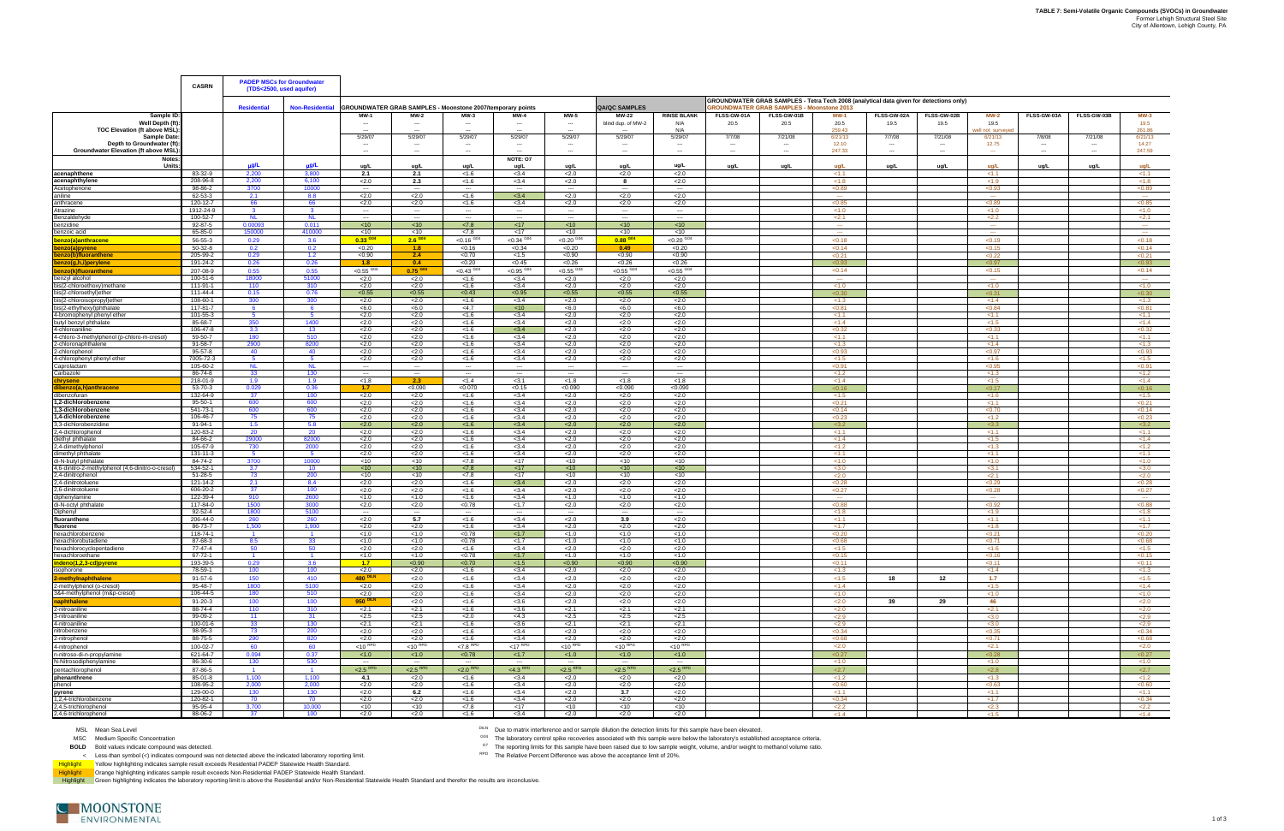MSC Remains interactive and of demptremental and the material control of the laboratory's established acceptance criteria. **BOLD** Bold values indicate compound was detected. O7 The reporting limits for this sample have been raised due to low sample weight, volume, and/or weight to methanol volume ratio.

|                                                                         | <b>CASRN</b>              |                        | <b>PADEP MSCs for Groundwater</b><br>(TDS<2500, used aquifer) |                                 |                                     |                                                                   |                                   |                                  |                                |                                  |             |                                                                                                                                            |                         |                                    |             |                        |             |             |                  |
|-------------------------------------------------------------------------|---------------------------|------------------------|---------------------------------------------------------------|---------------------------------|-------------------------------------|-------------------------------------------------------------------|-----------------------------------|----------------------------------|--------------------------------|----------------------------------|-------------|--------------------------------------------------------------------------------------------------------------------------------------------|-------------------------|------------------------------------|-------------|------------------------|-------------|-------------|------------------|
|                                                                         |                           | <b>Residential</b>     | <b>Non-Residential</b>                                        |                                 |                                     | <b>GROUNDWATER GRAB SAMPLES - Moonstone 2007/temporary points</b> |                                   |                                  | <b>QA/QC SAMPLES</b>           |                                  |             | GROUNDWATER GRAB SAMPLES - Tetra Tech 2008 (analytical data given for detections only)<br><b>GROUNDWATER GRAB SAMPLES - Moonstone 2013</b> |                         |                                    |             |                        |             |             |                  |
| Sample ID                                                               |                           |                        |                                                               | MW-                             | MW-2                                |                                                                   |                                   | <b>MW-5</b>                      | <b>MW-22</b>                   | <b>RINSE BLANK</b>               | FLSS-GW-01A | FLSS-GW-01B                                                                                                                                | <b>MW-1</b>             | FLSS-GW-02A                        | FLSS-GW-02B | <b>MW-2</b>            | FLSS-GW-03A | FLSS-GW-03B | <b>MW-3</b>      |
| Well Depth (ft)<br><b>TOC Elevation (ft above MSL)</b>                  |                           |                        |                                                               | $\overline{\phantom{a}}$        |                                     |                                                                   | $\sim$                            | $\overline{\phantom{a}}$         | blind dup. of MW-2             | N/A<br>N/A                       | 20.5        | 20.5                                                                                                                                       | 20.5<br>259.43          | 19.5                               | 19.5        | 19.5<br>ell not survey |             |             | 19.5<br>261.86   |
| <b>Sample Date</b>                                                      |                           |                        |                                                               | 5/29/07                         | 5/29/07                             | 5/29/07                                                           | 5/29/07                           | 5/29/07                          | 5/29/07                        | 5/29/07                          | 7/7/08      | 7/21/08                                                                                                                                    | 6/21/13                 | 7/7/08                             | 7/21/08     | 6/21/13                | 7/8/08      | 7/21/08     | 6/21/13          |
| Depth to Groundwater (ft)<br><b>Groundwater Elevation (ft above MSL</b> |                           |                        |                                                               | ---<br>$\cdots$                 |                                     |                                                                   |                                   | $\cdots$                         |                                | ---<br>---                       |             | $\hspace{0.05cm} \cdots$                                                                                                                   | 12.10<br>247.33         | $\sim$<br>$\hspace{0.05cm} \cdots$ |             | 12.75                  |             |             | 14.27<br>247.59  |
| <b>Notes</b>                                                            |                           |                        |                                                               |                                 |                                     |                                                                   | <b>NOTE: 07</b>                   |                                  |                                |                                  |             |                                                                                                                                            |                         |                                    |             |                        |             |             |                  |
| Units                                                                   |                           | $\mu$ g/L              | µg/L                                                          | ug/L                            | ug/L                                | ug/L                                                              | ug/L                              | ug/L                             | ug/L                           | ug/L                             | ug/L        | ug/L                                                                                                                                       | ug/L                    | ug/L                               | ug/L        | ua/L                   | ug/L        | ug/L        | ug/L             |
| acenaphthene<br>acenaphthylene                                          | 83-32-9<br>208-96-8       | 2,200<br>2.200         | 3.800<br>6.100                                                | 2.1<br>2.0                      | 2.1<br>2.3                          | < 1.6<br>< 1.6                                                    | < 3.4<br>< 3.4                    | 2.0<br>2.0                       | 2.0<br>8                       | 2.0<br>2.0                       |             |                                                                                                                                            | 21.1<br>< 1.8           |                                    |             | 211<br>< 1.9           |             |             | <1.1<br>< 1.8    |
| Acetophenone                                                            | 98-86-2                   | 3700                   | 10000                                                         |                                 | $\overline{\phantom{a}}$            |                                                                   |                                   | $\sim$                           | $\cdots$                       | $\cdots$                         |             |                                                                                                                                            | < 0.89                  |                                    |             | < 0.93                 |             |             | < 0.89           |
| aniline                                                                 | 62-53-3                   | 2.1                    | 8.8                                                           | 2.0                             | 2.0                                 | < 1.6                                                             | < 3.4                             | 2.0                              | 2.0                            | 2.0                              |             |                                                                                                                                            | $\sim$                  |                                    |             | $\sim$                 |             |             | $\sim$           |
| anthracene<br>Atrazine                                                  | 120-12-7<br>1912-24-9     | 66<br>$\mathbf{3}$     | 66<br>$\mathbf{R}$                                            | 2.0<br>$\sim$ $\sim$ $\sim$     | 2.0<br>$\sim$                       | < 1.6<br>$\sim$                                                   | < 3.4<br>$\sim$                   | 2.0<br>$\sim$                    | 2.0<br>$\sim$                  | 2.0<br>$\sim$                    |             |                                                                                                                                            | < 0.85<br>< 1.0         |                                    |             | < 0.89<br>< 1.0        |             |             | < 0.85<br>< 1.0  |
| Benzaldehyde                                                            | 100-52-7                  | <b>NL</b>              | <b>NL</b>                                                     | $---$                           | $\sim$                              | $-$                                                               | $\cdots$                          | $- - -$                          | $\sim$                         | $\cdots$                         |             |                                                                                                                                            | 2.1                     |                                    |             | 2.2                    |             |             | 2.1              |
| benzidine                                                               | 92-87-5                   | 0.00093                | 0.011                                                         | < 10                            | $<$ 10                              | < 7.8                                                             | < 17                              | <10                              | < 10                           | < 10                             |             |                                                                                                                                            | $\sim$                  |                                    |             | $\sim$                 |             |             | $\sim$           |
| benzoic acid                                                            | 65-85-0                   | 150000                 | 410000                                                        | $<$ 10                          | $<$ 10<br>$2.6 \frac{G04}{4}$       | < 7.8                                                             | $<$ 17                            | $<$ 10                           | $<$ 10                         | $<$ 10                           |             |                                                                                                                                            | $\sim$                  |                                    |             | $\sim$                 |             |             | $\sim$<br>< 0.18 |
| benzo(a)anthracene<br>enzo(a)pyrene                                     | 56-55-3<br>50-32-8        | 0.29<br>0.2            | 3.6<br>0.2                                                    | $0.33$ GO <sub>4</sub><br><0.20 | 1.8                                 | $< 0.16$ G <sub>04</sub><br>< 0.16                                | < 0.34<br>< 0.34                  | $< 0.20$ <sup>GO</sup><br>< 0.20 | $0.88$ GO4<br>0.49             | $< 0.20$ <sup>GO</sup><br>< 0.20 |             |                                                                                                                                            | < 0.18<br>< 0.14        |                                    |             | < 0.19<br>< 0.15       |             |             | < 0.14           |
| benzo(b)fluoranthene                                                    | 205-99-2                  | 0.29                   | 1.2                                                           | < 0.90                          | 2.4                                 | < 0.70                                                            | < 1.5                             | < 0.90                           | < 0.90                         | < 0.90                           |             |                                                                                                                                            | < 0.21                  |                                    |             | < 0.22                 |             |             | <0.21            |
| benzo(g,h,i)perylene                                                    | 191-24-2                  | 0.26                   | 0.26                                                          | 1.8                             | 0.4                                 | < 0.20                                                            | < 0.45                            | < 0.26                           | < 0.26                         | < 0.26                           |             |                                                                                                                                            | < 0.93                  |                                    |             | < 0.97                 |             |             | <0.93            |
| benzo(k)fluoranthene<br>benzyl alcohol                                  | 207-08-9<br>100-51-6      | 0.55<br>18000          | 0.55<br>51000                                                 | $< 0.55$ <sup>G04</sup><br>2.0  | $0.75$ GO <sub>4</sub><br>2.0       | $< 0.43$ <sup>G04</sup><br>< 1.6                                  | ${<}0.95$ <sup>G04</sup><br>< 3.4 | $< 0.55$ <sup>G04</sup><br>2.0   | $< 0.55$ <sup>G04</sup><br>2.0 | $< 0.55$ <sup>G04</sup><br>2.0   |             |                                                                                                                                            | < 0.14<br>$\sim$ $\sim$ |                                    |             | < 0.15<br>$\sim$       |             |             | < 0.14<br>$\sim$ |
| bis(2-chloroethoxy)methane                                              | 111-91-1                  | 110                    | 310                                                           | 2.0                             | 2.0                                 | < 1.6                                                             | < 3.4                             | 2.0                              | $\overline{2.0}$               | < 2.0                            |             |                                                                                                                                            | < 1.0                   |                                    |             | < 1.0                  |             |             | < 1.0            |
| bis(2-chloroethyl)ether                                                 | 111-44-4                  | 0.15                   | 0.76                                                          | < 0.55                          | < 0.55                              | < 0.43                                                            | < 0.95                            | < 0.55                           | < 0.55                         | < 0.55                           |             |                                                                                                                                            | $\leq$ 0.30             |                                    |             | $\leq$ 0.31            |             |             | <0.30            |
| bis(2-chloroisopropyl)ether<br>bis(2-ethylhexyl)phthalate               | 108-60-1<br>117-81-7      | 300<br>-6              | 300<br>-6                                                     | 2.0<br>< 6.0                    | 2.0<br><6.0                         | < 1.6<br>$<$ 4.7                                                  | < 3.4<br>< 10                     | 2.0<br><6.0                      | 2.0<br><6.0                    | 2.0<br><6.0                      |             |                                                                                                                                            | < 1.3<br>< 0.81         |                                    |             | < 1.4<br>< 0.84        |             |             | < 1.3<br>< 0.81  |
| 4-bromophenyl phenyl ether                                              | 101-55-3                  | -5                     |                                                               | 2.0                             | 2.0                                 | < 1.6                                                             | < 3.4                             | 2.0                              | 2.0                            | 2.0                              |             |                                                                                                                                            | < 1.1                   |                                    |             | < 1.1                  |             |             | < 1.1            |
| butyl benzyl phthalate                                                  | 85-68-7                   | 350                    | 1400                                                          | 2.0                             | 2.0                                 | < 1.6                                                             | < 3.4                             | 2.0                              | 2.0                            | 2.0                              |             |                                                                                                                                            | < 1.4                   |                                    |             | < 1.5                  |             |             | < 1.4            |
| 4-chloroaniline<br>4-chloro-3-methylphenol (p-chloro-m-cresol)          | 106-47-8<br>59-50-7       | 3.3<br>180             | 13 <sup>°</sup><br>510                                        | 2.0<br>2.0                      | 2.0<br>2.0                          | < 1.6<br>< 1.6                                                    | < 3.4<br>< 3.4                    | 2.0<br>2.0                       | 2.0<br>2.0                     | 2.0<br>2.0                       |             |                                                                                                                                            | < 0.32<br>< 1.1         |                                    |             | < 0.33<br>< 1.1        |             |             | <0.32<br>< 1.1   |
| 2-chloronaphthalene                                                     | 91-58-7                   | 2900                   | 8200                                                          | 2.0                             | 2.0                                 | < 1.6                                                             | < 3.4                             | 2.0                              | 2.0                            | 2.0                              |             |                                                                                                                                            | < 1.3                   |                                    |             | < 1.4                  |             |             | < 1.3            |
| 2-chlorophenol                                                          | 95-57-8                   | 40                     | 40                                                            | 2.0                             | 2.0                                 | < 1.6                                                             | < 3.4                             | 2.0                              | 2.0                            | 2.0                              |             |                                                                                                                                            | < 0.93                  |                                    |             | < 0.97                 |             |             | < 0.93           |
| 4-chlorophenyl phenyl ether                                             | 7005-72-3<br>105-60-2     | -5<br>NL               | -5<br>NL.                                                     | 2.0<br>$\cdots$                 | 2.0<br>$\sim$                       | < 1.6<br>$\cdots$                                                 | < 3.4<br>$\sim$                   | 2.0<br>$\sim$                    | 2.0<br>$\sim$                  | 2.0<br>$\sim$                    |             |                                                                                                                                            | < 1.5<br>< 0.91         |                                    |             | < 1.6<br>< 0.95        |             |             | < 1.5<br>< 0.91  |
| Caprolactam<br>Carbazole                                                | 86-74-8                   | 33                     | 130                                                           | $---$                           | $\sim$                              | $\sim$                                                            | $\cdots$                          | $\sim$                           | $\sim$                         | $-$                              |             |                                                                                                                                            | < 1.2                   |                                    |             | < 1.3                  |             |             | < 1.2            |
| chrysene                                                                | 218-01-9                  | 1.9                    | 1.9                                                           | < 1.8                           | 2.3                                 | < 1.4                                                             | < 3.1                             | < 1.8                            | < 1.8                          | < 1.8                            |             |                                                                                                                                            | < 1.4                   |                                    |             | < 1.5                  |             |             | < 1.4            |
| <u>ibenzo(a,h)anthracene</u><br>dibenzofuran                            | 53-70-3<br>132-64-9       | 0.029<br>37            | 0.36<br>100 <sub>1</sub>                                      | 1.7 <sub>z</sub><br>2.0         | <0.090<br>2.0                       | < 0.070<br>< 1.6                                                  | < 0.15<br>< 3.4                   | <0.090<br>2.0                    | < 0.090<br>2.0                 | < 0.090<br>2.0                   |             |                                                                                                                                            | < 0.16<br>< 1.5         |                                    |             | < 0.17<br>< 1.6        |             |             | < 0.16<br>< 1.5  |
| 1,2-dichlorobenzene                                                     | 95-50-1                   | 600                    | 600                                                           | 2.0                             | 2.0                                 | < 1.6                                                             | < 3.4                             | 2.0                              | 2.0                            | 2.0                              |             |                                                                                                                                            | < 0.21                  |                                    |             | < 1.1                  |             |             | < 0.21           |
| 3-dichlorobenzene                                                       | 541-73-1                  | 600                    | 600                                                           | 2.0                             | 2.0                                 | < 1.6                                                             | < 3.4                             | 2.0                              | 2.0                            | 2.0                              |             |                                                                                                                                            | < 0.14                  |                                    |             | < 0.70                 |             |             | < 0.14           |
| 4-dichlorobenzene<br>3,3-dichlorobenzidine                              | 106-46-7<br>91-94-1       | 75<br>1.5              | 75<br>5.8                                                     | 2.0<br>2.0                      | 2.0<br><2.0                         | < 1.6<br>< 1.6                                                    | <3.4<br>< 3.4                     | 2.0<br>2.0                       | 2.0<br>< 2.0                   | 2.0<br>2.0                       |             |                                                                                                                                            | < 0.23<br><3.2          |                                    |             | $2 - 1.2$<br>< 3.3     |             |             | < 0.23<br>3.2    |
| 2,4-dichlorophenol                                                      | 120-83-2                  | 20                     | 20                                                            | 2.0                             | 2.0                                 | < 1.6                                                             | < 3.4                             | 2.0                              | 2.0                            | 2.0                              |             |                                                                                                                                            | < 1.1                   |                                    |             | < 1.1                  |             |             | < 1.1            |
| diethyl phthalate                                                       | 84-66-2                   | 29000                  | 82000                                                         | 2.0                             | 2.0                                 | < 1.6                                                             | < 3.4                             | 2.0                              | 2.0                            | 2.0                              |             |                                                                                                                                            | < 1.4                   |                                    |             | < 1.5                  |             |             | < 1.4            |
| 2,4-dimethylphenol<br>dimethyl phthalate                                | 105-67-9<br>131-11-3      | 730<br>-5              | 2000<br>- 5                                                   | 2.0<br>2.0                      | 2.0<br>2.0                          | < 1.6<br>< 1.6                                                    | < 3.4<br><3.4                     | 2.0<br>2.0                       | 2.0<br>2.0                     | 2.0<br>2.0                       |             |                                                                                                                                            | < 1.2<br>< 1.1          |                                    |             | < 1.3<br>< 1.1         |             |             | < 1.2<br>< 1.1   |
| di-N-butyl phthalate                                                    | 84-74-2                   | 3700                   | 10000                                                         | < 10                            | $<$ 10                              | < 7.8                                                             | < 17                              | $<$ 10                           | $<$ 10                         | < 10                             |             |                                                                                                                                            | < 1.0                   |                                    |             | < 1.0                  |             |             | < 1.0            |
| 4,6-dinitro-2-methylphenol (4,6-dinitro-o-cresol)                       | 534-52-1                  | 3.7                    | 10                                                            | <10                             | < 10                                | < 7.8                                                             | <17                               | $\leq 10$                        | < 10                           | < 10                             |             |                                                                                                                                            | < 3.0                   |                                    |             | $3.1$                  |             |             | < 3.0            |
| 2.4-dinitrophenol<br>2,4-dinitrotoluene                                 | 51-28-5<br>121-14-2       | 73<br>2.1              | 200<br>8.4                                                    | < 10<br>2.0                     | $<$ 10<br>2.0                       | < 7.8<br>< 1.6                                                    | < 17<br>< 3.4                     | $<$ 10<br>2.0                    | < 10<br>2.0                    | < 10<br>2.0                      |             |                                                                                                                                            | 2.0<br>< 0.28           |                                    |             | 2.1<br>< 0.29          |             |             | 2.0<br>< 0.28    |
| 2,6-dinitrotoluene                                                      | 606-20-2                  | 37                     | 100                                                           | 2.0                             | 2.0                                 | < 1.6                                                             | < 3.4                             | 2.0                              | 2.0                            | 2.0                              |             |                                                                                                                                            | <0.27                   |                                    |             | < 0.28                 |             |             | <0.27            |
| diphenylamine                                                           | 122-39-4                  | 910                    | 2600                                                          | < 1.0                           | < 1.0                               | < 1.6                                                             | < 3.4                             | < 1.0                            | < 1.0                          | < 1.0                            |             |                                                                                                                                            | - - - -                 |                                    |             | $\sim$                 |             |             | $\sim$           |
| di-N-octyl phthalate<br>Diphenyl                                        | 117-84-0<br>92-52-4       | 1500<br>1800           | 3000<br>5100                                                  | 2.0<br>$\sim$ $\sim$            | 2.0<br>$\sim$                       | < 0.78<br>$\sim$                                                  | < 1.7<br>$---$                    | 2.0<br>$\sim$                    | 2.0<br>$\sim$                  | 2.0<br>$-$                       |             |                                                                                                                                            | < 0.88<br>< 1.8         |                                    |             | < 0.92<br>< 1.9        |             |             | < 0.88<br>< 1.8  |
| fluoranthene                                                            | 206-44-0                  | 260                    | 260                                                           | 2.0                             | 5.7                                 | < 1.6                                                             | <3.4                              | 2.0                              | 3.9                            | 2.0                              |             |                                                                                                                                            | 1.1                     |                                    |             | < 1.1                  |             |             | < 1.1            |
| fluorene<br>hexachlorobenzene                                           | 86-73-7<br>118-74-1       | 1,500                  | 1,900                                                         | 2.0<br>< 1.0                    | 2.0<br>< 1.0                        | < 1.6<br>< 0.78                                                   | < 3.4<br>< 1.7                    | 2.0<br>< 1.0                     | 2.0<br>< 1.0                   | 2.0<br>< 1.0                     |             |                                                                                                                                            | 1.7<br>< 0.20           |                                    |             | < 1.8<br>< 0.21        |             |             | < 1.7<br><0.20   |
| hexachlorobutadiene                                                     | 87-68-3                   | 8.5                    | 33                                                            | < 1.0                           | < 1.0                               | < 0.78                                                            | < 1.7                             | < 1.0                            | < 1.0                          | < 1.0                            |             |                                                                                                                                            | <0.68                   |                                    |             | < 0.71                 |             |             | <0.68            |
| hexachlorocyclopentadiene                                               | 77-47-4                   |                        |                                                               | 2.0                             | <2.0                                | < 1.6                                                             | < 3.4                             | 2.0                              | 2.0                            | 2.0                              |             |                                                                                                                                            | < 1.5                   |                                    |             | 1.6ء                   |             |             | 1.5              |
| hexachloroethane<br>indeno(1,2,3-cd)pyrene                              | 67-72-1<br>193-39-5       | $\overline{1}$<br>0.29 | $\blacksquare$<br>3.6                                         | < 1.0<br>1.7                    | < 1.0<br>< 0.90                     | < 0.78<br>< 0.70                                                  | <1.7<br>< 1.5                     | < 1.0<br>< 0.90                  | < 1.0<br><0.90                 | < 1.0<br>< 0.90                  |             |                                                                                                                                            | < 0.15<br>< 0.11        |                                    |             | < 0.16<br>< 0.11       |             |             | < 0.15<br>< 0.11 |
| isophorone                                                              | 78-59-1                   | 100                    | 100                                                           | 2.0                             | 2.0                                 | < 1.6                                                             | < 3.4                             | 2.0                              | 2.0                            | 2.0                              |             |                                                                                                                                            | < 1.3                   |                                    |             | < 1.4                  |             |             | < 1.3            |
| 2-methylnaphthalene                                                     | 91-57-6                   | 150                    | 410                                                           | 480 DILN                        | 2.0                                 | < 1.6                                                             | < 3.4                             | 2.0                              | 2.0                            | 2.0                              |             |                                                                                                                                            | < 1.5                   | 18                                 | 12          | 1.7                    |             |             | < 1.5            |
| 2-methylphenol (o-cresol)                                               | 95-48-7                   | 1800                   | 5100                                                          | 2.0                             | 2.0                                 | < 1.6                                                             | < 3.4                             | 2.0                              | 2.0                            | 2.0                              |             |                                                                                                                                            | < 1.4                   |                                    |             | < 1.5                  |             |             | < 1.4            |
| 3&4-methylphenol (m&p-cresol)<br>naphthalene                            | 106-44-5<br>$91 - 20 - 3$ | 180<br>100             | 510<br>100                                                    | 2.0<br>950 DILN                 | 2.0<br>2.0                          | < 1.6<br>< 1.6                                                    | < 3.4<br>< 3.6                    | 2.0<br>2.0                       | 2.0<br>2.0                     | 2.0<br>2.0                       |             |                                                                                                                                            | < 1.0<br>2.0            | 39                                 | 29          | < 1.0<br>46            |             |             | < 1.0<br>2.0     |
| 2-nitroaniline                                                          | 88-74-4                   | 110                    | 310                                                           | 2.1                             | 2.1                                 | < 1.6                                                             | < 3.6                             | 2.1                              | 2.1                            | 2.1                              |             |                                                                                                                                            | 2.0                     |                                    |             | 2.1                    |             |             | 2.0              |
| 3-nitroaniline                                                          | 99-09-2                   | 11                     | 31                                                            | 2.5                             | 2.5                                 | 2.0                                                               | <4.3                              | 2.5                              | 2.5                            | 2.5                              |             |                                                                                                                                            | 2.9                     |                                    |             | < 3.0                  |             |             | 2.9              |
| 4-nitroaniline<br>nitrobenzene                                          | 100-01-6<br>98-95-3       | 33<br>73               | 130<br>200                                                    | 2.1<br>2.0                      | 2.1<br>2.0                          | < 1.6<br>< 1.6                                                    | < 3.6<br>< 3.4                    | 2.1<br>2.0                       | 2.1<br>2.0                     | 2.1<br>2.0                       |             |                                                                                                                                            | 2.9<br>< 0.34           |                                    |             | < 3.0<br>< 0.35        |             |             | 2.9<br>< 0.34    |
| 2-nitrophenol                                                           | 88-75-5                   | 290                    | 820                                                           | 2.0                             | 2.0                                 | < 1.6                                                             | < 3.4                             | 2.0                              | 2.0                            | 2.0                              |             |                                                                                                                                            | < 0.68                  |                                    |             | < 0.71                 |             |             | <0.68            |
| 4-nitrophenol                                                           | 100-02-7                  | 60                     | 60                                                            | $<$ 10 $RPD$                    | $<$ 10 $R$ <sup>PD</sup>            | $<7.8$ <sup>RPD</sup>                                             | $<$ 17 RPD                        | $<$ 10 $R$ <sup>PD</sup>         | $<$ 10 $R$ <sup>PD</sup>       | $<$ 10 RPD                       |             |                                                                                                                                            | 2.0                     |                                    |             | 2.1                    |             |             | 2.0              |
| n-nitroso-di-n-propylamine                                              | 621-64-7                  | 0.094                  | 0.37                                                          | < 1.0                           | < 1.0                               | < 0.78                                                            | < 1.7                             | < 1.0                            | < 1.0                          | < 1.0                            |             |                                                                                                                                            | <0.27                   |                                    |             | < 0.28                 |             |             | <0.27            |
| N-Nitrosodiphenylamine                                                  | 86-30-6<br>87-86-5        | 130<br>$\overline{1}$  | 530<br>$\overline{1}$                                         | $\sim$<br>$<$ 2.5 RPD           | $\sim$ $\sim$ $\sim$<br>$<$ 2.5 RPD | $\sim$<br>$<$ 2.0 RPD                                             | $\sim$ $\sim$<br>$<$ 4.3 RPD      | $\sim$ $\sim$<br>$<$ 2.5 RPD     | $\sim$<br>$<$ 2.5 RPD          | $\sim$<br>$<$ 2.5 RPD            |             |                                                                                                                                            | < 1.0<br>2.7            |                                    |             | < 1.0<br>2.8           |             |             | < 1.0<br>2.7     |
| pentachlorophenol<br>phenanthrene                                       | $85 - 01 - 8$             | 1,100                  | 1,100                                                         | 4.1                             | 2.0                                 | < 1.6                                                             | < 3.4                             | 2.0                              | < 2.0                          | 2.0                              |             |                                                                                                                                            | < 1.2                   |                                    |             | < 1.3                  |             |             | < 1.2            |
| phenol                                                                  | 108-95-2                  | 2,000                  | 2,000                                                         | 2.0                             | 2.0                                 | < 1.6                                                             | < 3.4                             | 2.0                              | 2.0                            | 2.0                              |             |                                                                                                                                            | < 0.60                  |                                    |             | < 0.63                 |             |             | < 0.60           |
| pyrene                                                                  | 129-00-0                  | 130                    | 130                                                           | 2.0                             | 6.2                                 | < 1.6                                                             | < 3.4                             | 2.0                              | 3.7                            | 2.0                              |             |                                                                                                                                            | < 1.1                   |                                    |             | < 1.1                  |             |             | < 1.1            |
| 1,2,4-trichlorobenzene<br>2,4,5-trichlorophenol                         | 120-82-1<br>95-95-4       | 70<br>3,700            | 70<br>10,000                                                  | 2.0<br>$<$ 10                   | 2.0<br>$<$ 10                       | < 1.6<br>< 7.8                                                    | < 3.4<br><17                      | 2.0<br><10                       | 2.0<br>$<$ 10                  | 2.0<br>$<$ 10                    |             |                                                                                                                                            | < 0.34<br>2.2           |                                    |             | <1.7<br>2.3            |             |             | < 0.34<br>2.2    |
| 2,4,6-trichlorophenol                                                   | 88-06-2                   | 37                     | 100                                                           | 2.0                             | 2.0                                 | < 1.6                                                             | < 3.4                             | 2.0                              | 2.0                            | 2.0                              |             |                                                                                                                                            | < 1.4                   |                                    |             | < 1.5                  |             |             | < 1.4            |

MSL Mean Sea Level

NSL Mean Sea Level external environmental to the detection limits for this sample diverse and or sample dilution the detection limits for this sample have been elevated.<br>MSC Medium Specific Concentration the aboratory's e

< Less-than symbol (<) indicates compound was not detected above the indicated laboratory reporting limit.

Highlight Yellow highlighting indicates sample result exceeds Residential PADEP Statewide Health Standard.

Highlight Orange highlighting indicates sample result exceeds Non-Residential PADEP Statewide Health Standard.<br>\_Highlight Green highlighting indicates the laboratory reporting limit is above the Residential and/or Non-Re



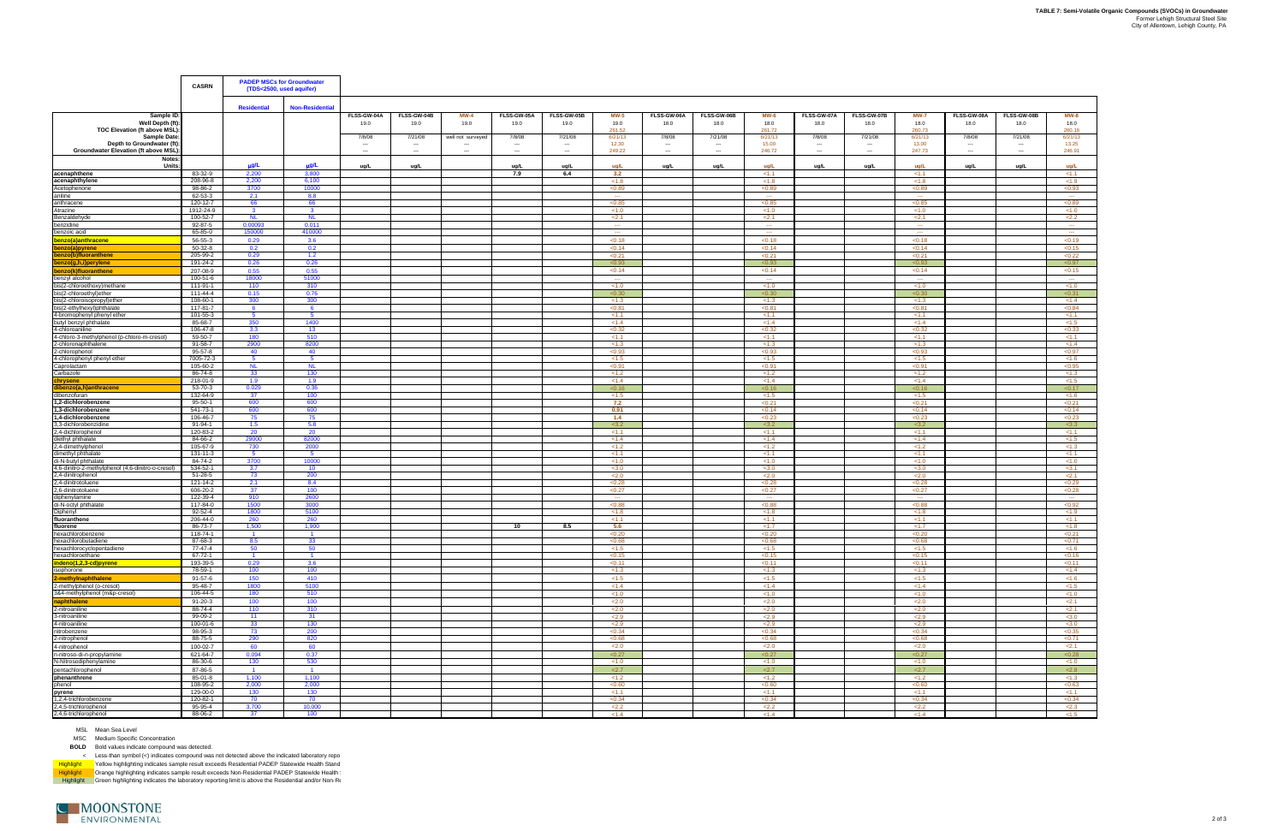|                                                                                         | <b>CASRN</b>             | <b>PADEP MSCs for Groundwater</b><br>(TDS<2500, used aquifer) |                       |                                    |                                                 |                             |                     |                                               |                            |                            |                                                                 |                               |                                 |                             |                               |                                    |                                               |                               |
|-----------------------------------------------------------------------------------------|--------------------------|---------------------------------------------------------------|-----------------------|------------------------------------|-------------------------------------------------|-----------------------------|---------------------|-----------------------------------------------|----------------------------|----------------------------|-----------------------------------------------------------------|-------------------------------|---------------------------------|-----------------------------|-------------------------------|------------------------------------|-----------------------------------------------|-------------------------------|
|                                                                                         |                          | <b>Residential</b>                                            | <b>Non-Residentia</b> |                                    |                                                 |                             |                     |                                               |                            |                            |                                                                 |                               |                                 |                             |                               |                                    |                                               |                               |
| Sample ID<br>Well Depth (ft)<br><b>TOC Elevation (ft above MSL)</b>                     |                          |                                                               |                       | FLSS-GW-04A<br>19.0                | FLSS-GW-04B<br>19.0                             | $MW-4$<br>19.0              | FLSS-GW-05A<br>19.0 | FLSS-GW-05B<br>19.0                           | $MW-5$<br>19.0<br>261.52   | FLSS-GW-06A<br>18.0        | FLSS-GW-06B<br>18.0                                             | <b>MW-6</b><br>18.0<br>261.72 | FLSS-GW-07A<br>18.0             | FLSS-GW-07B<br>18.0         | <b>MW-7</b><br>18.0<br>260.73 | FLSS-GW-08A<br>18.0                | FLSS-GW-08B<br>18.0                           | <b>MW-8</b><br>18.0<br>260.16 |
| <b>Sample Date</b><br>Depth to Groundwater (ft)<br>Groundwater Elevation (ft above MSL) |                          |                                                               |                       | 7/8/08<br>$\sim$<br>$\overline{a}$ | 7/21/08<br>$\cdots$<br>$\overline{\phantom{a}}$ | well not surveyed<br>$\sim$ | 7/8/08<br>$\sim$    | 7/21/08<br>$\sim$<br>$\overline{\phantom{a}}$ | 6/21/13<br>12.30<br>249.22 | 7/8/08<br>$\sim$<br>$\sim$ | 7/21/08<br>$\hspace{0.05cm} \cdots$<br>$\overline{\phantom{a}}$ | 6/21/13<br>15.00<br>246.72    | 7/8/08<br>---<br>$\overline{a}$ | 7/21/08<br>$\sim$<br>$\sim$ | 6/21/13<br>13.00<br>247.73    | 7/8/08<br>$\overline{\phantom{a}}$ | 7/21/08<br>$\sim$<br>$\overline{\phantom{a}}$ | 6/21/13<br>13.25<br>246.91    |
| Notes:<br><b>Units</b>                                                                  |                          | $\mu$ g/L                                                     | µg/L                  | ug/L                               | ug/L                                            |                             | ug/L                | ug/L                                          | ug/L                       | ug/L                       | ug/L                                                            | ug/L                          | ug/L                            | ug/L                        | ug/L                          | ug/L                               | ug/L                                          | ug/L                          |
| acenaphthene                                                                            | 83-32-9                  | 2,200                                                         | 3,800                 |                                    |                                                 |                             | 7.9                 | 6.4                                           | 3.2                        |                            |                                                                 | < 1.1                         |                                 |                             | 1.1                           |                                    |                                               | < 1.1                         |
| acenaphthylene                                                                          | 208-96-8<br>98-86-2      | 2,200<br>3700                                                 | 6,100<br>10000        |                                    |                                                 |                             |                     |                                               | < 1.8<br>< 0.89            |                            |                                                                 | < 1.8<br>< 0.89               |                                 |                             | < 1.8<br>< 0.89               |                                    |                                               | < 1.9<br>< 0.93               |
| Acetophenone<br>aniline                                                                 | 62-53-3                  | 2.1                                                           | 8.8                   |                                    |                                                 |                             |                     |                                               | $\sim$                     |                            |                                                                 | $\sim$                        |                                 |                             | $\sim$                        |                                    |                                               | $\sim$                        |
| anthracene                                                                              | 120-12-7                 | 66                                                            | 66                    |                                    |                                                 |                             |                     |                                               | < 0.85                     |                            |                                                                 | < 0.85                        |                                 |                             | < 0.85                        |                                    |                                               | < 0.89                        |
| Atrazine                                                                                | 1912-24-9                | $\mathbf{3}$                                                  | $\mathbf{3}$          |                                    |                                                 |                             |                     |                                               | < 1.0                      |                            |                                                                 | < 1.0                         |                                 |                             | < 1.0                         |                                    |                                               | < 1.0                         |
| Benzaldehyde<br>benzidine                                                               | 100-52-7<br>92-87-5      | <b>NL</b><br>0.00093                                          | <b>NL</b><br>0.011    |                                    |                                                 |                             |                     |                                               | 2.1<br>$\sim$              |                            |                                                                 | 2.1<br><b>Service</b>         |                                 |                             | 2.1<br>$\sim$                 |                                    |                                               | 2.2<br>$\sim$                 |
| benzoic acid                                                                            | 65-85-0                  | 150000                                                        | 410000                |                                    |                                                 |                             |                     |                                               | $\sim$                     |                            |                                                                 | $\sim$                        |                                 |                             | $\sim$                        |                                    |                                               | $\sim$                        |
| benzo(a)anthracene                                                                      | 56-55-3                  | 0.29                                                          | 3.6                   |                                    |                                                 |                             |                     |                                               | < 0.18                     |                            |                                                                 | < 0.18                        |                                 |                             | < 0.18                        |                                    |                                               | < 0.19                        |
| benzo(a)pyrene                                                                          | 50-32-8                  | 0.2                                                           | 0.2                   |                                    |                                                 |                             |                     |                                               | < 0.14                     |                            |                                                                 | < 0.14                        |                                 |                             | < 0.14                        |                                    |                                               | < 0.15                        |
| benzo(b)fluoranthene<br>benzo(g,h,i)perylene                                            | 205-99-2<br>191-24-2     | 0.29<br>0.26                                                  | 1.2<br>0.26           |                                    |                                                 |                             |                     |                                               | < 0.21<br>< 0.93           |                            |                                                                 | < 0.21<br>< 0.93              |                                 |                             | < 0.21<br><0.93               |                                    |                                               | < 0.22<br>< 0.97              |
| benzo(k)fluoranthene                                                                    | 207-08-9                 | 0.55                                                          | 0.55                  |                                    |                                                 |                             |                     |                                               | < 0.14                     |                            |                                                                 | < 0.14                        |                                 |                             | < 0.14                        |                                    |                                               | < 0.15                        |
| benzyl alcohol                                                                          | 100-51-6                 | 18000                                                         | 51000                 |                                    |                                                 |                             |                     |                                               | <b>Service</b>             |                            |                                                                 | <b>Contract</b>               |                                 |                             | $\sim$                        |                                    |                                               | $\sim$                        |
| bis(2-chloroethoxy)methane                                                              | 111-91-1                 | 110                                                           | 310                   |                                    |                                                 |                             |                     |                                               | < 1.0                      |                            |                                                                 | < 1.0                         |                                 |                             | < 1.0                         |                                    |                                               | < 1.0                         |
| bis(2-chloroethyl)ether<br>bis(2-chloroisopropyl)ether                                  | 111-44-4<br>108-60-1     | 0.15<br>300                                                   | 0.76<br>300           |                                    |                                                 |                             |                     |                                               | < 0.30<br>< 1.3            |                            |                                                                 | < 0.30<br>< 1.3               |                                 |                             | < 0.30<br>< 1.3               |                                    |                                               | < 0.31<br>< 1.4               |
| bis(2-ethylhexyl)phthalate                                                              | 117-81-7                 | 6                                                             | - 6                   |                                    |                                                 |                             |                     |                                               | < 0.81                     |                            |                                                                 | < 0.81                        |                                 |                             | < 0.81                        |                                    |                                               | < 0.84                        |
| 4-bromophenyl phenyl ether                                                              | 101-55-3                 | 5 <sup>5</sup>                                                | 5                     |                                    |                                                 |                             |                     |                                               | < 1.1                      |                            |                                                                 | < 1.1                         |                                 |                             | < 1.1                         |                                    |                                               | < 1.1                         |
| butyl benzyl phthalate                                                                  | 85-68-7                  | 350                                                           | 1400                  |                                    |                                                 |                             |                     |                                               | < 1.4                      |                            |                                                                 | < 1.4                         |                                 |                             | < 1.4                         |                                    |                                               | < 1.5                         |
| 4-chloroaniline<br>4-chloro-3-methylphenol (p-chloro-m-cresol)                          | 106-47-8<br>59-50-7      | 3.3<br>180                                                    | 13<br>510             |                                    |                                                 |                             |                     |                                               | < 0.32<br>< 1.1            |                            |                                                                 | < 0.32<br>< 1.1               |                                 |                             | < 0.32<br>1.1                 |                                    |                                               | < 0.33<br><1.1                |
| 2-chloronaphthalene                                                                     | 91-58-7                  | 2900                                                          | 8200                  |                                    |                                                 |                             |                     |                                               | < 1.3                      |                            |                                                                 | < 1.3                         |                                 |                             | < 1.3                         |                                    |                                               | < 1.4                         |
| 2-chlorophenol                                                                          | 95-57-8                  | 40                                                            | 40                    |                                    |                                                 |                             |                     |                                               | < 0.93                     |                            |                                                                 | < 0.93                        |                                 |                             | < 0.93                        |                                    |                                               | <0.97                         |
| 4-chlorophenyl phenyl ether<br>aprolactam                                               | 7005-72-3<br>105-60-2    | 5<br><b>NL</b>                                                | - 5<br><b>NL</b>      |                                    |                                                 |                             |                     |                                               | < 1.5<br>< 0.91            |                            |                                                                 | < 1.5<br>< 0.91               |                                 |                             | < 1.5<br>< 0.91               |                                    |                                               | < 1.6<br>< 0.95               |
| arbazole                                                                                | 86-74-8                  | 33                                                            | 130                   |                                    |                                                 |                             |                     |                                               | < 1.2                      |                            |                                                                 | < 1.2                         |                                 |                             | < 1.2                         |                                    |                                               | < 1.3                         |
| :hrysene                                                                                | 218-01-9                 | 1.9                                                           | 1.9                   |                                    |                                                 |                             |                     |                                               | < 1.4                      |                            |                                                                 | < 1.4                         |                                 |                             | < 1.4                         |                                    |                                               | < 1.5                         |
| benzo(a,h)anthracene<br>dibenzofuran                                                    | 53-70-3<br>132-64-9      | 0.029<br>37                                                   | 0.36<br>100           |                                    |                                                 |                             |                     |                                               | < 0.16<br>< 1.5            |                            |                                                                 | < 0.16<br>< 1.5               |                                 |                             | < 0.16<br>< 1.5               |                                    |                                               | < 0.17<br>< 1.6               |
| 2-dichlorobenzene                                                                       | 95-50-1                  | 600                                                           | 600                   |                                    |                                                 |                             |                     |                                               | 7.2                        |                            |                                                                 | < 0.21                        |                                 |                             | < 0.21                        |                                    |                                               | < 0.21                        |
| 1.3-dichlorobenzene                                                                     | 541-73-1                 | 600                                                           | 600                   |                                    |                                                 |                             |                     |                                               | 0.91                       |                            |                                                                 | < 0.14                        |                                 |                             | < 0.14                        |                                    |                                               | < 0.14                        |
| 1,4-dichlorobenzene<br>3,3-dichlorobenzidine                                            | 106-46-7<br>91-94-1      | 75<br>1.5                                                     | 75<br>5.8             |                                    |                                                 |                             |                     |                                               | 1.4<br>3.2                 |                            |                                                                 | < 0.23<br>3.2                 |                                 |                             | < 0.23<br>3.2                 |                                    |                                               | < 0.23<br>< 3.3               |
| 2,4-dichlorophenol                                                                      | 120-83-2                 | 20                                                            | 20                    |                                    |                                                 |                             |                     |                                               | < 1.1                      |                            |                                                                 | < 1.1                         |                                 |                             | < 1.1                         |                                    |                                               | < 1.1                         |
| diethyl phthalate                                                                       | 84-66-2                  | 29000                                                         | 82000                 |                                    |                                                 |                             |                     |                                               | < 1.4                      |                            |                                                                 | < 1.4                         |                                 |                             | < 1.4                         |                                    |                                               | < 1.5                         |
| 2,4-dimethylphenol<br>dimethyl phthalate                                                | 105-67-9<br>131-11-3     | 730<br>$-5$                                                   | 2000<br>- 5           |                                    |                                                 |                             |                     |                                               | < 1.2<br>< 1.1             |                            |                                                                 | < 1.2<br>< 1.1                |                                 |                             | < 1.2<br>< 1.1                |                                    |                                               | < 1.3<br>< 1.1                |
| di-N-butyl phthalate                                                                    | 84-74-2                  | 3700                                                          | 10000                 |                                    |                                                 |                             |                     |                                               | < 1.0                      |                            |                                                                 | < 1.0                         |                                 |                             | < 1.0                         |                                    |                                               | < 1.0                         |
| 4,6-dinitro-2-methylphenol (4,6-dinitro-o-cresol)                                       | 534-52-1                 | 3.7                                                           | 10                    |                                    |                                                 |                             |                     |                                               | < 3.0                      |                            |                                                                 | < 3.0                         |                                 |                             | < 3.0                         |                                    |                                               | < 3.1                         |
| 2,4-dinitrophenol<br>2,4-dinitrotoluene                                                 | 51-28-5<br>121-14-2      | 73<br>2.1                                                     | 200<br>8.4            |                                    |                                                 |                             |                     |                                               | 2.0<br>< 0.28              |                            |                                                                 | 2.0<br>< 0.28                 |                                 |                             | 2.0<br>< 0.28                 |                                    |                                               | 2.1<br>< 0.29                 |
| 2,6-dinitrotoluene                                                                      | 606-20-2                 | 37                                                            | 100                   |                                    |                                                 |                             |                     |                                               | < 0.27                     |                            |                                                                 | < 0.27                        |                                 |                             | < 0.27                        |                                    |                                               | < 0.28                        |
| diphenylamine<br>di-N-octvl phthalate                                                   | 122-39-4                 | 910<br>1500                                                   | 2600<br>3000          |                                    |                                                 |                             |                     |                                               | $\sim$<br>< 0.88           |                            |                                                                 | $\sim$<br>< 0.88              |                                 |                             | $\sim$<br>< 0.88              |                                    |                                               | $\sim$<br>< 0.92              |
| iphenyl                                                                                 | 117-84-0<br>92-52-4      | 1800                                                          | 5100                  |                                    |                                                 |                             |                     |                                               | < 1.8                      |                            |                                                                 | < 1.8                         |                                 |                             | < 1.8                         |                                    |                                               | < 1.9                         |
| fluoranthene                                                                            | 206-44-0                 | 260                                                           | 260                   |                                    |                                                 |                             |                     |                                               | < 1.1                      |                            |                                                                 | < 1.1                         |                                 |                             | < 1.1                         |                                    |                                               | < 1.1                         |
| fluorene                                                                                | 86-73-7                  | 1.500                                                         | 1.900                 |                                    |                                                 |                             | 10                  | 8.5                                           | 5.6                        |                            |                                                                 | <1.7                          |                                 |                             | <1.7                          |                                    |                                               | < 1.8                         |
| hexachlorobenzene<br>hexachlorobutadiene                                                | 118-74-1<br>87-68-3      | 8.5                                                           | 33                    |                                    |                                                 |                             |                     |                                               | <0.20<br>< 0.68            |                            |                                                                 | <0.20<br>< 0.68               |                                 |                             | < 0.20<br>< 0.68              |                                    |                                               | < 0.21<br>< 0.71              |
| hexachlorocyclopentadiene                                                               | 77-47-4                  | 50                                                            | 50                    |                                    |                                                 |                             |                     |                                               | < 1.5                      |                            |                                                                 | < 1.5                         |                                 |                             | < 1.5                         |                                    |                                               | < 1.6                         |
| hexachloroethane                                                                        | $67 - 72 - 1$            | $\overline{1}$                                                |                       |                                    |                                                 |                             |                     |                                               | < 0.15                     |                            |                                                                 | < 0.15                        |                                 |                             | < 0.15                        |                                    |                                               | < 0.16                        |
| indeno(1,2,3-cd)pyrene<br>isophorone                                                    | 193-39-5<br>78-59-1      | 0.29<br>100                                                   | 3.6<br>100            |                                    |                                                 |                             |                     |                                               | < 0.11<br>< 1.3            |                            |                                                                 | < 0.11<br>< 1.3               |                                 |                             | < 0.11<br>< 1.3               |                                    |                                               | < 0.11<br>< 1.4               |
| 2-methylnaphthalene                                                                     | 91-57-6                  | 150                                                           | 410                   |                                    |                                                 |                             |                     |                                               | < 1.5                      |                            |                                                                 | < 1.5                         |                                 |                             | < 1.5                         |                                    |                                               | < 1.6                         |
| 2-methylphenol (o-cresol)                                                               | 95-48-7                  | 1800                                                          | 5100                  |                                    |                                                 |                             |                     |                                               | < 1.4                      |                            |                                                                 | < 1.4                         |                                 |                             | < 1.4                         |                                    |                                               | < 1.5                         |
| 3&4-methylphenol (m&p-cresol)                                                           | 106-44-5                 | 180                                                           | 510                   |                                    |                                                 |                             |                     |                                               | < 1.0                      |                            |                                                                 | < 1.0                         |                                 |                             | < 1.0                         |                                    |                                               | < 1.0                         |
| naphthalene<br>2-nitroaniline                                                           | 91-20-3<br>88-74-4       | 100<br>110                                                    | 100<br>310            |                                    |                                                 |                             |                     |                                               | 2.0<br><2.0                |                            |                                                                 | 2.0<br>2.0                    |                                 |                             | 2.0<br>2.0                    |                                    |                                               | 2.1<br>2.1                    |
| 3-nitroaniline                                                                          | 99-09-2                  | 11                                                            | 31                    |                                    |                                                 |                             |                     |                                               | 2.9                        |                            |                                                                 | 2.9                           |                                 |                             | 2.9                           |                                    |                                               | < 3.0                         |
| 4-nitroaniline                                                                          | 100-01-6                 | 33                                                            | 130                   |                                    |                                                 |                             |                     |                                               | 2.9                        |                            |                                                                 | 2.9                           |                                 |                             | 2.9                           |                                    |                                               | < 3.0                         |
| nitrobenzene<br>2-nitrophenol                                                           | 98-95-3<br>88-75-5       | 73<br>290                                                     | 200<br>820            |                                    |                                                 |                             |                     |                                               | <0.34<br>< 0.68            |                            |                                                                 | < 0.34<br>< 0.68              |                                 |                             | <0.34<br>< 0.68               |                                    |                                               | < 0.35<br>< 0.71              |
| 4-nitrophenol                                                                           | 100-02-7                 | 60                                                            | 60                    |                                    |                                                 |                             |                     |                                               | 2.0                        |                            |                                                                 | 2.0                           |                                 |                             | 2.0                           |                                    |                                               | 2.1                           |
| n-nitroso-di-n-propylamine                                                              | 621-64-7                 | 0.094                                                         | 0.37                  |                                    |                                                 |                             |                     |                                               | < 0.27                     |                            |                                                                 | < 0.27                        |                                 |                             | < 0.27                        |                                    |                                               | < 0.28                        |
| N-Nitrosodiphenylamine                                                                  | 86-30-6                  | 130                                                           | 530                   |                                    |                                                 |                             |                     |                                               | < 1.0                      |                            |                                                                 | < 1.0                         |                                 |                             | < 1.0                         |                                    |                                               | < 1.0                         |
| pentachlorophenol                                                                       | 87-86-5                  | $\overline{1}$                                                |                       |                                    |                                                 |                             |                     |                                               | 2.7                        |                            |                                                                 | 2.7                           |                                 |                             | 2.7                           |                                    |                                               | 2.8                           |
| phenanthrene<br>phenol                                                                  | 85-01-8<br>108-95-2      | 1,100<br>2,000                                                | 1,100<br>2,000        |                                    |                                                 |                             |                     |                                               | < 1.2<br>< 0.60            |                            |                                                                 | < 1.2<br>< 0.60               |                                 |                             | < 1.2<br>< 0.60               |                                    |                                               | < 1.3<br>< 0.63               |
| pyrene                                                                                  | 129-00-0                 | 130                                                           | 130                   |                                    |                                                 |                             |                     |                                               | < 1.1                      |                            |                                                                 | < 1.1                         |                                 |                             | < 1.1                         |                                    |                                               | < 1.1                         |
| 1,2,4-trichlorobenzene                                                                  | 120-82-1                 | 70                                                            | 70                    |                                    |                                                 |                             |                     |                                               | < 0.34                     |                            |                                                                 | < 0.34                        |                                 |                             | < 0.34                        |                                    |                                               | < 0.34                        |
| 2,4,5-trichlorophenol<br>2,4,6-trichlorophenol                                          | $95 - 95 - 4$<br>88-06-2 | 3,700<br>37                                                   | 10,000<br>100         |                                    |                                                 |                             |                     |                                               | 2.2<br>< 1.4               |                            |                                                                 | 2.2<br>< 1.4                  |                                 |                             | 2.2<br>< 1.4                  |                                    |                                               | 2.3<br><1.5                   |
|                                                                                         |                          |                                                               |                       |                                    |                                                 |                             |                     |                                               |                            |                            |                                                                 |                               |                                 |                             |                               |                                    |                                               |                               |

MSC Medium Specific Concentration

**BOLD** Bold values indicate compound was detected.

< Less-than symbol (<) indicates compound was not detected above the indicated laboratory repo

Highlight Yellow highlighting indicates sample result exceeds Residential PADEP Statewide Health Stand

Highlight \_\_\_\_Orange highlighting indicates sample result exceeds Non-Residential PADEP Statewide Health<br>Highlight \_\_\_Green highlighting indicates the laboratory reporting limit is above the Residential and/or Non-R

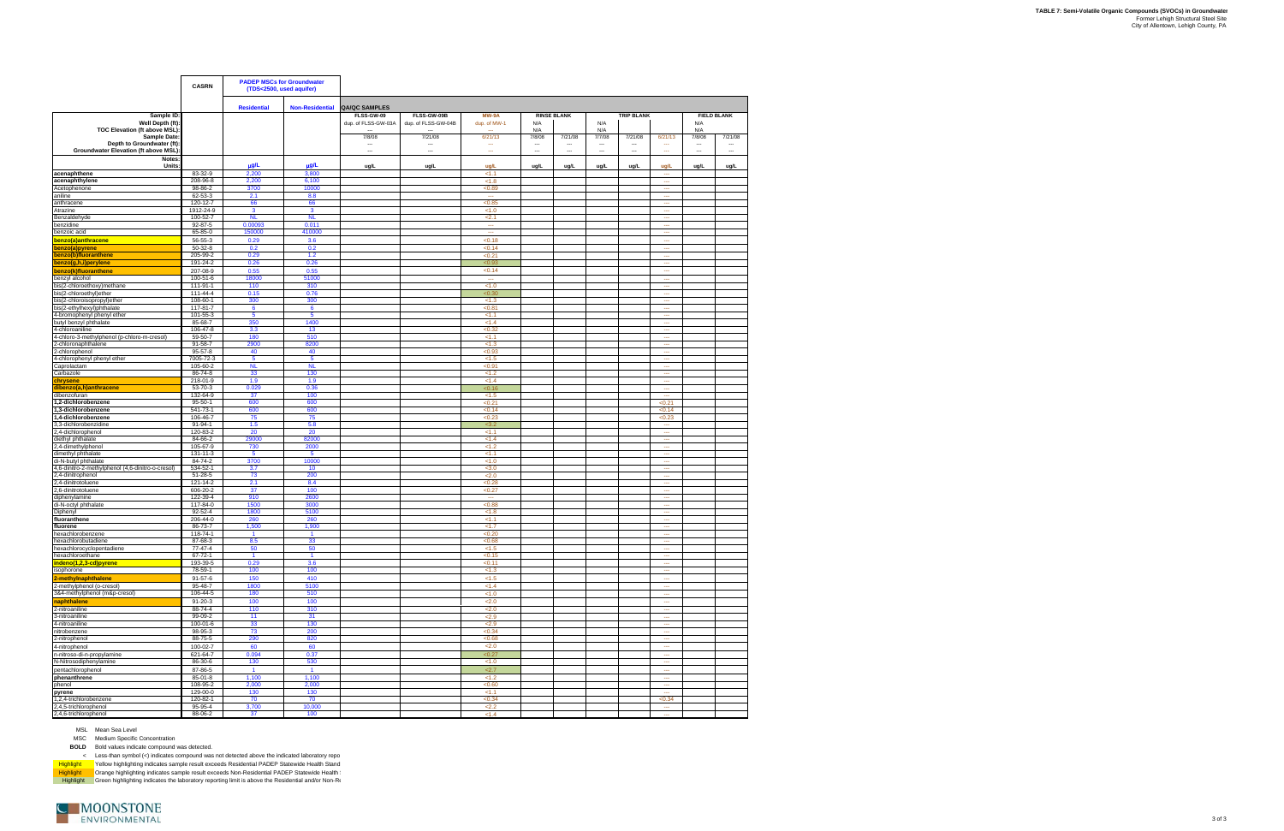**TABLE 7: Semi-Volatile Organic Compounds (SVOCs) in Groundwater** Former Lehigh Structural Steel Site City of Allentown, Lehigh County, PA

|                                                                                     | <b>CASRN</b>              | <b>PADEP MSCs for Groundwater</b><br>(TDS<2500, used aquifer) |                               |                                          |                                                                |                                 |                            |                               |                              |                                                  |                          |                                           |                                            |
|-------------------------------------------------------------------------------------|---------------------------|---------------------------------------------------------------|-------------------------------|------------------------------------------|----------------------------------------------------------------|---------------------------------|----------------------------|-------------------------------|------------------------------|--------------------------------------------------|--------------------------|-------------------------------------------|--------------------------------------------|
|                                                                                     |                           | <b>Residential</b>                                            | <b>Non-Residential</b>        | <b>QA/QC SAMPLES</b>                     |                                                                |                                 |                            |                               |                              |                                                  |                          |                                           |                                            |
| Sample ID:<br>Well Depth (ft):<br>TOC Elevation (ft above MSL):                     |                           |                                                               |                               | FLSS-GW-09<br>dup. of FLSS-GW-03A<br>--- | FLSS-GW-09B<br>dup. of FLSS-GW-04B<br>$\overline{\phantom{a}}$ | MW-9A<br>dup. of MW-1<br>$\sim$ | N/A<br>N/A                 | <b>RINSE BLANK</b>            | N/A<br>N/A                   | <b>TRIP BLANK</b>                                |                          | N/A<br>N/A                                | <b>FIELD BLANK</b>                         |
| Sample Date:<br>Depth to Groundwater (ft):<br>Groundwater Elevation (ft above MSL): |                           |                                                               |                               | 7/8/08<br>$\cdots$<br>$\sim$             | 7/21/08<br>$\ddotsc$<br>$\sim$                                 | 6/21/13<br>$\sim$<br>$\sim$     | 7/8/08<br>$\sim$<br>$\sim$ | 7/21/08<br>$\cdots$<br>$\sim$ | 7/7/08<br>$\cdots$<br>$\sim$ | 7/21/08<br>$\ddotsc$<br>$\overline{\phantom{a}}$ | 6/21/13<br>---<br>$\sim$ | 7/8/08<br>---<br>$\overline{\phantom{a}}$ | 7/21/08<br>---<br>$\overline{\phantom{a}}$ |
| Notes:<br>Units:                                                                    |                           | µg/L                                                          | µg/L                          | ug/L                                     | ug/L                                                           | ug/L                            | ug/L                       | ug/L                          | ug/L                         | ug/L                                             | ug/L                     | ug/L                                      | ug/L                                       |
| acenaphthene                                                                        | 83-32-9                   | 2,200<br>2,200                                                | 3,800<br>6,100                |                                          |                                                                | 1.1<br>< 1.8                    |                            |                               |                              |                                                  | $\sim$                   |                                           |                                            |
| acenaphthylene<br>Acetophenone                                                      | 208-96-8<br>98-86-2       | 3700                                                          | 10000                         |                                          |                                                                | < 0.89                          |                            |                               |                              |                                                  | $\cdots$<br>---          |                                           |                                            |
| aniline                                                                             | 62-53-3                   | 2.1                                                           | 8.8                           |                                          |                                                                | $\cdots$                        |                            |                               |                              |                                                  | $\sim$                   |                                           |                                            |
| anthracene                                                                          | 120-12-7                  | 66                                                            | 66                            |                                          |                                                                | <0.85                           |                            |                               |                              |                                                  | ---                      |                                           |                                            |
| Atrazine                                                                            | 1912-24-9                 | 3                                                             | $\mathbf{3}$                  |                                          |                                                                | < 1.0                           |                            |                               |                              |                                                  | $\sim$                   |                                           |                                            |
| Benzaldehvde<br>benzidine                                                           | 100-52-7<br>92-87-5       | <b>NL</b><br>0.00093                                          | <b>NL</b><br>0.011            |                                          |                                                                | 2.1<br>$\sim$                   |                            |                               |                              |                                                  | $\sim$<br>$\sim$         |                                           |                                            |
| benzoic acid                                                                        | 65-85-0                   | 150000                                                        | 410000                        |                                          |                                                                | $\sim$                          |                            |                               |                              |                                                  | $\sim$                   |                                           |                                            |
| benzo(a)anthracene                                                                  | 56-55-3                   | 0.29                                                          | 3.6                           |                                          |                                                                | < 0.18                          |                            |                               |                              |                                                  | $\sim$                   |                                           |                                            |
| benzo(a)pyrene                                                                      | 50-32-8                   | 0.2                                                           | 0.2                           |                                          |                                                                | < 0.14                          |                            |                               |                              |                                                  | ---                      |                                           |                                            |
| benzo(b)fluoranthene                                                                | 205-99-2                  | 0.29                                                          | 1.2                           |                                          |                                                                | < 0.21                          |                            |                               |                              |                                                  | ---                      |                                           |                                            |
| benzo(g,h,i)perylene                                                                | 191-24-2                  | 0.26                                                          | 0.26                          |                                          |                                                                | <0.93                           |                            |                               |                              |                                                  | $\cdots$                 |                                           |                                            |
| benzo(k)fluoranthene                                                                | 207-08-9<br>100-51-6      | 0.55<br>18000                                                 | 0.55<br>51000                 |                                          |                                                                | <0.14<br>ш,                     |                            |                               |                              |                                                  | ---<br>$\sim$            |                                           |                                            |
| benzyl alcohol<br>bis(2-chloroethoxy)methane                                        | 111-91-1                  | 110                                                           | 310                           |                                          |                                                                | < 1.0                           |                            |                               |                              |                                                  | ---                      |                                           |                                            |
| bis(2-chloroethyl)ether                                                             | 111-44-4                  | 0.15                                                          | 0.76                          |                                          |                                                                | <0.30                           |                            |                               |                              |                                                  | ---                      |                                           |                                            |
| bis(2-chloroisopropyl)ether                                                         | 108-60-1                  | 300                                                           | 300                           |                                          |                                                                | < 1.3                           |                            |                               |                              |                                                  | $\cdots$                 |                                           |                                            |
| bis(2-ethylhexyl)phthalate                                                          | 117-81-7                  | 6                                                             | 6                             |                                          |                                                                | < 0.81                          |                            |                               |                              |                                                  | $\sim$                   |                                           |                                            |
| 4-bromophenyl phenyl ether<br>butyl benzyl phthalate                                | $101 - 55 - 3$<br>85-68-7 | 5<br>350                                                      | 5<br>1400                     |                                          |                                                                | 1.1<br>< 1.4                    |                            |                               |                              |                                                  | m.<br>$\sim$             |                                           |                                            |
| 4-chloroaniline                                                                     | 106-47-8                  | 3.3                                                           | 13                            |                                          |                                                                | < 0.32                          |                            |                               |                              |                                                  | $\sim$                   |                                           |                                            |
| 4-chloro-3-methylphenol (p-chloro-m-cresol)                                         | 59-50-7                   | 180                                                           | 510                           |                                          |                                                                | 1.1                             |                            |                               |                              |                                                  | $\sim$                   |                                           |                                            |
| 2-chloronaphthalene                                                                 | $91 - 58 - 7$             | 2900                                                          | 8200                          |                                          |                                                                | < 1.3                           |                            |                               |                              |                                                  | $\sim$                   |                                           |                                            |
| 2-chlorophenol                                                                      | 95-57-8                   | 40                                                            | 40                            |                                          |                                                                | <0.93                           |                            |                               |                              |                                                  | ---                      |                                           |                                            |
| 4-chlorophenyl phenyl ether<br>Caprolactam                                          | 7005-72-3<br>105-60-2     | 5<br><b>NL</b>                                                | 5<br><b>NL</b>                |                                          |                                                                | < 1.5<br><0.91                  |                            |                               |                              |                                                  | $\sim$<br>$\sim$         |                                           |                                            |
| Carbazole                                                                           | 86-74-8                   | 33                                                            | 130                           |                                          |                                                                | < 1.2                           |                            |                               |                              |                                                  | ш.                       |                                           |                                            |
| chrysene                                                                            | 218-01-9                  | 1.9                                                           | 1.9                           |                                          |                                                                | < 1.4                           |                            |                               |                              |                                                  | $\sim$                   |                                           |                                            |
| dibenzo(a,h)anthracene                                                              | 53-70-3                   | 0.029                                                         | 0.36                          |                                          |                                                                | < 0.16                          |                            |                               |                              |                                                  | $\cdots$                 |                                           |                                            |
| dibenzofuran                                                                        | 132-64-9<br>$95 - 50 - 1$ | 37<br>600                                                     | 100<br>600                    |                                          |                                                                | < 1.5<br>< 0.21                 |                            |                               |                              |                                                  | $\cdots$<br>< 0.21       |                                           |                                            |
| 1,2-dichlorobenzene<br>1,3-dichlorobenzene                                          | 541-73-1                  | 600                                                           | 600                           |                                          |                                                                | < 0.14                          |                            |                               |                              |                                                  | < 0.14                   |                                           |                                            |
| 1,4-dichlorobenzene                                                                 | 106-46-7                  | 75                                                            | 75                            |                                          |                                                                | <0.23                           |                            |                               |                              |                                                  | < 0.23                   |                                           |                                            |
| 3,3-dichlorobenzidine                                                               | 91-94-1                   | 1.5                                                           | 5.8                           |                                          |                                                                | $3.2$                           |                            |                               |                              |                                                  | --                       |                                           |                                            |
| 2,4-dichlorophenol                                                                  | 120-83-2                  | 20                                                            | 20                            |                                          |                                                                | 1.1                             |                            |                               |                              |                                                  | $\sim$                   |                                           |                                            |
| diethyl phthalate<br>2,4-dimethylphenol                                             | 84-66-2<br>105-67-9       | 29000<br>730                                                  | 82000<br>2000                 |                                          |                                                                | < 1.4                           |                            |                               |                              |                                                  | $\sim$                   |                                           |                                            |
| dimethyl phthalate                                                                  | 131-11-3                  | 5                                                             | 5                             |                                          |                                                                | < 1.2<br>1.1                    |                            |                               |                              |                                                  | $\sim$<br>m.             |                                           |                                            |
| di-N-butyl phthalate                                                                | 84-74-2                   | 3700                                                          | 10000                         |                                          |                                                                | 1.0                             |                            |                               |                              |                                                  | $\sim$                   |                                           |                                            |
| 4,6-dinitro-2-methylphenol (4,6-dinitro-o-cresol)                                   | 534-52-1                  | 3.7                                                           | 10 <sub>1</sub>               |                                          |                                                                | < 3.0                           |                            |                               |                              |                                                  | ---                      |                                           |                                            |
| 2,4-dinitrophenol                                                                   | $51 - 28 - 5$             | 73                                                            | 200                           |                                          |                                                                | 2.0                             |                            |                               |                              |                                                  | $\sim$                   |                                           |                                            |
| 2,4-dinitrotoluene<br>2,6-dinitrotoluene                                            | 121-14-2<br>606-20-2      | 2.1<br>37                                                     | 8.4<br>100                    |                                          |                                                                | < 0.28<br><0.27                 |                            |                               |                              |                                                  | $\sim$<br>---            |                                           |                                            |
| diphenylamine                                                                       | 122-39-4                  | 910                                                           | 2600                          |                                          |                                                                | $\sim$                          |                            |                               |                              |                                                  | $\sim$                   |                                           |                                            |
| di-N-octyl phthalate                                                                | 117-84-0                  | 1500                                                          | 3000                          |                                          |                                                                | <0.88                           |                            |                               |                              |                                                  | $\sim$                   |                                           |                                            |
| Diphenyl                                                                            | 92-52-4                   | 1800                                                          | 5100                          |                                          |                                                                | < 1.8                           |                            |                               |                              |                                                  | ш.                       |                                           |                                            |
| fluoranthene                                                                        | 206-44-0                  | 260                                                           | 260                           |                                          |                                                                | 1.1                             |                            |                               |                              |                                                  | $\sim$                   |                                           |                                            |
| fluorene<br>hexachlorobenzene                                                       | 86-73-7<br>118-74-1       | 1,500<br>$\blacktriangleleft$                                 | 1,900<br>$\blacktriangleleft$ |                                          |                                                                | <1.7<br><0.20                   |                            |                               |                              |                                                  | $\sim$<br>ш.             |                                           |                                            |
| hexachlorobutadiene                                                                 | 87-68-3                   | 8.5                                                           | 33                            |                                          |                                                                | <0.68                           |                            |                               |                              |                                                  | $\sim$                   |                                           |                                            |
| hexachlorocyclopentadiene                                                           | 77-47-4                   | 50                                                            | 50                            |                                          |                                                                | < 1.5                           |                            |                               |                              |                                                  | $\cdots$                 |                                           |                                            |
| hexachloroethane                                                                    | 67-72-1                   | $\overline{1}$                                                | $\mathbf{1}$                  |                                          |                                                                | < 0.15                          |                            |                               |                              |                                                  | $\cdots$                 |                                           |                                            |
| indeno(1,2,3-cd)pyrene<br>isophorone                                                | 193-39-5<br>78-59-1       | 0.29<br>100                                                   | 3.6<br>100                    |                                          |                                                                | < 0.11<br>< 1.3                 |                            |                               |                              |                                                  | $\sim$<br>$\sim$         |                                           |                                            |
| 2-methylnaphthalene                                                                 | $91 - 57 - 6$             | 150                                                           | 410                           |                                          |                                                                | < 1.5                           |                            |                               |                              |                                                  | $\sim$                   |                                           |                                            |
| 2-methylphenol (o-cresol)                                                           | 95-48-7                   | 1800                                                          | 5100                          |                                          |                                                                | < 1.4                           |                            |                               |                              |                                                  | $\sim$                   |                                           |                                            |
| 3&4-methylphenol (m&p-cresol)                                                       | 106-44-5                  | 180                                                           | 510                           |                                          |                                                                | < 1.0                           |                            |                               |                              |                                                  | ш.                       |                                           |                                            |
| naphthalene                                                                         | $91 - 20 - 3$             | 100                                                           | 100                           |                                          |                                                                | 2.0                             |                            |                               |                              |                                                  | ---                      |                                           |                                            |
| 2-nitroaniline                                                                      | 88-74-4                   | 110                                                           | 310                           |                                          |                                                                | 2.0                             |                            |                               |                              |                                                  | $\cdots$                 |                                           |                                            |
| 3-nitroaniline                                                                      | 99-09-2                   | 11                                                            | 31                            |                                          |                                                                | 2.9                             |                            |                               |                              |                                                  | $\sim$                   |                                           |                                            |
| 4-nitroaniline<br>nitrobenzene                                                      | 100-01-6<br>98-95-3       | 33<br>73                                                      | 130<br>200                    |                                          |                                                                | 2.9<br>< 0.34                   |                            |                               |                              |                                                  | $\sim$<br>ш.             |                                           |                                            |
| 2-nitrophenol                                                                       | 88-75-5                   | 290                                                           | 820                           |                                          |                                                                | < 0.68                          |                            |                               |                              |                                                  | $\sim$                   |                                           |                                            |
| 4-nitrophenol                                                                       | 100-02-7                  | 60                                                            | 60                            |                                          |                                                                | 2.0                             |                            |                               |                              |                                                  | $\sim$                   |                                           |                                            |
| n-nitroso-di-n-propylamine                                                          | 621-64-7                  | 0.094                                                         | 0.37                          |                                          |                                                                | < 0.27                          |                            |                               |                              |                                                  | $\sim$                   |                                           |                                            |
| N-Nitrosodiphenylamine                                                              | 86-30-6                   | 130                                                           | 530                           |                                          |                                                                | < 1.0                           |                            |                               |                              |                                                  | $\sim$                   |                                           |                                            |
| pentachlorophenol                                                                   | 87-86-5                   | $\overline{1}$                                                | $\mathbf{1}$                  |                                          |                                                                | 2.7                             |                            |                               |                              |                                                  | $\sim$                   |                                           |                                            |
| phenanthrene                                                                        | 85-01-8<br>108-95-2       | 1,100<br>2,000                                                | 1,100<br>2,000                |                                          |                                                                | < 1.2                           |                            |                               |                              |                                                  | $\sim$                   |                                           |                                            |
| phenol<br>pyrene                                                                    | 129-00-0                  | 130                                                           | 130                           |                                          |                                                                | < 0.60<br>1.1                   |                            |                               |                              |                                                  | ---<br>$\sim$            |                                           |                                            |
| 1,2,4-trichlorobenzene                                                              | 120-82-1                  | 70                                                            | 70                            |                                          |                                                                | < 0.34                          |                            |                               |                              |                                                  | < 0.34                   |                                           |                                            |
| 2,4,5-trichlorophenol                                                               | 95-95-4                   | 3,700                                                         | 10,000                        |                                          |                                                                | 2.2                             |                            |                               |                              |                                                  | ш.                       |                                           |                                            |
| 2,4,6-trichlorophenol                                                               | 88-06-2                   | 37                                                            | 100                           |                                          |                                                                | < 1.4                           |                            |                               |                              |                                                  | --                       |                                           |                                            |

MSL Mean Sea Level

MSC Medium Specific Concentration

**BOLD** Bold values indicate compound was detected.

< Less-than symbol (<) indicates compound was not detected above the indicated laboratory repo

Highlight Yellow highlighting indicates sample result exceeds Residential PADEP Statewide Health Stand

Highlight \_\_\_\_Orange highlighting indicates sample result exceeds Non-Residential PADEP Statewide Health<br>Highlight \_\_\_Green highlighting indicates the laboratory reporting limit is above the Residential and/or Non-R

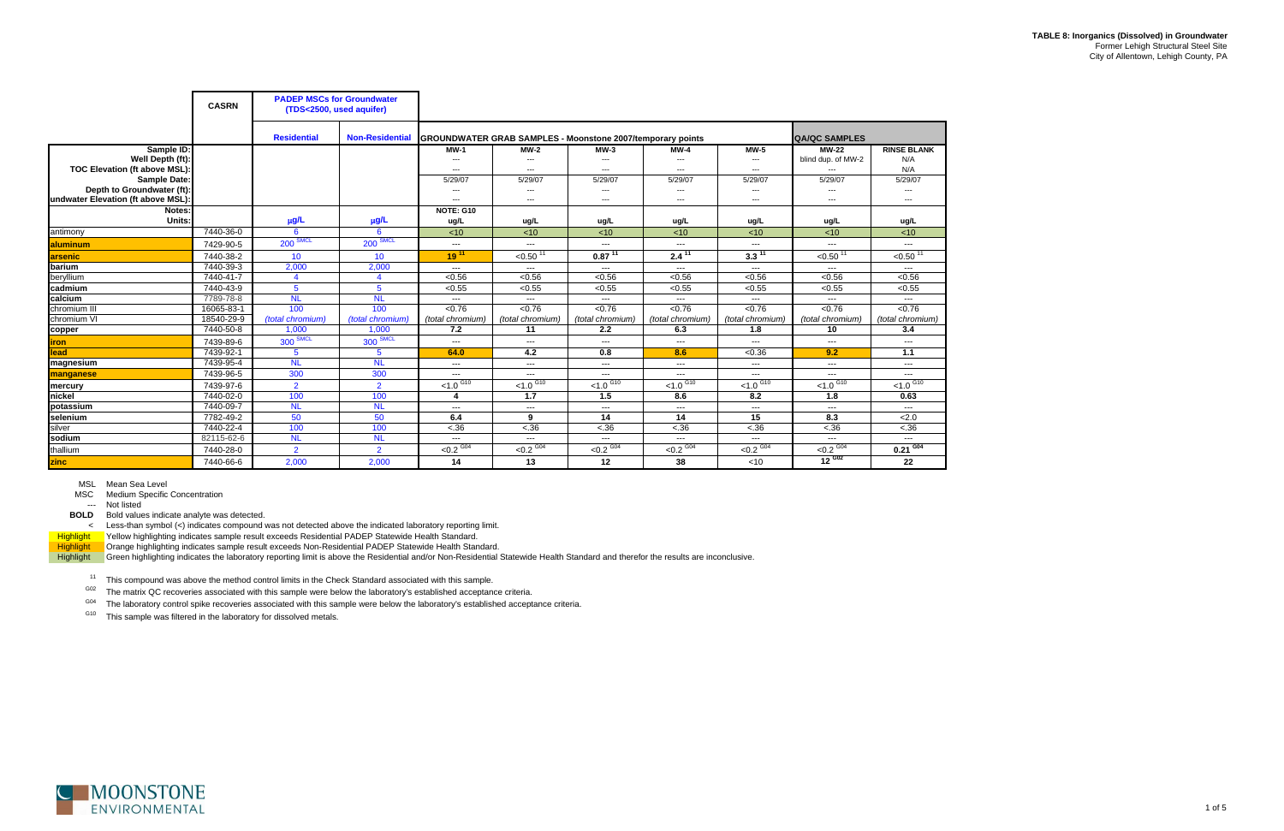|                                    | <b>PADEP MSCs for Groundwater</b><br><b>CASRN</b><br>(TDS<2500, used aquifer) |                    |                        |                                                                                                                                                                                                                                                                                                                                                                                              |                          |                         |                        |                                                                                                                                                                                                                                                                                                                                                                                                                                                                            |                         |                          |
|------------------------------------|-------------------------------------------------------------------------------|--------------------|------------------------|----------------------------------------------------------------------------------------------------------------------------------------------------------------------------------------------------------------------------------------------------------------------------------------------------------------------------------------------------------------------------------------------|--------------------------|-------------------------|------------------------|----------------------------------------------------------------------------------------------------------------------------------------------------------------------------------------------------------------------------------------------------------------------------------------------------------------------------------------------------------------------------------------------------------------------------------------------------------------------------|-------------------------|--------------------------|
|                                    |                                                                               | <b>Residential</b> | <b>Non-Residential</b> | <b>GROUNDWATER GRAB SAMPLES - Moonstone 2007/temporary points</b>                                                                                                                                                                                                                                                                                                                            |                          |                         |                        |                                                                                                                                                                                                                                                                                                                                                                                                                                                                            | <b>QA/QC SAMPLES</b>    |                          |
| Sample ID:                         |                                                                               |                    |                        | $MW-1$                                                                                                                                                                                                                                                                                                                                                                                       | $MW-2$                   | $MW-3$                  | $MW-4$                 | $MW-5$                                                                                                                                                                                                                                                                                                                                                                                                                                                                     | <b>MW-22</b>            | <b>RINSE BLANK</b>       |
| Well Depth (ft):                   |                                                                               |                    |                        | $\qquad \qquad \cdots$                                                                                                                                                                                                                                                                                                                                                                       | $\hspace{0.05cm} \ldots$ | ---                     | ---                    | ---                                                                                                                                                                                                                                                                                                                                                                                                                                                                        | blind dup. of MW-2      | N/A                      |
| TOC Elevation (ft above MSL):      |                                                                               |                    |                        | ---                                                                                                                                                                                                                                                                                                                                                                                          | $---$                    | ---                     | ---                    | ---                                                                                                                                                                                                                                                                                                                                                                                                                                                                        |                         | N/A                      |
| Sample Date:                       |                                                                               |                    |                        | 5/29/07                                                                                                                                                                                                                                                                                                                                                                                      | 5/29/07                  | 5/29/07                 | 5/29/07                | 5/29/07                                                                                                                                                                                                                                                                                                                                                                                                                                                                    | 5/29/07                 | 5/29/07                  |
| Depth to Groundwater (ft):         |                                                                               |                    |                        | $---$                                                                                                                                                                                                                                                                                                                                                                                        | $---$                    | $\qquad \qquad \cdots$  | $\cdots$               | ---                                                                                                                                                                                                                                                                                                                                                                                                                                                                        | $---$                   | $---$                    |
| undwater Elevation (ft above MSL): |                                                                               |                    |                        | $---$                                                                                                                                                                                                                                                                                                                                                                                        | $\cdots$                 | $\qquad \qquad \cdots$  | $\cdots$               | $\cdots$                                                                                                                                                                                                                                                                                                                                                                                                                                                                   | $---$                   | ---                      |
| Notes:<br>Units:                   |                                                                               |                    |                        | NOTE: G10                                                                                                                                                                                                                                                                                                                                                                                    |                          |                         |                        |                                                                                                                                                                                                                                                                                                                                                                                                                                                                            |                         |                          |
|                                    |                                                                               | $\mu$ g/L          | $\mu$ g/L              | ug/L                                                                                                                                                                                                                                                                                                                                                                                         | ug/L                     | ug/L                    | ug/L                   | ug/L                                                                                                                                                                                                                                                                                                                                                                                                                                                                       | ug/L                    | ug/L                     |
| antimony                           | 7440-36-0                                                                     | 6                  | 6                      | < 10                                                                                                                                                                                                                                                                                                                                                                                         | < 10                     | < 10                    | < 10                   | < 10                                                                                                                                                                                                                                                                                                                                                                                                                                                                       | < 10                    | < 10                     |
| <b>laluminum</b>                   | 7429-90-5                                                                     | $200$ SMCL         | $200$ SMCL             | $\sim$ $\sim$                                                                                                                                                                                                                                                                                                                                                                                | $\qquad \qquad \cdots$   | $\sim$ $\sim$ $\sim$    | $\sim$ $\sim$ $\sim$   | $\sim$ $\sim$ $\sim$                                                                                                                                                                                                                                                                                                                                                                                                                                                       | $\sim$ $\sim$ $\sim$    | $\cdots$                 |
| arsenic                            | 7440-38-2                                                                     | 10                 | 10                     | $19^{11}$                                                                                                                                                                                                                                                                                                                                                                                    | $< 0.50$ <sup>11</sup>   | $0.87^{11}$             | $2.4^{\overline{11}}$  | $3.3\overline{11}$                                                                                                                                                                                                                                                                                                                                                                                                                                                         | $< 0.50$ <sup>11</sup>  | $\le 0.50$ <sup>11</sup> |
| <b>Ibarium</b>                     | 7440-39-3                                                                     | 2,000              | 2,000                  | $\sim$ $\sim$ $\sim$                                                                                                                                                                                                                                                                                                                                                                         | $\qquad \qquad \cdots$   | $\cdots$                | $\sim$ $\sim$ $\sim$   | $\sim$ $\sim$ $\sim$                                                                                                                                                                                                                                                                                                                                                                                                                                                       | $\sim$ $\sim$ $\sim$    | ---                      |
| beryllium                          | 7440-41-7                                                                     | $\overline{4}$     | $\boldsymbol{\Lambda}$ | < 0.56                                                                                                                                                                                                                                                                                                                                                                                       | < 0.56                   | < 0.56                  | < 0.56                 | < 0.56                                                                                                                                                                                                                                                                                                                                                                                                                                                                     | < 0.56                  | < 0.56                   |
| cadmium                            | 7440-43-9                                                                     | $5^{\circ}$        | 5                      | < 0.55                                                                                                                                                                                                                                                                                                                                                                                       | < 0.55                   | < 0.55                  | < 0.55                 | < 0.55                                                                                                                                                                                                                                                                                                                                                                                                                                                                     | < 0.55                  | $\sqrt{0.55}$            |
| calcium                            | 7789-78-8                                                                     | <b>NL</b>          | <b>NL</b>              | $\frac{1}{2} \frac{1}{2} \frac{1}{2} \frac{1}{2} \frac{1}{2} \frac{1}{2} \frac{1}{2} \frac{1}{2} \frac{1}{2} \frac{1}{2} \frac{1}{2} \frac{1}{2} \frac{1}{2} \frac{1}{2} \frac{1}{2} \frac{1}{2} \frac{1}{2} \frac{1}{2} \frac{1}{2} \frac{1}{2} \frac{1}{2} \frac{1}{2} \frac{1}{2} \frac{1}{2} \frac{1}{2} \frac{1}{2} \frac{1}{2} \frac{1}{2} \frac{1}{2} \frac{1}{2} \frac{1}{2} \frac{$ | $\sim$ $\sim$ $\sim$     | $- - -$                 | $\frac{1}{2}$          | $\sim$ $\sim$                                                                                                                                                                                                                                                                                                                                                                                                                                                              | $- - -$                 | $\sim$ $\sim$ $\sim$     |
| chromium III                       | 16065-83-1                                                                    | 100                | 100                    | < 0.76                                                                                                                                                                                                                                                                                                                                                                                       | < 0.76                   | < 0.76                  | < 0.76                 | < 0.76                                                                                                                                                                                                                                                                                                                                                                                                                                                                     | < 0.76                  | < 0.76                   |
| chromium VI                        | 18540-29-9                                                                    | (total chromium)   | (total chromium)       | (total chromium)                                                                                                                                                                                                                                                                                                                                                                             | (total chromium)         | (total chromium)        | (total chromium)       | (total chromium)                                                                                                                                                                                                                                                                                                                                                                                                                                                           | (total chromium)        | (total chromium)         |
| copper                             | 7440-50-8                                                                     | 1.000              | 1,000                  | 7.2                                                                                                                                                                                                                                                                                                                                                                                          | 11                       | 2.2                     | 6.3                    | 1.8                                                                                                                                                                                                                                                                                                                                                                                                                                                                        | 10                      | 3.4                      |
| <b>iron</b>                        | 7439-89-6                                                                     | $300$ SMCL         | $300$ SMCL             | $\frac{1}{2} \frac{1}{2} \frac{1}{2} \frac{1}{2} \frac{1}{2} \frac{1}{2} \frac{1}{2} \frac{1}{2} \frac{1}{2} \frac{1}{2} \frac{1}{2} \frac{1}{2} \frac{1}{2} \frac{1}{2} \frac{1}{2} \frac{1}{2} \frac{1}{2} \frac{1}{2} \frac{1}{2} \frac{1}{2} \frac{1}{2} \frac{1}{2} \frac{1}{2} \frac{1}{2} \frac{1}{2} \frac{1}{2} \frac{1}{2} \frac{1}{2} \frac{1}{2} \frac{1}{2} \frac{1}{2} \frac{$ | $\sim$ $\sim$ $\sim$     | $\cdots$                | $\frac{1}{2}$          | $\frac{1}{2} \frac{1}{2} \frac{1}{2} \frac{1}{2} \frac{1}{2} \frac{1}{2} \frac{1}{2} \frac{1}{2} \frac{1}{2} \frac{1}{2} \frac{1}{2} \frac{1}{2} \frac{1}{2} \frac{1}{2} \frac{1}{2} \frac{1}{2} \frac{1}{2} \frac{1}{2} \frac{1}{2} \frac{1}{2} \frac{1}{2} \frac{1}{2} \frac{1}{2} \frac{1}{2} \frac{1}{2} \frac{1}{2} \frac{1}{2} \frac{1}{2} \frac{1}{2} \frac{1}{2} \frac{1}{2} \frac{$                                                                               | $  -$                   | $\sim$ $\sim$ $\sim$     |
| lead                               | 7439-92-1                                                                     | $5^{\circ}$        | $5^{\circ}$            | 64.0                                                                                                                                                                                                                                                                                                                                                                                         | 4.2                      | 0.8                     | 8.6                    | < 0.36                                                                                                                                                                                                                                                                                                                                                                                                                                                                     | 9.2                     | $1.1$                    |
| magnesium                          | 7439-95-4                                                                     | <b>NL</b>          | <b>NL</b>              | $\frac{1}{2} \frac{1}{2} \frac{1}{2} \frac{1}{2} \frac{1}{2} \frac{1}{2} \frac{1}{2} \frac{1}{2} \frac{1}{2} \frac{1}{2} \frac{1}{2} \frac{1}{2} \frac{1}{2} \frac{1}{2} \frac{1}{2} \frac{1}{2} \frac{1}{2} \frac{1}{2} \frac{1}{2} \frac{1}{2} \frac{1}{2} \frac{1}{2} \frac{1}{2} \frac{1}{2} \frac{1}{2} \frac{1}{2} \frac{1}{2} \frac{1}{2} \frac{1}{2} \frac{1}{2} \frac{1}{2} \frac{$ | $\sim$ $\sim$ $\sim$     | $\sim$ $\sim$           | ---                    | $\frac{1}{2} \frac{1}{2} \frac{1}{2} \frac{1}{2} \frac{1}{2} \frac{1}{2} \frac{1}{2} \frac{1}{2} \frac{1}{2} \frac{1}{2} \frac{1}{2} \frac{1}{2} \frac{1}{2} \frac{1}{2} \frac{1}{2} \frac{1}{2} \frac{1}{2} \frac{1}{2} \frac{1}{2} \frac{1}{2} \frac{1}{2} \frac{1}{2} \frac{1}{2} \frac{1}{2} \frac{1}{2} \frac{1}{2} \frac{1}{2} \frac{1}{2} \frac{1}{2} \frac{1}{2} \frac{1}{2} \frac{$                                                                               | $\frac{1}{2}$           | $\cdots$                 |
| manganese                          | 7439-96-5                                                                     | 300                | 300                    | $\sim$ $\sim$                                                                                                                                                                                                                                                                                                                                                                                | $\qquad \qquad \cdots$   | $\sim$ $\sim$ $\sim$    | $\qquad \qquad \cdots$ | $\sim$ $\sim$                                                                                                                                                                                                                                                                                                                                                                                                                                                              | $\sim$ $\sim$ $\sim$    | $\cdots$                 |
| mercury                            | 7439-97-6                                                                     | $\overline{2}$     | $\overline{2}$         | $< 1.0$ $G10$                                                                                                                                                                                                                                                                                                                                                                                | $< 1.0$ $G10$            | $< 1.0$ $G10$           | $< 1.0$ G10            | $< 1.0$ <sup>G10</sup>                                                                                                                                                                                                                                                                                                                                                                                                                                                     | $1.0$ $\overline{610}$  | $< 1.0$ <sup>G10</sup>   |
| nickel                             | 7440-02-0                                                                     | 100                | 100                    | 4                                                                                                                                                                                                                                                                                                                                                                                            | 1.7                      | 1.5                     | 8.6                    | 8.2                                                                                                                                                                                                                                                                                                                                                                                                                                                                        | 1.8                     | 0.63                     |
| potassium                          | 7440-09-7                                                                     | <b>NL</b>          | <b>NL</b>              | $\sim$ $\sim$                                                                                                                                                                                                                                                                                                                                                                                | $\sim$ $\sim$ $\sim$     | $\sim$ $\sim$           | $\cdots$               | $\frac{1}{2} \left( \frac{1}{2} \right) \left( \frac{1}{2} \right) \left( \frac{1}{2} \right) \left( \frac{1}{2} \right) \left( \frac{1}{2} \right) \left( \frac{1}{2} \right) \left( \frac{1}{2} \right) \left( \frac{1}{2} \right) \left( \frac{1}{2} \right) \left( \frac{1}{2} \right) \left( \frac{1}{2} \right) \left( \frac{1}{2} \right) \left( \frac{1}{2} \right) \left( \frac{1}{2} \right) \left( \frac{1}{2} \right) \left( \frac{1}{2} \right) \left( \frac$ | $\sim$ $\sim$ $\sim$    | $\sim$ $\sim$ $\sim$     |
| selenium                           | 7782-49-2                                                                     | 50                 | 50                     | 6.4                                                                                                                                                                                                                                                                                                                                                                                          | 9                        | 14                      | 14                     | 15                                                                                                                                                                                                                                                                                                                                                                                                                                                                         | 8.3                     | 2.0                      |
| silver                             | 7440-22-4                                                                     | 100                | 100                    | $-.36$                                                                                                                                                                                                                                                                                                                                                                                       | < .36                    | < .36                   | $-.36$                 | $-.36$                                                                                                                                                                                                                                                                                                                                                                                                                                                                     | $-.36$                  | $-.36$                   |
| sodium                             | 82115-62-6                                                                    | <b>NL</b>          | <b>NL</b>              | $---$                                                                                                                                                                                                                                                                                                                                                                                        | $  -$                    | $---$                   | $---$                  | $---$                                                                                                                                                                                                                                                                                                                                                                                                                                                                      | $\frac{1}{2}$           | $---$                    |
| thallium                           | 7440-28-0                                                                     | $\overline{2}$     | $\overline{2}$         | $< 0.2 \overline{0.04}$                                                                                                                                                                                                                                                                                                                                                                      | $< 0.2$ <sup>G04</sup>   | $< 0.2 \overline{0.04}$ | $< 0.2$ GO4            | $< 0.2$ <sup>G04</sup>                                                                                                                                                                                                                                                                                                                                                                                                                                                     | $< 0.2 \overline{0.04}$ | $0.21$ $\overline{604}$  |
| zinc                               | 7440-66-6                                                                     | 2,000              | 2,000                  | 14                                                                                                                                                                                                                                                                                                                                                                                           | 13                       | 12                      | 38                     | $<$ 10                                                                                                                                                                                                                                                                                                                                                                                                                                                                     | $12^{602}$              | 22                       |

MSC Medium Specific Concentration

--- Not listed

**BOLD** Bold values indicate analyte was detected.

< Less-than symbol (<) indicates compound was not detected above the indicated laboratory reporting limit.

Highlight Yellow highlighting indicates sample result exceeds Residential PADEP Statewide Health Standard.

Highlight **Orange highlighting indicates sample result exceeds Non-Residential PADEP Statewide Health Standard.** 

Highlight Green highlighting indicates the laboratory reporting limit is above the Residential and/or Non-Residential Statewide Health Standard and therefor the results are inconclusive.

<sup>11</sup> This compound was above the method control limits in the Check Standard associated with this sample.

 $G02$  The matrix QC recoveries associated with this sample were below the laboratory's established acceptance criteria.

<sup>G04</sup> The laboratory control spike recoveries associated with this sample were below the laboratory's established acceptance criteria.

<sup>G10</sup> This sample was filtered in the laboratory for dissolved metals.

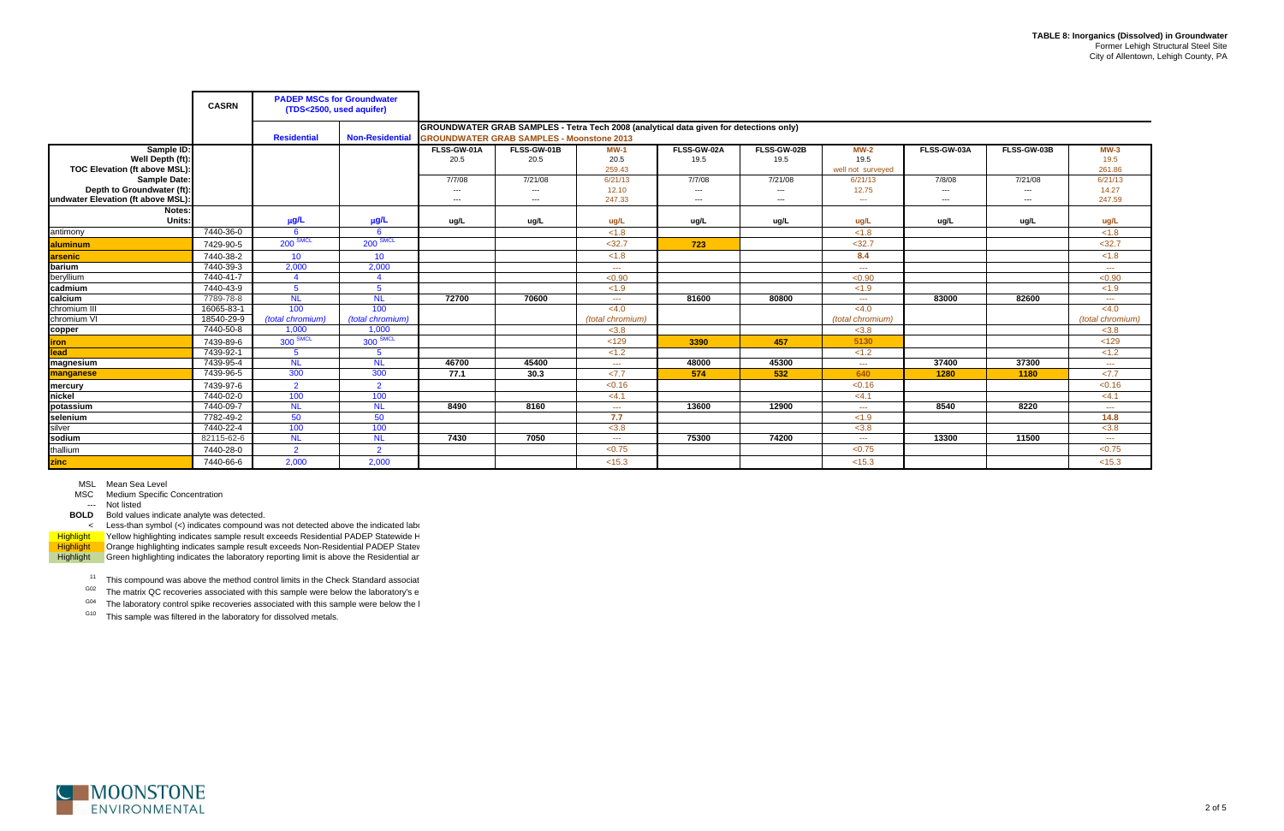$11$  This compound was above the method control limits in the Check Standard associat

 $G02$  The matrix QC recoveries associated with this sample were below the laboratory's e

 $^{G04}$  The laboratory control spike recoveries associated with this sample were below the l

<sup>G10</sup> This sample was filtered in the laboratory for dissolved metals.



MSL Mean Sea Level

MSC Medium Specific Concentration

--- Not listed

|                                    | <b>CASRN</b> | <b>PADEP MSCs for Groundwater</b><br>(TDS<2500, used aquifer) |                        |                     |                                                  |                                                                                                                                                                                                                                                                                                                                                                                              |                     |                     |                      |             |                        |                                                                                                                                                                                                                                                                                                                                                                                              |
|------------------------------------|--------------|---------------------------------------------------------------|------------------------|---------------------|--------------------------------------------------|----------------------------------------------------------------------------------------------------------------------------------------------------------------------------------------------------------------------------------------------------------------------------------------------------------------------------------------------------------------------------------------------|---------------------|---------------------|----------------------|-------------|------------------------|----------------------------------------------------------------------------------------------------------------------------------------------------------------------------------------------------------------------------------------------------------------------------------------------------------------------------------------------------------------------------------------------|
|                                    |              | <b>Residential</b>                                            | <b>Non-Residential</b> |                     | <b>GROUNDWATER GRAB SAMPLES - Moonstone 2013</b> | GROUNDWATER GRAB SAMPLES - Tetra Tech 2008 (analytical data given for detections only)                                                                                                                                                                                                                                                                                                       |                     |                     |                      |             |                        |                                                                                                                                                                                                                                                                                                                                                                                              |
| Sample ID:<br>Well Depth (ft):     |              |                                                               |                        | FLSS-GW-01A<br>20.5 | FLSS-GW-01B<br>20.5                              | <b>MW-1</b><br>20.5                                                                                                                                                                                                                                                                                                                                                                          | FLSS-GW-02A<br>19.5 | FLSS-GW-02B<br>19.5 | $MW-2$<br>19.5       | FLSS-GW-03A | FLSS-GW-03B            | $MW-3$<br>19.5                                                                                                                                                                                                                                                                                                                                                                               |
| TOC Elevation (ft above MSL):      |              |                                                               |                        |                     |                                                  | 259.43                                                                                                                                                                                                                                                                                                                                                                                       |                     |                     | well not surveyed    |             |                        | 261.86                                                                                                                                                                                                                                                                                                                                                                                       |
| <b>Sample Date:</b>                |              |                                                               |                        | 7/7/08              | 7/21/08                                          | 6/21/13                                                                                                                                                                                                                                                                                                                                                                                      | 7/7/08              | 7/21/08             | 6/21/13              | 7/8/08      | 7/21/08                | 6/21/13                                                                                                                                                                                                                                                                                                                                                                                      |
| Depth to Groundwater (ft):         |              |                                                               |                        | $---$               | $\hspace{0.05cm} \ldots$                         | 12.10                                                                                                                                                                                                                                                                                                                                                                                        | $---$               | $---$               | 12.75                | $---$       | $\qquad \qquad \cdots$ | 14.27                                                                                                                                                                                                                                                                                                                                                                                        |
| undwater Elevation (ft above MSL): |              |                                                               |                        | $---$               | $---$                                            | 247.33                                                                                                                                                                                                                                                                                                                                                                                       | $---$               | $---$               | $\sim$ $\sim$        | $---$       | $---$                  | 247.59                                                                                                                                                                                                                                                                                                                                                                                       |
| Notes:                             |              |                                                               |                        |                     |                                                  |                                                                                                                                                                                                                                                                                                                                                                                              |                     |                     |                      |             |                        |                                                                                                                                                                                                                                                                                                                                                                                              |
| Units:                             |              | μg/L                                                          | µg/L                   | ug/L                | ug/L                                             | ug/L                                                                                                                                                                                                                                                                                                                                                                                         | ug/L                | ug/L                | ug/L                 | ug/L        | ug/L                   | ug/L                                                                                                                                                                                                                                                                                                                                                                                         |
| antimony                           | 7440-36-0    | -6                                                            | 6                      |                     |                                                  | < 1.8                                                                                                                                                                                                                                                                                                                                                                                        |                     |                     | < 1.8                |             |                        | < 1.8                                                                                                                                                                                                                                                                                                                                                                                        |
| aluminum                           | 7429-90-5    | <b>200 SMCL</b>                                               | $200$ SMCL             |                     |                                                  | $<$ 32.7                                                                                                                                                                                                                                                                                                                                                                                     | 723                 |                     | $<$ 32.7             |             |                        | $32.7$                                                                                                                                                                                                                                                                                                                                                                                       |
| arsenic                            | 7440-38-2    | 10 <sup>°</sup>                                               | 10                     |                     |                                                  | < 1.8                                                                                                                                                                                                                                                                                                                                                                                        |                     |                     | 8.4                  |             |                        | < 1.8                                                                                                                                                                                                                                                                                                                                                                                        |
| barium                             | 7440-39-3    | 2,000                                                         | 2,000                  |                     |                                                  | $\sim$ $\sim$ $\sim$                                                                                                                                                                                                                                                                                                                                                                         |                     |                     | $\sim$ $\sim$ $\sim$ |             |                        | $\frac{1}{2} \frac{1}{2} \frac{1}{2} \frac{1}{2} \frac{1}{2} \frac{1}{2} \frac{1}{2} \frac{1}{2} \frac{1}{2} \frac{1}{2} \frac{1}{2} \frac{1}{2} \frac{1}{2} \frac{1}{2} \frac{1}{2} \frac{1}{2} \frac{1}{2} \frac{1}{2} \frac{1}{2} \frac{1}{2} \frac{1}{2} \frac{1}{2} \frac{1}{2} \frac{1}{2} \frac{1}{2} \frac{1}{2} \frac{1}{2} \frac{1}{2} \frac{1}{2} \frac{1}{2} \frac{1}{2} \frac{$ |
| beryllium                          | 7440-41-7    | $\Delta$                                                      | $\boldsymbol{\Lambda}$ |                     |                                                  | < 0.90                                                                                                                                                                                                                                                                                                                                                                                       |                     |                     | < 0.90               |             |                        | < 0.90                                                                                                                                                                                                                                                                                                                                                                                       |
| cadmium                            | 7440-43-9    | $5^{\circ}$                                                   | 5                      |                     |                                                  | < 1.9                                                                                                                                                                                                                                                                                                                                                                                        |                     |                     | < 1.9                |             |                        | < 1.9                                                                                                                                                                                                                                                                                                                                                                                        |
| calcium                            | 7789-78-8    | <b>NL</b>                                                     | <b>NL</b>              | 72700               | 70600                                            | $\frac{1}{2} \frac{1}{2} \frac{1}{2} \frac{1}{2} \frac{1}{2} \frac{1}{2} \frac{1}{2} \frac{1}{2} \frac{1}{2} \frac{1}{2} \frac{1}{2} \frac{1}{2} \frac{1}{2} \frac{1}{2} \frac{1}{2} \frac{1}{2} \frac{1}{2} \frac{1}{2} \frac{1}{2} \frac{1}{2} \frac{1}{2} \frac{1}{2} \frac{1}{2} \frac{1}{2} \frac{1}{2} \frac{1}{2} \frac{1}{2} \frac{1}{2} \frac{1}{2} \frac{1}{2} \frac{1}{2} \frac{$ | 81600               | 80800               | $\sim$ $\sim$ $\sim$ | 83000       | 82600                  | $\frac{1}{2} \frac{1}{2} \frac{1}{2} \frac{1}{2} \frac{1}{2} \frac{1}{2} \frac{1}{2} \frac{1}{2} \frac{1}{2} \frac{1}{2} \frac{1}{2} \frac{1}{2} \frac{1}{2} \frac{1}{2} \frac{1}{2} \frac{1}{2} \frac{1}{2} \frac{1}{2} \frac{1}{2} \frac{1}{2} \frac{1}{2} \frac{1}{2} \frac{1}{2} \frac{1}{2} \frac{1}{2} \frac{1}{2} \frac{1}{2} \frac{1}{2} \frac{1}{2} \frac{1}{2} \frac{1}{2} \frac{$ |
| chromium III                       | 16065-83-1   | 100                                                           | 100                    |                     |                                                  | < 4.0                                                                                                                                                                                                                                                                                                                                                                                        |                     |                     | <4.0                 |             |                        | < 4.0                                                                                                                                                                                                                                                                                                                                                                                        |
| chromium VI                        | 18540-29-9   | (total chromium)                                              | (total chromium)       |                     |                                                  | (total chromium)                                                                                                                                                                                                                                                                                                                                                                             |                     |                     | (total chromium)     |             |                        | (total chromium)                                                                                                                                                                                                                                                                                                                                                                             |
| copper                             | 7440-50-8    | 1,000                                                         | 1,000                  |                     |                                                  | < 3.8                                                                                                                                                                                                                                                                                                                                                                                        |                     |                     | < 3.8                |             |                        | < 3.8                                                                                                                                                                                                                                                                                                                                                                                        |
| iron                               | 7439-89-6    | 300 SMCL                                                      | $300$ SMCL             |                     |                                                  | < 129                                                                                                                                                                                                                                                                                                                                                                                        | 3390                | 457                 | 5130                 |             |                        | < 129                                                                                                                                                                                                                                                                                                                                                                                        |
| lead                               | 7439-92-1    | $5^{\circ}$                                                   | 5                      |                     |                                                  | < 1.2                                                                                                                                                                                                                                                                                                                                                                                        |                     |                     | < 1.2                |             |                        | < 1.2                                                                                                                                                                                                                                                                                                                                                                                        |
| magnesium                          | 7439-95-4    | <b>NL</b>                                                     | <b>NL</b>              | 46700               | 45400                                            | $\sim$ $\sim$ $\sim$                                                                                                                                                                                                                                                                                                                                                                         | 48000               | 45300               | <b>Security</b>      | 37400       | 37300                  | $\sim$ $\sim$ $\sim$                                                                                                                                                                                                                                                                                                                                                                         |
| manganese                          | 7439-96-5    | 300                                                           | 300                    | 77.1                | 30.3                                             | 27.7                                                                                                                                                                                                                                                                                                                                                                                         | 574                 | 532                 | 640                  | 1280        | 1180                   | <7.7                                                                                                                                                                                                                                                                                                                                                                                         |
| mercury                            | 7439-97-6    | $\overline{2}$                                                | $\overline{2}$         |                     |                                                  | < 0.16                                                                                                                                                                                                                                                                                                                                                                                       |                     |                     | < 0.16               |             |                        | < 0.16                                                                                                                                                                                                                                                                                                                                                                                       |
| nickel                             | 7440-02-0    | 100                                                           | 100                    |                     |                                                  | <4.1                                                                                                                                                                                                                                                                                                                                                                                         |                     |                     | <4.1                 |             |                        | <4.1                                                                                                                                                                                                                                                                                                                                                                                         |
| potassium                          | 7440-09-7    | N <sub>L</sub>                                                | <b>NL</b>              | 8490                | 8160                                             | $\sim$ $\sim$ $\sim$                                                                                                                                                                                                                                                                                                                                                                         | 13600               | 12900               | $\sim$ $\sim$ $\sim$ | 8540        | 8220                   | $\sim$ $\sim$ $\sim$                                                                                                                                                                                                                                                                                                                                                                         |
| selenium                           | 7782-49-2    | 50                                                            | 50                     |                     |                                                  | 7.7                                                                                                                                                                                                                                                                                                                                                                                          |                     |                     | < 1.9                |             |                        | 14.8                                                                                                                                                                                                                                                                                                                                                                                         |
| silver                             | 7440-22-4    | 100                                                           | 100                    |                     |                                                  | < 3.8                                                                                                                                                                                                                                                                                                                                                                                        |                     |                     | < 3.8                |             |                        | < 3.8                                                                                                                                                                                                                                                                                                                                                                                        |
| sodium                             | 82115-62-6   | <b>NL</b>                                                     | <b>NL</b>              | 7430                | 7050                                             | $\sim$ $\sim$                                                                                                                                                                                                                                                                                                                                                                                | 75300               | 74200               | <b>Security</b>      | 13300       | 11500                  | $\frac{1}{2} \frac{1}{2} \frac{1}{2} \frac{1}{2} \frac{1}{2} \frac{1}{2} \frac{1}{2} \frac{1}{2} \frac{1}{2} \frac{1}{2} \frac{1}{2} \frac{1}{2} \frac{1}{2} \frac{1}{2} \frac{1}{2} \frac{1}{2} \frac{1}{2} \frac{1}{2} \frac{1}{2} \frac{1}{2} \frac{1}{2} \frac{1}{2} \frac{1}{2} \frac{1}{2} \frac{1}{2} \frac{1}{2} \frac{1}{2} \frac{1}{2} \frac{1}{2} \frac{1}{2} \frac{1}{2} \frac{$ |
| thallium                           | 7440-28-0    | $\overline{2}$                                                | $\overline{2}$         |                     |                                                  | < 0.75                                                                                                                                                                                                                                                                                                                                                                                       |                     |                     | < 0.75               |             |                        | < 0.75                                                                                                                                                                                                                                                                                                                                                                                       |
| zinc                               | 7440-66-6    | 2,000                                                         | 2,000                  |                     |                                                  | < 15.3                                                                                                                                                                                                                                                                                                                                                                                       |                     |                     | < 15.3               |             |                        | < 15.3                                                                                                                                                                                                                                                                                                                                                                                       |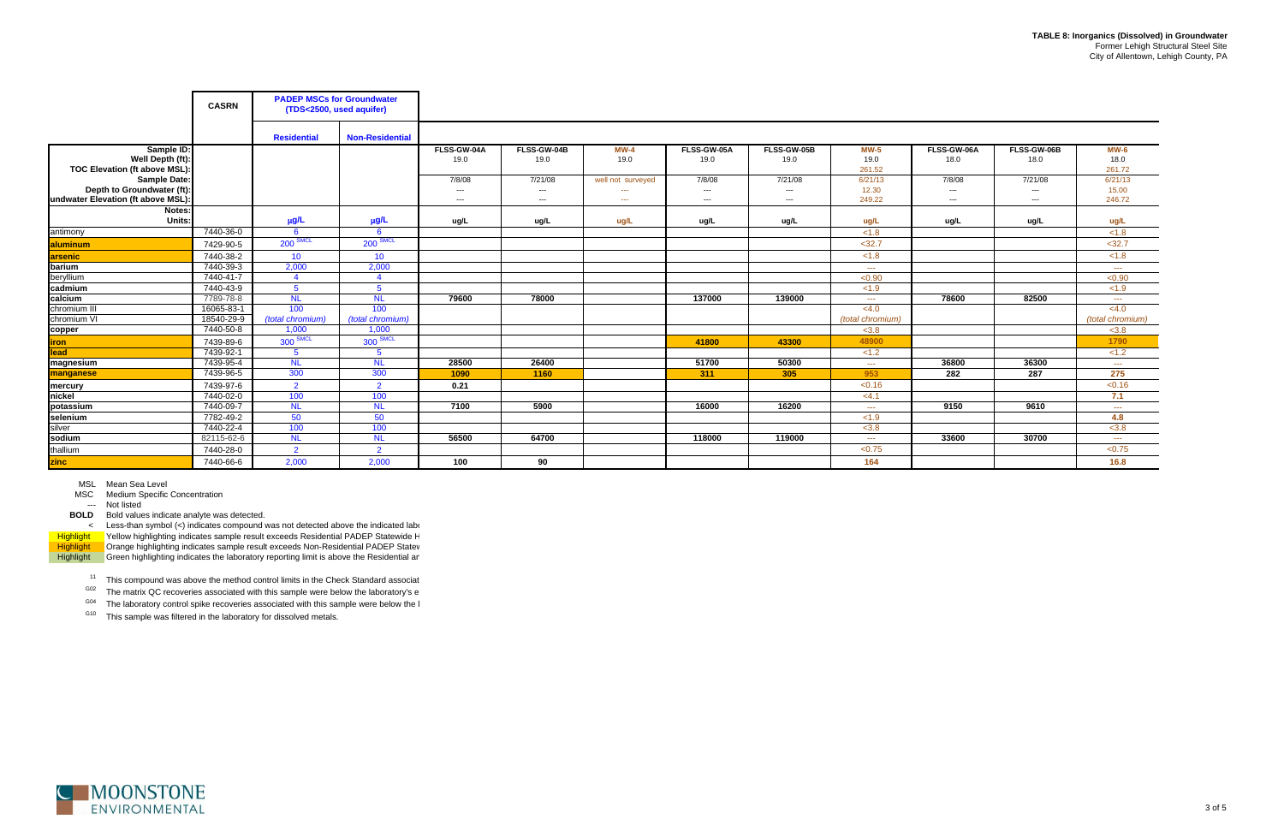$11$  This compound was above the method control limits in the Check Standard associat

 $G02$  The matrix QC recoveries associated with this sample were below the laboratory's e

 $^{G04}$  The laboratory control spike recoveries associated with this sample were below the l

<sup>G10</sup> This sample was filtered in the laboratory for dissolved metals.



## MSL Mean Sea Level

MSC Medium Specific Concentration

--- Not listed

|                                                                                  | <b>CASRN</b> | <b>PADEP MSCs for Groundwater</b><br>(TDS<2500, used aquifer) |                        |                          |                              |                                                     |                          |                           |                            |                                  |                           |                            |
|----------------------------------------------------------------------------------|--------------|---------------------------------------------------------------|------------------------|--------------------------|------------------------------|-----------------------------------------------------|--------------------------|---------------------------|----------------------------|----------------------------------|---------------------------|----------------------------|
|                                                                                  |              | <b>Residential</b>                                            | <b>Non-Residential</b> |                          |                              |                                                     |                          |                           |                            |                                  |                           |                            |
| Sample ID:<br>Well Depth (ft):<br>TOC Elevation (ft above MSL):                  |              |                                                               |                        | FLSS-GW-04A<br>19.0      | FLSS-GW-04B<br>19.0          | $MW-4$<br>19.0                                      | FLSS-GW-05A<br>19.0      | FLSS-GW-05B<br>19.0       | $MW-5$<br>19.0<br>261.52   | FLSS-GW-06A<br>18.0              | FLSS-GW-06B<br>18.0       | $MW-6$<br>18.0<br>261.72   |
| Sample Date:<br>Depth to Groundwater (ft):<br>undwater Elevation (ft above MSL): |              |                                                               |                        | 7/8/08<br>$---$<br>$---$ | 7/21/08<br>$\cdots$<br>$---$ | well not surveyed<br>$\frac{1}{2}$<br>$\sim$ $\sim$ | 7/8/08<br>$---$<br>$---$ | 7/21/08<br>$---$<br>$---$ | 6/21/13<br>12.30<br>249.22 | 7/8/08<br>$\sim$ $\sim$<br>$---$ | 7/21/08<br>$---$<br>$---$ | 6/21/13<br>15.00<br>246.72 |
| Notes:                                                                           |              |                                                               |                        |                          |                              |                                                     |                          |                           |                            |                                  |                           |                            |
| Units:                                                                           |              | $\mu$ g/L                                                     | µg/L                   | ug/L                     | ug/L                         | ug/L                                                | ug/L                     | ug/L                      | ug/L                       | ug/L                             | ug/L                      | ug/L                       |
| antimony                                                                         | 7440-36-0    | - 6                                                           | -6                     |                          |                              |                                                     |                          |                           | < 1.8                      |                                  |                           | < 1.8                      |
| aluminum                                                                         | 7429-90-5    | $200$ SMCL                                                    | 200 SMCL               |                          |                              |                                                     |                          |                           | < 32.7                     |                                  |                           | $32.7$                     |
| arsenic                                                                          | 7440-38-2    | 10                                                            | 10                     |                          |                              |                                                     |                          |                           | < 1.8                      |                                  |                           | < 1.8                      |
| barium                                                                           | 7440-39-3    | 2,000                                                         | 2,000                  |                          |                              |                                                     |                          |                           | $\sim$ $\sim$ $\sim$       |                                  |                           | $\sim$ $\sim$              |
| beryllium                                                                        | 7440-41-7    | $\overline{4}$                                                | $\overline{4}$         |                          |                              |                                                     |                          |                           | < 0.90                     |                                  |                           | < 0.90                     |
| cadmium                                                                          | 7440-43-9    | -5                                                            | $5^{\circ}$            |                          |                              |                                                     |                          |                           | < 1.9                      |                                  |                           | < 1.9                      |
| calcium                                                                          | 7789-78-8    | <b>NL</b>                                                     | <b>NL</b>              | 79600                    | 78000                        |                                                     | 137000                   | 139000                    | $\sim$ $\sim$ $\sim$       | 78600                            | 82500                     | $\sim$ $\sim$ $\sim$       |
| chromium III                                                                     | 16065-83-1   | 100                                                           | 100                    |                          |                              |                                                     |                          |                           | < 4.0                      |                                  |                           | < 4.0                      |
| chromium VI                                                                      | 18540-29-9   | (total chromium)                                              | (total chromium)       |                          |                              |                                                     |                          |                           | (total chromium)           |                                  |                           | (total chromium)           |
| copper                                                                           | 7440-50-8    | 1,000                                                         | 1,000                  |                          |                              |                                                     |                          |                           | < 3.8                      |                                  |                           | < 3.8                      |
| <b>iron</b>                                                                      | 7439-89-6    | 300 SMCL                                                      | 300 SMCL               |                          |                              |                                                     | 41800                    | 43300                     | 48900                      |                                  |                           | 1790                       |
| lead                                                                             | 7439-92-1    | -5                                                            | $5\overline{5}$        |                          |                              |                                                     |                          |                           | < 1.2                      |                                  |                           | < 1.2                      |
| magnesium                                                                        | 7439-95-4    | <b>NL</b>                                                     | <b>NL</b>              | 28500                    | 26400                        |                                                     | 51700                    | 50300                     | $\frac{1}{2}$              | 36800                            | 36300                     | $\sim$ $\sim$              |
| manganese                                                                        | 7439-96-5    | 300                                                           | 300                    | 1090                     | 1160                         |                                                     | 311                      | 305                       | 953                        | 282                              | 287                       | 275                        |
| mercury                                                                          | 7439-97-6    | $\overline{2}$                                                | $\overline{2}$         | 0.21                     |                              |                                                     |                          |                           | < 0.16                     |                                  |                           | < 0.16                     |
| nickel                                                                           | 7440-02-0    | 100                                                           | 100                    |                          |                              |                                                     |                          |                           | <4.1                       |                                  |                           | 7.1                        |
| potassium                                                                        | 7440-09-7    | <b>NL</b>                                                     | <b>NL</b>              | 7100                     | 5900                         |                                                     | 16000                    | 16200                     | $\sim$ $\sim$ $\sim$       | 9150                             | 9610                      | $\sim$ $\sim$ $\sim$       |
| selenium                                                                         | 7782-49-2    | 50                                                            | 50                     |                          |                              |                                                     |                          |                           | < 1.9                      |                                  |                           | 4.8                        |
| silver                                                                           | 7440-22-4    | 100                                                           | 100                    |                          |                              |                                                     |                          |                           | < 3.8                      |                                  |                           | < 3.8                      |
| sodium                                                                           | 82115-62-6   | <b>NL</b>                                                     | <b>NL</b>              | 56500                    | 64700                        |                                                     | 118000                   | 119000                    | $\sim$ $\sim$ $\sim$       | 33600                            | 30700                     | $\sim$ $\sim$ $\sim$       |
| thallium                                                                         | 7440-28-0    | $\overline{2}$                                                | $\overline{2}$         |                          |                              |                                                     |                          |                           | < 0.75                     |                                  |                           | < 0.75                     |
| <b>zinc</b>                                                                      | 7440-66-6    | 2,000                                                         | 2,000                  | 100                      | 90                           |                                                     |                          |                           | 164                        |                                  |                           | 16.8                       |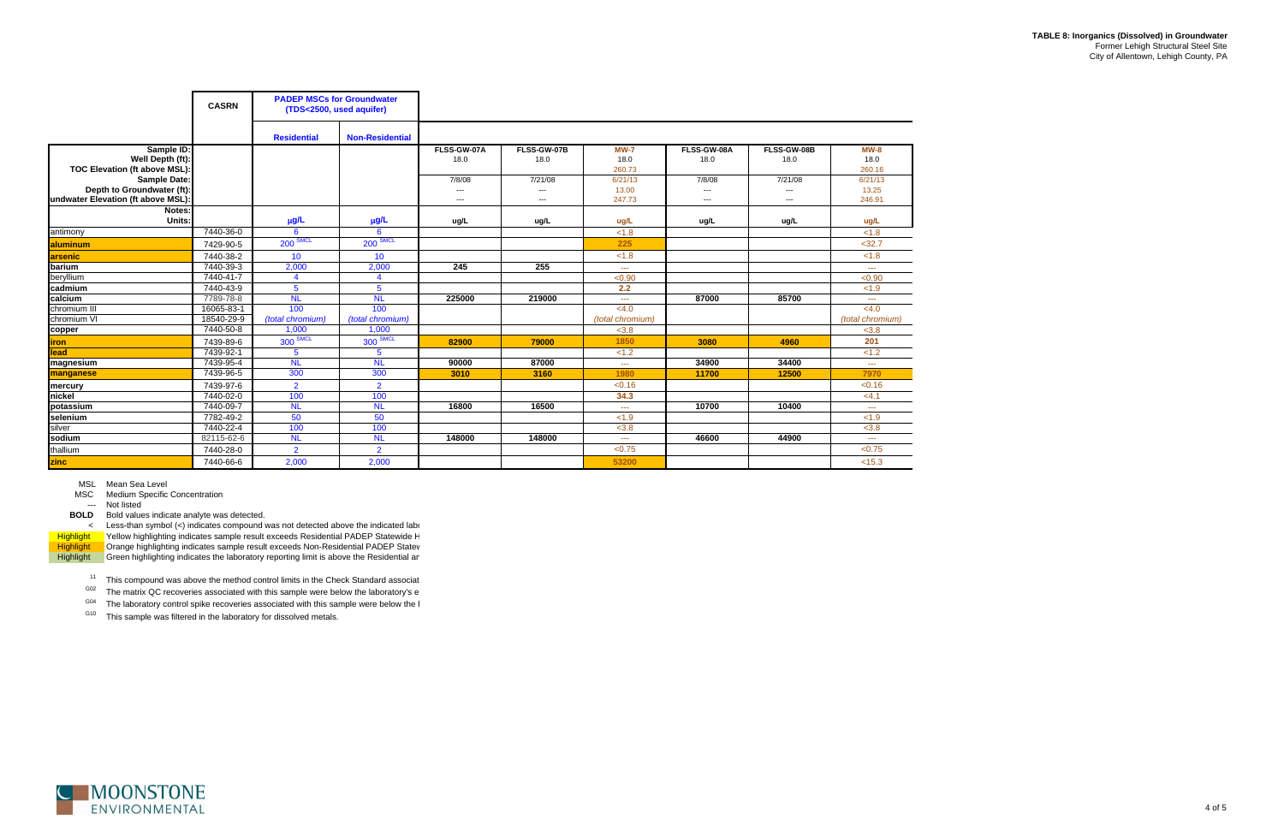$11$  This compound was above the method control limits in the Check Standard associat

 $G02$  The matrix QC recoveries associated with this sample were below the laboratory's e

 $^{G04}$  The laboratory control spike recoveries associated with this sample were below the l

<sup>G10</sup> This sample was filtered in the laboratory for dissolved metals.



MSL Mean Sea Level

MSC Medium Specific Concentration

--- Not listed

|                                                                  | <b>CASRN</b> | <b>PADEP MSCs for Groundwater</b><br>(TDS<2500, used aquifer) |                        |                          |             |                                                                                                                                                                                                                                                                                                                                                                                              |                          |             |                                                                                                                                                                                                                                                                                                                                                                                              |
|------------------------------------------------------------------|--------------|---------------------------------------------------------------|------------------------|--------------------------|-------------|----------------------------------------------------------------------------------------------------------------------------------------------------------------------------------------------------------------------------------------------------------------------------------------------------------------------------------------------------------------------------------------------|--------------------------|-------------|----------------------------------------------------------------------------------------------------------------------------------------------------------------------------------------------------------------------------------------------------------------------------------------------------------------------------------------------------------------------------------------------|
|                                                                  |              | <b>Residential</b>                                            | <b>Non-Residential</b> |                          |             |                                                                                                                                                                                                                                                                                                                                                                                              |                          |             |                                                                                                                                                                                                                                                                                                                                                                                              |
| Sample ID:                                                       |              |                                                               |                        | FLSS-GW-07A              | FLSS-GW-07B | <b>MW-7</b>                                                                                                                                                                                                                                                                                                                                                                                  | FLSS-GW-08A              | FLSS-GW-08B | $MW-8$                                                                                                                                                                                                                                                                                                                                                                                       |
| Well Depth (ft):                                                 |              |                                                               |                        | 18.0                     | 18.0        | 18.0                                                                                                                                                                                                                                                                                                                                                                                         | 18.0                     | 18.0        | 18.0                                                                                                                                                                                                                                                                                                                                                                                         |
| <b>TOC Elevation (ft above MSL):</b>                             |              |                                                               |                        |                          |             | 260.73                                                                                                                                                                                                                                                                                                                                                                                       |                          |             | 260.16                                                                                                                                                                                                                                                                                                                                                                                       |
| Sample Date:                                                     |              |                                                               |                        | 7/8/08                   | 7/21/08     | 6/21/13                                                                                                                                                                                                                                                                                                                                                                                      | 7/8/08                   | 7/21/08     | 6/21/13                                                                                                                                                                                                                                                                                                                                                                                      |
| Depth to Groundwater (ft):<br>undwater Elevation (ft above MSL): |              |                                                               |                        | $---$                    | $---$       | 13.00                                                                                                                                                                                                                                                                                                                                                                                        | ---                      | ---         | 13.25<br>246.91                                                                                                                                                                                                                                                                                                                                                                              |
|                                                                  |              |                                                               |                        | $\hspace{0.05cm} \ldots$ | $---$       | 247.73                                                                                                                                                                                                                                                                                                                                                                                       | $\hspace{0.05cm} \ldots$ | ---         |                                                                                                                                                                                                                                                                                                                                                                                              |
| Notes:<br>Units:                                                 |              | μg/L                                                          | $\mu$ g/L              | ug/L                     | ug/L        | ug/L                                                                                                                                                                                                                                                                                                                                                                                         | ug/L                     | ug/L        | ug/L                                                                                                                                                                                                                                                                                                                                                                                         |
| antimony                                                         | 7440-36-0    | 6                                                             | 6                      |                          |             | < 1.8                                                                                                                                                                                                                                                                                                                                                                                        |                          |             | < 1.8                                                                                                                                                                                                                                                                                                                                                                                        |
| aluminum                                                         | 7429-90-5    | $200$ SMCL                                                    | $200$ SMCL             |                          |             | 225                                                                                                                                                                                                                                                                                                                                                                                          |                          |             | $32.7$                                                                                                                                                                                                                                                                                                                                                                                       |
| <b>arsenic</b>                                                   | 7440-38-2    | 10                                                            | 10 <sup>°</sup>        |                          |             | < 1.8                                                                                                                                                                                                                                                                                                                                                                                        |                          |             | < 1.8                                                                                                                                                                                                                                                                                                                                                                                        |
| barium                                                           | 7440-39-3    | 2,000                                                         | 2,000                  | 245                      | 255         | $\frac{1}{2} \frac{1}{2} \frac{1}{2} \frac{1}{2} \frac{1}{2} \frac{1}{2} \frac{1}{2} \frac{1}{2} \frac{1}{2} \frac{1}{2} \frac{1}{2} \frac{1}{2} \frac{1}{2} \frac{1}{2} \frac{1}{2} \frac{1}{2} \frac{1}{2} \frac{1}{2} \frac{1}{2} \frac{1}{2} \frac{1}{2} \frac{1}{2} \frac{1}{2} \frac{1}{2} \frac{1}{2} \frac{1}{2} \frac{1}{2} \frac{1}{2} \frac{1}{2} \frac{1}{2} \frac{1}{2} \frac{$ |                          |             | $\frac{1}{2} \frac{1}{2} \frac{1}{2} \frac{1}{2} \frac{1}{2} \frac{1}{2} \frac{1}{2} \frac{1}{2} \frac{1}{2} \frac{1}{2} \frac{1}{2} \frac{1}{2} \frac{1}{2} \frac{1}{2} \frac{1}{2} \frac{1}{2} \frac{1}{2} \frac{1}{2} \frac{1}{2} \frac{1}{2} \frac{1}{2} \frac{1}{2} \frac{1}{2} \frac{1}{2} \frac{1}{2} \frac{1}{2} \frac{1}{2} \frac{1}{2} \frac{1}{2} \frac{1}{2} \frac{1}{2} \frac{$ |
| beryllium                                                        | 7440-41-7    | $\overline{\mathbf{4}}$                                       | 4                      |                          |             | < 0.90                                                                                                                                                                                                                                                                                                                                                                                       |                          |             | < 0.90                                                                                                                                                                                                                                                                                                                                                                                       |
| cadmium                                                          | 7440-43-9    | 5                                                             | 5                      |                          |             | 2.2                                                                                                                                                                                                                                                                                                                                                                                          |                          |             | < 1.9                                                                                                                                                                                                                                                                                                                                                                                        |
| calcium                                                          | 7789-78-8    | <b>NL</b>                                                     | <b>NL</b>              | 225000                   | 219000      | $\sim$ $\sim$ $\sim$                                                                                                                                                                                                                                                                                                                                                                         | 87000                    | 85700       | $\frac{1}{2} \frac{1}{2} \frac{1}{2} \frac{1}{2} \frac{1}{2} \frac{1}{2} \frac{1}{2} \frac{1}{2} \frac{1}{2} \frac{1}{2} \frac{1}{2} \frac{1}{2} \frac{1}{2} \frac{1}{2} \frac{1}{2} \frac{1}{2} \frac{1}{2} \frac{1}{2} \frac{1}{2} \frac{1}{2} \frac{1}{2} \frac{1}{2} \frac{1}{2} \frac{1}{2} \frac{1}{2} \frac{1}{2} \frac{1}{2} \frac{1}{2} \frac{1}{2} \frac{1}{2} \frac{1}{2} \frac{$ |
| chromium III                                                     | 16065-83-1   | 100                                                           | 100                    |                          |             | < 4.0                                                                                                                                                                                                                                                                                                                                                                                        |                          |             | < 4.0                                                                                                                                                                                                                                                                                                                                                                                        |
| chromium VI                                                      | 18540-29-9   | (total chromium)                                              | (total chromium)       |                          |             | (total chromium)                                                                                                                                                                                                                                                                                                                                                                             |                          |             | (total chromium)                                                                                                                                                                                                                                                                                                                                                                             |
| copper                                                           | 7440-50-8    | 1,000                                                         | 1,000                  |                          |             | < 3.8                                                                                                                                                                                                                                                                                                                                                                                        |                          |             | < 3.8                                                                                                                                                                                                                                                                                                                                                                                        |
| <b>iron</b>                                                      | 7439-89-6    | $300$ SMCL                                                    | $300$ SMCL             | 82900                    | 79000       | 1850                                                                                                                                                                                                                                                                                                                                                                                         | 3080                     | 4960        | 201                                                                                                                                                                                                                                                                                                                                                                                          |
| lead                                                             | 7439-92-1    | $\overline{5}$                                                | 5                      |                          |             | < 1.2                                                                                                                                                                                                                                                                                                                                                                                        |                          |             | < 1.2                                                                                                                                                                                                                                                                                                                                                                                        |
| magnesium                                                        | 7439-95-4    | N <sub>L</sub>                                                | <b>NL</b>              | 90000                    | 87000       | $\sim$ $\sim$ $\sim$                                                                                                                                                                                                                                                                                                                                                                         | 34900                    | 34400       | $\frac{1}{2} \frac{1}{2} \frac{1}{2} \frac{1}{2} \frac{1}{2} \frac{1}{2} \frac{1}{2} \frac{1}{2} \frac{1}{2} \frac{1}{2} \frac{1}{2} \frac{1}{2} \frac{1}{2} \frac{1}{2} \frac{1}{2} \frac{1}{2} \frac{1}{2} \frac{1}{2} \frac{1}{2} \frac{1}{2} \frac{1}{2} \frac{1}{2} \frac{1}{2} \frac{1}{2} \frac{1}{2} \frac{1}{2} \frac{1}{2} \frac{1}{2} \frac{1}{2} \frac{1}{2} \frac{1}{2} \frac{$ |
| manganese                                                        | 7439-96-5    | 300                                                           | 300                    | 3010                     | 3160        | 1980                                                                                                                                                                                                                                                                                                                                                                                         | 11700                    | 12500       | 7970                                                                                                                                                                                                                                                                                                                                                                                         |
| mercury                                                          | 7439-97-6    | $\overline{2}$                                                | $\overline{2}$         |                          |             | < 0.16                                                                                                                                                                                                                                                                                                                                                                                       |                          |             | < 0.16                                                                                                                                                                                                                                                                                                                                                                                       |
| nickel                                                           | 7440-02-0    | 100                                                           | 100                    |                          |             | 34.3                                                                                                                                                                                                                                                                                                                                                                                         |                          |             | <4.1                                                                                                                                                                                                                                                                                                                                                                                         |
| potassium                                                        | 7440-09-7    | N <sub>L</sub>                                                | <b>NL</b>              | 16800                    | 16500       | $\sim$ $\sim$ $\sim$                                                                                                                                                                                                                                                                                                                                                                         | 10700                    | 10400       | 444                                                                                                                                                                                                                                                                                                                                                                                          |
| selenium                                                         | 7782-49-2    | 50                                                            | 50                     |                          |             | < 1.9                                                                                                                                                                                                                                                                                                                                                                                        |                          |             | < 1.9                                                                                                                                                                                                                                                                                                                                                                                        |
| silver                                                           | 7440-22-4    | 100                                                           | 100                    |                          |             | < 3.8                                                                                                                                                                                                                                                                                                                                                                                        |                          |             | < 3.8                                                                                                                                                                                                                                                                                                                                                                                        |
| sodium                                                           | 82115-62-6   | N <sub>L</sub>                                                | <b>NL</b>              | 148000                   | 148000      | $\sim$ $\sim$ $\sim$                                                                                                                                                                                                                                                                                                                                                                         | 46600                    | 44900       | 444                                                                                                                                                                                                                                                                                                                                                                                          |
| thallium                                                         | 7440-28-0    | $\overline{2}$                                                | $\overline{2}$         |                          |             | < 0.75                                                                                                                                                                                                                                                                                                                                                                                       |                          |             | < 0.75                                                                                                                                                                                                                                                                                                                                                                                       |
| zinc                                                             | 7440-66-6    | 2,000                                                         | 2,000                  |                          |             | 53200                                                                                                                                                                                                                                                                                                                                                                                        |                          |             | < 15.3                                                                                                                                                                                                                                                                                                                                                                                       |